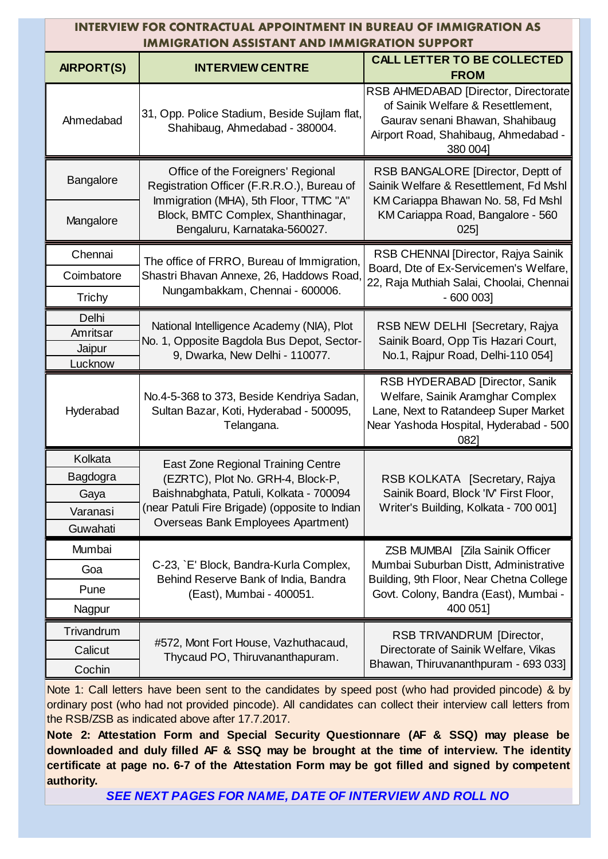| INTERVIEW FOR CONTRACTUAL APPOINTMENT IN BUREAU OF IMMIGRATION AS<br><b>IMMIGRATION ASSISTANT AND IMMIGRATION SUPPORT</b> |                                                                                                                            |                                                                                                                                                                   |  |  |  |
|---------------------------------------------------------------------------------------------------------------------------|----------------------------------------------------------------------------------------------------------------------------|-------------------------------------------------------------------------------------------------------------------------------------------------------------------|--|--|--|
| <b>AIRPORT(S)</b>                                                                                                         | <b>INTERVIEW CENTRE</b>                                                                                                    | <b>CALL LETTER TO BE COLLECTED</b><br><b>FROM</b>                                                                                                                 |  |  |  |
| Ahmedabad                                                                                                                 | 31, Opp. Police Stadium, Beside Sujlam flat,<br>Shahibaug, Ahmedabad - 380004.                                             | RSB AHMEDABAD [Director, Directorate]<br>of Sainik Welfare & Resettlement,<br>Gaurav senani Bhawan, Shahibaug<br>Airport Road, Shahibaug, Ahmedabad -<br>380 0041 |  |  |  |
| Bangalore                                                                                                                 | Office of the Foreigners' Regional<br>Registration Officer (F.R.R.O.), Bureau of<br>Immigration (MHA), 5th Floor, TTMC "A" | RSB BANGALORE [Director, Deptt of<br>Sainik Welfare & Resettlement, Fd Mshl<br>KM Cariappa Bhawan No. 58, Fd Mshl                                                 |  |  |  |
| Mangalore                                                                                                                 | Block, BMTC Complex, Shanthinagar,<br>Bengaluru, Karnataka-560027.                                                         | KM Cariappa Road, Bangalore - 560<br>025                                                                                                                          |  |  |  |
| Chennai                                                                                                                   | The office of FRRO, Bureau of Immigration,                                                                                 | RSB CHENNAI [Director, Rajya Sainik<br>Board, Dte of Ex-Servicemen's Welfare,                                                                                     |  |  |  |
| Coimbatore                                                                                                                | Shastri Bhavan Annexe, 26, Haddows Road,<br>Nungambakkam, Chennai - 600006.                                                | 22, Raja Muthiah Salai, Choolai, Chennai                                                                                                                          |  |  |  |
| <b>Trichy</b>                                                                                                             |                                                                                                                            | $-600003$                                                                                                                                                         |  |  |  |
| Delhi<br>Amritsar<br>Jaipur                                                                                               | National Intelligence Academy (NIA), Plot<br>No. 1, Opposite Bagdola Bus Depot, Sector-<br>9, Dwarka, New Delhi - 110077.  | RSB NEW DELHI [Secretary, Rajya<br>Sainik Board, Opp Tis Hazari Court,<br>No.1, Rajpur Road, Delhi-110 054]                                                       |  |  |  |
| Lucknow                                                                                                                   |                                                                                                                            |                                                                                                                                                                   |  |  |  |
| Hyderabad                                                                                                                 | No.4-5-368 to 373, Beside Kendriya Sadan,<br>Sultan Bazar, Koti, Hyderabad - 500095,<br>Telangana.                         | RSB HYDERABAD [Director, Sanik<br>Welfare, Sainik Aramghar Complex<br>Lane, Next to Ratandeep Super Market<br>Near Yashoda Hospital, Hyderabad - 500<br>0821      |  |  |  |
| Kolkata                                                                                                                   | East Zone Regional Training Centre                                                                                         |                                                                                                                                                                   |  |  |  |
| Bagdogra                                                                                                                  | (EZRTC), Plot No. GRH-4, Block-P,                                                                                          | RSB KOLKATA [Secretary, Rajya                                                                                                                                     |  |  |  |
| Gaya                                                                                                                      | Baishnabghata, Patuli, Kolkata - 700094<br>(near Patuli Fire Brigade) (opposite to Indian                                  | Sainik Board, Block 'IV' First Floor,<br>Writer's Building, Kolkata - 700 001]                                                                                    |  |  |  |
| Varanasi<br>Guwahati                                                                                                      | Overseas Bank Employees Apartment)                                                                                         |                                                                                                                                                                   |  |  |  |
| Mumbai                                                                                                                    |                                                                                                                            | ZSB MUMBAI [Zila Sainik Officer                                                                                                                                   |  |  |  |
| Goa                                                                                                                       | C-23, `E' Block, Bandra-Kurla Complex,                                                                                     | Mumbai Suburban Distt, Administrative                                                                                                                             |  |  |  |
| Pune                                                                                                                      | Behind Reserve Bank of India, Bandra                                                                                       | Building, 9th Floor, Near Chetna College                                                                                                                          |  |  |  |
| Nagpur                                                                                                                    | (East), Mumbai - 400051.                                                                                                   | Govt. Colony, Bandra (East), Mumbai -<br>400 051]                                                                                                                 |  |  |  |
| Trivandrum                                                                                                                |                                                                                                                            | RSB TRIVANDRUM [Director,                                                                                                                                         |  |  |  |
| Calicut                                                                                                                   | #572, Mont Fort House, Vazhuthacaud,<br>Thycaud PO, Thiruvananthapuram.                                                    | Directorate of Sainik Welfare, Vikas                                                                                                                              |  |  |  |
| Cochin                                                                                                                    |                                                                                                                            | Bhawan, Thiruvananthpuram - 693 033]                                                                                                                              |  |  |  |

Note 1: Call letters have been sent to the candidates by speed post (who had provided pincode) & by ordinary post (who had not provided pincode). All candidates can collect their interview call letters from the RSB/ZSB as indicated above after 17.7.2017.

**Note 2: Attestation Form and Special Security Questionnare (AF & SSQ) may please be downloaded and duly filled AF & SSQ may be brought at the time of interview. The identity certificate at page no. 6-7 of the Attestation Form may be got filled and signed by competent authority.**

*SEE NEXT PAGES FOR NAME, DATE OF INTERVIEW AND ROLL NO*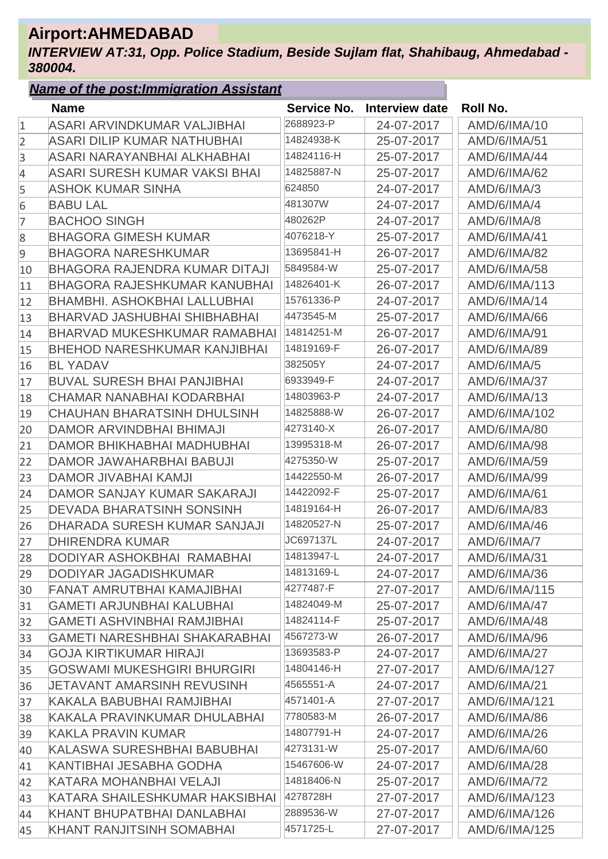# **Airport:AHMEDABAD**

*INTERVIEW AT:31, Opp. Police Stadium, Beside Sujlam flat, Shahibaug, Ahmedabad - 380004.*

|              | <b>Name of the post: Immigration Assistant</b> |             |                       |                     |
|--------------|------------------------------------------------|-------------|-----------------------|---------------------|
|              | <b>Name</b>                                    | Service No. | <b>Interview date</b> | <b>Roll No.</b>     |
| $\mathbf{1}$ | ASARI ARVINDKUMAR VALJIBHAI                    | 2688923-P   | 24-07-2017            | AMD/6/IMA/10        |
| 2            | ASARI DILIP KUMAR NATHUBHAI                    | 14824938-K  | 25-07-2017            | AMD/6/IMA/51        |
| 3            | ASARI NARAYANBHAI ALKHABHAI                    | 14824116-H  | 25-07-2017            | <b>AMD/6/IMA/44</b> |
| 4            | ASARI SURESH KUMAR VAKSI BHAI                  | 14825887-N  | 25-07-2017            | AMD/6/IMA/62        |
| 5            | <b>ASHOK KUMAR SINHA</b>                       | 624850      | 24-07-2017            | AMD/6/IMA/3         |
| 6            | <b>BABU LAL</b>                                | 481307W     | 24-07-2017            | AMD/6/IMA/4         |
| 7            | <b>BACHOO SINGH</b>                            | 480262P     | 24-07-2017            | AMD/6/IMA/8         |
| 8            | <b>BHAGORA GIMESH KUMAR</b>                    | 4076218-Y   | 25-07-2017            | AMD/6/IMA/41        |
| 9            | <b>BHAGORA NARESHKUMAR</b>                     | 13695841-H  | 26-07-2017            | <b>AMD/6/IMA/82</b> |
| 10           | BHAGORA RAJENDRA KUMAR DITAJI                  | 5849584-W   | 25-07-2017            | AMD/6/IMA/58        |
| 11           | <b>BHAGORA RAJESHKUMAR KANUBHAI</b>            | 14826401-K  | 26-07-2017            | AMD/6/IMA/113       |
| 12           | <b>BHAMBHI, ASHOKBHAI LALLUBHAI</b>            | 15761336-P  | 24-07-2017            | AMD/6/IMA/14        |
| 13           | <b>BHARVAD JASHUBHAI SHIBHABHAI</b>            | 4473545-M   | 25-07-2017            | AMD/6/IMA/66        |
| 14           | <b>BHARVAD MUKESHKUMAR RAMABHAI</b>            | 14814251-M  | 26-07-2017            | AMD/6/IMA/91        |
| 15           | <b>BHEHOD NARESHKUMAR KANJIBHAI</b>            | 14819169-F  | 26-07-2017            | AMD/6/IMA/89        |
| 16           | <b>BL YADAV</b>                                | 382505Y     | 24-07-2017            | AMD/6/IMA/5         |
| 17           | <b>BUVAL SURESH BHAI PANJIBHAI</b>             | 6933949-F   | 24-07-2017            | AMD/6/IMA/37        |
| 18           | CHAMAR NANABHAI KODARBHAI                      | 14803963-P  | 24-07-2017            | AMD/6/IMA/13        |
| 19           | <b>CHAUHAN BHARATSINH DHULSINH</b>             | 14825888-W  | 26-07-2017            | AMD/6/IMA/102       |
| 20           | DAMOR ARVINDBHAI BHIMAJI                       | 4273140-X   | 26-07-2017            | AMD/6/IMA/80        |
| 21           | DAMOR BHIKHABHAI MADHUBHAI                     | 13995318-M  | 26-07-2017            | AMD/6/IMA/98        |
| 22           | DAMOR JAWAHARBHAI BABUJI                       | 4275350-W   | 25-07-2017            | AMD/6/IMA/59        |
| 23           | DAMOR JIVABHAI KAMJI                           | 14422550-M  | 26-07-2017            | AMD/6/IMA/99        |
| 24           | <b>DAMOR SANJAY KUMAR SAKARAJI</b>             | 14422092-F  | 25-07-2017            | AMD/6/IMA/61        |
| 25           | <b>DEVADA BHARATSINH SONSINH</b>               | 14819164-H  | 26-07-2017            | AMD/6/IMA/83        |
| 26           | <b>DHARADA SURESH KUMAR SANJAJI</b>            | 14820527-N  | 25-07-2017            | AMD/6/IMA/46        |
| 27           | <b>DHIRENDRA KUMAR</b>                         | JC697137L   | 24-07-2017            | AMD/6/IMA/7         |
| 28           | DODIYAR ASHOKBHAI RAMABHAI                     | 14813947-L  | 24-07-2017            | AMD/6/IMA/31        |
| 29           | DODIYAR JAGADISHKUMAR                          | 14813169-L  | 24-07-2017            | AMD/6/IMA/36        |
| 30           | FANAT AMRUTBHAI KAMAJIBHAI                     | 4277487-F   | 27-07-2017            | AMD/6/IMA/115       |
| 31           | <b>GAMETI ARJUNBHAI KALUBHAI</b>               | 14824049-M  | 25-07-2017            | AMD/6/IMA/47        |
| 32           | GAMETI ASHVINBHAI RAMJIBHAI                    | 14824114-F  | 25-07-2017            | AMD/6/IMA/48        |
| 33           | <b>GAMETI NARESHBHAI SHAKARABHAI</b>           | 4567273-W   | 26-07-2017            | AMD/6/IMA/96        |
| 34           | <b>GOJA KIRTIKUMAR HIRAJI</b>                  | 13693583-P  | 24-07-2017            | AMD/6/IMA/27        |
| 35           | <b>GOSWAMI MUKESHGIRI BHURGIRI</b>             | 14804146-H  | 27-07-2017            | AMD/6/IMA/127       |
| 36           | JETAVANT AMARSINH REVUSINH                     | 4565551-A   | 24-07-2017            | AMD/6/IMA/21        |
| 37           | KAKALA BABUBHAI RAMJIBHAI                      | 4571401-A   | 27-07-2017            | AMD/6/IMA/121       |
| 38           | KAKALA PRAVINKUMAR DHULABHAI                   | 7780583-M   | 26-07-2017            | AMD/6/IMA/86        |
| 39           | KAKLA PRAVIN KUMAR                             | 14807791-H  | 24-07-2017            | AMD/6/IMA/26        |
| 40           | KALASWA SURESHBHAI BABUBHAI                    | 4273131-W   | 25-07-2017            | AMD/6/IMA/60        |
| 41           | KANTIBHAI JESABHA GODHA                        | 15467606-W  | 24-07-2017            | AMD/6/IMA/28        |
| 42           | KATARA MOHANBHAI VELAJI                        | 14818406-N  | 25-07-2017            | AMD/6/IMA/72        |
| 43           | KATARA SHAILESHKUMAR HAKSIBHAI                 | 4278728H    | 27-07-2017            | AMD/6/IMA/123       |
| 44           | KHANT BHUPATBHAI DANLABHAI                     | 2889536-W   | 27-07-2017            | AMD/6/IMA/126       |
| 45           | KHANT RANJITSINH SOMABHAI                      | 4571725-L   | 27-07-2017            | AMD/6/IMA/125       |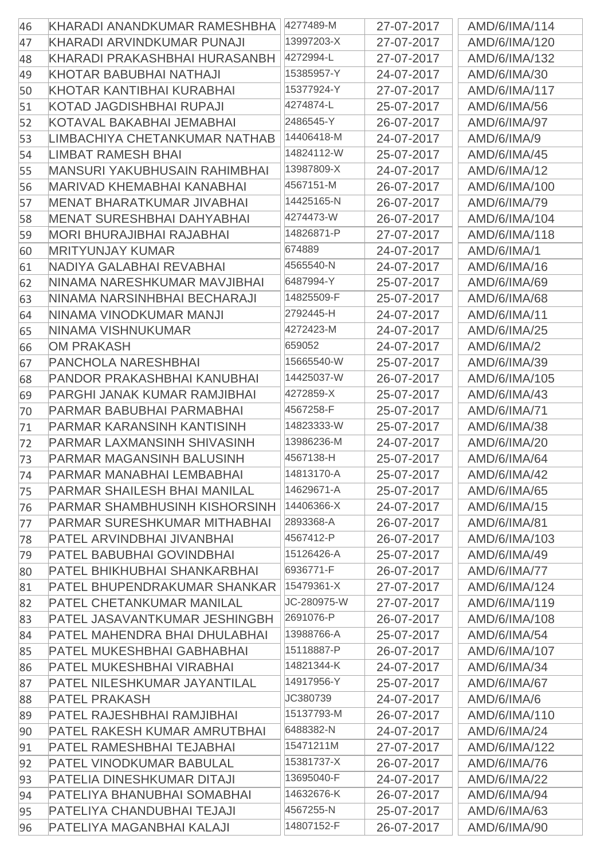|    |                                      | 4277489-M   |            |               |
|----|--------------------------------------|-------------|------------|---------------|
| 46 | KHARADI ANANDKUMAR RAMESHBHA         | 13997203-X  | 27-07-2017 | AMD/6/IMA/114 |
| 47 | KHARADI ARVINDKUMAR PUNAJI           | 4272994-L   | 27-07-2017 | AMD/6/IMA/120 |
| 48 | KHARADI PRAKASHBHAI HURASANBH        | 15385957-Y  | 27-07-2017 | AMD/6/IMA/132 |
| 49 | KHOTAR BABUBHAI NATHAJI              |             | 24-07-2017 | AMD/6/IMA/30  |
| 50 | KHOTAR KANTIBHAI KURABHAI            | 15377924-Y  | 27-07-2017 | AMD/6/IMA/117 |
| 51 | <b>KOTAD JAGDISHBHAI RUPAJI</b>      | 4274874-L   | 25-07-2017 | AMD/6/IMA/56  |
| 52 | KOTAVAL BAKABHAI JEMABHAI            | 2486545-Y   | 26-07-2017 | AMD/6/IMA/97  |
| 53 | LIMBACHIYA CHETANKUMAR NATHAB        | 14406418-M  | 24-07-2017 | AMD/6/IMA/9   |
| 54 | <b>LIMBAT RAMESH BHAI</b>            | 14824112-W  | 25-07-2017 | AMD/6/IMA/45  |
| 55 | <b>MANSURI YAKUBHUSAIN RAHIMBHAI</b> | 13987809-X  | 24-07-2017 | AMD/6/IMA/12  |
| 56 | <b>MARIVAD KHEMABHAI KANABHAI</b>    | 4567151-M   | 26-07-2017 | AMD/6/IMA/100 |
| 57 | <b>MENAT BHARATKUMAR JIVABHAI</b>    | 14425165-N  | 26-07-2017 | AMD/6/IMA/79  |
| 58 | <b>MENAT SURESHBHAI DAHYABHAI</b>    | 4274473-W   | 26-07-2017 | AMD/6/IMA/104 |
| 59 | <b>MORI BHURAJIBHAI RAJABHAI</b>     | 14826871-P  | 27-07-2017 | AMD/6/IMA/118 |
| 60 | <b>MRITYUNJAY KUMAR</b>              | 674889      | 24-07-2017 | AMD/6/IMA/1   |
| 61 | NADIYA GALABHAI REVABHAI             | 4565540-N   | 24-07-2017 | AMD/6/IMA/16  |
| 62 | NINAMA NARESHKUMAR MAVJIBHAI         | 6487994-Y   | 25-07-2017 | AMD/6/IMA/69  |
| 63 | NINAMA NARSINHBHAI BECHARAJI         | 14825509-F  | 25-07-2017 | AMD/6/IMA/68  |
| 64 | NINAMA VINODKUMAR MANJI              | 2792445-H   | 24-07-2017 | AMD/6/IMA/11  |
| 65 | NINAMA VISHNUKUMAR                   | 4272423-M   | 24-07-2017 | AMD/6/IMA/25  |
| 66 | <b>OM PRAKASH</b>                    | 659052      | 24-07-2017 | AMD/6/IMA/2   |
| 67 | <b>PANCHOLA NARESHBHAI</b>           | 15665540-W  | 25-07-2017 | AMD/6/IMA/39  |
| 68 | PANDOR PRAKASHBHAI KANUBHAI          | 14425037-W  | 26-07-2017 | AMD/6/IMA/105 |
| 69 | PARGHI JANAK KUMAR RAMJIBHAI         | 4272859-X   | 25-07-2017 | AMD/6/IMA/43  |
| 70 | PARMAR BABUBHAI PARMABHAI            | 4567258-F   | 25-07-2017 | AMD/6/IMA/71  |
| 71 | <b>PARMAR KARANSINH KANTISINH</b>    | 14823333-W  | 25-07-2017 | AMD/6/IMA/38  |
| 72 | <b>PARMAR LAXMANSINH SHIVASINH</b>   | 13986236-M  | 24-07-2017 | AMD/6/IMA/20  |
| 73 | <b>PARMAR MAGANSINH BALUSINH</b>     | 4567138-H   | 25-07-2017 | AMD/6/IMA/64  |
| 74 | PARMAR MANABHAI LEMBABHAI            | 14813170-A  | 25-07-2017 | AMD/6/IMA/42  |
| 75 | <b>PARMAR SHAILESH BHAI MANILAL</b>  | 14629671-A  | 25-07-2017 | AMD/6/IMA/65  |
| 76 | <b>PARMAR SHAMBHUSINH KISHORSINH</b> | 14406366-X  | 24-07-2017 | AMD/6/IMA/15  |
| 77 | <b>PARMAR SURESHKUMAR MITHABHAI</b>  | 2893368-A   | 26-07-2017 | AMD/6/IMA/81  |
| 78 | PATEL ARVINDBHAI JIVANBHAI           | 4567412-P   | 26-07-2017 | AMD/6/IMA/103 |
| 79 | <b>PATEL BABUBHAI GOVINDBHAI</b>     | 15126426-A  | 25-07-2017 | AMD/6/IMA/49  |
| 80 | <b>PATEL BHIKHUBHAI SHANKARBHAI</b>  | 6936771-F   | 26-07-2017 | AMD/6/IMA/77  |
| 81 | <b>PATEL BHUPENDRAKUMAR SHANKAR</b>  | 15479361-X  | 27-07-2017 | AMD/6/IMA/124 |
|    | <b>PATEL CHETANKUMAR MANILAL</b>     | JC-280975-W | 27-07-2017 | AMD/6/IMA/119 |
| 82 | PATEL JASAVANTKUMAR JESHINGBH        | 2691076-P   |            | AMD/6/IMA/108 |
| 83 |                                      | 13988766-A  | 26-07-2017 |               |
| 84 | PATEL MAHENDRA BHAI DHULABHAI        | 15118887-P  | 25-07-2017 | AMD/6/IMA/54  |
| 85 | PATEL MUKESHBHAI GABHABHAI           | 14821344-K  | 26-07-2017 | AMD/6/IMA/107 |
| 86 | PATEL MUKESHBHAI VIRABHAI            |             | 24-07-2017 | AMD/6/IMA/34  |
| 87 | PATEL NILESHKUMAR JAYANTILAL         | 14917956-Y  | 25-07-2017 | AMD/6/IMA/67  |
| 88 | <b>PATEL PRAKASH</b>                 | JC380739    | 24-07-2017 | AMD/6/IMA/6   |
| 89 | PATEL RAJESHBHAI RAMJIBHAI           | 15137793-M  | 26-07-2017 | AMD/6/IMA/110 |
| 90 | PATEL RAKESH KUMAR AMRUTBHAI         | 6488382-N   | 24-07-2017 | AMD/6/IMA/24  |
| 91 | PATEL RAMESHBHAI TEJABHAI            | 15471211M   | 27-07-2017 | AMD/6/IMA/122 |
| 92 | <b>PATEL VINODKUMAR BABULAL</b>      | 15381737-X  | 26-07-2017 | AMD/6/IMA/76  |
| 93 | PATELIA DINESHKUMAR DITAJI           | 13695040-F  | 24-07-2017 | AMD/6/IMA/22  |
| 94 | PATELIYA BHANUBHAI SOMABHAI          | 14632676-K  | 26-07-2017 | AMD/6/IMA/94  |
| 95 | PATELIYA CHANDUBHAI TEJAJI           | 4567255-N   | 25-07-2017 | AMD/6/IMA/63  |
| 96 | PATELIYA MAGANBHAI KALAJI            | 14807152-F  | 26-07-2017 | AMD/6/IMA/90  |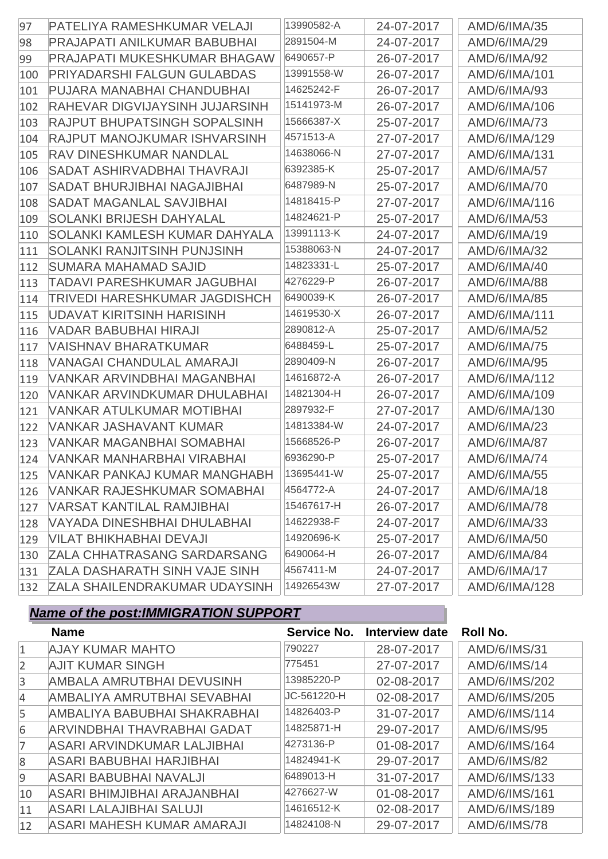| 97  | PATELIYA RAMESHKUMAR VELAJI          | 13990582-A | 24-07-2017 | AMD/6/IMA/35        |
|-----|--------------------------------------|------------|------------|---------------------|
| 98  | PRAJAPATI ANILKUMAR BABUBHAI         | 2891504-M  | 24-07-2017 | AMD/6/IMA/29        |
| 99  | <b>PRAJAPATI MUKESHKUMAR BHAGAW</b>  | 6490657-P  | 26-07-2017 | AMD/6/IMA/92        |
| 100 | PRIYADARSHI FALGUN GULABDAS          | 13991558-W | 26-07-2017 | AMD/6/IMA/101       |
| 101 | PUJARA MANABHAI CHANDUBHAI           | 14625242-F | 26-07-2017 | AMD/6/IMA/93        |
| 102 | RAHEVAR DIGVIJAYSINH JUJARSINH       | 15141973-M | 26-07-2017 | AMD/6/IMA/106       |
| 103 | RAJPUT BHUPATSINGH SOPALSINH         | 15666387-X | 25-07-2017 | AMD/6/IMA/73        |
| 104 | RAJPUT MANOJKUMAR ISHVARSINH         | 4571513-A  | 27-07-2017 | AMD/6/IMA/129       |
| 105 | RAV DINESHKUMAR NANDLAL              | 14638066-N | 27-07-2017 | AMD/6/IMA/131       |
| 106 | <b>SADAT ASHIRVADBHAI THAVRAJI</b>   | 6392385-K  | 25-07-2017 | <b>AMD/6/IMA/57</b> |
| 107 | <b>SADAT BHURJIBHAI NAGAJIBHAI</b>   | 6487989-N  | 25-07-2017 | AMD/6/IMA/70        |
| 108 | <b>SADAT MAGANLAL SAVJIBHAI</b>      | 14818415-P | 27-07-2017 | AMD/6/IMA/116       |
| 109 | <b>SOLANKI BRIJESH DAHYALAL</b>      | 14824621-P | 25-07-2017 | AMD/6/IMA/53        |
| 110 | SOLANKI KAMLESH KUMAR DAHYALA        | 13991113-K | 24-07-2017 | AMD/6/IMA/19        |
| 111 | <b>SOLANKI RANJITSINH PUNJSINH</b>   | 15388063-N | 24-07-2017 | AMD/6/IMA/32        |
| 112 | SUMARA MAHAMAD SAJID                 | 14823331-L | 25-07-2017 | AMD/6/IMA/40        |
| 113 | <b>TADAVI PARESHKUMAR JAGUBHAI</b>   | 4276229-P  | 26-07-2017 | AMD/6/IMA/88        |
| 114 | <b>TRIVEDI HARESHKUMAR JAGDISHCH</b> | 6490039-K  | 26-07-2017 | AMD/6/IMA/85        |
| 115 | <b>UDAVAT KIRITSINH HARISINH</b>     | 14619530-X | 26-07-2017 | AMD/6/IMA/111       |
| 116 | VADAR BABUBHAI HIRAJI                | 2890812-A  | 25-07-2017 | AMD/6/IMA/52        |
| 117 | <b>VAISHNAV BHARATKUMAR</b>          | 6488459-L  | 25-07-2017 | AMD/6/IMA/75        |
| 118 | VANAGAI CHANDULAL AMARAJI            | 2890409-N  | 26-07-2017 | AMD/6/IMA/95        |
| 119 | VANKAR ARVINDBHAI MAGANBHAI          | 14616872-A | 26-07-2017 | AMD/6/IMA/112       |
| 120 | VANKAR ARVINDKUMAR DHULABHAI         | 14821304-H | 26-07-2017 | AMD/6/IMA/109       |
| 121 | VANKAR ATULKUMAR MOTIBHAI            | 2897932-F  | 27-07-2017 | AMD/6/IMA/130       |
| 122 | <b>VANKAR JASHAVANT KUMAR</b>        | 14813384-W | 24-07-2017 | AMD/6/IMA/23        |
| 123 | VANKAR MAGANBHAI SOMABHAI            | 15668526-P | 26-07-2017 | <b>AMD/6/IMA/87</b> |
| 124 | VANKAR MANHARBHAI VIRABHAI           | 6936290-P  | 25-07-2017 | <b>AMD/6/IMA/74</b> |
| 125 | VANKAR PANKAJ KUMAR MANGHABH         | 13695441-W | 25-07-2017 | AMD/6/IMA/55        |
| 126 | VANKAR RAJESHKUMAR SOMABHAI          | 4564772-A  | 24-07-2017 | AMD/6/IMA/18        |
| 127 | VARSAT KANTILAL RAMJIBHAI            | 15467617-H | 26-07-2017 | AMD/6/IMA/78        |
| 128 | VAYADA DINESHBHAI DHULABHAI          | 14622938-F | 24-07-2017 | AMD/6/IMA/33        |
| 129 | VILAT BHIKHABHAI DEVAJI              | 14920696-K | 25-07-2017 | AMD/6/IMA/50        |
| 130 | <b>ZALA CHHATRASANG SARDARSANG</b>   | 6490064-H  | 26-07-2017 | AMD/6/IMA/84        |
| 131 | <b>ZALA DASHARATH SINH VAJE SINH</b> | 4567411-M  | 24-07-2017 | AMD/6/IMA/17        |
| 132 | <b>ZALA SHAILENDRAKUMAR UDAYSINH</b> | 14926543W  | 27-07-2017 | AMD/6/IMA/128       |

|                | <b>Name</b>                    | Service No. | Interview date | Roll No.      |
|----------------|--------------------------------|-------------|----------------|---------------|
| $\vert$ 1      | <b>AJAY KUMAR MAHTO</b>        | 790227      | 28-07-2017     | AMD/6/IMS/31  |
| $\overline{2}$ | <b>AJIT KUMAR SINGH</b>        | 775451      | 27-07-2017     | AMD/6/IMS/14  |
| 3              | AMBALA AMRUTBHAI DEVUSINH      | 13985220-P  | 02-08-2017     | AMD/6/IMS/202 |
| $\overline{4}$ | AMBALIYA AMRUTBHAI SEVABHAI    | JC-561220-H | 02-08-2017     | AMD/6/IMS/205 |
| 5              | AMBALIYA BABUBHAI SHAKRABHAI   | 14826403-P  | 31-07-2017     | AMD/6/IMS/114 |
| 6              | ARVINDBHAI THAVRABHAI GADAT    | 14825871-H  | 29-07-2017     | AMD/6/IMS/95  |
|                | ASARI ARVINDKUMAR LALJIBHAI    | 4273136-P   | 01-08-2017     | AMD/6/IMS/164 |
| $\mathcal{B}$  | ASARI BABUBHAI HARJIBHAI       | 14824941-K  | 29-07-2017     | AMD/6/IMS/82  |
| 9              | ASARI BABUBHAI NAVALJI         | 6489013-H   | 31-07-2017     | AMD/6/IMS/133 |
| 10             | ASARI BHIMJIBHAI ARAJANBHAI    | 4276627-W   | 01-08-2017     | AMD/6/IMS/161 |
| 11             | <b>ASARI LALAJIBHAI SALUJI</b> | 14616512-K  | 02-08-2017     | AMD/6/IMS/189 |
| 12             | ASARI MAHESH KUMAR AMARAJI     | 14824108-N  | 29-07-2017     | AMD/6/IMS/78  |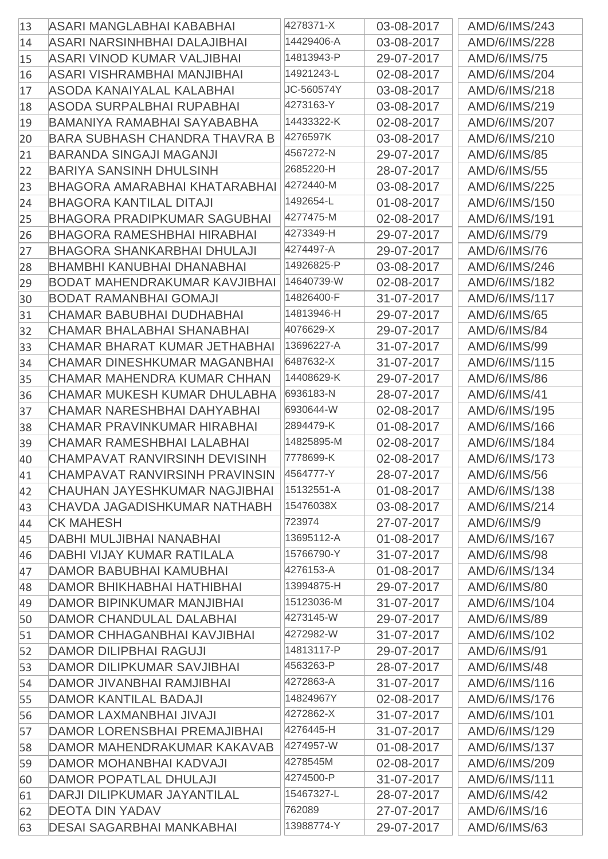| 13 | ASARI MANGLABHAI KABABHAI            | 4278371-X  | 03-08-2017 | AMD/6/IMS/243       |
|----|--------------------------------------|------------|------------|---------------------|
| 14 | ASARI NARSINHBHAI DALAJIBHAI         | 14429406-A | 03-08-2017 | AMD/6/IMS/228       |
| 15 | ASARI VINOD KUMAR VALJIBHAI          | 14813943-P | 29-07-2017 | <b>AMD/6/IMS/75</b> |
| 16 | ASARI VISHRAMBHAI MANJIBHAI          | 14921243-L | 02-08-2017 | AMD/6/IMS/204       |
| 17 | ASODA KANAIYALAL KALABHAI            | JC-560574Y | 03-08-2017 | AMD/6/IMS/218       |
| 18 | ASODA SURPALBHAI RUPABHAI            | 4273163-Y  | 03-08-2017 | AMD/6/IMS/219       |
| 19 | BAMANIYA RAMABHAI SAYABABHA          | 14433322-K | 02-08-2017 | AMD/6/IMS/207       |
| 20 | <b>BARA SUBHASH CHANDRA THAVRA B</b> | 4276597K   | 03-08-2017 | AMD/6/IMS/210       |
| 21 | <b>BARANDA SINGAJI MAGANJI</b>       | 4567272-N  | 29-07-2017 | AMD/6/IMS/85        |
| 22 | <b>BARIYA SANSINH DHULSINH</b>       | 2685220-H  | 28-07-2017 | AMD/6/IMS/55        |
| 23 | BHAGORA AMARABHAI KHATARABHAI        | 4272440-M  | 03-08-2017 | AMD/6/IMS/225       |
| 24 | <b>BHAGORA KANTILAL DITAJI</b>       | 1492654-L  | 01-08-2017 | AMD/6/IMS/150       |
| 25 | <b>BHAGORA PRADIPKUMAR SAGUBHAI</b>  | 4277475-M  | 02-08-2017 | AMD/6/IMS/191       |
|    | <b>BHAGORA RAMESHBHAI HIRABHAI</b>   | 4273349-H  | 29-07-2017 | AMD/6/IMS/79        |
| 26 | <b>BHAGORA SHANKARBHAI DHULAJI</b>   | 4274497-A  |            | AMD/6/IMS/76        |
| 27 | <b>BHAMBHI KANUBHAI DHANABHAI</b>    | 14926825-P | 29-07-2017 |                     |
| 28 |                                      | 14640739-W | 03-08-2017 | AMD/6/IMS/246       |
| 29 | <b>BODAT MAHENDRAKUMAR KAVJIBHAI</b> |            | 02-08-2017 | AMD/6/IMS/182       |
| 30 | <b>BODAT RAMANBHAI GOMAJI</b>        | 14826400-F | 31-07-2017 | AMD/6/IMS/117       |
| 31 | CHAMAR BABUBHAI DUDHABHAI            | 14813946-H | 29-07-2017 | AMD/6/IMS/65        |
| 32 | <b>CHAMAR BHALABHAI SHANABHAI</b>    | 4076629-X  | 29-07-2017 | <b>AMD/6/IMS/84</b> |
| 33 | CHAMAR BHARAT KUMAR JETHABHAI        | 13696227-A | 31-07-2017 | AMD/6/IMS/99        |
| 34 | CHAMAR DINESHKUMAR MAGANBHAI         | 6487632-X  | 31-07-2017 | AMD/6/IMS/115       |
| 35 | CHAMAR MAHENDRA KUMAR CHHAN          | 14408629-K | 29-07-2017 | AMD/6/IMS/86        |
| 36 | CHAMAR MUKESH KUMAR DHULABHA         | 6936183-N  | 28-07-2017 | <b>AMD/6/IMS/41</b> |
| 37 | CHAMAR NARESHBHAI DAHYABHAI          | 6930644-W  | 02-08-2017 | AMD/6/IMS/195       |
| 38 | CHAMAR PRAVINKUMAR HIRABHAI          | 2894479-K  | 01-08-2017 | AMD/6/IMS/166       |
| 39 | CHAMAR RAMESHBHAI LALABHAI           | 14825895-M | 02-08-2017 | AMD/6/IMS/184       |
| 40 | CHAMPAVAT RANVIRSINH DEVISINH        | 7778699-K  | 02-08-2017 | AMD/6/IMS/173       |
| 41 | CHAMPAVAT RANVIRSINH PRAVINSIN       | 4564777-Y  | 28-07-2017 | AMD/6/IMS/56        |
| 42 | CHAUHAN JAYESHKUMAR NAGJIBHAI        | 15132551-A | 01-08-2017 | AMD/6/IMS/138       |
| 43 | CHAVDA JAGADISHKUMAR NATHABH         | 15476038X  | 03-08-2017 | AMD/6/IMS/214       |
| 44 | <b>CK MAHESH</b>                     | 723974     | 27-07-2017 | AMD/6/IMS/9         |
| 45 | DABHI MULJIBHAI NANABHAI             | 13695112-A | 01-08-2017 | AMD/6/IMS/167       |
| 46 | DABHI VIJAY KUMAR RATILALA           | 15766790-Y | 31-07-2017 | AMD/6/IMS/98        |
| 47 | DAMOR BABUBHAI KAMUBHAI              | 4276153-A  | 01-08-2017 | AMD/6/IMS/134       |
| 48 | <b>DAMOR BHIKHABHAI HATHIBHAI</b>    | 13994875-H | 29-07-2017 | AMD/6/IMS/80        |
| 49 | <b>DAMOR BIPINKUMAR MANJIBHAI</b>    | 15123036-M | 31-07-2017 | AMD/6/IMS/104       |
| 50 | DAMOR CHANDULAL DALABHAI             | 4273145-W  | 29-07-2017 | AMD/6/IMS/89        |
| 51 | <b>DAMOR CHHAGANBHAI KAVJIBHAI</b>   | 4272982-W  | 31-07-2017 | AMD/6/IMS/102       |
| 52 | <b>DAMOR DILIPBHAI RAGUJI</b>        | 14813117-P | 29-07-2017 | <b>AMD/6/IMS/91</b> |
| 53 | DAMOR DILIPKUMAR SAVJIBHAI           | 4563263-P  | 28-07-2017 | AMD/6/IMS/48        |
| 54 | DAMOR JIVANBHAI RAMJIBHAI            | 4272863-A  | 31-07-2017 | AMD/6/IMS/116       |
| 55 | <b>DAMOR KANTILAL BADAJI</b>         | 14824967Y  | 02-08-2017 | AMD/6/IMS/176       |
| 56 | DAMOR LAXMANBHAI JIVAJI              | 4272862-X  | 31-07-2017 | AMD/6/IMS/101       |
| 57 | DAMOR LORENSBHAI PREMAJIBHAI         | 4276445-H  | 31-07-2017 | AMD/6/IMS/129       |
| 58 | DAMOR MAHENDRAKUMAR KAKAVAB          | 4274957-W  | 01-08-2017 | AMD/6/IMS/137       |
| 59 | DAMOR MOHANBHAI KADVAJI              | 4278545M   | 02-08-2017 | AMD/6/IMS/209       |
| 60 | <b>DAMOR POPATLAL DHULAJI</b>        | 4274500-P  | 31-07-2017 | AMD/6/IMS/111       |
| 61 | DARJI DILIPKUMAR JAYANTILAL          | 15467327-L | 28-07-2017 | AMD/6/IMS/42        |
| 62 | <b>DEOTA DIN YADAV</b>               | 762089     | 27-07-2017 | AMD/6/IMS/16        |
| 63 | <b>DESAI SAGARBHAI MANKABHAI</b>     | 13988774-Y | 29-07-2017 | AMD/6/IMS/63        |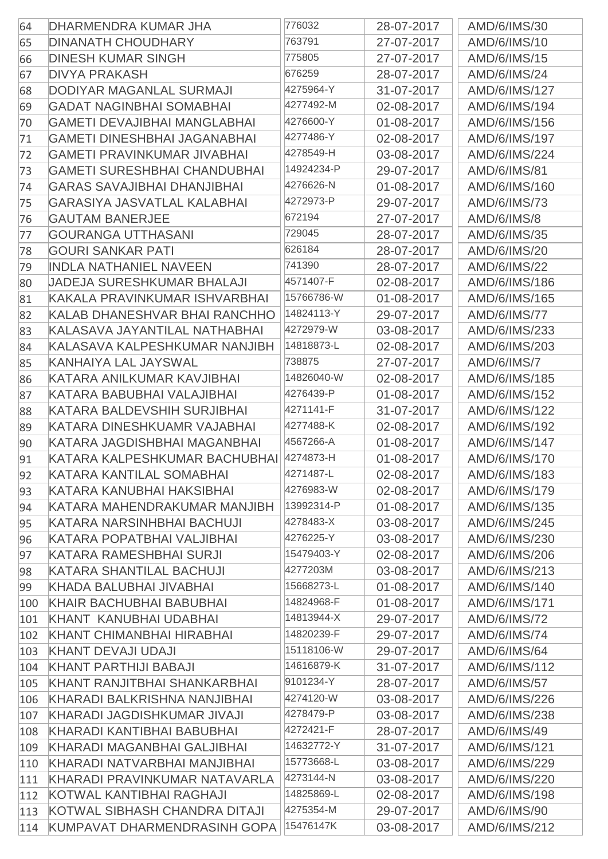| 64  | DHARMENDRA KUMAR JHA                | 776032     | 28-07-2017 | AMD/6/IMS/30        |
|-----|-------------------------------------|------------|------------|---------------------|
| 65  | <b>DINANATH CHOUDHARY</b>           | 763791     | 27-07-2017 | AMD/6/IMS/10        |
| 66  | <b>DINESH KUMAR SINGH</b>           | 775805     | 27-07-2017 | AMD/6/IMS/15        |
| 67  | <b>DIVYA PRAKASH</b>                | 676259     | 28-07-2017 | <b>AMD/6/IMS/24</b> |
| 68  | DODIYAR MAGANLAL SURMAJI            | 4275964-Y  | 31-07-2017 | AMD/6/IMS/127       |
| 69  | <b>GADAT NAGINBHAI SOMABHAI</b>     | 4277492-M  | 02-08-2017 | AMD/6/IMS/194       |
| 70  | <b>GAMETI DEVAJIBHAI MANGLABHAI</b> | 4276600-Y  | 01-08-2017 | AMD/6/IMS/156       |
| 71  | <b>GAMETI DINESHBHAI JAGANABHAI</b> | 4277486-Y  | 02-08-2017 | AMD/6/IMS/197       |
| 72  | <b>GAMETI PRAVINKUMAR JIVABHAI</b>  | 4278549-H  | 03-08-2017 | AMD/6/IMS/224       |
| 73  | <b>GAMETI SURESHBHAI CHANDUBHAI</b> | 14924234-P | 29-07-2017 | <b>AMD/6/IMS/81</b> |
| 74  | <b>GARAS SAVAJIBHAI DHANJIBHAI</b>  | 4276626-N  | 01-08-2017 | AMD/6/IMS/160       |
| 75  | <b>GARASIYA JASVATLAL KALABHAI</b>  | 4272973-P  | 29-07-2017 | <b>AMD/6/IMS/73</b> |
| 76  | <b>GAUTAM BANERJEE</b>              | 672194     | 27-07-2017 | AMD/6/IMS/8         |
| 77  | <b>GOURANGA UTTHASANI</b>           | 729045     | 28-07-2017 | AMD/6/IMS/35        |
| 78  | <b>GOURI SANKAR PATI</b>            | 626184     | 28-07-2017 | AMD/6/IMS/20        |
| 79  | <b>INDLA NATHANIEL NAVEEN</b>       | 741390     | 28-07-2017 | <b>AMD/6/IMS/22</b> |
| 80  | <b>JADEJA SURESHKUMAR BHALAJI</b>   | 4571407-F  | 02-08-2017 | AMD/6/IMS/186       |
| 81  | KAKALA PRAVINKUMAR ISHVARBHAI       | 15766786-W | 01-08-2017 | AMD/6/IMS/165       |
| 82  | KALAB DHANESHVAR BHAI RANCHHO       | 14824113-Y | 29-07-2017 | <b>AMD/6/IMS/77</b> |
| 83  | KALASAVA JAYANTILAL NATHABHAI       | 4272979-W  | 03-08-2017 | AMD/6/IMS/233       |
| 84  | KALASAVA KALPESHKUMAR NANJIBH       | 14818873-L | 02-08-2017 | AMD/6/IMS/203       |
| 85  | KANHAIYA LAL JAYSWAL                | 738875     | 27-07-2017 | AMD/6/IMS/7         |
| 86  | KATARA ANILKUMAR KAVJIBHAI          | 14826040-W | 02-08-2017 | AMD/6/IMS/185       |
| 87  | KATARA BABUBHAI VALAJIBHAI          | 4276439-P  | 01-08-2017 | AMD/6/IMS/152       |
| 88  | KATARA BALDEVSHIH SURJIBHAI         | 4271141-F  | 31-07-2017 | AMD/6/IMS/122       |
| 89  | KATARA DINESHKUAMR VAJABHAI         | 4277488-K  | 02-08-2017 | AMD/6/IMS/192       |
| 90  | KATARA JAGDISHBHAI MAGANBHAI        | 4567266-A  | 01-08-2017 | AMD/6/IMS/147       |
| 91  | KATARA KALPESHKUMAR BACHUBHAI       | 4274873-H  | 01-08-2017 | AMD/6/IMS/170       |
| 92  | KATARA KANTILAL SOMABHAI            | 4271487-L  | 02-08-2017 | AMD/6/IMS/183       |
| 93  | KATARA KANUBHAI HAKSIBHAI           | 4276983-W  | 02-08-2017 | AMD/6/IMS/179       |
| 94  | KATARA MAHENDRAKUMAR MANJIBH        | 13992314-P | 01-08-2017 | AMD/6/IMS/135       |
| 95  | KATARA NARSINHBHAI BACHUJI          | 4278483-X  | 03-08-2017 | AMD/6/IMS/245       |
| 96  | KATARA POPATBHAI VALJIBHAI          | 4276225-Y  | 03-08-2017 | AMD/6/IMS/230       |
| 97  | KATARA RAMESHBHAI SURJI             | 15479403-Y | 02-08-2017 | AMD/6/IMS/206       |
| 98  | KATARA SHANTILAL BACHUJI            | 4277203M   | 03-08-2017 | AMD/6/IMS/213       |
| 99  | KHADA BALUBHAI JIVABHAI             | 15668273-L | 01-08-2017 | AMD/6/IMS/140       |
| 100 | KHAIR BACHUBHAI BABUBHAI            | 14824968-F | 01-08-2017 | AMD/6/IMS/171       |
| 101 | KHANT KANUBHAI UDABHAI              | 14813944-X | 29-07-2017 | <b>AMD/6/IMS/72</b> |
| 102 | KHANT CHIMANBHAI HIRABHAI           | 14820239-F | 29-07-2017 | <b>AMD/6/IMS/74</b> |
| 103 | <b>KHANT DEVAJI UDAJI</b>           | 15118106-W | 29-07-2017 | AMD/6/IMS/64        |
| 104 | KHANT PARTHIJI BABAJI               | 14616879-K | 31-07-2017 | AMD/6/IMS/112       |
| 105 | KHANT RANJITBHAI SHANKARBHAI        | 9101234-Y  | 28-07-2017 | <b>AMD/6/IMS/57</b> |
| 106 | KHARADI BALKRISHNA NANJIBHAI        | 4274120-W  | 03-08-2017 | AMD/6/IMS/226       |
| 107 | KHARADI JAGDISHKUMAR JIVAJI         | 4278479-P  | 03-08-2017 | AMD/6/IMS/238       |
| 108 | KHARADI KANTIBHAI BABUBHAI          | 4272421-F  | 28-07-2017 | AMD/6/IMS/49        |
| 109 | KHARADI MAGANBHAI GALJIBHAI         | 14632772-Y | 31-07-2017 | AMD/6/IMS/121       |
| 110 | KHARADI NATVARBHAI MANJIBHAI        | 15773668-L | 03-08-2017 | AMD/6/IMS/229       |
| 111 | KHARADI PRAVINKUMAR NATAVARLA       | 4273144-N  | 03-08-2017 | AMD/6/IMS/220       |
| 112 | KOTWAL KANTIBHAI RAGHAJI            | 14825869-L | 02-08-2017 | AMD/6/IMS/198       |
| 113 | KOTWAL SIBHASH CHANDRA DITAJI       | 4275354-M  | 29-07-2017 | AMD/6/IMS/90        |
| 114 | KUMPAVAT DHARMENDRASINH GOPA        | 15476147K  | 03-08-2017 | AMD/6/IMS/212       |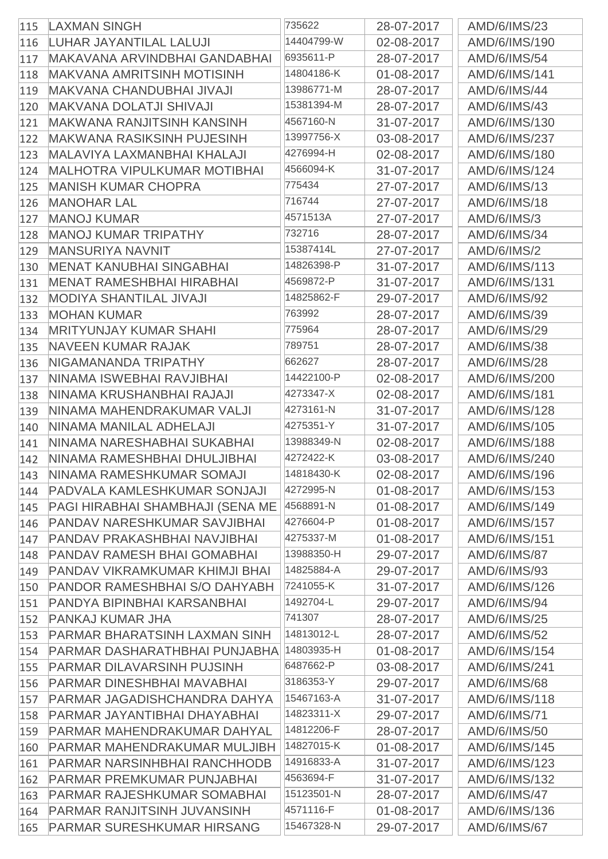| 115 | <b>LAXMAN SINGH</b>                   | 735622     | 28-07-2017 | AMD/6/IMS/23        |
|-----|---------------------------------------|------------|------------|---------------------|
| 116 | LUHAR JAYANTILAL LALUJI               | 14404799-W | 02-08-2017 | AMD/6/IMS/190       |
| 117 | MAKAVANA ARVINDBHAI GANDABHAI         | 6935611-P  | 28-07-2017 | AMD/6/IMS/54        |
| 118 | <b>MAKVANA AMRITSINH MOTISINH</b>     | 14804186-K | 01-08-2017 | AMD/6/IMS/141       |
| 119 | <b>MAKVANA CHANDUBHAI JIVAJI</b>      | 13986771-M | 28-07-2017 | <b>AMD/6/IMS/44</b> |
| 120 | <b>MAKVANA DOLATJI SHIVAJI</b>        | 15381394-M | 28-07-2017 | AMD/6/IMS/43        |
| 121 | <b>MAKWANA RANJITSINH KANSINH</b>     | 4567160-N  | 31-07-2017 | AMD/6/IMS/130       |
| 122 | <b>MAKWANA RASIKSINH PUJESINH</b>     | 13997756-X | 03-08-2017 | AMD/6/IMS/237       |
| 123 | MALAVIYA LAXMANBHAI KHALAJI           | 4276994-H  | 02-08-2017 | AMD/6/IMS/180       |
| 124 | <b>MALHOTRA VIPULKUMAR MOTIBHAI</b>   | 4566094-K  | 31-07-2017 | AMD/6/IMS/124       |
| 125 | <b>MANISH KUMAR CHOPRA</b>            | 775434     | 27-07-2017 | AMD/6/IMS/13        |
| 126 | <b>MANOHAR LAL</b>                    | 716744     | 27-07-2017 | AMD/6/IMS/18        |
| 127 | <b>MANOJ KUMAR</b>                    | 4571513A   | 27-07-2017 | AMD/6/IMS/3         |
| 128 | <b>MANOJ KUMAR TRIPATHY</b>           | 732716     | 28-07-2017 | <b>AMD/6/IMS/34</b> |
| 129 | <b>MANSURIYA NAVNIT</b>               | 15387414L  | 27-07-2017 | AMD/6/IMS/2         |
| 130 | <b>MENAT KANUBHAI SINGABHAI</b>       | 14826398-P | 31-07-2017 | AMD/6/IMS/113       |
| 131 | <b>MENAT RAMESHBHAI HIRABHAI</b>      | 4569872-P  | 31-07-2017 | AMD/6/IMS/131       |
| 132 | <b>MODIYA SHANTILAL JIVAJI</b>        | 14825862-F | 29-07-2017 | AMD/6/IMS/92        |
| 133 | <b>MOHAN KUMAR</b>                    | 763992     | 28-07-2017 | AMD/6/IMS/39        |
| 134 | <b>MRITYUNJAY KUMAR SHAHI</b>         | 775964     | 28-07-2017 | AMD/6/IMS/29        |
| 135 | <b>NAVEEN KUMAR RAJAK</b>             | 789751     | 28-07-2017 | AMD/6/IMS/38        |
| 136 | NIGAMANANDA TRIPATHY                  | 662627     | 28-07-2017 | <b>AMD/6/IMS/28</b> |
| 137 | NINAMA ISWEBHAI RAVJIBHAI             | 14422100-P | 02-08-2017 | AMD/6/IMS/200       |
| 138 | NINAMA KRUSHANBHAI RAJAJI             | 4273347-X  | 02-08-2017 | AMD/6/IMS/181       |
| 139 | NINAMA MAHENDRAKUMAR VALJI            | 4273161-N  | 31-07-2017 | AMD/6/IMS/128       |
| 140 | NINAMA MANILAL ADHELAJI               | 4275351-Y  | 31-07-2017 | AMD/6/IMS/105       |
| 141 | NINAMA NARESHABHAI SUKABHAI           | 13988349-N | 02-08-2017 | AMD/6/IMS/188       |
| 142 | NINAMA RAMESHBHAI DHULJIBHAI          | 4272422-K  | 03-08-2017 | AMD/6/IMS/240       |
| 143 | NINAMA RAMESHKUMAR SOMAJI             | 14818430-K | 02-08-2017 | AMD/6/IMS/196       |
| 144 | PADVALA KAMLESHKUMAR SONJAJI          | 4272995-N  | 01-08-2017 | AMD/6/IMS/153       |
| 145 | PAGI HIRABHAI SHAMBHAJI (SENA ME      | 4568891-N  | 01-08-2017 | AMD/6/IMS/149       |
| 146 | <b>PANDAV NARESHKUMAR SAVJIBHAI</b>   | 4276604-P  | 01-08-2017 | AMD/6/IMS/157       |
| 147 | PANDAV PRAKASHBHAI NAVJIBHAI          | 4275337-M  | 01-08-2017 | AMD/6/IMS/151       |
| 148 | PANDAV RAMESH BHAI GOMABHAI           | 13988350-H | 29-07-2017 | <b>AMD/6/IMS/87</b> |
| 149 | <b>PANDAV VIKRAMKUMAR KHIMJI BHAI</b> | 14825884-A | 29-07-2017 | AMD/6/IMS/93        |
| 150 | <b>PANDOR RAMESHBHAI S/O DAHYABH</b>  | 7241055-K  | 31-07-2017 | AMD/6/IMS/126       |
| 151 | PANDYA BIPINBHAI KARSANBHAI           | 1492704-L  | 29-07-2017 | AMD/6/IMS/94        |
| 152 | <b>PANKAJ KUMAR JHA</b>               | 741307     | 28-07-2017 | AMD/6/IMS/25        |
| 153 | <b>PARMAR BHARATSINH LAXMAN SINH</b>  | 14813012-L | 28-07-2017 | <b>AMD/6/IMS/52</b> |
| 154 | PARMAR DASHARATHBHAI PUNJABHA         | 14803935-H | 01-08-2017 | AMD/6/IMS/154       |
| 155 | <b>PARMAR DILAVARSINH PUJSINH</b>     | 6487662-P  | 03-08-2017 | AMD/6/IMS/241       |
| 156 | <b>PARMAR DINESHBHAI MAVABHAI</b>     | 3186353-Y  | 29-07-2017 | AMD/6/IMS/68        |
| 157 | PARMAR JAGADISHCHANDRA DAHYA          | 15467163-A | 31-07-2017 | AMD/6/IMS/118       |
| 158 | PARMAR JAYANTIBHAI DHAYABHAI          | 14823311-X | 29-07-2017 | AMD/6/IMS/71        |
| 159 | <b>PARMAR MAHENDRAKUMAR DAHYAL</b>    | 14812206-F | 28-07-2017 | AMD/6/IMS/50        |
| 160 | PARMAR MAHENDRAKUMAR MULJIBH          | 14827015-K | 01-08-2017 | AMD/6/IMS/145       |
| 161 | <b>PARMAR NARSINHBHAI RANCHHODB</b>   | 14916833-A | 31-07-2017 | AMD/6/IMS/123       |
| 162 | <b>PARMAR PREMKUMAR PUNJABHAI</b>     | 4563694-F  | 31-07-2017 | AMD/6/IMS/132       |
| 163 | <b>PARMAR RAJESHKUMAR SOMABHAI</b>    | 15123501-N | 28-07-2017 | <b>AMD/6/IMS/47</b> |
| 164 | <b>PARMAR RANJITSINH JUVANSINH</b>    | 4571116-F  | 01-08-2017 | AMD/6/IMS/136       |
| 165 | <b>PARMAR SURESHKUMAR HIRSANG</b>     | 15467328-N | 29-07-2017 | <b>AMD/6/IMS/67</b> |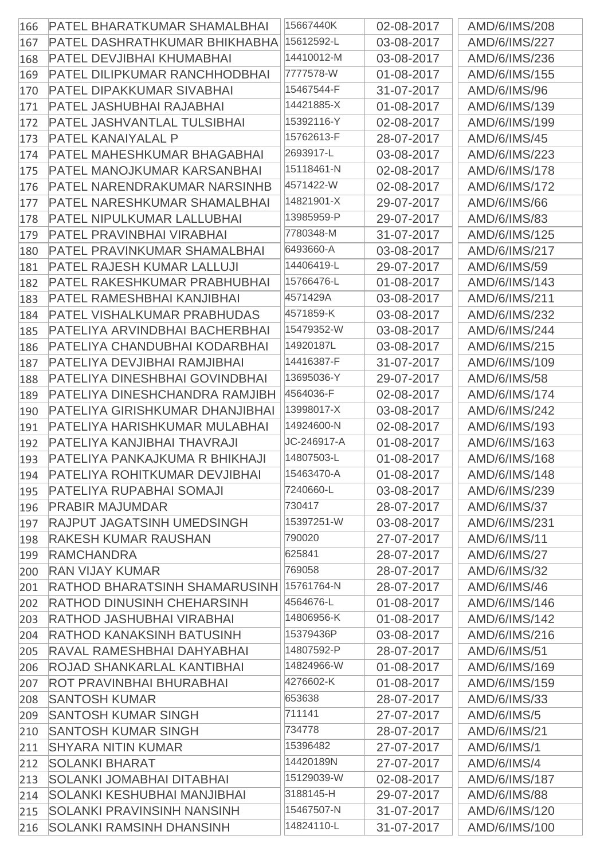| 166 | <b>PATEL BHARATKUMAR SHAMALBHAI</b>   | 15667440K   | 02-08-2017 | AMD/6/IMS/208       |
|-----|---------------------------------------|-------------|------------|---------------------|
| 167 | <b>PATEL DASHRATHKUMAR BHIKHABHA</b>  | 15612592-L  | 03-08-2017 | AMD/6/IMS/227       |
| 168 | <b>PATEL DEVJIBHAI KHUMABHAI</b>      | 14410012-M  | 03-08-2017 | AMD/6/IMS/236       |
| 169 | PATEL DILIPKUMAR RANCHHODBHAI         | 7777578-W   | 01-08-2017 | AMD/6/IMS/155       |
| 170 | <b>PATEL DIPAKKUMAR SIVABHAI</b>      | 15467544-F  | 31-07-2017 | AMD/6/IMS/96        |
| 171 | PATEL JASHUBHAI RAJABHAI              | 14421885-X  | 01-08-2017 | AMD/6/IMS/139       |
| 172 | <b>PATEL JASHVANTLAL TULSIBHAI</b>    | 15392116-Y  | 02-08-2017 | AMD/6/IMS/199       |
| 173 | <b>PATEL KANAIYALAL P</b>             | 15762613-F  | 28-07-2017 | AMD/6/IMS/45        |
| 174 | <b>PATEL MAHESHKUMAR BHAGABHAI</b>    | 2693917-L   | 03-08-2017 | AMD/6/IMS/223       |
| 175 | PATEL MANOJKUMAR KARSANBHAI           | 15118461-N  | 02-08-2017 | AMD/6/IMS/178       |
| 176 | PATEL NARENDRAKUMAR NARSINHB          | 4571422-W   | 02-08-2017 | AMD/6/IMS/172       |
| 177 | <b>PATEL NARESHKUMAR SHAMALBHAI</b>   | 14821901-X  | 29-07-2017 | AMD/6/IMS/66        |
| 178 | <b>PATEL NIPULKUMAR LALLUBHAI</b>     | 13985959-P  | 29-07-2017 | AMD/6/IMS/83        |
| 179 | PATEL PRAVINBHAI VIRABHAI             | 7780348-M   | 31-07-2017 | AMD/6/IMS/125       |
| 180 | PATEL PRAVINKUMAR SHAMALBHAI          | 6493660-A   | 03-08-2017 | AMD/6/IMS/217       |
| 181 | <b>PATEL RAJESH KUMAR LALLUJI</b>     | 14406419-L  | 29-07-2017 | AMD/6/IMS/59        |
| 182 | <b>PATEL RAKESHKUMAR PRABHUBHAI</b>   | 15766476-L  | 01-08-2017 | AMD/6/IMS/143       |
| 183 | PATEL RAMESHBHAI KANJIBHAI            | 4571429A    | 03-08-2017 | AMD/6/IMS/211       |
| 184 | <b>PATEL VISHALKUMAR PRABHUDAS</b>    | 4571859-K   | 03-08-2017 | AMD/6/IMS/232       |
| 185 | PATELIYA ARVINDBHAI BACHERBHAI        | 15479352-W  | 03-08-2017 | AMD/6/IMS/244       |
| 186 | PATELIYA CHANDUBHAI KODARBHAI         | 14920187L   | 03-08-2017 | AMD/6/IMS/215       |
| 187 | PATELIYA DEVJIBHAI RAMJIBHAI          | 14416387-F  | 31-07-2017 | AMD/6/IMS/109       |
| 188 | <b>PATELIYA DINESHBHAI GOVINDBHAI</b> | 13695036-Y  | 29-07-2017 | <b>AMD/6/IMS/58</b> |
| 189 | PATELIYA DINESHCHANDRA RAMJIBH        | 4564036-F   | 02-08-2017 | AMD/6/IMS/174       |
| 190 | PATELIYA GIRISHKUMAR DHANJIBHAI       | 13998017-X  | 03-08-2017 | AMD/6/IMS/242       |
| 191 | PATELIYA HARISHKUMAR MULABHAI         | 14924600-N  | 02-08-2017 | AMD/6/IMS/193       |
| 192 | PATELIYA KANJIBHAI THAVRAJI           | JC-246917-A | 01-08-2017 | AMD/6/IMS/163       |
| 193 | PATELIYA PANKAJKUMA R BHIKHAJI        | 14807503-L  | 01-08-2017 | AMD/6/IMS/168       |
| 194 | PATELIYA ROHITKUMAR DEVJIBHAI         | 15463470-A  | 01-08-2017 | AMD/6/IMS/148       |
| 195 | PATELIYA RUPABHAI SOMAJI              | 7240660-L   | 03-08-2017 | AMD/6/IMS/239       |
| 196 | <b>PRABIR MAJUMDAR</b>                | 730417      | 28-07-2017 | <b>AMD/6/IMS/37</b> |
| 197 | <b>RAJPUT JAGATSINH UMEDSINGH</b>     | 15397251-W  | 03-08-2017 | AMD/6/IMS/231       |
| 198 | <b>RAKESH KUMAR RAUSHAN</b>           | 790020      | 27-07-2017 | AMD/6/IMS/11        |
| 199 | <b>RAMCHANDRA</b>                     | 625841      | 28-07-2017 | AMD/6/IMS/27        |
| 200 | <b>RAN VIJAY KUMAR</b>                | 769058      | 28-07-2017 | AMD/6/IMS/32        |
| 201 | <b>RATHOD BHARATSINH SHAMARUSINH</b>  | 15761764-N  | 28-07-2017 | AMD/6/IMS/46        |
| 202 | <b>RATHOD DINUSINH CHEHARSINH</b>     | 4564676-L   | 01-08-2017 | AMD/6/IMS/146       |
| 203 | <b>RATHOD JASHUBHAI VIRABHAI</b>      | 14806956-K  | 01-08-2017 | AMD/6/IMS/142       |
| 204 | <b>RATHOD KANAKSINH BATUSINH</b>      | 15379436P   | 03-08-2017 | AMD/6/IMS/216       |
| 205 | RAVAL RAMESHBHAI DAHYABHAI            | 14807592-P  | 28-07-2017 | AMD/6/IMS/51        |
| 206 | ROJAD SHANKARLAL KANTIBHAI            | 14824966-W  | 01-08-2017 | AMD/6/IMS/169       |
| 207 | <b>ROT PRAVINBHAI BHURABHAI</b>       | 4276602-K   | 01-08-2017 | AMD/6/IMS/159       |
|     | <b>SANTOSH KUMAR</b>                  | 653638      | 28-07-2017 | AMD/6/IMS/33        |
| 208 | <b>SANTOSH KUMAR SINGH</b>            | 711141      | 27-07-2017 | <b>AMD/6/IMS/5</b>  |
| 209 | <b>SANTOSH KUMAR SINGH</b>            | 734778      | 28-07-2017 | AMD/6/IMS/21        |
| 210 | <b>SHYARA NITIN KUMAR</b>             | 15396482    | 27-07-2017 | AMD/6/IMS/1         |
| 211 | <b>SOLANKI BHARAT</b>                 | 14420189N   | 27-07-2017 | AMD/6/IMS/4         |
| 212 | <b>SOLANKI JOMABHAI DITABHAI</b>      | 15129039-W  | 02-08-2017 | AMD/6/IMS/187       |
| 213 | SOLANKI KESHUBHAI MANJIBHAI           | 3188145-H   | 29-07-2017 | <b>AMD/6/IMS/88</b> |
| 214 | <b>SOLANKI PRAVINSINH NANSINH</b>     | 15467507-N  |            | AMD/6/IMS/120       |
| 215 |                                       | 14824110-L  | 31-07-2017 |                     |
| 216 | <b>SOLANKI RAMSINH DHANSINH</b>       |             | 31-07-2017 | AMD/6/IMS/100       |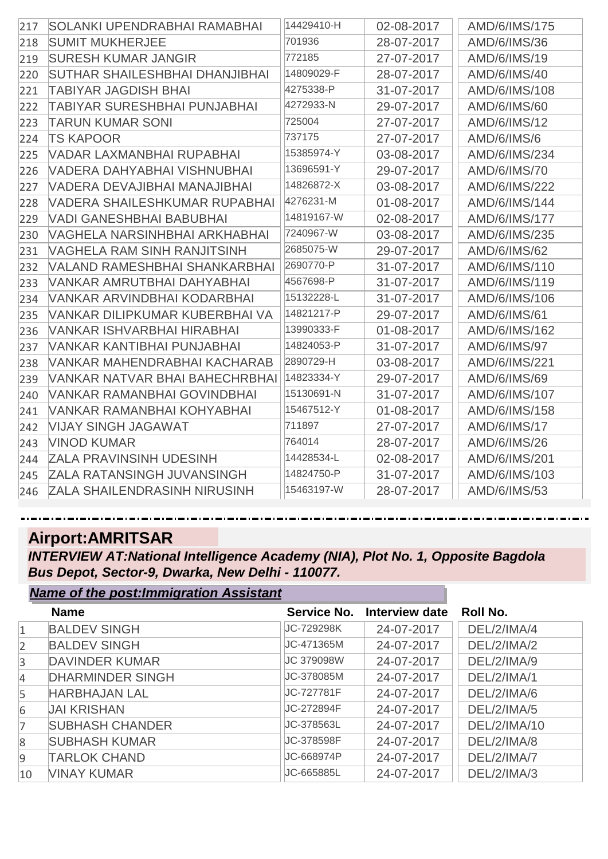| 217 | <b>SOLANKI UPENDRABHAI RAMABHAI</b>   | 14429410-H | 02-08-2017 | AMD/6/IMS/175       |
|-----|---------------------------------------|------------|------------|---------------------|
| 218 | <b>SUMIT MUKHERJEE</b>                | 701936     | 28-07-2017 | AMD/6/IMS/36        |
| 219 | <b>SURESH KUMAR JANGIR</b>            | 772185     | 27-07-2017 | AMD/6/IMS/19        |
| 220 | <b>SUTHAR SHAILESHBHAI DHANJIBHAI</b> | 14809029-F | 28-07-2017 | AMD/6/IMS/40        |
| 221 | TABIYAR JAGDISH BHAI                  | 4275338-P  | 31-07-2017 | AMD/6/IMS/108       |
| 222 | <b>TABIYAR SURESHBHAI PUNJABHAI</b>   | 4272933-N  | 29-07-2017 | AMD/6/IMS/60        |
| 223 | <b>TARUN KUMAR SONI</b>               | 725004     | 27-07-2017 | AMD/6/IMS/12        |
| 224 | <b>TS KAPOOR</b>                      | 737175     | 27-07-2017 | AMD/6/IMS/6         |
| 225 | VADAR LAXMANBHAI RUPABHAI             | 15385974-Y | 03-08-2017 | AMD/6/IMS/234       |
| 226 | VADERA DAHYABHAI VISHNUBHAI           | 13696591-Y | 29-07-2017 | AMD/6/IMS/70        |
| 227 | VADERA DEVAJIBHAI MANAJIBHAI          | 14826872-X | 03-08-2017 | AMD/6/IMS/222       |
| 228 | VADERA SHAILESHKUMAR RUPABHAI         | 4276231-M  | 01-08-2017 | AMD/6/IMS/144       |
| 229 | <b>VADI GANESHBHAI BABUBHAI</b>       | 14819167-W | 02-08-2017 | AMD/6/IMS/177       |
| 230 | VAGHELA NARSINHBHAI ARKHABHAI         | 7240967-W  | 03-08-2017 | AMD/6/IMS/235       |
| 231 | VAGHELA RAM SINH RANJITSINH           | 2685075-W  | 29-07-2017 | AMD/6/IMS/62        |
| 232 | VALAND RAMESHBHAI SHANKARBHAI         | 2690770-P  | 31-07-2017 | AMD/6/IMS/110       |
| 233 | VANKAR AMRUTBHAI DAHYABHAI            | 4567698-P  | 31-07-2017 | AMD/6/IMS/119       |
| 234 | <b>VANKAR ARVINDBHAI KODARBHAI</b>    | 15132228-L | 31-07-2017 | AMD/6/IMS/106       |
| 235 | VANKAR DILIPKUMAR KUBERBHAI VA        | 14821217-P | 29-07-2017 | AMD/6/IMS/61        |
| 236 | VANKAR ISHVARBHAI HIRABHAI            | 13990333-F | 01-08-2017 | AMD/6/IMS/162       |
| 237 | <b>VANKAR KANTIBHAI PUNJABHAI</b>     | 14824053-P | 31-07-2017 | <b>AMD/6/IMS/97</b> |
| 238 | VANKAR MAHENDRABHAI KACHARAB          | 2890729-H  | 03-08-2017 | AMD/6/IMS/221       |
| 239 | VANKAR NATVAR BHAI BAHECHRBHAI        | 14823334-Y | 29-07-2017 | AMD/6/IMS/69        |
| 240 | <b>VANKAR RAMANBHAI GOVINDBHAI</b>    | 15130691-N | 31-07-2017 | AMD/6/IMS/107       |
| 241 | VANKAR RAMANBHAI KOHYABHAI            | 15467512-Y | 01-08-2017 | AMD/6/IMS/158       |
| 242 | <b>VIJAY SINGH JAGAWAT</b>            | 711897     | 27-07-2017 | <b>AMD/6/IMS/17</b> |
| 243 | <b>VINOD KUMAR</b>                    | 764014     | 28-07-2017 | AMD/6/IMS/26        |
| 244 | <b>ZALA PRAVINSINH UDESINH</b>        | 14428534-L | 02-08-2017 | AMD/6/IMS/201       |
| 245 | <b>ZALA RATANSINGH JUVANSINGH</b>     | 14824750-P | 31-07-2017 | AMD/6/IMS/103       |
| 246 | <b>ZALA SHAILENDRASINH NIRUSINH</b>   | 15463197-W | 28-07-2017 | AMD/6/IMS/53        |

#### **Airport:AMRITSAR**

*Name of the post:Immigration Assistant*

*INTERVIEW AT:National Intelligence Academy (NIA), Plot No. 1, Opposite Bagdola Bus Depot, Sector-9, Dwarka, New Delhi - 110077.*

|                | Name of the post:Immigration Assistant |             |                |                 |
|----------------|----------------------------------------|-------------|----------------|-----------------|
|                | <b>Name</b>                            | Service No. | Interview date | <b>Roll No.</b> |
| $\mathbf{1}$   | <b>BALDEV SINGH</b>                    | JC-729298K  | 24-07-2017     | DEL/2/IMA/4     |
| $\overline{2}$ | <b>BALDEV SINGH</b>                    | JC-471365M  | 24-07-2017     | DEL/2/IMA/2     |
| $\overline{3}$ | <b>DAVINDER KUMAR</b>                  | JC 379098W  | 24-07-2017     | DEL/2/IMA/9     |
| $\overline{4}$ | <b>DHARMINDER SINGH</b>                | JC-378085M  | 24-07-2017     | DEL/2/IMA/1     |
| 5              | <b>HARBHAJAN LAL</b>                   | JC-727781F  | 24-07-2017     | DEL/2/IMA/6     |
| 6              | <b>JAI KRISHAN</b>                     | JC-272894F  | 24-07-2017     | DEL/2/IMA/5     |
| $\overline{7}$ | <b>SUBHASH CHANDER</b>                 | JC-378563L  | 24-07-2017     | DEL/2/IMA/10    |
| 8              | <b>SUBHASH KUMAR</b>                   | JC-378598F  | 24-07-2017     | DEL/2/IMA/8     |
| 9              | <b>TARLOK CHAND</b>                    | JC-668974P  | 24-07-2017     | DEL/2/IMA/7     |
| 10             | <b>VINAY KUMAR</b>                     | JC-665885L  | 24-07-2017     | DEL/2/IMA/3     |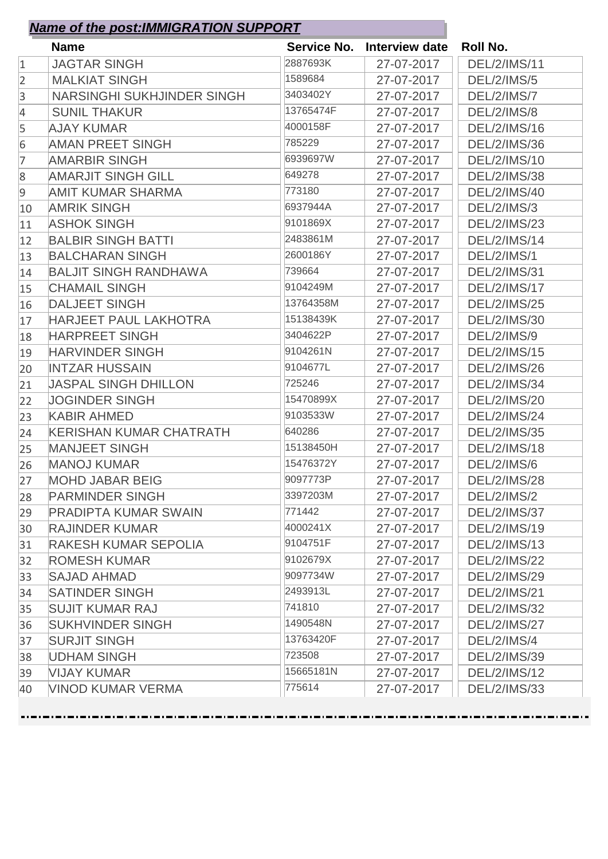|                | <b>Name</b>                       |           | Service No. Interview date | Roll No.            |
|----------------|-----------------------------------|-----------|----------------------------|---------------------|
| $\mathbf{1}$   | <b>JAGTAR SINGH</b>               | 2887693K  | 27-07-2017                 | <b>DEL/2/IMS/11</b> |
| $\overline{2}$ | <b>MALKIAT SINGH</b>              | 1589684   | 27-07-2017                 | <b>DEL/2/IMS/5</b>  |
| 3              | <b>NARSINGHI SUKHJINDER SINGH</b> | 3403402Y  | 27-07-2017                 | <b>DEL/2/IMS/7</b>  |
| $\overline{4}$ | <b>SUNIL THAKUR</b>               | 13765474F | 27-07-2017                 | <b>DEL/2/IMS/8</b>  |
| 5              | <b>AJAY KUMAR</b>                 | 4000158F  | 27-07-2017                 | <b>DEL/2/IMS/16</b> |
| 6              | <b>AMAN PREET SINGH</b>           | 785229    | 27-07-2017                 | <b>DEL/2/IMS/36</b> |
| 7              | <b>AMARBIR SINGH</b>              | 6939697W  | 27-07-2017                 | <b>DEL/2/IMS/10</b> |
| $8\phantom{1}$ | <b>AMARJIT SINGH GILL</b>         | 649278    | 27-07-2017                 | <b>DEL/2/IMS/38</b> |
| 9              | <b>AMIT KUMAR SHARMA</b>          | 773180    | 27-07-2017                 | <b>DEL/2/IMS/40</b> |
| 10             | <b>AMRIK SINGH</b>                | 6937944A  | 27-07-2017                 | <b>DEL/2/IMS/3</b>  |
| 11             | <b>ASHOK SINGH</b>                | 9101869X  | 27-07-2017                 | <b>DEL/2/IMS/23</b> |
| 12             | <b>BALBIR SINGH BATTI</b>         | 2483861M  | 27-07-2017                 | <b>DEL/2/IMS/14</b> |
| 13             | <b>BALCHARAN SINGH</b>            | 2600186Y  | 27-07-2017                 | <b>DEL/2/IMS/1</b>  |
| 14             | <b>BALJIT SINGH RANDHAWA</b>      | 739664    | 27-07-2017                 | <b>DEL/2/IMS/31</b> |
| 15             | <b>CHAMAIL SINGH</b>              | 9104249M  | 27-07-2017                 | <b>DEL/2/IMS/17</b> |
| 16             | <b>DALJEET SINGH</b>              | 13764358M | 27-07-2017                 | <b>DEL/2/IMS/25</b> |
| 17             | <b>HARJEET PAUL LAKHOTRA</b>      | 15138439K | 27-07-2017                 | <b>DEL/2/IMS/30</b> |
| 18             | <b>HARPREET SINGH</b>             | 3404622P  | 27-07-2017                 | <b>DEL/2/IMS/9</b>  |
| 19             | <b>HARVINDER SINGH</b>            | 9104261N  | 27-07-2017                 | <b>DEL/2/IMS/15</b> |
| 20             | <b>INTZAR HUSSAIN</b>             | 9104677L  | 27-07-2017                 | <b>DEL/2/IMS/26</b> |
| 21             | <b>JASPAL SINGH DHILLON</b>       | 725246    | 27-07-2017                 | <b>DEL/2/IMS/34</b> |
| 22             | <b>JOGINDER SINGH</b>             | 15470899X | 27-07-2017                 | <b>DEL/2/IMS/20</b> |
| 23             | <b>KABIR AHMED</b>                | 9103533W  | 27-07-2017                 | <b>DEL/2/IMS/24</b> |
| 24             | <b>KERISHAN KUMAR CHATRATH</b>    | 640286    | 27-07-2017                 | <b>DEL/2/IMS/35</b> |
| 25             | <b>MANJEET SINGH</b>              | 15138450H | 27-07-2017                 | <b>DEL/2/IMS/18</b> |
| 26             | <b>MANOJ KUMAR</b>                | 15476372Y | 27-07-2017                 | <b>DEL/2/IMS/6</b>  |
| 27             | <b>MOHD JABAR BEIG</b>            | 9097773P  | 27-07-2017                 | <b>DEL/2/IMS/28</b> |
| 28             | <b>PARMINDER SINGH</b>            | 3397203M  | 27-07-2017                 | <b>DEL/2/IMS/2</b>  |
| 29             | <b>PRADIPTA KUMAR SWAIN</b>       | 771442    | 27-07-2017                 | <b>DEL/2/IMS/37</b> |
| 30             | RAJINDER KUMAR                    | 4000241X  | 27-07-2017                 | DEL/2/IMS/19        |
| 31             | RAKESH KUMAR SEPOLIA              | 9104751F  | 27-07-2017                 | <b>DEL/2/IMS/13</b> |
| 32             | <b>ROMESH KUMAR</b>               | 9102679X  | 27-07-2017                 | <b>DEL/2/IMS/22</b> |
| 33             | <b>SAJAD AHMAD</b>                | 9097734W  | 27-07-2017                 | <b>DEL/2/IMS/29</b> |
| 34             | <b>SATINDER SINGH</b>             | 2493913L  | 27-07-2017                 | <b>DEL/2/IMS/21</b> |
| 35             | <b>SUJIT KUMAR RAJ</b>            | 741810    | 27-07-2017                 | <b>DEL/2/IMS/32</b> |
| 36             | <b>SUKHVINDER SINGH</b>           | 1490548N  | 27-07-2017                 | <b>DEL/2/IMS/27</b> |
| 37             | <b>SURJIT SINGH</b>               | 13763420F | 27-07-2017                 | <b>DEL/2/IMS/4</b>  |
| 38             | <b>UDHAM SINGH</b>                | 723508    | 27-07-2017                 | <b>DEL/2/IMS/39</b> |
| 39             | <b>VIJAY KUMAR</b>                | 15665181N | 27-07-2017                 | DEL/2/IMS/12        |
| 40             | <b>VINOD KUMAR VERMA</b>          | 775614    | 27-07-2017                 | <b>DEL/2/IMS/33</b> |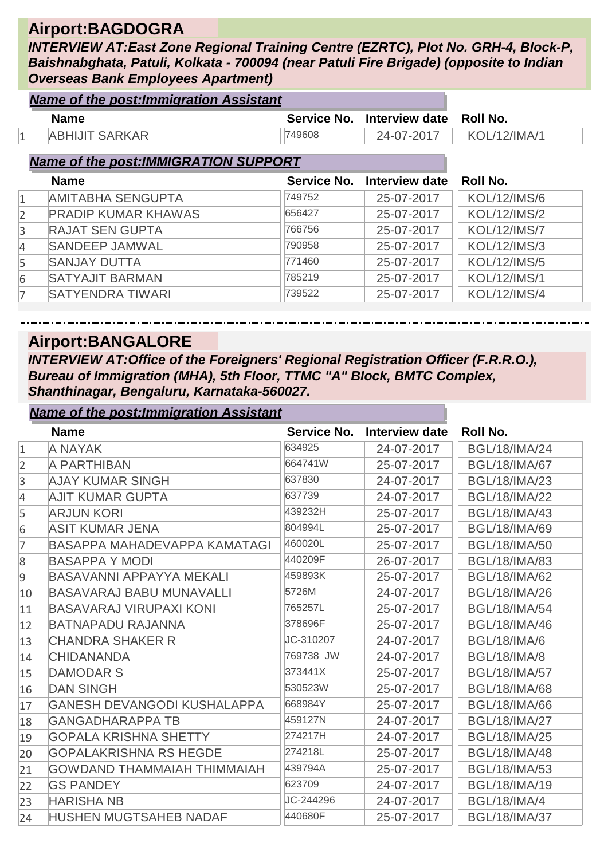#### **Airport:BAGDOGRA**

*INTERVIEW AT:East Zone Regional Training Centre (EZRTC), Plot No. GRH-4, Block-P, Baishnabghata, Patuli, Kolkata - 700094 (near Patuli Fire Brigade) (opposite to Indian Overseas Bank Employees Apartment)*

|                | <b>Name of the post: Immigration Assistant</b> |             |                       |                     |  |  |
|----------------|------------------------------------------------|-------------|-----------------------|---------------------|--|--|
|                | <b>Name</b>                                    | Service No. | Interview date        | <b>Roll No.</b>     |  |  |
| 1              | <b>ABHIJIT SARKAR</b>                          | 749608      | 24-07-2017            | <b>KOL/12/IMA/1</b> |  |  |
|                | <b>Name of the post: IMMIGRATION SUPPORT</b>   |             |                       |                     |  |  |
|                |                                                |             |                       |                     |  |  |
|                | <b>Name</b>                                    | Service No. | <b>Interview date</b> | Roll No.            |  |  |
| $\mathbf{1}$   | <b>AMITABHA SENGUPTA</b>                       | 749752      | 25-07-2017            | <b>KOL/12/IMS/6</b> |  |  |
| $\overline{2}$ | <b>PRADIP KUMAR KHAWAS</b>                     | 656427      | 25-07-2017            | <b>KOL/12/IMS/2</b> |  |  |
| 3              | <b>RAJAT SEN GUPTA</b>                         | 766756      | 25-07-2017            | <b>KOL/12/IMS/7</b> |  |  |
| 4              | <b>SANDEEP JAMWAL</b>                          | 790958      | 25-07-2017            | <b>KOL/12/IMS/3</b> |  |  |
| 5              | <b>SANJAY DUTTA</b>                            | 771460      | 25-07-2017            | <b>KOL/12/IMS/5</b> |  |  |
| 6              | <b>SATYAJIT BARMAN</b>                         | 785219      | 25-07-2017            | <b>KOL/12/IMS/1</b> |  |  |
| 7              | <b>SATYENDRA TIWARI</b>                        | 739522      | 25-07-2017            | <b>KOL/12/IMS/4</b> |  |  |

#### **Airport:BANGALORE**

*Name of the post:Immigration Assistant*

*INTERVIEW AT:Office of the Foreigners' Regional Registration Officer (F.R.R.O.), Bureau of Immigration (MHA), 5th Floor, TTMC "A" Block, BMTC Complex, Shanthinagar, Bengaluru, Karnataka-560027.*

|                | <u>Name of the post: immigration Assistant</u> |             |                |                      |
|----------------|------------------------------------------------|-------------|----------------|----------------------|
|                | <b>Name</b>                                    | Service No. | Interview date | Roll No.             |
| $\mathbf{1}$   | A NAYAK                                        | 634925      | 24-07-2017     | <b>BGL/18/IMA/24</b> |
| $\overline{2}$ | A PARTHIBAN                                    | 664741W     | 25-07-2017     | <b>BGL/18/IMA/67</b> |
| 3              | <b>AJAY KUMAR SINGH</b>                        | 637830      | 24-07-2017     | <b>BGL/18/IMA/23</b> |
| $\overline{4}$ | <b>AJIT KUMAR GUPTA</b>                        | 637739      | 24-07-2017     | <b>BGL/18/IMA/22</b> |
| 5              | <b>ARJUN KORI</b>                              | 439232H     | 25-07-2017     | <b>BGL/18/IMA/43</b> |
| 6              | <b>ASIT KUMAR JENA</b>                         | 804994L     | 25-07-2017     | <b>BGL/18/IMA/69</b> |
| 7              | BASAPPA MAHADEVAPPA KAMATAGI                   | 460020L     | 25-07-2017     | <b>BGL/18/IMA/50</b> |
| 8              | <b>BASAPPA Y MODI</b>                          | 440209F     | 26-07-2017     | <b>BGL/18/IMA/83</b> |
| 9              | <b>BASAVANNI APPAYYA MEKALI</b>                | 459893K     | 25-07-2017     | <b>BGL/18/IMA/62</b> |
| 10             | <b>BASAVARAJ BABU MUNAVALLI</b>                | 5726M       | 24-07-2017     | <b>BGL/18/IMA/26</b> |
| 11             | <b>BASAVARAJ VIRUPAXI KONI</b>                 | 765257L     | 25-07-2017     | <b>BGL/18/IMA/54</b> |
| 12             | <b>BATNAPADU RAJANNA</b>                       | 378696F     | 25-07-2017     | <b>BGL/18/IMA/46</b> |
| 13             | <b>CHANDRA SHAKER R</b>                        | JC-310207   | 24-07-2017     | <b>BGL/18/IMA/6</b>  |
| 14             | <b>CHIDANANDA</b>                              | 769738 JW   | 24-07-2017     | <b>BGL/18/IMA/8</b>  |
| 15             | <b>DAMODAR S</b>                               | 373441X     | 25-07-2017     | <b>BGL/18/IMA/57</b> |
| 16             | <b>DAN SINGH</b>                               | 530523W     | 25-07-2017     | <b>BGL/18/IMA/68</b> |
| 17             | <b>GANESH DEVANGODI KUSHALAPPA</b>             | 668984Y     | 25-07-2017     | <b>BGL/18/IMA/66</b> |
| 18             | <b>GANGADHARAPPA TB</b>                        | 459127N     | 24-07-2017     | <b>BGL/18/IMA/27</b> |
| 19             | <b>GOPALA KRISHNA SHETTY</b>                   | 274217H     | 24-07-2017     | <b>BGL/18/IMA/25</b> |
| 20             | <b>GOPALAKRISHNA RS HEGDE</b>                  | 274218L     | 25-07-2017     | <b>BGL/18/IMA/48</b> |
| 21             | <b>GOWDAND THAMMAIAH THIMMAIAH</b>             | 439794A     | 25-07-2017     | <b>BGL/18/IMA/53</b> |
| 22             | <b>GS PANDEY</b>                               | 623709      | 24-07-2017     | <b>BGL/18/IMA/19</b> |
| 23             | <b>HARISHA NB</b>                              | JC-244296   | 24-07-2017     | <b>BGL/18/IMA/4</b>  |
| 24             | <b>HUSHEN MUGTSAHEB NADAF</b>                  | 440680F     | 25-07-2017     | <b>BGL/18/IMA/37</b> |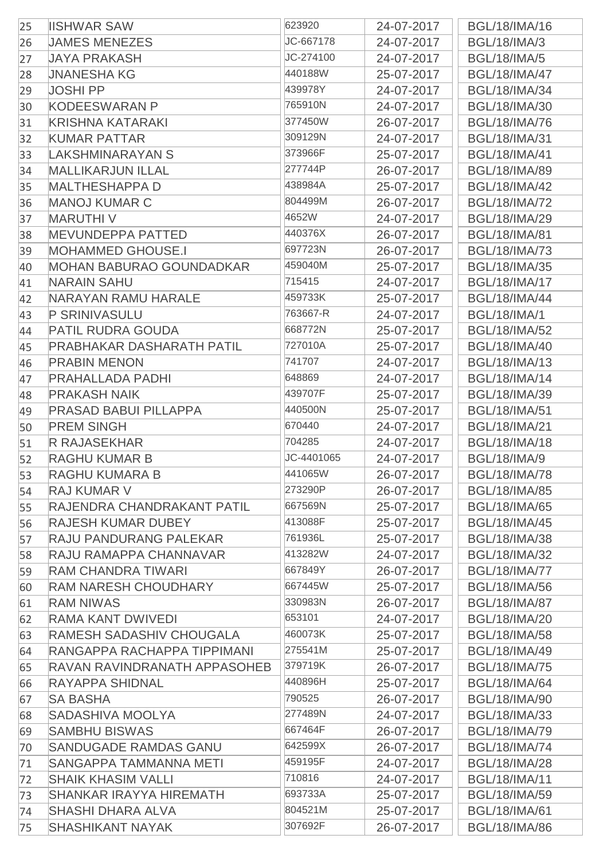| 25 | <b>IISHWAR SAW</b>                                          | 623920     | 24-07-2017               | <b>BGL/18/IMA/16</b>                         |
|----|-------------------------------------------------------------|------------|--------------------------|----------------------------------------------|
| 26 | <b>JAMES MENEZES</b>                                        | JC-667178  | 24-07-2017               | <b>BGL/18/IMA/3</b>                          |
| 27 | <b>JAYA PRAKASH</b>                                         | JC-274100  | 24-07-2017               | <b>BGL/18/IMA/5</b>                          |
| 28 | <b>JNANESHA KG</b>                                          | 440188W    | 25-07-2017               | <b>BGL/18/IMA/47</b>                         |
| 29 | <b>JOSHI PP</b>                                             | 439978Y    | 24-07-2017               | <b>BGL/18/IMA/34</b>                         |
| 30 | <b>KODEESWARAN P</b>                                        | 765910N    | 24-07-2017               | <b>BGL/18/IMA/30</b>                         |
| 31 | <b>KRISHNA KATARAKI</b>                                     | 377450W    | 26-07-2017               | <b>BGL/18/IMA/76</b>                         |
| 32 | <b>KUMAR PATTAR</b>                                         | 309129N    | 24-07-2017               | <b>BGL/18/IMA/31</b>                         |
| 33 | LAKSHMINARAYAN S                                            | 373966F    | 25-07-2017               | <b>BGL/18/IMA/41</b>                         |
| 34 | <b>MALLIKARJUN ILLAL</b>                                    | 277744P    | 26-07-2017               | <b>BGL/18/IMA/89</b>                         |
| 35 | <b>MALTHESHAPPA D</b>                                       | 438984A    | 25-07-2017               | <b>BGL/18/IMA/42</b>                         |
| 36 | <b>MANOJ KUMAR C</b>                                        | 804499M    | 26-07-2017               | <b>BGL/18/IMA/72</b>                         |
| 37 | <b>MARUTHIV</b>                                             | 4652W      | 24-07-2017               | <b>BGL/18/IMA/29</b>                         |
| 38 | <b>MEVUNDEPPA PATTED</b>                                    | 440376X    | 26-07-2017               | <b>BGL/18/IMA/81</b>                         |
| 39 | <b>MOHAMMED GHOUSE.I</b>                                    | 697723N    | 26-07-2017               | <b>BGL/18/IMA/73</b>                         |
| 40 | <b>MOHAN BABURAO GOUNDADKAR</b>                             | 459040M    | 25-07-2017               | <b>BGL/18/IMA/35</b>                         |
| 41 | <b>NARAIN SAHU</b>                                          | 715415     | 24-07-2017               | <b>BGL/18/IMA/17</b>                         |
| 42 | NARAYAN RAMU HARALE                                         | 459733K    | 25-07-2017               | <b>BGL/18/IMA/44</b>                         |
| 43 | <b>P SRINIVASULU</b>                                        | 763667-R   | 24-07-2017               | <b>BGL/18/IMA/1</b>                          |
| 44 | <b>PATIL RUDRA GOUDA</b>                                    | 668772N    | 25-07-2017               | <b>BGL/18/IMA/52</b>                         |
| 45 | <b>PRABHAKAR DASHARATH PATIL</b>                            | 727010A    | 25-07-2017               | <b>BGL/18/IMA/40</b>                         |
| 46 | <b>PRABIN MENON</b>                                         | 741707     | 24-07-2017               | <b>BGL/18/IMA/13</b>                         |
| 47 | <b>PRAHALLADA PADHI</b>                                     | 648869     | 24-07-2017               | <b>BGL/18/IMA/14</b>                         |
| 48 | <b>PRAKASH NAIK</b>                                         | 439707F    | 25-07-2017               | <b>BGL/18/IMA/39</b>                         |
| 49 | <b>PRASAD BABUI PILLAPPA</b>                                | 440500N    | 25-07-2017               | <b>BGL/18/IMA/51</b>                         |
| 50 | <b>PREM SINGH</b>                                           | 670440     | 24-07-2017               | <b>BGL/18/IMA/21</b>                         |
| 51 | <b>R RAJASEKHAR</b>                                         | 704285     | 24-07-2017               | <b>BGL/18/IMA/18</b>                         |
| 52 | <b>RAGHU KUMAR B</b>                                        | JC-4401065 | 24-07-2017               | <b>BGL/18/IMA/9</b>                          |
| 53 | <b>RAGHU KUMARA B</b>                                       | 441065W    | 26-07-2017               | <b>BGL/18/IMA/78</b>                         |
| 54 | <b>RAJ KUMAR V</b>                                          | 273290P    | 26-07-2017               | <b>BGL/18/IMA/85</b>                         |
| 55 | RAJENDRA CHANDRAKANT PATIL                                  | 667569N    | 25-07-2017               | <b>BGL/18/IMA/65</b>                         |
| 56 | <b>RAJESH KUMAR DUBEY</b>                                   | 413088F    | 25-07-2017               | <b>BGL/18/IMA/45</b>                         |
| 57 | <b>RAJU PANDURANG PALEKAR</b>                               | 761936L    | 25-07-2017               | <b>BGL/18/IMA/38</b>                         |
| 58 | RAJU RAMAPPA CHANNAVAR                                      | 413282W    | 24-07-2017               | <b>BGL/18/IMA/32</b>                         |
| 59 | <b>RAM CHANDRA TIWARI</b>                                   | 667849Y    | 26-07-2017               | <b>BGL/18/IMA/77</b>                         |
|    | <b>RAM NARESH CHOUDHARY</b>                                 | 667445W    | 25-07-2017               | <b>BGL/18/IMA/56</b>                         |
| 60 | <b>RAM NIWAS</b>                                            | 330983N    | 26-07-2017               | <b>BGL/18/IMA/87</b>                         |
| 61 | RAMA KANT DWIVEDI                                           | 653101     | 24-07-2017               | <b>BGL/18/IMA/20</b>                         |
| 62 | <b>RAMESH SADASHIV CHOUGALA</b>                             | 460073K    | 25-07-2017               | <b>BGL/18/IMA/58</b>                         |
| 63 | RANGAPPA RACHAPPA TIPPIMANI                                 | 275541M    | 25-07-2017               | <b>BGL/18/IMA/49</b>                         |
| 64 | RAVAN RAVINDRANATH APPASOHEB                                | 379719K    | 26-07-2017               | <b>BGL/18/IMA/75</b>                         |
| 65 | <b>RAYAPPA SHIDNAL</b>                                      | 440896H    | 25-07-2017               | <b>BGL/18/IMA/64</b>                         |
| 66 | <b>SA BASHA</b>                                             | 790525     |                          | <b>BGL/18/IMA/90</b>                         |
| 67 | <b>SADASHIVA MOOLYA</b>                                     | 277489N    | 26-07-2017<br>24-07-2017 | <b>BGL/18/IMA/33</b>                         |
| 68 |                                                             | 667464F    |                          |                                              |
| 69 | <b>SAMBHU BISWAS</b>                                        | 642599X    | 26-07-2017               | <b>BGL/18/IMA/79</b>                         |
| 70 | SANDUGADE RAMDAS GANU<br>SANGAPPA TAMMANNA METI             | 459195F    | 26-07-2017               | <b>BGL/18/IMA/74</b><br><b>BGL/18/IMA/28</b> |
| 71 |                                                             | 710816     | 24-07-2017               |                                              |
| 72 | <b>SHAIK KHASIM VALLI</b><br><b>SHANKAR IRAYYA HIREMATH</b> | 693733A    | 24-07-2017               | <b>BGL/18/IMA/11</b>                         |
| 73 | <b>SHASHI DHARA ALVA</b>                                    | 804521M    | 25-07-2017<br>25-07-2017 | <b>BGL/18/IMA/59</b><br><b>BGL/18/IMA/61</b> |
| 74 | <b>SHASHIKANT NAYAK</b>                                     | 307692F    |                          | <b>BGL/18/IMA/86</b>                         |
| 75 |                                                             |            | 26-07-2017               |                                              |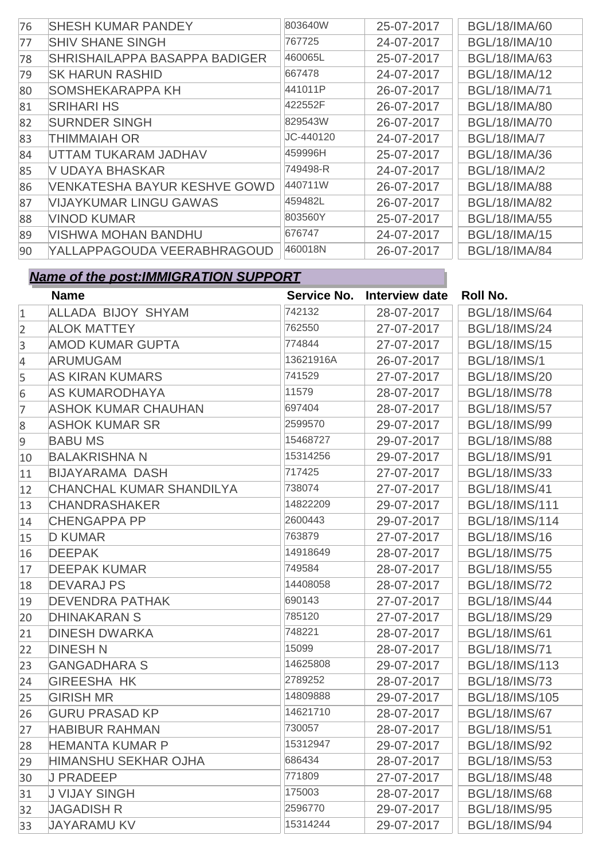| 76 | <b>SHESH KUMAR PANDEY</b>            | 803640W   | 25-07-2017 | <b>BGL/18/IMA/60</b> |
|----|--------------------------------------|-----------|------------|----------------------|
| 77 | <b>SHIV SHANE SINGH</b>              | 767725    | 24-07-2017 | <b>BGL/18/IMA/10</b> |
| 78 | <b>SHRISHAILAPPA BASAPPA BADIGER</b> | 460065L   | 25-07-2017 | <b>BGL/18/IMA/63</b> |
| 79 | <b>SK HARUN RASHID</b>               | 667478    | 24-07-2017 | <b>BGL/18/IMA/12</b> |
| 80 | <b>SOMSHEKARAPPA KH</b>              | 441011P   | 26-07-2017 | <b>BGL/18/IMA/71</b> |
| 81 | <b>SRIHARI HS</b>                    | 422552F   | 26-07-2017 | <b>BGL/18/IMA/80</b> |
| 82 | <b>SURNDER SINGH</b>                 | 829543W   | 26-07-2017 | <b>BGL/18/IMA/70</b> |
| 83 | <b>THIMMAIAH OR</b>                  | JC-440120 | 24-07-2017 | <b>BGL/18/IMA/7</b>  |
| 84 | UTTAM TUKARAM JADHAV                 | 459996H   | 25-07-2017 | <b>BGL/18/IMA/36</b> |
| 85 | V UDAYA BHASKAR                      | 749498-R  | 24-07-2017 | <b>BGL/18/IMA/2</b>  |
| 86 | <b>VENKATESHA BAYUR KESHVE GOWD</b>  | 440711W   | 26-07-2017 | <b>BGL/18/IMA/88</b> |
| 87 | <b>VIJAYKUMAR LINGU GAWAS</b>        | 459482L   | 26-07-2017 | <b>BGL/18/IMA/82</b> |
| 88 | <b>VINOD KUMAR</b>                   | 803560Y   | 25-07-2017 | <b>BGL/18/IMA/55</b> |
| 89 | <b>VISHWA MOHAN BANDHU</b>           | 676747    | 24-07-2017 | <b>BGL/18/IMA/15</b> |
| 90 | YALLAPPAGOUDA VEERABHRAGOUD          | 460018N   | 26-07-2017 | <b>BGL/18/IMA/84</b> |

|                | <b>Name</b>                     |           | Service No. Interview date | Roll No.              |
|----------------|---------------------------------|-----------|----------------------------|-----------------------|
| $\mathbf{1}$   | <b>ALLADA BIJOY SHYAM</b>       | 742132    | 28-07-2017                 | <b>BGL/18/IMS/64</b>  |
| $\overline{2}$ | <b>ALOK MATTEY</b>              | 762550    | 27-07-2017                 | <b>BGL/18/IMS/24</b>  |
| 3              | <b>AMOD KUMAR GUPTA</b>         | 774844    | 27-07-2017                 | <b>BGL/18/IMS/15</b>  |
| 4              | <b>ARUMUGAM</b>                 | 13621916A | 26-07-2017                 | <b>BGL/18/IMS/1</b>   |
| 5              | <b>AS KIRAN KUMARS</b>          | 741529    | 27-07-2017                 | <b>BGL/18/IMS/20</b>  |
| 6              | <b>AS KUMARODHAYA</b>           | 11579     | 28-07-2017                 | <b>BGL/18/IMS/78</b>  |
| $\overline{7}$ | <b>ASHOK KUMAR CHAUHAN</b>      | 697404    | 28-07-2017                 | <b>BGL/18/IMS/57</b>  |
| 8              | <b>ASHOK KUMAR SR</b>           | 2599570   | 29-07-2017                 | <b>BGL/18/IMS/99</b>  |
| 9              | <b>BABU MS</b>                  | 15468727  | 29-07-2017                 | <b>BGL/18/IMS/88</b>  |
| 10             | <b>BALAKRISHNA N</b>            | 15314256  | 29-07-2017                 | <b>BGL/18/IMS/91</b>  |
| 11             | <b>BIJAYARAMA DASH</b>          | 717425    | 27-07-2017                 | <b>BGL/18/IMS/33</b>  |
| 12             | <b>CHANCHAL KUMAR SHANDILYA</b> | 738074    | 27-07-2017                 | <b>BGL/18/IMS/41</b>  |
| 13             | <b>CHANDRASHAKER</b>            | 14822209  | 29-07-2017                 | <b>BGL/18/IMS/111</b> |
| 14             | <b>CHENGAPPA PP</b>             | 2600443   | 29-07-2017                 | BGL/18/IMS/114        |
| 15             | <b>D KUMAR</b>                  | 763879    | 27-07-2017                 | <b>BGL/18/IMS/16</b>  |
| 16             | <b>DEEPAK</b>                   | 14918649  | 28-07-2017                 | <b>BGL/18/IMS/75</b>  |
| 17             | <b>DEEPAK KUMAR</b>             | 749584    | 28-07-2017                 | <b>BGL/18/IMS/55</b>  |
| 18             | <b>DEVARAJ PS</b>               | 14408058  | 28-07-2017                 | <b>BGL/18/IMS/72</b>  |
| 19             | <b>DEVENDRA PATHAK</b>          | 690143    | 27-07-2017                 | <b>BGL/18/IMS/44</b>  |
| 20             | <b>DHINAKARAN S</b>             | 785120    | 27-07-2017                 | <b>BGL/18/IMS/29</b>  |
| 21             | <b>DINESH DWARKA</b>            | 748221    | 28-07-2017                 | <b>BGL/18/IMS/61</b>  |
| 22             | <b>DINESH N</b>                 | 15099     | 28-07-2017                 | <b>BGL/18/IMS/71</b>  |
| 23             | <b>GANGADHARA S</b>             | 14625808  | 29-07-2017                 | BGL/18/IMS/113        |
| 24             | <b>GIREESHA HK</b>              | 2789252   | 28-07-2017                 | <b>BGL/18/IMS/73</b>  |
| 25             | <b>GIRISH MR</b>                | 14809888  | 29-07-2017                 | BGL/18/IMS/105        |
| 26             | <b>GURU PRASAD KP</b>           | 14621710  | 28-07-2017                 | <b>BGL/18/IMS/67</b>  |
| 27             | <b>HABIBUR RAHMAN</b>           | 730057    | 28-07-2017                 | <b>BGL/18/IMS/51</b>  |
| 28             | <b>HEMANTA KUMAR P</b>          | 15312947  | 29-07-2017                 | <b>BGL/18/IMS/92</b>  |
| 29             | <b>HIMANSHU SEKHAR OJHA</b>     | 686434    | 28-07-2017                 | <b>BGL/18/IMS/53</b>  |
| 30             | <b>J PRADEEP</b>                | 771809    | 27-07-2017                 | <b>BGL/18/IMS/48</b>  |
| 31             | <b>J VIJAY SINGH</b>            | 175003    | 28-07-2017                 | <b>BGL/18/IMS/68</b>  |
| 32             | <b>JAGADISH R</b>               | 2596770   | 29-07-2017                 | <b>BGL/18/IMS/95</b>  |
| 33             | <b>JAYARAMU KV</b>              | 15314244  | 29-07-2017                 | <b>BGL/18/IMS/94</b>  |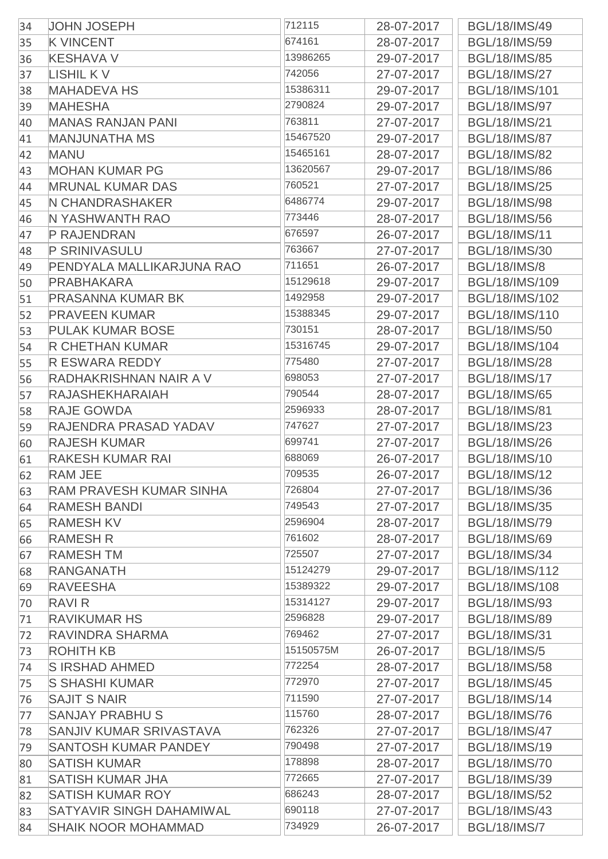| 34 | <b>JOHN JOSEPH</b>              | 712115    | 28-07-2017 | <b>BGL/18/IMS/49</b>  |
|----|---------------------------------|-----------|------------|-----------------------|
| 35 | <b>K VINCENT</b>                | 674161    | 28-07-2017 | <b>BGL/18/IMS/59</b>  |
| 36 | <b>KESHAVA V</b>                | 13986265  | 29-07-2017 | <b>BGL/18/IMS/85</b>  |
| 37 | <b>LISHIL KV</b>                | 742056    | 27-07-2017 | <b>BGL/18/IMS/27</b>  |
| 38 | <b>MAHADEVA HS</b>              | 15386311  | 29-07-2017 | <b>BGL/18/IMS/101</b> |
| 39 | <b>MAHESHA</b>                  | 2790824   | 29-07-2017 | <b>BGL/18/IMS/97</b>  |
| 40 | <b>MANAS RANJAN PANI</b>        | 763811    | 27-07-2017 | <b>BGL/18/IMS/21</b>  |
| 41 | <b>MANJUNATHA MS</b>            | 15467520  | 29-07-2017 | <b>BGL/18/IMS/87</b>  |
| 42 | <b>MANU</b>                     | 15465161  | 28-07-2017 | <b>BGL/18/IMS/82</b>  |
| 43 | <b>MOHAN KUMAR PG</b>           | 13620567  | 29-07-2017 | <b>BGL/18/IMS/86</b>  |
| 44 | <b>MRUNAL KUMAR DAS</b>         | 760521    | 27-07-2017 | <b>BGL/18/IMS/25</b>  |
| 45 | N CHANDRASHAKER                 | 6486774   | 29-07-2017 | <b>BGL/18/IMS/98</b>  |
| 46 | N YASHWANTH RAO                 | 773446    | 28-07-2017 | <b>BGL/18/IMS/56</b>  |
| 47 | P RAJENDRAN                     | 676597    | 26-07-2017 | <b>BGL/18/IMS/11</b>  |
| 48 | <b>P SRINIVASULU</b>            | 763667    | 27-07-2017 | <b>BGL/18/IMS/30</b>  |
| 49 | PENDYALA MALLIKARJUNA RAO       | 711651    | 26-07-2017 | <b>BGL/18/IMS/8</b>   |
| 50 | <b>PRABHAKARA</b>               | 15129618  | 29-07-2017 | BGL/18/IMS/109        |
| 51 | <b>PRASANNA KUMAR BK</b>        | 1492958   | 29-07-2017 | BGL/18/IMS/102        |
| 52 | <b>PRAVEEN KUMAR</b>            | 15388345  | 29-07-2017 | BGL/18/IMS/110        |
| 53 | <b>PULAK KUMAR BOSE</b>         | 730151    | 28-07-2017 | <b>BGL/18/IMS/50</b>  |
| 54 | <b>R CHETHAN KUMAR</b>          | 15316745  | 29-07-2017 | <b>BGL/18/IMS/104</b> |
| 55 | <b>R ESWARA REDDY</b>           | 775480    | 27-07-2017 | <b>BGL/18/IMS/28</b>  |
| 56 | RADHAKRISHNAN NAIR A V          | 698053    | 27-07-2017 | <b>BGL/18/IMS/17</b>  |
| 57 | <b>RAJASHEKHARAIAH</b>          | 790544    | 28-07-2017 | <b>BGL/18/IMS/65</b>  |
| 58 | <b>RAJE GOWDA</b>               | 2596933   | 28-07-2017 | <b>BGL/18/IMS/81</b>  |
| 59 | RAJENDRA PRASAD YADAV           | 747627    | 27-07-2017 | <b>BGL/18/IMS/23</b>  |
| 60 | <b>RAJESH KUMAR</b>             | 699741    | 27-07-2017 | <b>BGL/18/IMS/26</b>  |
| 61 | <b>RAKESH KUMAR RAI</b>         | 688069    | 26-07-2017 | <b>BGL/18/IMS/10</b>  |
| 62 | <b>RAM JEE</b>                  | 709535    | 26-07-2017 | <b>BGL/18/IMS/12</b>  |
| 63 | <b>RAM PRAVESH KUMAR SINHA</b>  | 726804    | 27-07-2017 | <b>BGL/18/IMS/36</b>  |
| 64 | <b>RAMESH BANDI</b>             | 749543    | 27-07-2017 | <b>BGL/18/IMS/35</b>  |
| 65 | <b>RAMESH KV</b>                | 2596904   | 28-07-2017 | <b>BGL/18/IMS/79</b>  |
| 66 | <b>RAMESH R</b>                 | 761602    | 28-07-2017 | <b>BGL/18/IMS/69</b>  |
| 67 | <b>RAMESHTM</b>                 | 725507    | 27-07-2017 | <b>BGL/18/IMS/34</b>  |
| 68 | RANGANATH                       | 15124279  | 29-07-2017 | BGL/18/IMS/112        |
| 69 | <b>RAVEESHA</b>                 | 15389322  | 29-07-2017 | <b>BGL/18/IMS/108</b> |
| 70 | <b>RAVIR</b>                    | 15314127  | 29-07-2017 | <b>BGL/18/IMS/93</b>  |
| 71 | <b>RAVIKUMAR HS</b>             | 2596828   | 29-07-2017 | <b>BGL/18/IMS/89</b>  |
| 72 | RAVINDRA SHARMA                 | 769462    | 27-07-2017 | <b>BGL/18/IMS/31</b>  |
| 73 | <b>ROHITH KB</b>                | 15150575M | 26-07-2017 | <b>BGL/18/IMS/5</b>   |
| 74 | S IRSHAD AHMED                  | 772254    | 28-07-2017 | <b>BGL/18/IMS/58</b>  |
| 75 | <b>S SHASHI KUMAR</b>           | 772970    | 27-07-2017 | <b>BGL/18/IMS/45</b>  |
| 76 | <b>SAJIT S NAIR</b>             | 711590    | 27-07-2017 | <b>BGL/18/IMS/14</b>  |
| 77 | <b>SANJAY PRABHU S</b>          | 115760    | 28-07-2017 | <b>BGL/18/IMS/76</b>  |
| 78 | SANJIV KUMAR SRIVASTAVA         | 762326    | 27-07-2017 | <b>BGL/18/IMS/47</b>  |
| 79 | <b>SANTOSH KUMAR PANDEY</b>     | 790498    | 27-07-2017 | <b>BGL/18/IMS/19</b>  |
| 80 | <b>SATISH KUMAR</b>             | 178898    | 28-07-2017 | <b>BGL/18/IMS/70</b>  |
| 81 | <b>SATISH KUMAR JHA</b>         | 772665    | 27-07-2017 | <b>BGL/18/IMS/39</b>  |
| 82 | <b>SATISH KUMAR ROY</b>         | 686243    | 28-07-2017 | <b>BGL/18/IMS/52</b>  |
| 83 | <b>SATYAVIR SINGH DAHAMIWAL</b> | 690118    | 27-07-2017 | <b>BGL/18/IMS/43</b>  |
| 84 | <b>SHAIK NOOR MOHAMMAD</b>      | 734929    | 26-07-2017 | <b>BGL/18/IMS/7</b>   |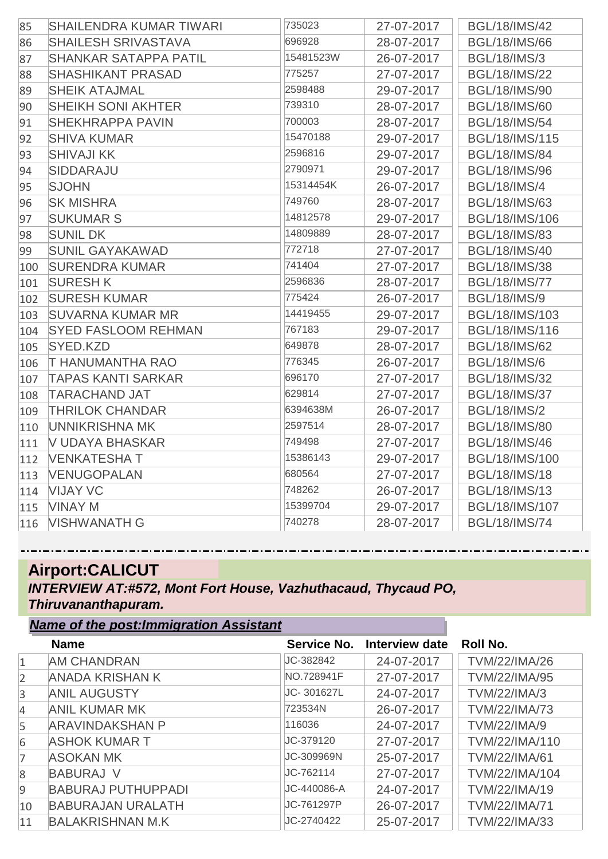| 85  | <b>SHAILENDRA KUMAR TIWARI</b> | 735023    | 27-07-2017 | <b>BGL/18/IMS/42</b>  |
|-----|--------------------------------|-----------|------------|-----------------------|
| 86  | <b>SHAILESH SRIVASTAVA</b>     | 696928    | 28-07-2017 | <b>BGL/18/IMS/66</b>  |
| 87  | <b>SHANKAR SATAPPA PATIL</b>   | 15481523W | 26-07-2017 | <b>BGL/18/IMS/3</b>   |
| 88  | <b>SHASHIKANT PRASAD</b>       | 775257    | 27-07-2017 | <b>BGL/18/IMS/22</b>  |
| 89  | <b>SHEIK ATAJMAL</b>           | 2598488   | 29-07-2017 | <b>BGL/18/IMS/90</b>  |
| 90  | <b>SHEIKH SONI AKHTER</b>      | 739310    | 28-07-2017 | <b>BGL/18/IMS/60</b>  |
| 91  | <b>SHEKHRAPPA PAVIN</b>        | 700003    | 28-07-2017 | <b>BGL/18/IMS/54</b>  |
| 92  | <b>SHIVA KUMAR</b>             | 15470188  | 29-07-2017 | BGL/18/IMS/115        |
| 93  | <b>SHIVAJI KK</b>              | 2596816   | 29-07-2017 | <b>BGL/18/IMS/84</b>  |
| 94  | <b>SIDDARAJU</b>               | 2790971   | 29-07-2017 | <b>BGL/18/IMS/96</b>  |
| 95  | <b>SJOHN</b>                   | 15314454K | 26-07-2017 | <b>BGL/18/IMS/4</b>   |
| 96  | <b>SK MISHRA</b>               | 749760    | 28-07-2017 | <b>BGL/18/IMS/63</b>  |
| 97  | <b>SUKUMAR S</b>               | 14812578  | 29-07-2017 | BGL/18/IMS/106        |
| 98  | <b>SUNIL DK</b>                | 14809889  | 28-07-2017 | <b>BGL/18/IMS/83</b>  |
| 99  | <b>SUNIL GAYAKAWAD</b>         | 772718    | 27-07-2017 | <b>BGL/18/IMS/40</b>  |
| 100 | <b>SURENDRA KUMAR</b>          | 741404    | 27-07-2017 | <b>BGL/18/IMS/38</b>  |
| 101 | <b>SURESH K</b>                | 2596836   | 28-07-2017 | <b>BGL/18/IMS/77</b>  |
| 102 | <b>SURESH KUMAR</b>            | 775424    | 26-07-2017 | <b>BGL/18/IMS/9</b>   |
| 103 | <b>SUVARNA KUMAR MR</b>        | 14419455  | 29-07-2017 | BGL/18/IMS/103        |
| 104 | <b>SYED FASLOOM REHMAN</b>     | 767183    | 29-07-2017 | <b>BGL/18/IMS/116</b> |
| 105 | SYED.KZD                       | 649878    | 28-07-2017 | <b>BGL/18/IMS/62</b>  |
| 106 | <b>T HANUMANTHA RAO</b>        | 776345    | 26-07-2017 | <b>BGL/18/IMS/6</b>   |
| 107 | <b>TAPAS KANTI SARKAR</b>      | 696170    | 27-07-2017 | <b>BGL/18/IMS/32</b>  |
| 108 | <b>TARACHAND JAT</b>           | 629814    | 27-07-2017 | <b>BGL/18/IMS/37</b>  |
| 109 | <b>THRILOK CHANDAR</b>         | 6394638M  | 26-07-2017 | <b>BGL/18/IMS/2</b>   |
| 110 | UNNIKRISHNA MK                 | 2597514   | 28-07-2017 | <b>BGL/18/IMS/80</b>  |
| 111 | <b>V UDAYA BHASKAR</b>         | 749498    | 27-07-2017 | <b>BGL/18/IMS/46</b>  |
| 112 | <b>VENKATESHAT</b>             | 15386143  | 29-07-2017 | <b>BGL/18/IMS/100</b> |
| 113 | <b>VENUGOPALAN</b>             | 680564    | 27-07-2017 | <b>BGL/18/IMS/18</b>  |
| 114 | <b>VIJAY VC</b>                | 748262    | 26-07-2017 | <b>BGL/18/IMS/13</b>  |
| 115 | <b>VINAY M</b>                 | 15399704  | 29-07-2017 | <b>BGL/18/IMS/107</b> |
| 116 | <b>VISHWANATH G</b>            | 740278    | 28-07-2017 | <b>BGL/18/IMS/74</b>  |

# **Airport:CALICUT**

*Name of the post:Immigration Assistant*

*INTERVIEW AT:#572, Mont Fort House, Vazhuthacaud, Thycaud PO, Thiruvananthapuram.*

|                | Name of the post.miningration Assistant |             |                       |                      |
|----------------|-----------------------------------------|-------------|-----------------------|----------------------|
|                | <b>Name</b>                             | Service No. | <b>Interview date</b> | Roll No.             |
| $\mathbf{1}$   | <b>AM CHANDRAN</b>                      | JC-382842   | 24-07-2017            | <b>TVM/22/IMA/26</b> |
| $\overline{2}$ | ANADA KRISHAN K                         | NO.728941F  | 27-07-2017            | <b>TVM/22/IMA/95</b> |
| $\overline{3}$ | <b>ANIL AUGUSTY</b>                     | JC-301627L  | 24-07-2017            | <b>TVM/22/IMA/3</b>  |
| $\overline{4}$ | <b>ANIL KUMAR MK</b>                    | 723534N     | 26-07-2017            | <b>TVM/22/IMA/73</b> |
| 5              | <b>ARAVINDAKSHAN P</b>                  | 116036      | 24-07-2017            | <b>TVM/22/IMA/9</b>  |
| 6              | <b>ASHOK KUMAR T</b>                    | JC-379120   | 27-07-2017            | TVM/22/IMA/110       |
|                | <b>ASOKAN MK</b>                        | JC-309969N  | 25-07-2017            | <b>TVM/22/IMA/61</b> |
| 8              | <b>BABURAJ V</b>                        | JC-762114   | 27-07-2017            | TVM/22/IMA/104       |
| 9              | <b>BABURAJ PUTHUPPADI</b>               | JC-440086-A | 24-07-2017            | TVM/22/IMA/19        |
| 10             | <b>BABURAJAN URALATH</b>                | JC-761297P  | 26-07-2017            | <b>TVM/22/IMA/71</b> |
| 11             | <b>BALAKRISHNAN M.K</b>                 | JC-2740422  | 25-07-2017            | <b>TVM/22/IMA/33</b> |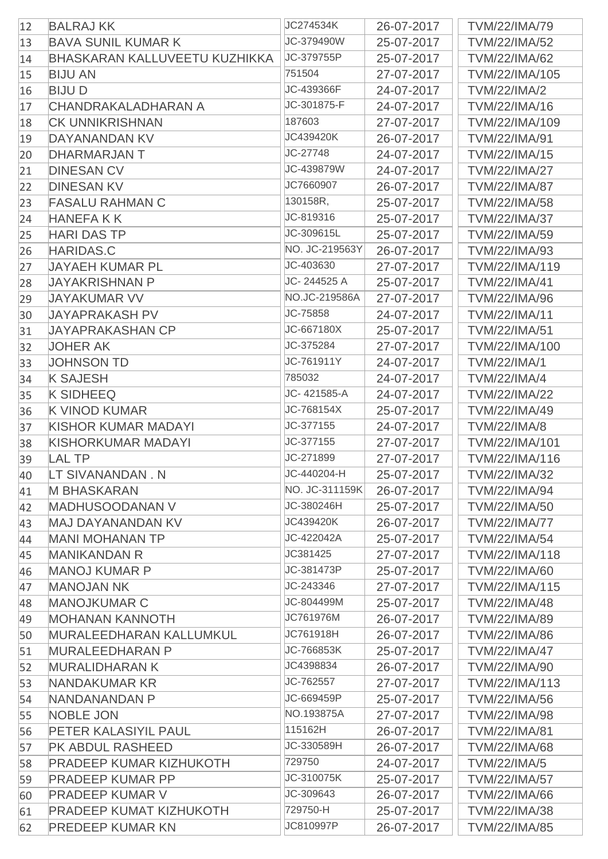| 12 | <b>BALRAJ KK</b>                     | JC274534K      | 26-07-2017 | <b>TVM/22/IMA/79</b>  |
|----|--------------------------------------|----------------|------------|-----------------------|
| 13 | <b>BAVA SUNIL KUMAR K</b>            | JC-379490W     | 25-07-2017 | <b>TVM/22/IMA/52</b>  |
| 14 | <b>BHASKARAN KALLUVEETU KUZHIKKA</b> | JC-379755P     | 25-07-2017 | <b>TVM/22/IMA/62</b>  |
| 15 | <b>BIJU AN</b>                       | 751504         | 27-07-2017 | TVM/22/IMA/105        |
| 16 | <b>BIJUD</b>                         | JC-439366F     | 24-07-2017 | <b>TVM/22/IMA/2</b>   |
| 17 | <b>CHANDRAKALADHARAN A</b>           | JC-301875-F    | 24-07-2017 | <b>TVM/22/IMA/16</b>  |
| 18 | <b>CK UNNIKRISHNAN</b>               | 187603         | 27-07-2017 | TVM/22/IMA/109        |
| 19 | DAYANANDAN KV                        | JC439420K      | 26-07-2017 | <b>TVM/22/IMA/91</b>  |
| 20 | <b>DHARMARJAN T</b>                  | JC-27748       | 24-07-2017 | <b>TVM/22/IMA/15</b>  |
| 21 | <b>DINESAN CV</b>                    | JC-439879W     | 24-07-2017 | <b>TVM/22/IMA/27</b>  |
| 22 | <b>DINESAN KV</b>                    | JC7660907      | 26-07-2017 | <b>TVM/22/IMA/87</b>  |
| 23 | <b>FASALU RAHMAN C</b>               | 130158R,       | 25-07-2017 | <b>TVM/22/IMA/58</b>  |
| 24 | <b>HANEFAKK</b>                      | JC-819316      | 25-07-2017 | <b>TVM/22/IMA/37</b>  |
| 25 | <b>HARI DAS TP</b>                   | JC-309615L     | 25-07-2017 | <b>TVM/22/IMA/59</b>  |
| 26 | <b>HARIDAS.C</b>                     | NO. JC-219563Y | 26-07-2017 | <b>TVM/22/IMA/93</b>  |
| 27 | <b>JAYAEH KUMAR PL</b>               | JC-403630      | 27-07-2017 | TVM/22/IMA/119        |
| 28 | <b>JAYAKRISHNAN P</b>                | JC-244525 A    | 25-07-2017 | <b>TVM/22/IMA/41</b>  |
| 29 | <b>JAYAKUMAR VV</b>                  | NO.JC-219586A  | 27-07-2017 | <b>TVM/22/IMA/96</b>  |
| 30 | <b>JAYAPRAKASH PV</b>                | JC-75858       | 24-07-2017 | <b>TVM/22/IMA/11</b>  |
| 31 | <b>JAYAPRAKASHAN CP</b>              | JC-667180X     | 25-07-2017 | <b>TVM/22/IMA/51</b>  |
| 32 | <b>JOHER AK</b>                      | JC-375284      | 27-07-2017 | TVM/22/IMA/100        |
| 33 | <b>JOHNSON TD</b>                    | JC-761911Y     | 24-07-2017 | <b>TVM/22/IMA/1</b>   |
| 34 | <b>K SAJESH</b>                      | 785032         | 24-07-2017 | <b>TVM/22/IMA/4</b>   |
| 35 | <b>K SIDHEEQ</b>                     | JC-421585-A    | 24-07-2017 | <b>TVM/22/IMA/22</b>  |
| 36 | <b>K VINOD KUMAR</b>                 | JC-768154X     | 25-07-2017 | <b>TVM/22/IMA/49</b>  |
| 37 | <b>KISHOR KUMAR MADAYI</b>           | JC-377155      | 24-07-2017 | <b>TVM/22/IMA/8</b>   |
| 38 | <b>KISHORKUMAR MADAYI</b>            | JC-377155      | 27-07-2017 | TVM/22/IMA/101        |
| 39 | <b>LAL TP</b>                        | JC-271899      | 27-07-2017 | TVM/22/IMA/116        |
| 40 | LT SIVANANDAN. N                     | JC-440204-H    | 25-07-2017 | <b>TVM/22/IMA/32</b>  |
| 41 | <b>M BHASKARAN</b>                   | NO. JC-311159K | 26-07-2017 | <b>TVM/22/IMA/94</b>  |
| 42 | <b>MADHUSOODANAN V</b>               | JC-380246H     | 25-07-2017 | <b>TVM/22/IMA/50</b>  |
| 43 | <b>MAJ DAYANANDAN KV</b>             | JC439420K      | 26-07-2017 | <b>TVM/22/IMA/77</b>  |
| 44 | <b>MANI MOHANAN TP</b>               | JC-422042A     | 25-07-2017 | <b>TVM/22/IMA/54</b>  |
| 45 | <b>MANIKANDAN R</b>                  | JC381425       | 27-07-2017 | TVM/22/IMA/118        |
| 46 | <b>MANOJ KUMAR P</b>                 | JC-381473P     | 25-07-2017 | <b>TVM/22/IMA/60</b>  |
| 47 | <b>MANOJAN NK</b>                    | JC-243346      | 27-07-2017 | <b>TVM/22/IMA/115</b> |
| 48 | <b>MANOJKUMAR C</b>                  | JC-804499M     | 25-07-2017 | <b>TVM/22/IMA/48</b>  |
| 49 | <b>MOHANAN KANNOTH</b>               | JC761976M      | 26-07-2017 | <b>TVM/22/IMA/89</b>  |
| 50 | MURALEEDHARAN KALLUMKUL              | JC761918H      | 26-07-2017 | <b>TVM/22/IMA/86</b>  |
| 51 | <b>MURALEEDHARAN P</b>               | JC-766853K     | 25-07-2017 | <b>TVM/22/IMA/47</b>  |
| 52 | <b>MURALIDHARAN K</b>                | JC4398834      | 26-07-2017 | <b>TVM/22/IMA/90</b>  |
| 53 | NANDAKUMAR KR                        | JC-762557      | 27-07-2017 | TVM/22/IMA/113        |
| 54 | NANDANANDAN P                        | JC-669459P     | 25-07-2017 | <b>TVM/22/IMA/56</b>  |
| 55 | <b>NOBLE JON</b>                     | NO.193875A     | 27-07-2017 | <b>TVM/22/IMA/98</b>  |
| 56 | PETER KALASIYIL PAUL                 | 115162H        | 26-07-2017 | <b>TVM/22/IMA/81</b>  |
| 57 | PK ABDUL RASHEED                     | JC-330589H     | 26-07-2017 | <b>TVM/22/IMA/68</b>  |
| 58 | <b>PRADEEP KUMAR KIZHUKOTH</b>       | 729750         | 24-07-2017 | <b>TVM/22/IMA/5</b>   |
| 59 | <b>PRADEEP KUMAR PP</b>              | JC-310075K     | 25-07-2017 | <b>TVM/22/IMA/57</b>  |
| 60 | <b>PRADEEP KUMAR V</b>               | JC-309643      | 26-07-2017 | <b>TVM/22/IMA/66</b>  |
| 61 | <b>PRADEEP KUMAT KIZHUKOTH</b>       | 729750-H       | 25-07-2017 | <b>TVM/22/IMA/38</b>  |
| 62 | <b>PREDEEP KUMAR KN</b>              | JC810997P      | 26-07-2017 | <b>TVM/22/IMA/85</b>  |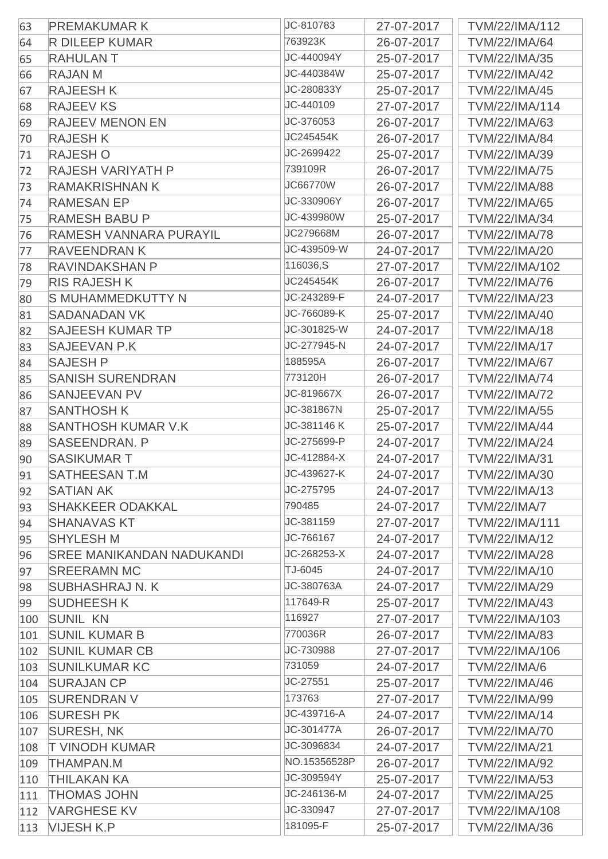| 63  | <b>PREMAKUMARK</b>               | JC-810783       | 27-07-2017 | TVM/22/IMA/112        |
|-----|----------------------------------|-----------------|------------|-----------------------|
| 64  | <b>R DILEEP KUMAR</b>            | 763923K         | 26-07-2017 | <b>TVM/22/IMA/64</b>  |
| 65  | <b>RAHULANT</b>                  | JC-440094Y      | 25-07-2017 | <b>TVM/22/IMA/35</b>  |
| 66  | <b>RAJAN M</b>                   | JC-440384W      | 25-07-2017 | <b>TVM/22/IMA/42</b>  |
| 67  | <b>RAJEESHK</b>                  | JC-280833Y      | 25-07-2017 | <b>TVM/22/IMA/45</b>  |
| 68  | <b>RAJEEV KS</b>                 | JC-440109       | 27-07-2017 | TVM/22/IMA/114        |
| 69  | <b>RAJEEV MENON EN</b>           | JC-376053       | 26-07-2017 | <b>TVM/22/IMA/63</b>  |
| 70  | <b>RAJESH K</b>                  | JC245454K       | 26-07-2017 | <b>TVM/22/IMA/84</b>  |
| 71  | <b>RAJESHO</b>                   | JC-2699422      | 25-07-2017 | <b>TVM/22/IMA/39</b>  |
| 72  | <b>RAJESH VARIYATH P</b>         | 739109R         | 26-07-2017 | <b>TVM/22/IMA/75</b>  |
| 73  | <b>RAMAKRISHNAN K</b>            | <b>JC66770W</b> | 26-07-2017 | <b>TVM/22/IMA/88</b>  |
| 74  | <b>RAMESAN EP</b>                | JC-330906Y      | 26-07-2017 | <b>TVM/22/IMA/65</b>  |
| 75  | <b>RAMESH BABU P</b>             | JC-439980W      | 25-07-2017 | <b>TVM/22/IMA/34</b>  |
| 76  | RAMESH VANNARA PURAYIL           | JC279668M       | 26-07-2017 | <b>TVM/22/IMA/78</b>  |
| 77  | <b>RAVEENDRAN K</b>              | JC-439509-W     | 24-07-2017 | <b>TVM/22/IMA/20</b>  |
| 78  | <b>RAVINDAKSHAN P</b>            | 116036,S        | 27-07-2017 | TVM/22/IMA/102        |
| 79  | <b>RIS RAJESH K</b>              | JC245454K       | 26-07-2017 | <b>TVM/22/IMA/76</b>  |
| 80  | <b>S MUHAMMEDKUTTY N</b>         | JC-243289-F     | 24-07-2017 | <b>TVM/22/IMA/23</b>  |
| 81  | <b>SADANADAN VK</b>              | JC-766089-K     | 25-07-2017 | <b>TVM/22/IMA/40</b>  |
| 82  | <b>SAJEESH KUMAR TP</b>          | JC-301825-W     | 24-07-2017 | <b>TVM/22/IMA/18</b>  |
| 83  | <b>SAJEEVAN P.K</b>              | JC-277945-N     | 24-07-2017 | <b>TVM/22/IMA/17</b>  |
| 84  | <b>SAJESH P</b>                  | 188595A         | 26-07-2017 | <b>TVM/22/IMA/67</b>  |
| 85  | <b>SANISH SURENDRAN</b>          | 773120H         | 26-07-2017 | <b>TVM/22/IMA/74</b>  |
| 86  | <b>SANJEEVAN PV</b>              | JC-819667X      | 26-07-2017 | <b>TVM/22/IMA/72</b>  |
| 87  | <b>SANTHOSH K</b>                | JC-381867N      | 25-07-2017 | <b>TVM/22/IMA/55</b>  |
| 88  | <b>SANTHOSH KUMAR V.K</b>        | JC-381146 K     | 25-07-2017 | <b>TVM/22/IMA/44</b>  |
| 89  | <b>SASEENDRAN. P</b>             | JC-275699-P     | 24-07-2017 | <b>TVM/22/IMA/24</b>  |
| 90  | <b>SASIKUMART</b>                | JC-412884-X     | 24-07-2017 | <b>TVM/22/IMA/31</b>  |
| 91  | <b>SATHEESAN T.M</b>             | JC-439627-K     | 24-07-2017 | TVM/22/IMA/30         |
| 92  | <b>SATIAN AK</b>                 | JC-275795       | 24-07-2017 | <b>TVM/22/IMA/13</b>  |
| 93  | <b>SHAKKEER ODAKKAL</b>          | 790485          | 24-07-2017 | <b>TVM/22/IMA/7</b>   |
| 94  | <b>SHANAVAS KT</b>               | JC-381159       | 27-07-2017 | <b>TVM/22/IMA/111</b> |
| 95  | <b>SHYLESH M</b>                 | JC-766167       | 24-07-2017 | <b>TVM/22/IMA/12</b>  |
| 96  | <b>SREE MANIKANDAN NADUKANDI</b> | JC-268253-X     | 24-07-2017 | <b>TVM/22/IMA/28</b>  |
| 97  | <b>SREERAMN MC</b>               | TJ-6045         | 24-07-2017 | <b>TVM/22/IMA/10</b>  |
| 98  | <b>SUBHASHRAJ N. K</b>           | JC-380763A      | 24-07-2017 | <b>TVM/22/IMA/29</b>  |
| 99  | <b>SUDHEESH K</b>                | 117649-R        | 25-07-2017 | <b>TVM/22/IMA/43</b>  |
| 100 | <b>SUNIL KN</b>                  | 116927          | 27-07-2017 | TVM/22/IMA/103        |
| 101 | <b>SUNIL KUMAR B</b>             | 770036R         | 26-07-2017 | <b>TVM/22/IMA/83</b>  |
| 102 | <b>SUNIL KUMAR CB</b>            | JC-730988       | 27-07-2017 | TVM/22/IMA/106        |
| 103 | <b>SUNILKUMAR KC</b>             | 731059          | 24-07-2017 | <b>TVM/22/IMA/6</b>   |
| 104 | <b>SURAJAN CP</b>                | JC-27551        | 25-07-2017 | <b>TVM/22/IMA/46</b>  |
| 105 | <b>SURENDRAN V</b>               | 173763          | 27-07-2017 | <b>TVM/22/IMA/99</b>  |
| 106 | <b>SURESH PK</b>                 | JC-439716-A     | 24-07-2017 | <b>TVM/22/IMA/14</b>  |
| 107 | <b>SURESH, NK</b>                | JC-301477A      | 26-07-2017 | <b>TVM/22/IMA/70</b>  |
| 108 | <b>T VINODH KUMAR</b>            | JC-3096834      | 24-07-2017 | <b>TVM/22/IMA/21</b>  |
| 109 | <b>THAMPAN.M</b>                 | NO.15356528P    | 26-07-2017 | <b>TVM/22/IMA/92</b>  |
| 110 | <b>THILAKAN KA</b>               | JC-309594Y      | 25-07-2017 | <b>TVM/22/IMA/53</b>  |
| 111 | <b>THOMAS JOHN</b>               | JC-246136-M     | 24-07-2017 | <b>TVM/22/IMA/25</b>  |
| 112 | <b>VARGHESE KV</b>               | JC-330947       | 27-07-2017 | TVM/22/IMA/108        |
| 113 | <b>VIJESH K.P</b>                | 181095-F        | 25-07-2017 | <b>TVM/22/IMA/36</b>  |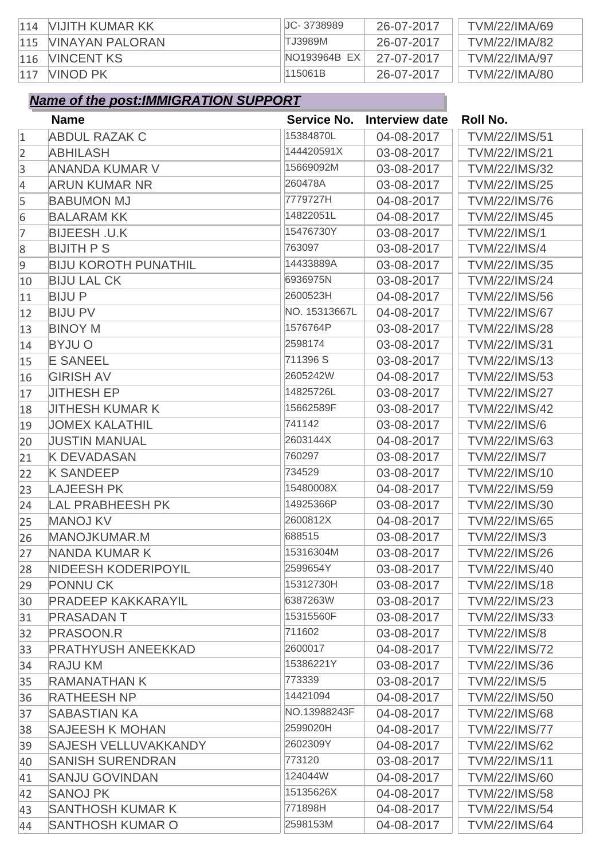| 114 | NIJITH KUMAR KK        | JC-3738989   | 26-07-2017 | <b>TVM/22/IMA/69</b> |
|-----|------------------------|--------------|------------|----------------------|
| 115 | <b>VINAYAN PALORAN</b> | TJ3989M      | 26-07-2017 | <b>TVM/22/IMA/82</b> |
| 116 | VINCENT KS             | NO193964B EX | 27-07-2017 | <b>TVM/22/IMA/97</b> |
| 117 | VINOD PK               | 115061B      | 26-07-2017 | <b>TVM/22/IMA/80</b> |

|                | <b>Name</b>                 | Service No.   | Interview date | Roll No.             |
|----------------|-----------------------------|---------------|----------------|----------------------|
| $\mathbf{1}$   | <b>ABDUL RAZAK C</b>        | 15384870L     | 04-08-2017     | <b>TVM/22/IMS/51</b> |
| $\overline{2}$ | <b>ABHILASH</b>             | 144420591X    | 03-08-2017     | <b>TVM/22/IMS/21</b> |
| 3              | <b>ANANDA KUMAR V</b>       | 15669092M     | 03-08-2017     | <b>TVM/22/IMS/32</b> |
| $\overline{4}$ | <b>ARUN KUMAR NR</b>        | 260478A       | 03-08-2017     | <b>TVM/22/IMS/25</b> |
| 5              | <b>BABUMON MJ</b>           | 7779727H      | 04-08-2017     | <b>TVM/22/IMS/76</b> |
| 6              | <b>BALARAM KK</b>           | 14822051L     | 04-08-2017     | <b>TVM/22/IMS/45</b> |
| 7              | <b>BIJEESH .U.K</b>         | 15476730Y     | 03-08-2017     | <b>TVM/22/IMS/1</b>  |
| 8              | <b>BIJITH PS</b>            | 763097        | 03-08-2017     | <b>TVM/22/IMS/4</b>  |
| $\overline{9}$ | <b>BIJU KOROTH PUNATHIL</b> | 14433889A     | 03-08-2017     | <b>TVM/22/IMS/35</b> |
| 10             | <b>BIJU LAL CK</b>          | 6936975N      | 03-08-2017     | <b>TVM/22/IMS/24</b> |
| 11             | <b>BIJUP</b>                | 2600523H      | 04-08-2017     | <b>TVM/22/IMS/56</b> |
| 12             | <b>BIJU PV</b>              | NO. 15313667L | 04-08-2017     | <b>TVM/22/IMS/67</b> |
| 13             | <b>BINOY M</b>              | 1576764P      | 03-08-2017     | <b>TVM/22/IMS/28</b> |
| 14             | <b>BYJUO</b>                | 2598174       | 03-08-2017     | <b>TVM/22/IMS/31</b> |
| 15             | <b>E SANEEL</b>             | 711396 S      | 03-08-2017     | <b>TVM/22/IMS/13</b> |
| 16             | <b>GIRISH AV</b>            | 2605242W      | 04-08-2017     | <b>TVM/22/IMS/53</b> |
| 17             | <b>JITHESH EP</b>           | 14825726L     | 03-08-2017     | <b>TVM/22/IMS/27</b> |
| 18             | <b>JITHESH KUMAR K</b>      | 15662589F     | 03-08-2017     | <b>TVM/22/IMS/42</b> |
| 19             | <b>JOMEX KALATHIL</b>       | 741142        | 03-08-2017     | <b>TVM/22/IMS/6</b>  |
| 20             | <b>JUSTIN MANUAL</b>        | 2603144X      | 04-08-2017     | <b>TVM/22/IMS/63</b> |
| 21             | <b>K DEVADASAN</b>          | 760297        | 03-08-2017     | <b>TVM/22/IMS/7</b>  |
| 22             | <b>K SANDEEP</b>            | 734529        | 03-08-2017     | TVM/22/IMS/10        |
| 23             | <b>LAJEESH PK</b>           | 15480008X     | 04-08-2017     | <b>TVM/22/IMS/59</b> |
| 24             | <b>LAL PRABHEESH PK</b>     | 14925366P     | 03-08-2017     | <b>TVM/22/IMS/30</b> |
| 25             | <b>MANOJ KV</b>             | 2600812X      | 04-08-2017     | <b>TVM/22/IMS/65</b> |
| 26             | MANOJKUMAR.M                | 688515        | 03-08-2017     | <b>TVM/22/IMS/3</b>  |
| 27             | NANDA KUMAR K               | 15316304M     | 03-08-2017     | <b>TVM/22/IMS/26</b> |
| 28             | NIDEESH KODERIPOYIL         | 2599654Y      | 03-08-2017     | <b>TVM/22/IMS/40</b> |
| 29             | <b>PONNUCK</b>              | 15312730H     | 03-08-2017     | <b>TVM/22/IMS/18</b> |
| 30             | <b>PRADEEP KAKKARAYIL</b>   | 6387263W      | 03-08-2017     | <b>TVM/22/IMS/23</b> |
| 31             | <b>PRASADANT</b>            | 15315560F     | 03-08-2017     | <b>TVM/22/IMS/33</b> |
| 32             | PRASOON.R                   | 711602        | 03-08-2017     | <b>TVM/22/IMS/8</b>  |
| 33             | <b>PRATHYUSH ANEEKKAD</b>   | 2600017       | 04-08-2017     | <b>TVM/22/IMS/72</b> |
| 34             | <b>RAJU KM</b>              | 15386221Y     | 03-08-2017     | <b>TVM/22/IMS/36</b> |
| 35             | RAMANATHAN K                | 773339        | 03-08-2017     | <b>TVM/22/IMS/5</b>  |
| 36             | <b>RATHEESH NP</b>          | 14421094      | 04-08-2017     | <b>TVM/22/IMS/50</b> |
| 37             | <b>SABASTIAN KA</b>         | NO.13988243F  | 04-08-2017     | <b>TVM/22/IMS/68</b> |
| 38             | <b>SAJEESH K MOHAN</b>      | 2599020H      | 04-08-2017     | <b>TVM/22/IMS/77</b> |
| 39             | <b>SAJESH VELLUVAKKANDY</b> | 2602309Y      | 04-08-2017     | <b>TVM/22/IMS/62</b> |
| 40             | <b>SANISH SURENDRAN</b>     | 773120        | 03-08-2017     | <b>TVM/22/IMS/11</b> |
| 41             | <b>SANJU GOVINDAN</b>       | 124044W       | 04-08-2017     | <b>TVM/22/IMS/60</b> |
| 42             | <b>SANOJ PK</b>             | 15135626X     | 04-08-2017     | <b>TVM/22/IMS/58</b> |
| 43             | <b>SANTHOSH KUMAR K</b>     | 771898H       | 04-08-2017     | <b>TVM/22/IMS/54</b> |
| 44             | <b>SANTHOSH KUMAR O</b>     | 2598153M      | 04-08-2017     | <b>TVM/22/IMS/64</b> |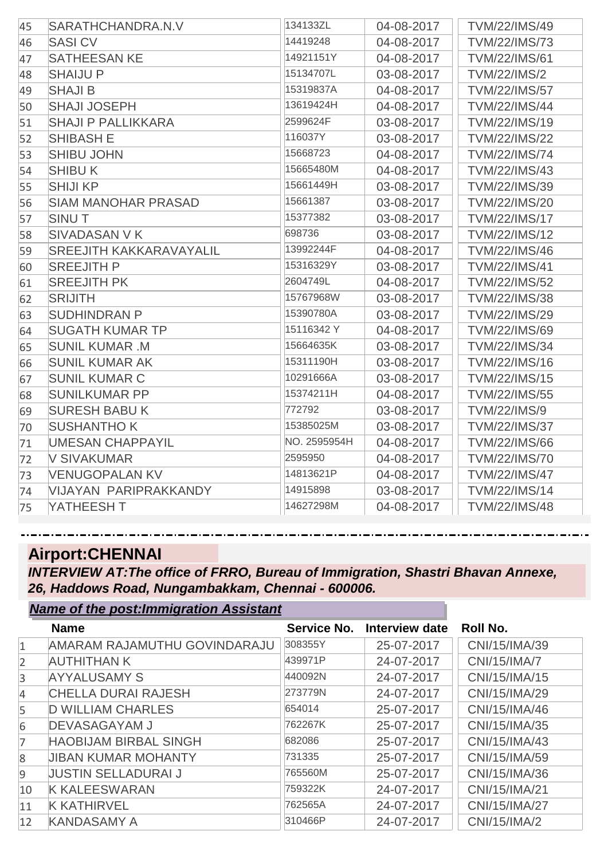| 45 | SARATHCHANDRA.N.V              | 134133ZL     | 04-08-2017 | <b>TVM/22/IMS/49</b> |
|----|--------------------------------|--------------|------------|----------------------|
| 46 | <b>SASICV</b>                  | 14419248     | 04-08-2017 | <b>TVM/22/IMS/73</b> |
| 47 | <b>SATHEESAN KE</b>            | 14921151Y    | 04-08-2017 | <b>TVM/22/IMS/61</b> |
| 48 | <b>SHAIJU P</b>                | 15134707L    | 03-08-2017 | <b>TVM/22/IMS/2</b>  |
| 49 | <b>SHAJI B</b>                 | 15319837A    | 04-08-2017 | <b>TVM/22/IMS/57</b> |
| 50 | <b>SHAJI JOSEPH</b>            | 13619424H    | 04-08-2017 | <b>TVM/22/IMS/44</b> |
| 51 | <b>SHAJI P PALLIKKARA</b>      | 2599624F     | 03-08-2017 | TVM/22/IMS/19        |
| 52 | <b>SHIBASH E</b>               | 116037Y      | 03-08-2017 | <b>TVM/22/IMS/22</b> |
| 53 | <b>SHIBU JOHN</b>              | 15668723     | 04-08-2017 | <b>TVM/22/IMS/74</b> |
| 54 | <b>SHIBUK</b>                  | 15665480M    | 04-08-2017 | <b>TVM/22/IMS/43</b> |
| 55 | <b>SHIJI KP</b>                | 15661449H    | 03-08-2017 | <b>TVM/22/IMS/39</b> |
| 56 | <b>SIAM MANOHAR PRASAD</b>     | 15661387     | 03-08-2017 | <b>TVM/22/IMS/20</b> |
| 57 | <b>SINUT</b>                   | 15377382     | 03-08-2017 | <b>TVM/22/IMS/17</b> |
| 58 | <b>SIVADASAN V K</b>           | 698736       | 03-08-2017 | <b>TVM/22/IMS/12</b> |
| 59 | <b>SREEJITH KAKKARAVAYALIL</b> | 13992244F    | 04-08-2017 | <b>TVM/22/IMS/46</b> |
| 60 | <b>SREEJITH P</b>              | 15316329Y    | 03-08-2017 | <b>TVM/22/IMS/41</b> |
| 61 | <b>SREEJITH PK</b>             | 2604749L     | 04-08-2017 | <b>TVM/22/IMS/52</b> |
| 62 | <b>SRIJITH</b>                 | 15767968W    | 03-08-2017 | <b>TVM/22/IMS/38</b> |
| 63 | <b>SUDHINDRAN P</b>            | 15390780A    | 03-08-2017 | <b>TVM/22/IMS/29</b> |
| 64 | <b>SUGATH KUMAR TP</b>         | 15116342 Y   | 04-08-2017 | <b>TVM/22/IMS/69</b> |
| 65 | <b>SUNIL KUMAR .M</b>          | 15664635K    | 03-08-2017 | <b>TVM/22/IMS/34</b> |
| 66 | <b>SUNIL KUMAR AK</b>          | 15311190H    | 03-08-2017 | <b>TVM/22/IMS/16</b> |
| 67 | <b>SUNIL KUMAR C</b>           | 10291666A    | 03-08-2017 | <b>TVM/22/IMS/15</b> |
| 68 | <b>SUNILKUMAR PP</b>           | 15374211H    | 04-08-2017 | <b>TVM/22/IMS/55</b> |
| 69 | <b>SURESH BABUK</b>            | 772792       | 03-08-2017 | <b>TVM/22/IMS/9</b>  |
| 70 | <b>SUSHANTHO K</b>             | 15385025M    | 03-08-2017 | <b>TVM/22/IMS/37</b> |
| 71 | <b>UMESAN CHAPPAYIL</b>        | NO. 2595954H | 04-08-2017 | <b>TVM/22/IMS/66</b> |
| 72 | <b>V SIVAKUMAR</b>             | 2595950      | 04-08-2017 | <b>TVM/22/IMS/70</b> |
| 73 | <b>VENUGOPALAN KV</b>          | 14813621P    | 04-08-2017 | <b>TVM/22/IMS/47</b> |
| 74 | <b>VIJAYAN PARIPRAKKANDY</b>   | 14915898     | 03-08-2017 | <b>TVM/22/IMS/14</b> |
| 75 | YATHEESH T                     | 14627298M    | 04-08-2017 | <b>TVM/22/IMS/48</b> |

#### **Airport:CHENNAI**

*Name of the post:Immigration Assistant*

*INTERVIEW AT:The office of FRRO, Bureau of Immigration, Shastri Bhavan Annexe, 26, Haddows Road, Nungambakkam, Chennai - 600006.*

|                | Name of the post.miningration Assistant |             |                       |                 |
|----------------|-----------------------------------------|-------------|-----------------------|-----------------|
|                | <b>Name</b>                             | Service No. | <b>Interview date</b> | <b>Roll No.</b> |
| $\mathbf{1}$   | AMARAM RAJAMUTHU GOVINDARAJU            | 308355Y     | 25-07-2017            | CNI/15/IMA/39   |
| $\overline{2}$ | <b>AUTHITHAN K</b>                      | 439971P     | 24-07-2017            | CNI/15/IMA/7    |
| $\overline{3}$ | <b>AYYALUSAMY S</b>                     | 440092N     | 24-07-2017            | CNI/15/IMA/15   |
| $\overline{4}$ | <b>CHELLA DURAI RAJESH</b>              | 273779N     | 24-07-2017            | CNI/15/IMA/29   |
| 5              | <b>D WILLIAM CHARLES</b>                | 654014      | 25-07-2017            | CNI/15/IMA/46   |
| 6              | <b>DEVASAGAYAM J</b>                    | 762267K     | 25-07-2017            | CNI/15/IMA/35   |
| 7              | <b>HAOBIJAM BIRBAL SINGH</b>            | 682086      | 25-07-2017            | CNI/15/IMA/43   |
| $\overline{8}$ | <b>JIBAN KUMAR MOHANTY</b>              | 731335      | 25-07-2017            | CNI/15/IMA/59   |
| $\overline{9}$ | <b>JUSTIN SELLADURAI J</b>              | 765560M     | 25-07-2017            | CNI/15/IMA/36   |
| 10             | <b>K KALEESWARAN</b>                    | 759322K     | 24-07-2017            | CNI/15/IMA/21   |
| 11             | <b>K KATHIRVEL</b>                      | 762565A     | 24-07-2017            | CNI/15/IMA/27   |
| 12             | <b>KANDASAMY A</b>                      | 310466P     | 24-07-2017            | CNI/15/IMA/2    |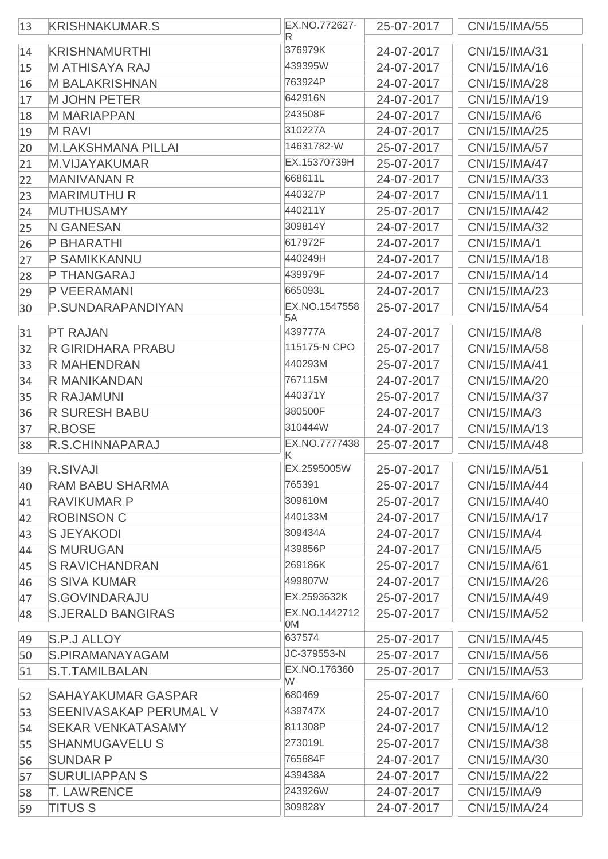| 13 | <b>KRISHNAKUMAR.S</b>         | EX.NO.772627-<br>R  | 25-07-2017 | CNI/15/IMA/55 |
|----|-------------------------------|---------------------|------------|---------------|
| 14 | <b>KRISHNAMURTHI</b>          | 376979K             | 24-07-2017 | CNI/15/IMA/31 |
| 15 | <b>MATHISAYA RAJ</b>          | 439395W             | 24-07-2017 | CNI/15/IMA/16 |
| 16 | <b>M BALAKRISHNAN</b>         | 763924P             | 24-07-2017 | CNI/15/IMA/28 |
| 17 | <b>M JOHN PETER</b>           | 642916N             | 24-07-2017 | CNI/15/IMA/19 |
| 18 | <b>M MARIAPPAN</b>            | 243508F             | 24-07-2017 | CNI/15/IMA/6  |
| 19 | <b>MRAVI</b>                  | 310227A             | 24-07-2017 | CNI/15/IMA/25 |
| 20 | <b>M.LAKSHMANA PILLAI</b>     | 14631782-W          | 25-07-2017 | CNI/15/IMA/57 |
| 21 | <b>M.VIJAYAKUMAR</b>          | EX.15370739H        | 25-07-2017 | CNI/15/IMA/47 |
| 22 | <b>MANIVANAN R</b>            | 668611L             | 24-07-2017 | CNI/15/IMA/33 |
| 23 | <b>MARIMUTHU R</b>            | 440327P             | 24-07-2017 | CNI/15/IMA/11 |
| 24 | <b>MUTHUSAMY</b>              | 440211Y             | 25-07-2017 | CNI/15/IMA/42 |
| 25 | <b>N GANESAN</b>              | 309814Y             | 24-07-2017 | CNI/15/IMA/32 |
| 26 | <b>P BHARATHI</b>             | 617972F             | 24-07-2017 | CNI/15/IMA/1  |
| 27 | P SAMIKKANNU                  | 440249H             | 24-07-2017 | CNI/15/IMA/18 |
| 28 | P THANGARAJ                   | 439979F             | 24-07-2017 | CNI/15/IMA/14 |
| 29 | P VEERAMANI                   | 665093L             | 24-07-2017 | CNI/15/IMA/23 |
| 30 | P.SUNDARAPANDIYAN             | EX.NO.1547558       | 25-07-2017 | CNI/15/IMA/54 |
|    |                               | 5A                  |            |               |
| 31 | <b>PT RAJAN</b>               | 439777A             | 24-07-2017 | CNI/15/IMA/8  |
| 32 | <b>R GIRIDHARA PRABU</b>      | 115175-N CPO        | 25-07-2017 | CNI/15/IMA/58 |
| 33 | <b>R MAHENDRAN</b>            | 440293M             | 25-07-2017 | CNI/15/IMA/41 |
| 34 | R MANIKANDAN                  | 767115M             | 24-07-2017 | CNI/15/IMA/20 |
| 35 | <b>R RAJAMUNI</b>             | 440371Y             | 25-07-2017 | CNI/15/IMA/37 |
| 36 | <b>R SURESH BABU</b>          | 380500F             | 24-07-2017 | CNI/15/IMA/3  |
| 37 | R.BOSE                        | 310444W             | 24-07-2017 | CNI/15/IMA/13 |
| 38 | <b>R.S.CHINNAPARAJ</b>        | EX.NO.7777438<br>Κ  | 25-07-2017 | CNI/15/IMA/48 |
| 39 | <b>R.SIVAJI</b>               | EX.2595005W         | 25-07-2017 | CNI/15/IMA/51 |
| 40 | <b>RAM BABU SHARMA</b>        | 765391              | 25-07-2017 | CNI/15/IMA/44 |
| 41 | <b>RAVIKUMAR P</b>            | 309610M             | 25-07-2017 | CNI/15/IMA/40 |
| 42 | <b>ROBINSON C</b>             | 440133M             | 24-07-2017 | CNI/15/IMA/17 |
| 43 | <b>SJEYAKODI</b>              | 309434A             | 24-07-2017 | CNI/15/IMA/4  |
| 44 | <b>S MURUGAN</b>              | 439856P             | 24-07-2017 | CNI/15/IMA/5  |
| 45 | <b>S RAVICHANDRAN</b>         | 269186K             | 25-07-2017 | CNI/15/IMA/61 |
| 46 | <b>S SIVA KUMAR</b>           | 499807W             | 24-07-2017 | CNI/15/IMA/26 |
| 47 | <b>S.GOVINDARAJU</b>          | EX.2593632K         | 25-07-2017 | CNI/15/IMA/49 |
| 48 | <b>S.JERALD BANGIRAS</b>      | EX.NO.1442712<br>0M | 25-07-2017 | CNI/15/IMA/52 |
| 49 | S.P.J ALLOY                   | 637574              | 25-07-2017 | CNI/15/IMA/45 |
| 50 | S.PIRAMANAYAGAM               | JC-379553-N         | 25-07-2017 | CNI/15/IMA/56 |
| 51 | S.T.TAMILBALAN                | EX.NO.176360<br>W   | 25-07-2017 | CNI/15/IMA/53 |
| 52 | <b>SAHAYAKUMAR GASPAR</b>     | 680469              | 25-07-2017 | CNI/15/IMA/60 |
| 53 | <b>SEENIVASAKAP PERUMAL V</b> | 439747X             | 24-07-2017 | CNI/15/IMA/10 |
| 54 | <b>SEKAR VENKATASAMY</b>      | 811308P             | 24-07-2017 | CNI/15/IMA/12 |
| 55 | <b>SHANMUGAVELU S</b>         | 273019L             | 25-07-2017 | CNI/15/IMA/38 |
| 56 | <b>SUNDAR P</b>               | 765684F             | 24-07-2017 | CNI/15/IMA/30 |
| 57 | <b>SURULIAPPAN S</b>          | 439438A             | 24-07-2017 | CNI/15/IMA/22 |
| 58 | <b>T. LAWRENCE</b>            | 243926W             | 24-07-2017 | CNI/15/IMA/9  |
| 59 | <b>TITUS S</b>                | 309828Y             | 24-07-2017 | CNI/15/IMA/24 |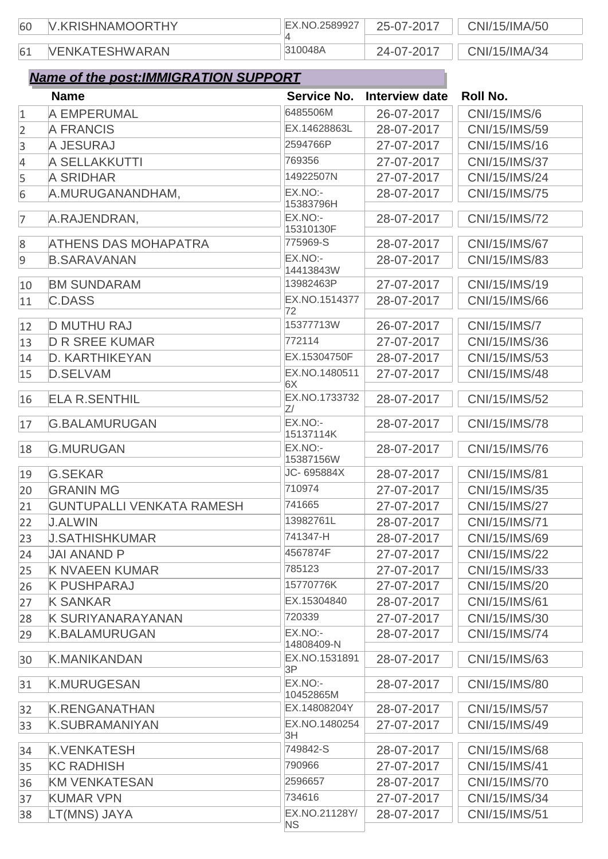| 60 | V.KRISHNAMOORTHY      | EX.NO.2589927 | 25-07-2017 | CNI/15/IMA/50 |
|----|-----------------------|---------------|------------|---------------|
|    |                       |               |            |               |
| 61 | <b>VENKATESHWARAN</b> | 310048A       | 24-07-2017 | CNI/15/IMA/34 |

|                | <b>Name</b>                      | Service No.           | Interview date | <b>Roll No.</b> |
|----------------|----------------------------------|-----------------------|----------------|-----------------|
| $\mathbf{1}$   | A EMPERUMAL                      | 6485506M              | 26-07-2017     | CNI/15/IMS/6    |
| $\overline{2}$ | <b>A FRANCIS</b>                 | EX.14628863L          | 28-07-2017     | CNI/15/IMS/59   |
| 3              | A JESURAJ                        | 2594766P              | 27-07-2017     | CNI/15/IMS/16   |
| 4              | <b>A SELLAKKUTTI</b>             | 769356                | 27-07-2017     | CNI/15/IMS/37   |
| 5              | <b>A SRIDHAR</b>                 | 14922507N             | 27-07-2017     | CNI/15/IMS/24   |
| 6              | A.MURUGANANDHAM,                 | EX.NO:-<br>15383796H  | 28-07-2017     | CNI/15/IMS/75   |
| 7              | A.RAJENDRAN,                     | EX.NO:-<br>15310130F  | 28-07-2017     | CNI/15/IMS/72   |
| $8\phantom{1}$ | <b>ATHENS DAS MOHAPATRA</b>      | 775969-S              | 28-07-2017     | CNI/15/IMS/67   |
| $\overline{9}$ | <b>B.SARAVANAN</b>               | EX.NO:-<br>14413843W  | 28-07-2017     | CNI/15/IMS/83   |
| 10             | <b>BM SUNDARAM</b>               | 13982463P             | 27-07-2017     | CNI/15/IMS/19   |
| 11             | <b>C.DASS</b>                    | EX.NO.1514377         | 28-07-2017     | CNI/15/IMS/66   |
|                |                                  | 72                    |                |                 |
| 12             | <b>D MUTHU RAJ</b>               | 15377713W             | 26-07-2017     | CNI/15/IMS/7    |
| 13             | <b>D R SREE KUMAR</b>            | 772114                | 27-07-2017     | CNI/15/IMS/36   |
| 14             | D. KARTHIKEYAN                   | EX.15304750F          | 28-07-2017     | CNI/15/IMS/53   |
| 15             | <b>D.SELVAM</b>                  | EX.NO.1480511<br>6X   | 27-07-2017     | CNI/15/IMS/48   |
| 16             | <b>ELA R.SENTHIL</b>             | EX.NO.1733732<br>Z/   | 28-07-2017     | CNI/15/IMS/52   |
| 17             | <b>G.BALAMURUGAN</b>             | EX.NO:-<br>15137114K  | 28-07-2017     | CNI/15/IMS/78   |
| 18             | <b>G.MURUGAN</b>                 | EX.NO:-<br>15387156W  | 28-07-2017     | CNI/15/IMS/76   |
| 19             | <b>G.SEKAR</b>                   | JC-695884X            | 28-07-2017     | CNI/15/IMS/81   |
| 20             | <b>GRANIN MG</b>                 | 710974                | 27-07-2017     | CNI/15/IMS/35   |
| 21             | <b>GUNTUPALLI VENKATA RAMESH</b> | 741665                | 27-07-2017     | CNI/15/IMS/27   |
| 22             | <b>J.ALWIN</b>                   | 13982761L             | 28-07-2017     | CNI/15/IMS/71   |
| 23             | <b>J.SATHISHKUMAR</b>            | 741347-H              | 28-07-2017     | CNI/15/IMS/69   |
| 24             | <b>JAI ANAND P</b>               | 4567874F              | 27-07-2017     | CNI/15/IMS/22   |
| 25             | <b>K NVAEEN KUMAR</b>            | 785123                | 27-07-2017     | CNI/15/IMS/33   |
| 26             | <b>K PUSHPARAJ</b>               | 15770776K             | 27-07-2017     | CNI/15/IMS/20   |
| 27             | <b>K SANKAR</b>                  | EX.15304840           | 28-07-2017     | CNI/15/IMS/61   |
| 28             | <b>K SURIYANARAYANAN</b>         | 720339                | 27-07-2017     | CNI/15/IMS/30   |
| 29             | <b>K.BALAMURUGAN</b>             | EX.NO:-<br>14808409-N | 28-07-2017     | CNI/15/IMS/74   |
| 30             | <b>K.MANIKANDAN</b>              | EX.NO.1531891<br>3P   | 28-07-2017     | CNI/15/IMS/63   |
| 31             | <b>K.MURUGESAN</b>               | EX.NO:-<br>10452865M  | 28-07-2017     | CNI/15/IMS/80   |
| 32             | <b>K.RENGANATHAN</b>             | EX.14808204Y          | 28-07-2017     | CNI/15/IMS/57   |
| 33             | <b>K.SUBRAMANIYAN</b>            | EX.NO.1480254<br>3H   | 27-07-2017     | CNI/15/IMS/49   |
| 34             | <b>K.VENKATESH</b>               | 749842-S              | 28-07-2017     | CNI/15/IMS/68   |
| 35             | <b>KC RADHISH</b>                | 790966                | 27-07-2017     | CNI/15/IMS/41   |
| 36             | <b>KM VENKATESAN</b>             | 2596657               | 28-07-2017     | CNI/15/IMS/70   |
| 37             | <b>KUMAR VPN</b>                 | 734616                | 27-07-2017     | CNI/15/IMS/34   |
| 38             | LT(MNS) JAYA                     | EX.NO.21128Y/         | 28-07-2017     | CNI/15/IMS/51   |
|                |                                  | <b>NS</b>             |                |                 |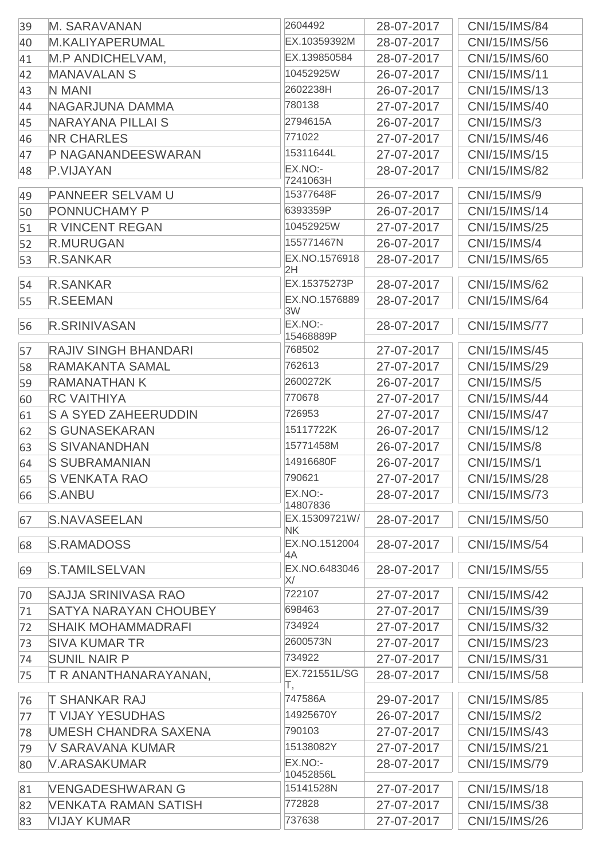| 39 | <b>M. SARAVANAN</b>          | 2604492                          | 28-07-2017 | CNI/15/IMS/84       |
|----|------------------------------|----------------------------------|------------|---------------------|
| 40 | <b>M.KALIYAPERUMAL</b>       | EX.10359392M                     | 28-07-2017 | CNI/15/IMS/56       |
| 41 | M.P ANDICHELVAM,             | EX.139850584                     | 28-07-2017 | CNI/15/IMS/60       |
| 42 | <b>MANAVALAN S</b>           | 10452925W                        | 26-07-2017 | CNI/15/IMS/11       |
| 43 | <b>N MANI</b>                | 2602238H                         | 26-07-2017 | CNI/15/IMS/13       |
| 44 | NAGARJUNA DAMMA              | 780138                           | 27-07-2017 | CNI/15/IMS/40       |
| 45 | <b>NARAYANA PILLAI S</b>     | 2794615A                         | 26-07-2017 | CNI/15/IMS/3        |
| 46 | <b>NR CHARLES</b>            | 771022                           | 27-07-2017 | CNI/15/IMS/46       |
| 47 | P NAGANANDEESWARAN           | 15311644L                        | 27-07-2017 | CNI/15/IMS/15       |
| 48 | P.VIJAYAN                    | EX.NO:-                          | 28-07-2017 | CNI/15/IMS/82       |
| 49 | <b>PANNEER SELVAM U</b>      | 7241063H<br>15377648F            | 26-07-2017 | CNI/15/IMS/9        |
| 50 | <b>PONNUCHAMY P</b>          | 6393359P                         | 26-07-2017 | CNI/15/IMS/14       |
|    | <b>R VINCENT REGAN</b>       | 10452925W                        | 27-07-2017 | CNI/15/IMS/25       |
| 51 | <b>R.MURUGAN</b>             | 155771467N                       | 26-07-2017 | <b>CNI/15/IMS/4</b> |
| 52 |                              | EX.NO.1576918                    |            |                     |
| 53 | <b>R.SANKAR</b>              | 2H                               | 28-07-2017 | CNI/15/IMS/65       |
| 54 | <b>R.SANKAR</b>              | EX.15375273P                     | 28-07-2017 | CNI/15/IMS/62       |
| 55 | <b>R.SEEMAN</b>              | EX.NO.1576889<br>3W              | 28-07-2017 | CNI/15/IMS/64       |
| 56 | <b>R.SRINIVASAN</b>          | EX.NO:-<br>15468889P             | 28-07-2017 | CNI/15/IMS/77       |
| 57 | <b>RAJIV SINGH BHANDARI</b>  | 768502                           | 27-07-2017 | CNI/15/IMS/45       |
| 58 | <b>RAMAKANTA SAMAL</b>       | 762613                           | 27-07-2017 | CNI/15/IMS/29       |
| 59 | <b>RAMANATHAN K</b>          | 2600272K                         | 26-07-2017 | <b>CNI/15/IMS/5</b> |
|    | <b>RC VAITHIYA</b>           | 770678                           | 27-07-2017 | CNI/15/IMS/44       |
| 60 | <b>S A SYED ZAHEERUDDIN</b>  | 726953                           |            | CNI/15/IMS/47       |
| 61 |                              | 15117722K                        | 27-07-2017 |                     |
| 62 | <b>S GUNASEKARAN</b>         | 15771458M                        | 26-07-2017 | CNI/15/IMS/12       |
| 63 | <b>S SIVANANDHAN</b>         |                                  | 26-07-2017 | <b>CNI/15/IMS/8</b> |
| 64 | <b>S SUBRAMANIAN</b>         | 14916680F                        | 26-07-2017 | <b>CNI/15/IMS/1</b> |
| 65 | <b>S VENKATA RAO</b>         | 790621                           | 27-07-2017 | CNI/15/IMS/28       |
| 66 | <b>S.ANBU</b>                | EX.NO:<br>14807836               | 28-07-2017 | CNI/15/IMS/73       |
| 67 | <b>S.NAVASEELAN</b>          | EX.15309721W/                    | 28-07-2017 | CNI/15/IMS/50       |
| 68 | <b>S.RAMADOSS</b>            | <b>NK</b><br>EX.NO.1512004<br>4A | 28-07-2017 | CNI/15/IMS/54       |
| 69 | S.TAMILSELVAN                | EX.NO.6483046<br>X/              | 28-07-2017 | CNI/15/IMS/55       |
| 70 | <b>SAJJA SRINIVASA RAO</b>   | 722107                           | 27-07-2017 | CNI/15/IMS/42       |
| 71 | <b>SATYA NARAYAN CHOUBEY</b> | 698463                           | 27-07-2017 | CNI/15/IMS/39       |
| 72 | <b>SHAIK MOHAMMADRAFI</b>    | 734924                           | 27-07-2017 | CNI/15/IMS/32       |
| 73 | <b>SIVA KUMAR TR</b>         | 2600573N                         | 27-07-2017 | CNI/15/IMS/23       |
| 74 | <b>SUNIL NAIR P</b>          | 734922                           | 27-07-2017 | CNI/15/IMS/31       |
| 75 | T R ANANTHANARAYANAN,        | EX.721551L/SG                    | 28-07-2017 | CNI/15/IMS/58       |
|    |                              | Τ,                               |            |                     |
| 76 | <b>T SHANKAR RAJ</b>         | 747586A                          | 29-07-2017 | CNI/15/IMS/85       |
| 77 | <b>T VIJAY YESUDHAS</b>      | 14925670Y                        | 26-07-2017 | CNI/15/IMS/2        |
| 78 | UMESH CHANDRA SAXENA         | 790103                           | 27-07-2017 | CNI/15/IMS/43       |
| 79 | V SARAVANA KUMAR             | 15138082Y                        | 27-07-2017 | CNI/15/IMS/21       |
| 80 | <b>V.ARASAKUMAR</b>          | EX.NO:-<br>10452856L             | 28-07-2017 | CNI/15/IMS/79       |
| 81 | <b>VENGADESHWARAN G</b>      | 15141528N                        | 27-07-2017 | CNI/15/IMS/18       |
| 82 | <b>VENKATA RAMAN SATISH</b>  | 772828                           | 27-07-2017 | CNI/15/IMS/38       |
| 83 | <b>VIJAY KUMAR</b>           | 737638                           | 27-07-2017 | CNI/15/IMS/26       |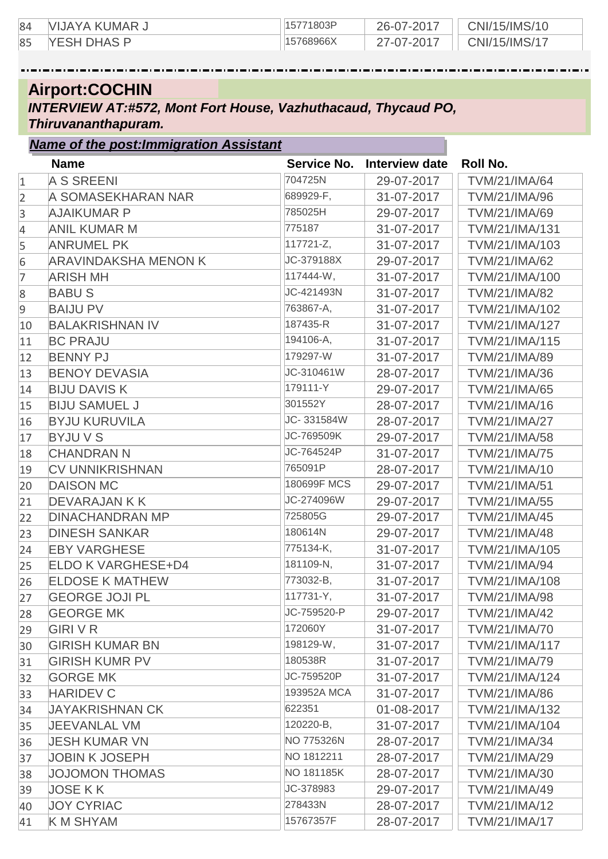| 84 | . VIJAYA KUMAR س   | 15771803P | 26-07-2017 | CNI/15/IMS/10 |
|----|--------------------|-----------|------------|---------------|
| 85 | <b>YESH DHAS P</b> | 15768966X | 7-07-2017  | CNI/15/IMS/17 |

## **Airport:COCHIN**

*INTERVIEW AT:#572, Mont Fort House, Vazhuthacaud, Thycaud PO, Thiruvananthapuram.*

#### *Name of the post:Immigration Assistant*

|                 | <b>Name</b>                 | <b>Service No.</b> | <b>Interview date</b> | Roll No.             |
|-----------------|-----------------------------|--------------------|-----------------------|----------------------|
| $\mathbf{1}$    | <b>A S SREENI</b>           | 704725N            | 29-07-2017            | <b>TVM/21/IMA/64</b> |
| $\overline{2}$  | A SOMASEKHARAN NAR          | 689929-F,          | 31-07-2017            | TVM/21/IMA/96        |
| 3               | <b>AJAIKUMAR P</b>          | 785025H            | 29-07-2017            | TVM/21/IMA/69        |
| $\overline{4}$  | <b>ANIL KUMAR M</b>         | 775187             | 31-07-2017            | TVM/21/IMA/131       |
| 5               | <b>ANRUMEL PK</b>           | 117721-Z,          | 31-07-2017            | TVM/21/IMA/103       |
| $6\phantom{.}6$ | <b>ARAVINDAKSHA MENON K</b> | JC-379188X         | 29-07-2017            | <b>TVM/21/IMA/62</b> |
| 7               | <b>ARISH MH</b>             | 117444-W,          | 31-07-2017            | TVM/21/IMA/100       |
| 8               | <b>BABUS</b>                | JC-421493N         | 31-07-2017            | <b>TVM/21/IMA/82</b> |
| $\overline{9}$  | <b>BAIJU PV</b>             | 763867-A,          | 31-07-2017            | TVM/21/IMA/102       |
| 10              | <b>BALAKRISHNAN IV</b>      | 187435-R           | 31-07-2017            | TVM/21/IMA/127       |
| 11              | <b>BC PRAJU</b>             | 194106-A,          | 31-07-2017            | TVM/21/IMA/115       |
| 12              | <b>BENNY PJ</b>             | 179297-W           | 31-07-2017            | <b>TVM/21/IMA/89</b> |
| 13              | <b>BENOY DEVASIA</b>        | JC-310461W         | 28-07-2017            | TVM/21/IMA/36        |
| 14              | <b>BIJU DAVIS K</b>         | 179111-Y           | 29-07-2017            | <b>TVM/21/IMA/65</b> |
| 15              | <b>BIJU SAMUEL J</b>        | 301552Y            | 28-07-2017            | TVM/21/IMA/16        |
| 16              | <b>BYJU KURUVILA</b>        | JC-331584W         | 28-07-2017            | <b>TVM/21/IMA/27</b> |
| 17              | <b>BYJUVS</b>               | JC-769509K         | 29-07-2017            | <b>TVM/21/IMA/58</b> |
| 18              | <b>CHANDRAN N</b>           | JC-764524P         | 31-07-2017            | <b>TVM/21/IMA/75</b> |
| 19              | <b>CV UNNIKRISHNAN</b>      | 765091P            | 28-07-2017            | TVM/21/IMA/10        |
| 20              | <b>DAISON MC</b>            | 180699F MCS        | 29-07-2017            | <b>TVM/21/IMA/51</b> |
| 21              | <b>DEVARAJAN K K</b>        | JC-274096W         | 29-07-2017            | <b>TVM/21/IMA/55</b> |
| 22              | <b>DINACHANDRAN MP</b>      | 725805G            | 29-07-2017            | <b>TVM/21/IMA/45</b> |
| 23              | <b>DINESH SANKAR</b>        | 180614N            | 29-07-2017            | <b>TVM/21/IMA/48</b> |
| 24              | <b>EBY VARGHESE</b>         | 775134-K,          | 31-07-2017            | TVM/21/IMA/105       |
| 25              | <b>ELDO K VARGHESE+D4</b>   | 181109-N,          | 31-07-2017            | TVM/21/IMA/94        |
| 26              | <b>ELDOSE K MATHEW</b>      | 773032-B,          | 31-07-2017            | TVM/21/IMA/108       |
| 27              | <b>GEORGE JOJI PL</b>       | 117731-Y,          | 31-07-2017            | <b>TVM/21/IMA/98</b> |
| 28              | <b>GEORGE MK</b>            | JC-759520-P        | 29-07-2017            | <b>TVM/21/IMA/42</b> |
| 29              | <b>GIRIVR</b>               | 172060Y            | 31-07-2017            | <b>TVM/21/IMA/70</b> |
| 30              | <b>GIRISH KUMAR BN</b>      | 198129-W,          | 31-07-2017            | TVM/21/IMA/117       |
| 31              | <b>GIRISH KUMR PV</b>       | 180538R            | 31-07-2017            | TVM/21/IMA/79        |
| 32              | <b>GORGE MK</b>             | JC-759520P         | 31-07-2017            | TVM/21/IMA/124       |
| 33              | <b>HARIDEV C</b>            | 193952A MCA        | 31-07-2017            | <b>TVM/21/IMA/86</b> |
| 34              | <b>JAYAKRISHNAN CK</b>      | 622351             | 01-08-2017            | TVM/21/IMA/132       |
| 35              | <b>JEEVANLAL VM</b>         | 120220-B,          | 31-07-2017            | TVM/21/IMA/104       |
| 36              | <b>JESH KUMAR VN</b>        | NO 775326N         | 28-07-2017            | TVM/21/IMA/34        |
| 37              | <b>JOBIN K JOSEPH</b>       | NO 1812211         | 28-07-2017            | TVM/21/IMA/29        |
| 38              | JOJOMON THOMAS              | NO 181185K         | 28-07-2017            | TVM/21/IMA/30        |
| 39              | <b>JOSE KK</b>              | JC-378983          | 29-07-2017            | TVM/21/IMA/49        |
| 40              | <b>JOY CYRIAC</b>           | 278433N            | 28-07-2017            | TVM/21/IMA/12        |
| 41              | <b>K M SHYAM</b>            | 15767357F          | 28-07-2017            | <b>TVM/21/IMA/17</b> |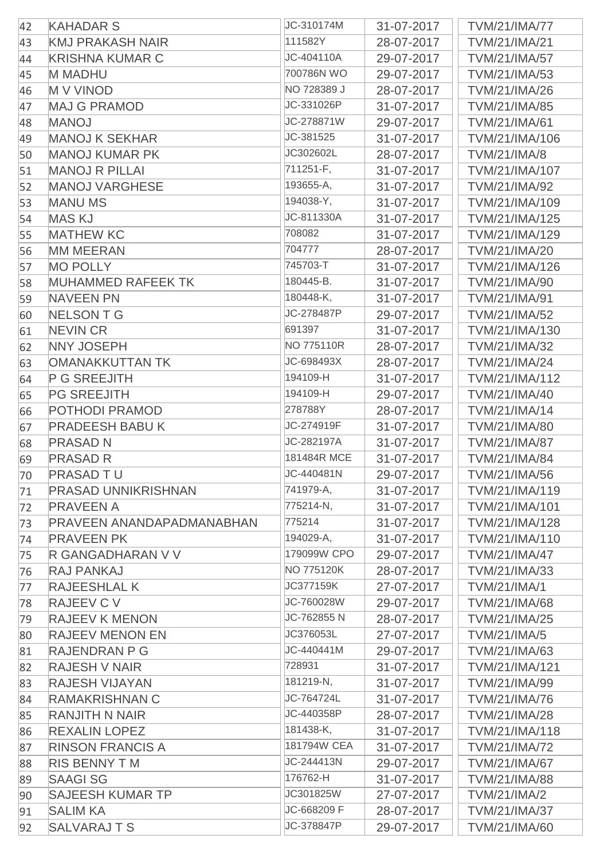| 111582Y<br><b>KMJ PRAKASH NAIR</b><br>28-07-2017<br>43<br>JC-404110A<br><b>KRISHNA KUMAR C</b><br>29-07-2017<br>44<br>700786N WO<br><b>M MADHU</b><br>29-07-2017<br>45<br>NO 728389 J<br><b>MV VINOD</b><br>28-07-2017<br>46<br>JC-331026P<br><b>MAJ G PRAMOD</b><br>31-07-2017<br>47<br>JC-278871W | <b>TVM/21/IMA/21</b><br><b>TVM/21/IMA/57</b><br><b>TVM/21/IMA/53</b><br><b>TVM/21/IMA/26</b> |
|-----------------------------------------------------------------------------------------------------------------------------------------------------------------------------------------------------------------------------------------------------------------------------------------------------|----------------------------------------------------------------------------------------------|
|                                                                                                                                                                                                                                                                                                     |                                                                                              |
|                                                                                                                                                                                                                                                                                                     |                                                                                              |
|                                                                                                                                                                                                                                                                                                     |                                                                                              |
|                                                                                                                                                                                                                                                                                                     |                                                                                              |
|                                                                                                                                                                                                                                                                                                     | <b>TVM/21/IMA/85</b>                                                                         |
| <b>MANOJ</b><br>29-07-2017<br>48                                                                                                                                                                                                                                                                    | <b>TVM/21/IMA/61</b>                                                                         |
| JC-381525<br><b>MANOJ K SEKHAR</b><br>31-07-2017<br>49                                                                                                                                                                                                                                              | TVM/21/IMA/106                                                                               |
| JC302602L<br><b>MANOJ KUMAR PK</b><br>28-07-2017<br>50                                                                                                                                                                                                                                              | <b>TVM/21/IMA/8</b>                                                                          |
| 711251-F,<br><b>MANOJ R PILLAI</b><br>31-07-2017<br>51                                                                                                                                                                                                                                              | TVM/21/IMA/107                                                                               |
| 193655-A,<br><b>MANOJ VARGHESE</b><br>31-07-2017<br>52                                                                                                                                                                                                                                              | TVM/21/IMA/92                                                                                |
| 194038-Y,<br><b>MANU MS</b><br>31-07-2017<br>53                                                                                                                                                                                                                                                     | TVM/21/IMA/109                                                                               |
| JC-811330A<br><b>MASKJ</b><br>31-07-2017<br>54                                                                                                                                                                                                                                                      | TVM/21/IMA/125                                                                               |
| 708082<br><b>MATHEW KC</b><br>31-07-2017<br>55                                                                                                                                                                                                                                                      | TVM/21/IMA/129                                                                               |
| 704777<br><b>MM MEERAN</b><br>28-07-2017<br>56                                                                                                                                                                                                                                                      | <b>TVM/21/IMA/20</b>                                                                         |
| <b>MO POLLY</b><br>745703-T<br>31-07-2017<br>57                                                                                                                                                                                                                                                     | TVM/21/IMA/126                                                                               |
| 180445-B.<br><b>MUHAMMED RAFEEK TK</b><br>31-07-2017<br>58                                                                                                                                                                                                                                          | <b>TVM/21/IMA/90</b>                                                                         |
| 180448-K,<br><b>NAVEEN PN</b><br>31-07-2017<br>59                                                                                                                                                                                                                                                   | <b>TVM/21/IMA/91</b>                                                                         |
| JC-278487P<br><b>NELSON T G</b><br>29-07-2017<br>60                                                                                                                                                                                                                                                 | <b>TVM/21/IMA/52</b>                                                                         |
| 691397<br><b>NEVIN CR</b><br>31-07-2017<br>61                                                                                                                                                                                                                                                       | TVM/21/IMA/130                                                                               |
| NO 775110R<br><b>NNY JOSEPH</b><br>28-07-2017<br>62                                                                                                                                                                                                                                                 | <b>TVM/21/IMA/32</b>                                                                         |
| JC-698493X<br><b>OMANAKKUTTAN TK</b><br>28-07-2017<br>63                                                                                                                                                                                                                                            | <b>TVM/21/IMA/24</b>                                                                         |
| 194109-H<br>P G SREEJITH<br>31-07-2017<br>64                                                                                                                                                                                                                                                        | TVM/21/IMA/112                                                                               |
| 194109-H<br><b>PG SREEJITH</b><br>29-07-2017<br>65                                                                                                                                                                                                                                                  | TVM/21/IMA/40                                                                                |
| 278788Y<br>POTHODI PRAMOD<br>28-07-2017<br>66                                                                                                                                                                                                                                                       | TVM/21/IMA/14                                                                                |
| JC-274919F<br><b>PRADEESH BABU K</b><br>31-07-2017<br>67                                                                                                                                                                                                                                            | <b>TVM/21/IMA/80</b>                                                                         |
| JC-282197A<br><b>PRASAD N</b><br>31-07-2017<br>68                                                                                                                                                                                                                                                   | <b>TVM/21/IMA/87</b>                                                                         |
| 181484R MCE<br><b>PRASAD R</b><br>69<br>31-07-2017                                                                                                                                                                                                                                                  | <b>TVM/21/IMA/84</b>                                                                         |
| JC-440481N<br><b>PRASAD TU</b><br>29-07-2017<br>70                                                                                                                                                                                                                                                  | TVM/21/IMA/56                                                                                |
| <b>PRASAD UNNIKRISHNAN</b><br>741979-A,<br>31-07-2017<br>71                                                                                                                                                                                                                                         | TVM/21/IMA/119                                                                               |
| 775214-N,<br><b>PRAVEEN A</b><br>31-07-2017<br>72                                                                                                                                                                                                                                                   | TVM/21/IMA/101                                                                               |
| 775214<br>PRAVEEN ANANDAPADMANABHAN<br>31-07-2017<br>73                                                                                                                                                                                                                                             | TVM/21/IMA/128                                                                               |
| 194029-A,<br><b>PRAVEEN PK</b><br>31-07-2017<br>74                                                                                                                                                                                                                                                  | TVM/21/IMA/110                                                                               |
| 179099W CPO<br>R GANGADHARAN V V<br>29-07-2017<br>75                                                                                                                                                                                                                                                | <b>TVM/21/IMA/47</b>                                                                         |
| NO 775120K<br>RAJ PANKAJ<br>28-07-2017<br>76                                                                                                                                                                                                                                                        | TVM/21/IMA/33                                                                                |
| JC377159K<br><b>RAJEESHLAL K</b><br>27-07-2017<br>77                                                                                                                                                                                                                                                | <b>TVM/21/IMA/1</b>                                                                          |
| JC-760028W<br>RAJEEV C V<br>29-07-2017<br>78                                                                                                                                                                                                                                                        | <b>TVM/21/IMA/68</b>                                                                         |
| JC-762855 N<br><b>RAJEEV K MENON</b><br>28-07-2017<br>79                                                                                                                                                                                                                                            | <b>TVM/21/IMA/25</b>                                                                         |
| JC376053L<br><b>RAJEEV MENON EN</b><br>27-07-2017<br>80                                                                                                                                                                                                                                             | <b>TVM/21/IMA/5</b>                                                                          |
| JC-440441M<br><b>RAJENDRAN P G</b><br>29-07-2017<br>81                                                                                                                                                                                                                                              | TVM/21/IMA/63                                                                                |
| 728931<br><b>RAJESH V NAIR</b><br>31-07-2017<br>82                                                                                                                                                                                                                                                  | TVM/21/IMA/121                                                                               |
| 181219-N,<br><b>RAJESH VIJAYAN</b><br>31-07-2017<br>83                                                                                                                                                                                                                                              | TVM/21/IMA/99                                                                                |
| JC-764724L<br><b>RAMAKRISHNAN C</b><br>31-07-2017<br>84                                                                                                                                                                                                                                             | <b>TVM/21/IMA/76</b>                                                                         |
| JC-440358P<br><b>RANJITH N NAIR</b><br>28-07-2017<br>85                                                                                                                                                                                                                                             | <b>TVM/21/IMA/28</b>                                                                         |
| 181438-K,<br><b>REXALIN LOPEZ</b><br>31-07-2017<br>86                                                                                                                                                                                                                                               | TVM/21/IMA/118                                                                               |
| 181794W CEA<br><b>RINSON FRANCIS A</b><br>31-07-2017<br>87                                                                                                                                                                                                                                          | <b>TVM/21/IMA/72</b>                                                                         |
| JC-244413N<br><b>RIS BENNY TM</b><br>29-07-2017<br>88                                                                                                                                                                                                                                               | <b>TVM/21/IMA/67</b>                                                                         |
| 176762-H<br><b>SAAGI SG</b><br>31-07-2017<br>89                                                                                                                                                                                                                                                     | <b>TVM/21/IMA/88</b>                                                                         |
| JC301825W<br><b>SAJEESH KUMAR TP</b><br>27-07-2017<br>90                                                                                                                                                                                                                                            | <b>TVM/21/IMA/2</b>                                                                          |
| JC-668209 F<br><b>SALIM KA</b><br>28-07-2017<br>91                                                                                                                                                                                                                                                  | <b>TVM/21/IMA/37</b>                                                                         |
| JC-378847P<br><b>SALVARAJTS</b><br>29-07-2017<br>92                                                                                                                                                                                                                                                 | <b>TVM/21/IMA/60</b>                                                                         |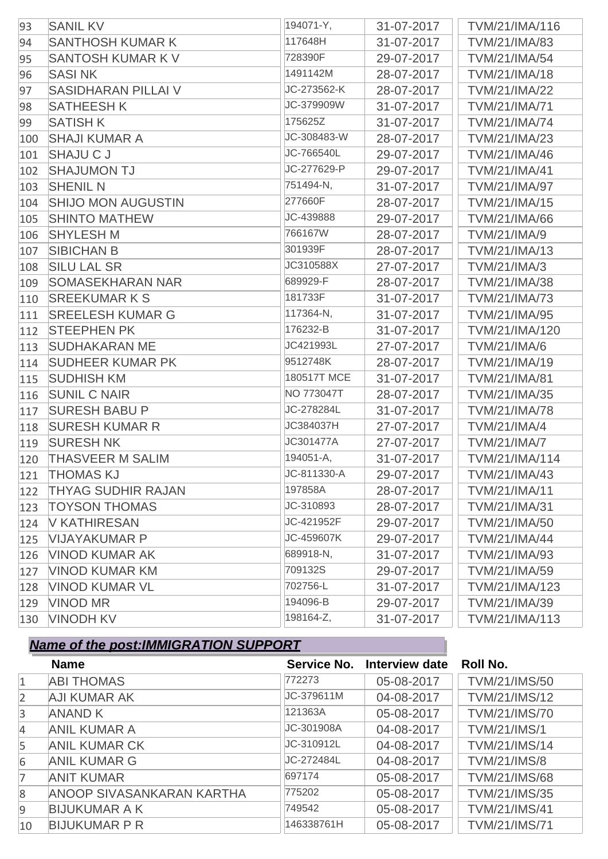| 93  | <b>SANIL KV</b>            | 194071-Y,   | 31-07-2017 | TVM/21/IMA/116       |
|-----|----------------------------|-------------|------------|----------------------|
| 94  | <b>SANTHOSH KUMAR K</b>    | 117648H     | 31-07-2017 | TVM/21/IMA/83        |
| 95  | <b>SANTOSH KUMAR K V</b>   | 728390F     | 29-07-2017 | <b>TVM/21/IMA/54</b> |
| 96  | <b>SASINK</b>              | 1491142M    | 28-07-2017 | <b>TVM/21/IMA/18</b> |
| 97  | <b>SASIDHARAN PILLAI V</b> | JC-273562-K | 28-07-2017 | <b>TVM/21/IMA/22</b> |
| 98  | <b>SATHEESH K</b>          | JC-379909W  | 31-07-2017 | <b>TVM/21/IMA/71</b> |
| 99  | <b>SATISH K</b>            | 175625Z     | 31-07-2017 | <b>TVM/21/IMA/74</b> |
| 100 | <b>SHAJI KUMAR A</b>       | JC-308483-W | 28-07-2017 | TVM/21/IMA/23        |
| 101 | <b>SHAJU C J</b>           | JC-766540L  | 29-07-2017 | TVM/21/IMA/46        |
| 102 | <b>SHAJUMON TJ</b>         | JC-277629-P | 29-07-2017 | <b>TVM/21/IMA/41</b> |
| 103 | <b>SHENIL N</b>            | 751494-N,   | 31-07-2017 | <b>TVM/21/IMA/97</b> |
| 104 | <b>SHIJO MON AUGUSTIN</b>  | 277660F     | 28-07-2017 | TVM/21/IMA/15        |
| 105 | <b>SHINTO MATHEW</b>       | JC-439888   | 29-07-2017 | TVM/21/IMA/66        |
| 106 | <b>SHYLESH M</b>           | 766167W     | 28-07-2017 | <b>TVM/21/IMA/9</b>  |
| 107 | <b>SIBICHAN B</b>          | 301939F     | 28-07-2017 | TVM/21/IMA/13        |
| 108 | <b>SILU LAL SR</b>         | JC310588X   | 27-07-2017 | <b>TVM/21/IMA/3</b>  |
| 109 | <b>SOMASEKHARAN NAR</b>    | 689929-F    | 28-07-2017 | TVM/21/IMA/38        |
| 110 | <b>SREEKUMARKS</b>         | 181733F     | 31-07-2017 | <b>TVM/21/IMA/73</b> |
| 111 | <b>SREELESH KUMAR G</b>    | 117364-N,   | 31-07-2017 | TVM/21/IMA/95        |
| 112 | <b>STEEPHEN PK</b>         | 176232-B    | 31-07-2017 | TVM/21/IMA/120       |
| 113 | <b>SUDHAKARAN ME</b>       | JC421993L   | 27-07-2017 | <b>TVM/21/IMA/6</b>  |
| 114 | <b>SUDHEER KUMAR PK</b>    | 9512748K    | 28-07-2017 | TVM/21/IMA/19        |
| 115 | <b>SUDHISH KM</b>          | 180517T MCE | 31-07-2017 | <b>TVM/21/IMA/81</b> |
| 116 | <b>SUNIL C NAIR</b>        | NO 773047T  | 28-07-2017 | TVM/21/IMA/35        |
| 117 | <b>SURESH BABU P</b>       | JC-278284L  | 31-07-2017 | <b>TVM/21/IMA/78</b> |
| 118 | <b>SURESH KUMAR R</b>      | JC384037H   | 27-07-2017 | <b>TVM/21/IMA/4</b>  |
| 119 | <b>SURESH NK</b>           | JC301477A   | 27-07-2017 | <b>TVM/21/IMA/7</b>  |
| 120 | <b>THASVEER M SALIM</b>    | 194051-A,   | 31-07-2017 | TVM/21/IMA/114       |
|     | 121 THOMAS KJ              | JC-811330-A | 29-07-2017 | <b>TVM/21/IMA/43</b> |
| 122 | <b>THYAG SUDHIR RAJAN</b>  | 197858A     | 28-07-2017 | <b>TVM/21/IMA/11</b> |
| 123 | <b>TOYSON THOMAS</b>       | JC-310893   | 28-07-2017 | <b>TVM/21/IMA/31</b> |
| 124 | <b>V KATHIRESAN</b>        | JC-421952F  | 29-07-2017 | TVM/21/IMA/50        |
| 125 | <b>VIJAYAKUMAR P</b>       | JC-459607K  | 29-07-2017 | <b>TVM/21/IMA/44</b> |
| 126 | <b>VINOD KUMAR AK</b>      | 689918-N,   | 31-07-2017 | TVM/21/IMA/93        |
| 127 | <b>VINOD KUMAR KM</b>      | 709132S     | 29-07-2017 | TVM/21/IMA/59        |
| 128 | <b>VINOD KUMAR VL</b>      | 702756-L    | 31-07-2017 | TVM/21/IMA/123       |
| 129 | <b>VINOD MR</b>            | 194096-B    | 29-07-2017 | TVM/21/IMA/39        |
| 130 | <b>VINODH KV</b>           | 198164-Z,   | 31-07-2017 | TVM/21/IMA/113       |

|                | <b>Name</b>               | Service No. | <b>Interview date</b> | <b>Roll No.</b>      |
|----------------|---------------------------|-------------|-----------------------|----------------------|
| $\mathbf{1}$   | <b>ABI THOMAS</b>         | 772273      | 05-08-2017            | <b>TVM/21/IMS/50</b> |
| $\overline{2}$ | <b>AJI KUMAR AK</b>       | JC-379611M  | 04-08-2017            | <b>TVM/21/IMS/12</b> |
| 3              | <b>ANAND K</b>            | 121363A     | 05-08-2017            | <b>TVM/21/IMS/70</b> |
| 4              | <b>ANIL KUMAR A</b>       | JC-301908A  | 04-08-2017            | <b>TVM/21/IMS/1</b>  |
| 5              | <b>ANIL KUMAR CK</b>      | JC-310912L  | 04-08-2017            | <b>TVM/21/IMS/14</b> |
| 6              | <b>ANIL KUMAR G</b>       | JC-272484L  | 04-08-2017            | <b>TVM/21/IMS/8</b>  |
|                | <b>ANIT KUMAR</b>         | 697174      | 05-08-2017            | <b>TVM/21/IMS/68</b> |
| 8              | ANOOP SIVASANKARAN KARTHA | 775202      | 05-08-2017            | <b>TVM/21/IMS/35</b> |
| 9              | <b>BIJUKUMAR A K</b>      | 749542      | 05-08-2017            | <b>TVM/21/IMS/41</b> |
| 10             | <b>BIJUKUMAR P R</b>      | 146338761H  | 05-08-2017            | <b>TVM/21/IMS/71</b> |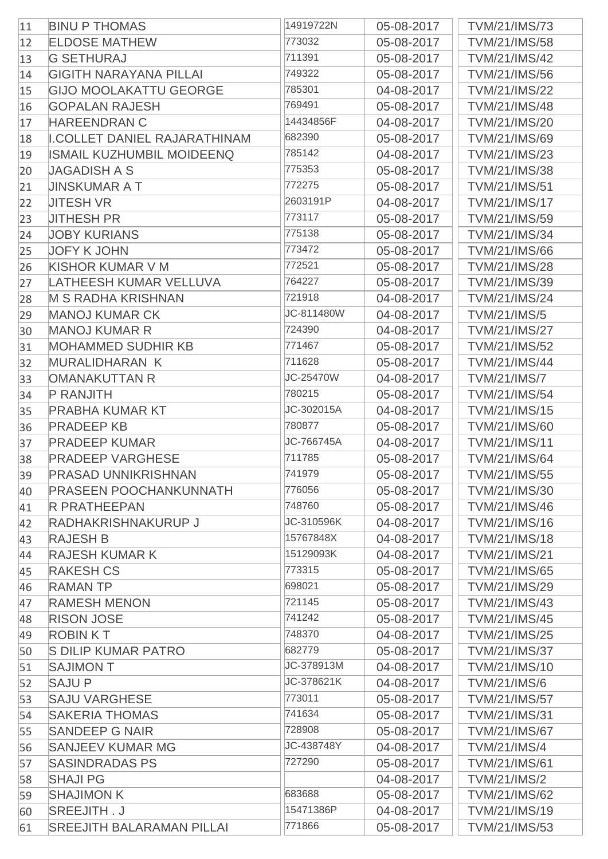| 11 | <b>BINU P THOMAS</b>                | 14919722N  | 05-08-2017 | <b>TVM/21/IMS/73</b> |
|----|-------------------------------------|------------|------------|----------------------|
| 12 | <b>ELDOSE MATHEW</b>                | 773032     | 05-08-2017 | <b>TVM/21/IMS/58</b> |
| 13 | <b>G SETHURAJ</b>                   | 711391     | 05-08-2017 | TVM/21/IMS/42        |
| 14 | <b>GIGITH NARAYANA PILLAI</b>       | 749322     | 05-08-2017 | <b>TVM/21/IMS/56</b> |
| 15 | <b>GIJO MOOLAKATTU GEORGE</b>       | 785301     | 04-08-2017 | <b>TVM/21/IMS/22</b> |
| 16 | <b>GOPALAN RAJESH</b>               | 769491     | 05-08-2017 | <b>TVM/21/IMS/48</b> |
| 17 | <b>HAREENDRAN C</b>                 | 14434856F  | 04-08-2017 | TVM/21/IMS/20        |
| 18 | <b>I.COLLET DANIEL RAJARATHINAM</b> | 682390     | 05-08-2017 | TVM/21/IMS/69        |
| 19 | <b>ISMAIL KUZHUMBIL MOIDEENQ</b>    | 785142     | 04-08-2017 | TVM/21/IMS/23        |
| 20 | <b>JAGADISH A S</b>                 | 775353     | 05-08-2017 | <b>TVM/21/IMS/38</b> |
| 21 | <b>JINSKUMAR A T</b>                | 772275     | 05-08-2017 | <b>TVM/21/IMS/51</b> |
| 22 | <b>JITESH VR</b>                    | 2603191P   | 04-08-2017 | <b>TVM/21/IMS/17</b> |
| 23 | <b>JITHESH PR</b>                   | 773117     | 05-08-2017 | TVM/21/IMS/59        |
| 24 | <b>JOBY KURIANS</b>                 | 775138     | 05-08-2017 | <b>TVM/21/IMS/34</b> |
| 25 | <b>JOFY K JOHN</b>                  | 773472     | 05-08-2017 | <b>TVM/21/IMS/66</b> |
| 26 | <b>KISHOR KUMAR V M</b>             | 772521     | 05-08-2017 | <b>TVM/21/IMS/28</b> |
| 27 | LATHEESH KUMAR VELLUVA              | 764227     | 05-08-2017 | TVM/21/IMS/39        |
| 28 | <b>M S RADHA KRISHNAN</b>           | 721918     | 04-08-2017 | <b>TVM/21/IMS/24</b> |
| 29 | <b>MANOJ KUMAR CK</b>               | JC-811480W | 04-08-2017 | <b>TVM/21/IMS/5</b>  |
| 30 | <b>MANOJ KUMAR R</b>                | 724390     | 04-08-2017 | <b>TVM/21/IMS/27</b> |
| 31 | <b>MOHAMMED SUDHIR KB</b>           | 771467     | 05-08-2017 | <b>TVM/21/IMS/52</b> |
| 32 | <b>MURALIDHARAN K</b>               | 711628     | 05-08-2017 | <b>TVM/21/IMS/44</b> |
| 33 | <b>OMANAKUTTAN R</b>                | JC-25470W  | 04-08-2017 | <b>TVM/21/IMS/7</b>  |
| 34 | <b>P RANJITH</b>                    | 780215     | 05-08-2017 | <b>TVM/21/IMS/54</b> |
| 35 | <b>PRABHA KUMAR KT</b>              | JC-302015A | 04-08-2017 | TVM/21/IMS/15        |
| 36 | <b>PRADEEP KB</b>                   | 780877     | 05-08-2017 | <b>TVM/21/IMS/60</b> |
| 37 | <b>PRADEEP KUMAR</b>                | JC-766745A | 04-08-2017 | <b>TVM/21/IMS/11</b> |
| 38 | <b>PRADEEP VARGHESE</b>             | 711785     | 05-08-2017 | <b>TVM/21/IMS/64</b> |
| 39 | PRASAD UNNIKRISHNAN                 | 741979     | 05-08-2017 | TVM/21/IMS/55        |
| 40 | <b>PRASEEN POOCHANKUNNATH</b>       | 776056     | 05-08-2017 | TVM/21/IMS/30        |
| 41 | <b>R PRATHEEPAN</b>                 | 748760     | 05-08-2017 | TVM/21/IMS/46        |
| 42 | <b>RADHAKRISHNAKURUP J</b>          | JC-310596K | 04-08-2017 | TVM/21/IMS/16        |
| 43 | <b>RAJESH B</b>                     | 15767848X  | 04-08-2017 | <b>TVM/21/IMS/18</b> |
| 44 | <b>RAJESH KUMAR K</b>               | 15129093K  | 04-08-2017 | <b>TVM/21/IMS/21</b> |
| 45 | <b>RAKESH CS</b>                    | 773315     | 05-08-2017 | <b>TVM/21/IMS/65</b> |
| 46 | <b>RAMAN TP</b>                     | 698021     | 05-08-2017 | TVM/21/IMS/29        |
| 47 | <b>RAMESH MENON</b>                 | 721145     | 05-08-2017 | TVM/21/IMS/43        |
| 48 | <b>RISON JOSE</b>                   | 741242     | 05-08-2017 | TVM/21/IMS/45        |
| 49 | <b>ROBINKT</b>                      | 748370     | 04-08-2017 | <b>TVM/21/IMS/25</b> |
| 50 | <b>S DILIP KUMAR PATRO</b>          | 682779     | 05-08-2017 | <b>TVM/21/IMS/37</b> |
| 51 | <b>SAJIMON T</b>                    | JC-378913M | 04-08-2017 | TVM/21/IMS/10        |
| 52 | <b>SAJUP</b>                        | JC-378621K | 04-08-2017 | <b>TVM/21/IMS/6</b>  |
| 53 | <b>SAJU VARGHESE</b>                | 773011     | 05-08-2017 | <b>TVM/21/IMS/57</b> |
| 54 | <b>SAKERIA THOMAS</b>               | 741634     | 05-08-2017 | <b>TVM/21/IMS/31</b> |
| 55 | <b>SANDEEP G NAIR</b>               | 728908     | 05-08-2017 | <b>TVM/21/IMS/67</b> |
| 56 | <b>SANJEEV KUMAR MG</b>             | JC-438748Y | 04-08-2017 | <b>TVM/21/IMS/4</b>  |
| 57 | <b>SASINDRADAS PS</b>               | 727290     | 05-08-2017 | <b>TVM/21/IMS/61</b> |
| 58 | <b>SHAJI PG</b>                     |            | 04-08-2017 | <b>TVM/21/IMS/2</b>  |
| 59 | <b>SHAJIMON K</b>                   | 683688     | 05-08-2017 | <b>TVM/21/IMS/62</b> |
| 60 | SREEJITH.J                          | 15471386P  | 04-08-2017 | TVM/21/IMS/19        |
| 61 | <b>SREEJITH BALARAMAN PILLAI</b>    | 771866     | 05-08-2017 | TVM/21/IMS/53        |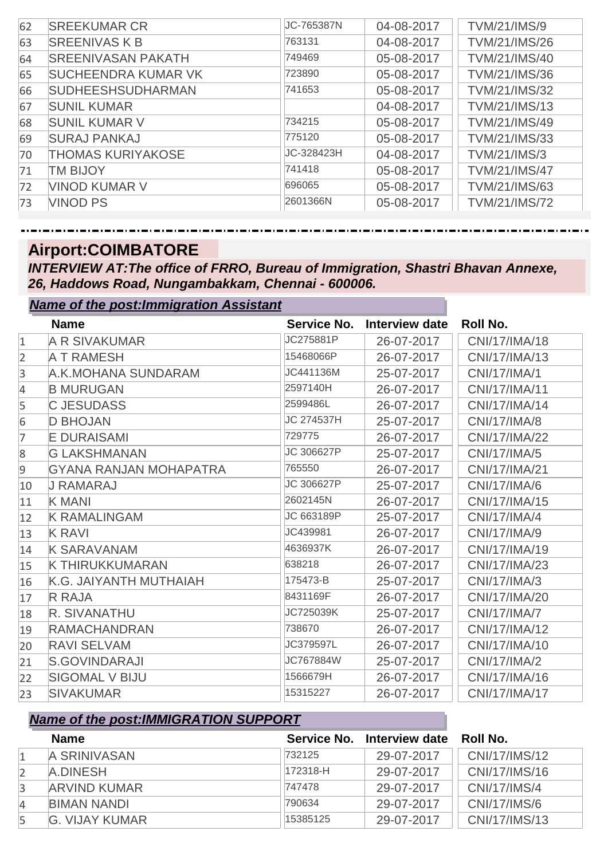| 62 | <b>SREEKUMAR CR</b>        | JC-765387N | 04-08-2017 | <b>TVM/21/IMS/9</b>  |
|----|----------------------------|------------|------------|----------------------|
| 63 | <b>SREENIVAS K B</b>       | 763131     | 04-08-2017 | <b>TVM/21/IMS/26</b> |
| 64 | <b>SREENIVASAN PAKATH</b>  | 749469     | 05-08-2017 | <b>TVM/21/IMS/40</b> |
| 65 | <b>SUCHEENDRA KUMAR VK</b> | 723890     | 05-08-2017 | <b>TVM/21/IMS/36</b> |
| 66 | <b>SUDHEESHSUDHARMAN</b>   | 741653     | 05-08-2017 | <b>TVM/21/IMS/32</b> |
| 67 | <b>SUNIL KUMAR</b>         |            | 04-08-2017 | <b>TVM/21/IMS/13</b> |
| 68 | <b>SUNIL KUMAR V</b>       | 734215     | 05-08-2017 | TVM/21/IMS/49        |
| 69 | <b>SURAJ PANKAJ</b>        | 775120     | 05-08-2017 | TVM/21/IMS/33        |
| 70 | <b>THOMAS KURIYAKOSE</b>   | JC-328423H | 04-08-2017 | <b>TVM/21/IMS/3</b>  |
| 71 | <b>TM BIJOY</b>            | 741418     | 05-08-2017 | <b>TVM/21/IMS/47</b> |
| 72 | <b>VINOD KUMAR V</b>       | 696065     | 05-08-2017 | TVM/21/IMS/63        |
| 73 | <b>VINOD PS</b>            | 2601366N   | 05-08-2017 | <b>TVM/21/IMS/72</b> |
|    |                            |            |            |                      |

#### **Airport:COIMBATORE**

*Name of the post:Immigration Assistant*

*INTERVIEW AT:The office of FRRO, Bureau of Immigration, Shastri Bhavan Annexe, 26, Haddows Road, Nungambakkam, Chennai - 600006.*

|              | <u>Name of the post.miningration Assistant</u> |             |                |                     |
|--------------|------------------------------------------------|-------------|----------------|---------------------|
|              | <b>Name</b>                                    | Service No. | Interview date | <b>Roll No.</b>     |
| $\mathbf{1}$ | A R SIVAKUMAR                                  | JC275881P   | 26-07-2017     | CNI/17/IMA/18       |
| 2            | <b>A T RAMESH</b>                              | 15468066P   | 26-07-2017     | CNI/17/IMA/13       |
| 3            | A.K.MOHANA SUNDARAM                            | JC441136M   | 25-07-2017     | CNI/17/IMA/1        |
| 4            | <b>B MURUGAN</b>                               | 2597140H    | 26-07-2017     | CNI/17/IMA/11       |
| 5            | <b>C JESUDASS</b>                              | 2599486L    | 26-07-2017     | CNI/17/IMA/14       |
| 6            | <b>D BHOJAN</b>                                | JC 274537H  | 25-07-2017     | <b>CNI/17/IMA/8</b> |
| 7            | <b>E DURAISAMI</b>                             | 729775      | 26-07-2017     | CNI/17/IMA/22       |
| 8            | <b>G LAKSHMANAN</b>                            | JC 306627P  | 25-07-2017     | CNI/17/IMA/5        |
| 9            | <b>GYANA RANJAN MOHAPATRA</b>                  | 765550      | 26-07-2017     | CNI/17/IMA/21       |
| 10           | <b>J RAMARAJ</b>                               | JC 306627P  | 25-07-2017     | CNI/17/IMA/6        |
| 11           | <b>K MANI</b>                                  | 2602145N    | 26-07-2017     | CNI/17/IMA/15       |
| 12           | <b>K RAMALINGAM</b>                            | JC 663189P  | 25-07-2017     | <b>CNI/17/IMA/4</b> |
| 13           | <b>K RAVI</b>                                  | JC439981    | 26-07-2017     | CNI/17/IMA/9        |
| 14           | <b>K SARAVANAM</b>                             | 4636937K    | 26-07-2017     | CNI/17/IMA/19       |
| 15           | K THIRUKKUMARAN                                | 638218      | 26-07-2017     | CNI/17/IMA/23       |
| 16           | K.G. JAIYANTH MUTHAIAH                         | 175473-B    | 25-07-2017     | CNI/17/IMA/3        |
| 17           | <b>R RAJA</b>                                  | 8431169F    | 26-07-2017     | CNI/17/IMA/20       |
| 18           | R. SIVANATHU                                   | JC725039K   | 25-07-2017     | <b>CNI/17/IMA/7</b> |
| 19           | <b>RAMACHANDRAN</b>                            | 738670      | 26-07-2017     | CNI/17/IMA/12       |
| 20           | <b>RAVI SELVAM</b>                             | JC379597L   | 26-07-2017     | CNI/17/IMA/10       |
| 21           | <b>S.GOVINDARAJI</b>                           | JC767884W   | 25-07-2017     | <b>CNI/17/IMA/2</b> |
| 22           | <b>SIGOMAL V BIJU</b>                          | 1566679H    | 26-07-2017     | CNI/17/IMA/16       |
| 23           | <b>SIVAKUMAR</b>                               | 15315227    | 26-07-2017     | CNI/17/IMA/17       |

|   | <b>Name</b>         |          | Service No. Interview date | - Roll No.    |
|---|---------------------|----------|----------------------------|---------------|
|   | A SRINIVASAN        | 732125   | 29-07-2017                 | CNI/17/IMS/12 |
|   | A.DINESH            | 172318-H | 29-07-2017                 | CNI/17/IMS/16 |
| 3 | <b>ARVIND KUMAR</b> | 747478   | 29-07-2017                 | CNI/17/IMS/4  |
| 4 | <b>BIMAN NANDI</b>  | 790634   | 29-07-2017                 | CNI/17/IMS/6  |
|   | G. VIJAY KUMAR      | 15385125 | 29-07-2017                 | CNI/17/IMS/13 |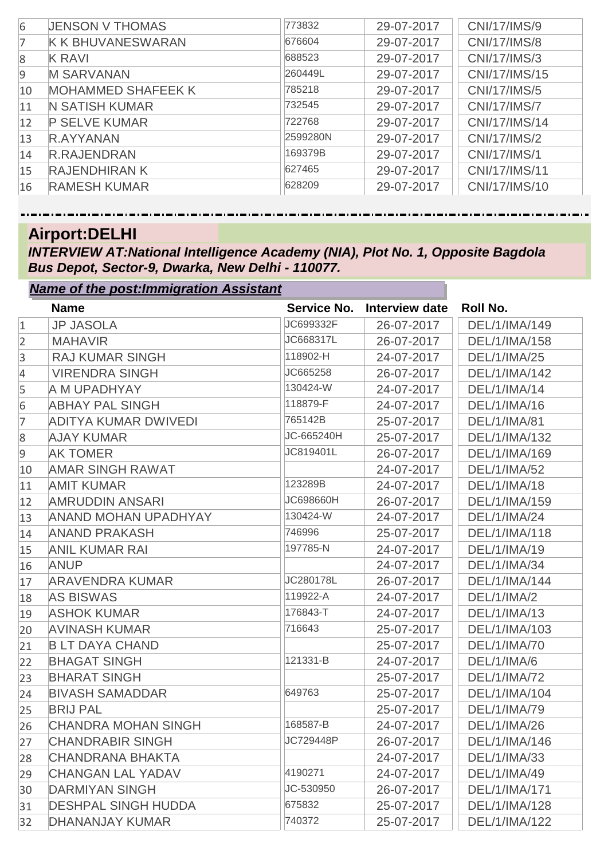| 6              | <b>JENSON V THOMAS</b>    | 773832   | 29-07-2017 | CNI/17/IMS/9        |
|----------------|---------------------------|----------|------------|---------------------|
| 7              | <b>K K BHUVANESWARAN</b>  | 676604   | 29-07-2017 | <b>CNI/17/IMS/8</b> |
| 8              | <b>K RAVI</b>             | 688523   | 29-07-2017 | CNI/17/IMS/3        |
| $\overline{9}$ | <b>M SARVANAN</b>         | 260449L  | 29-07-2017 | CNI/17/IMS/15       |
| 10             | <b>MOHAMMED SHAFEEK K</b> | 785218   | 29-07-2017 | CNI/17/IMS/5        |
| 11             | <b>N SATISH KUMAR</b>     | 732545   | 29-07-2017 | <b>CNI/17/IMS/7</b> |
| 12             | <b>P SELVE KUMAR</b>      | 722768   | 29-07-2017 | CNI/17/IMS/14       |
| 13             | R.AYYANAN                 | 2599280N | 29-07-2017 | CNI/17/IMS/2        |
| 14             | <b>R.RAJENDRAN</b>        | 169379B  | 29-07-2017 | CNI/17/IMS/1        |
| 15             | <b>RAJENDHIRAN K</b>      | 627465   | 29-07-2017 | CNI/17/IMS/11       |
| 16             | <b>RAMESH KUMAR</b>       | 628209   | 29-07-2017 | CNI/17/IMS/10       |

## **Airport:DELHI**

*INTERVIEW AT:National Intelligence Academy (NIA), Plot No. 1, Opposite Bagdola Bus Depot, Sector-9, Dwarka, New Delhi - 110077.*

| <b>Name of the post: Immigration Assistant</b> |                             |             |                       |                     |
|------------------------------------------------|-----------------------------|-------------|-----------------------|---------------------|
|                                                | <b>Name</b>                 | Service No. | <b>Interview date</b> | Roll No.            |
| $\mathbf{1}$                                   | <b>JP JASOLA</b>            | JC699332F   | 26-07-2017            | DEL/1/IMA/149       |
| $\overline{2}$                                 | <b>MAHAVIR</b>              | JC668317L   | 26-07-2017            | DEL/1/IMA/158       |
| 3                                              | <b>RAJ KUMAR SINGH</b>      | 118902-H    | 24-07-2017            | <b>DEL/1/IMA/25</b> |
| 4                                              | <b>VIRENDRA SINGH</b>       | JC665258    | 26-07-2017            | DEL/1/IMA/142       |
| 5                                              | A M UPADHYAY                | 130424-W    | 24-07-2017            | <b>DEL/1/IMA/14</b> |
| 6                                              | <b>ABHAY PAL SINGH</b>      | 118879-F    | 24-07-2017            | DEL/1/IMA/16        |
| $\overline{7}$                                 | <b>ADITYA KUMAR DWIVEDI</b> | 765142B     | 25-07-2017            | <b>DEL/1/IMA/81</b> |
| 8                                              | <b>AJAY KUMAR</b>           | JC-665240H  | 25-07-2017            | DEL/1/IMA/132       |
| 9                                              | <b>AK TOMER</b>             | JC819401L   | 26-07-2017            | DEL/1/IMA/169       |
| 10                                             | <b>AMAR SINGH RAWAT</b>     |             | 24-07-2017            | <b>DEL/1/IMA/52</b> |
| 11                                             | <b>AMIT KUMAR</b>           | 123289B     | 24-07-2017            | DEL/1/IMA/18        |
| 12                                             | <b>AMRUDDIN ANSARI</b>      | JC698660H   | 26-07-2017            | DEL/1/IMA/159       |
| 13                                             | <b>ANAND MOHAN UPADHYAY</b> | 130424-W    | 24-07-2017            | <b>DEL/1/IMA/24</b> |
| 14                                             | <b>ANAND PRAKASH</b>        | 746996      | 25-07-2017            | DEL/1/IMA/118       |
| 15                                             | <b>ANIL KUMAR RAI</b>       | 197785-N    | 24-07-2017            | DEL/1/IMA/19        |
| 16                                             | <b>ANUP</b>                 |             | 24-07-2017            | <b>DEL/1/IMA/34</b> |
| 17                                             | <b>ARAVENDRA KUMAR</b>      | JC280178L   | 26-07-2017            | DEL/1/IMA/144       |
| 18                                             | <b>AS BISWAS</b>            | 119922-A    | 24-07-2017            | DEL/1/IMA/2         |
| 19                                             | <b>ASHOK KUMAR</b>          | 176843-T    | 24-07-2017            | DEL/1/IMA/13        |
| 20                                             | <b>AVINASH KUMAR</b>        | 716643      | 25-07-2017            | DEL/1/IMA/103       |
| 21                                             | <b>B LT DAYA CHAND</b>      |             | 25-07-2017            | <b>DEL/1/IMA/70</b> |
| 22                                             | <b>BHAGAT SINGH</b>         | 121331-B    | 24-07-2017            | DEL/1/IMA/6         |
| 23                                             | <b>BHARAT SINGH</b>         |             | 25-07-2017            | <b>DEL/1/IMA/72</b> |
| 24                                             | <b>BIVASH SAMADDAR</b>      | 649763      | 25-07-2017            | DEL/1/IMA/104       |
| 25                                             | <b>BRIJ PAL</b>             |             | 25-07-2017            | <b>DEL/1/IMA/79</b> |
| 26                                             | <b>CHANDRA MOHAN SINGH</b>  | 168587-B    | 24-07-2017            | <b>DEL/1/IMA/26</b> |
| 27                                             | <b>CHANDRABIR SINGH</b>     | JC729448P   | 26-07-2017            | DEL/1/IMA/146       |
| 28                                             | <b>CHANDRANA BHAKTA</b>     |             | 24-07-2017            | DEL/1/IMA/33        |
| 29                                             | <b>CHANGAN LAL YADAV</b>    | 4190271     | 24-07-2017            | DEL/1/IMA/49        |
| 30                                             | <b>DARMIYAN SINGH</b>       | JC-530950   | 26-07-2017            | DEL/1/IMA/171       |
| 31                                             | <b>DESHPAL SINGH HUDDA</b>  | 675832      | 25-07-2017            | DEL/1/IMA/128       |
| 32                                             | <b>DHANANJAY KUMAR</b>      | 740372      | 25-07-2017            | DEL/1/IMA/122       |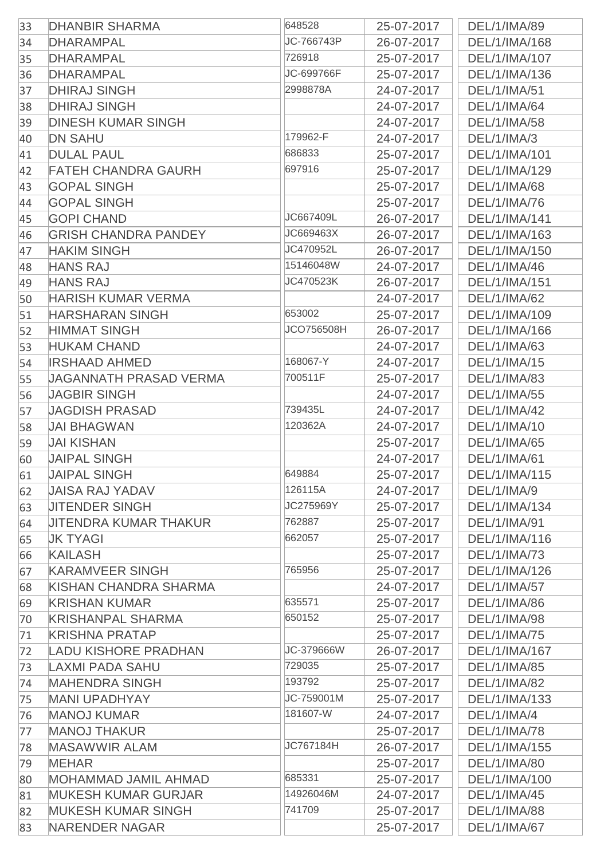| 33 | <b>DHANBIR SHARMA</b>         | 648528     | 25-07-2017 | DEL/1/IMA/89        |
|----|-------------------------------|------------|------------|---------------------|
| 34 | <b>DHARAMPAL</b>              | JC-766743P | 26-07-2017 | DEL/1/IMA/168       |
| 35 | <b>DHARAMPAL</b>              | 726918     | 25-07-2017 | DEL/1/IMA/107       |
| 36 | <b>DHARAMPAL</b>              | JC-699766F | 25-07-2017 | DEL/1/IMA/136       |
| 37 | <b>DHIRAJ SINGH</b>           | 2998878A   | 24-07-2017 | DEL/1/IMA/51        |
| 38 | <b>DHIRAJ SINGH</b>           |            | 24-07-2017 | DEL/1/IMA/64        |
| 39 | <b>DINESH KUMAR SINGH</b>     |            | 24-07-2017 | DEL/1/IMA/58        |
| 40 | <b>DN SAHU</b>                | 179962-F   | 24-07-2017 | DEL/1/IMA/3         |
| 41 | <b>DULAL PAUL</b>             | 686833     | 25-07-2017 | DEL/1/IMA/101       |
| 42 | <b>FATEH CHANDRA GAURH</b>    | 697916     | 25-07-2017 | DEL/1/IMA/129       |
| 43 | <b>GOPAL SINGH</b>            |            | 25-07-2017 | DEL/1/IMA/68        |
| 44 | <b>GOPAL SINGH</b>            |            | 25-07-2017 | DEL/1/IMA/76        |
| 45 | <b>GOPI CHAND</b>             | JC667409L  | 26-07-2017 | DEL/1/IMA/141       |
| 46 | <b>GRISH CHANDRA PANDEY</b>   | JC669463X  | 26-07-2017 | DEL/1/IMA/163       |
| 47 | <b>HAKIM SINGH</b>            | JC470952L  | 26-07-2017 | DEL/1/IMA/150       |
| 48 | <b>HANS RAJ</b>               | 15146048W  | 24-07-2017 | DEL/1/IMA/46        |
| 49 | <b>HANS RAJ</b>               | JC470523K  | 26-07-2017 | DEL/1/IMA/151       |
| 50 | <b>HARISH KUMAR VERMA</b>     |            | 24-07-2017 | DEL/1/IMA/62        |
| 51 | <b>HARSHARAN SINGH</b>        | 653002     | 25-07-2017 | DEL/1/IMA/109       |
| 52 | <b>HIMMAT SINGH</b>           | JCO756508H | 26-07-2017 | DEL/1/IMA/166       |
| 53 | <b>HUKAM CHAND</b>            |            | 24-07-2017 | DEL/1/IMA/63        |
| 54 | <b>IRSHAAD AHMED</b>          | 168067-Y   | 24-07-2017 | DEL/1/IMA/15        |
| 55 | <b>JAGANNATH PRASAD VERMA</b> | 700511F    | 25-07-2017 | DEL/1/IMA/83        |
| 56 | <b>JAGBIR SINGH</b>           |            | 24-07-2017 | DEL/1/IMA/55        |
| 57 | <b>JAGDISH PRASAD</b>         | 739435L    | 24-07-2017 | <b>DEL/1/IMA/42</b> |
| 58 | <b>JAI BHAGWAN</b>            | 120362A    | 24-07-2017 | DEL/1/IMA/10        |
| 59 | <b>JAI KISHAN</b>             |            | 25-07-2017 | DEL/1/IMA/65        |
| 60 | <b>JAIPAL SINGH</b>           |            | 24-07-2017 | DEL/1/IMA/61        |
| 61 | <b>JAIPAL SINGH</b>           | 649884     | 25-07-2017 | DEL/1/IMA/115       |
| 62 | <b>JAISA RAJ YADAV</b>        | 126115A    | 24-07-2017 | DEL/1/IMA/9         |
| 63 | <b>JITENDER SINGH</b>         | JC275969Y  | 25-07-2017 | DEL/1/IMA/134       |
| 64 | <b>JITENDRA KUMAR THAKUR</b>  | 762887     | 25-07-2017 | DEL/1/IMA/91        |
| 65 | <b>JK TYAGI</b>               | 662057     | 25-07-2017 | DEL/1/IMA/116       |
| 66 | <b>KAILASH</b>                |            | 25-07-2017 | DEL/1/IMA/73        |
| 67 | <b>KARAMVEER SINGH</b>        | 765956     | 25-07-2017 | DEL/1/IMA/126       |
| 68 | KISHAN CHANDRA SHARMA         |            | 24-07-2017 | DEL/1/IMA/57        |
| 69 | <b>KRISHAN KUMAR</b>          | 635571     | 25-07-2017 | DEL/1/IMA/86        |
| 70 | <b>KRISHANPAL SHARMA</b>      | 650152     | 25-07-2017 | DEL/1/IMA/98        |
| 71 | <b>KRISHNA PRATAP</b>         |            | 25-07-2017 | DEL/1/IMA/75        |
| 72 | <b>LADU KISHORE PRADHAN</b>   | JC-379666W | 26-07-2017 | DEL/1/IMA/167       |
| 73 | <b>LAXMI PADA SAHU</b>        | 729035     | 25-07-2017 | DEL/1/IMA/85        |
| 74 | <b>MAHENDRA SINGH</b>         | 193792     | 25-07-2017 | DEL/1/IMA/82        |
| 75 | <b>MANI UPADHYAY</b>          | JC-759001M | 25-07-2017 | DEL/1/IMA/133       |
| 76 | <b>MANOJ KUMAR</b>            | 181607-W   | 24-07-2017 | DEL/1/IMA/4         |
| 77 | <b>MANOJ THAKUR</b>           |            | 25-07-2017 | <b>DEL/1/IMA/78</b> |
| 78 | <b>MASAWWIR ALAM</b>          | JC767184H  | 26-07-2017 | DEL/1/IMA/155       |
| 79 | <b>MEHAR</b>                  |            | 25-07-2017 | DEL/1/IMA/80        |
| 80 | MOHAMMAD JAMIL AHMAD          | 685331     | 25-07-2017 | DEL/1/IMA/100       |
| 81 | <b>MUKESH KUMAR GURJAR</b>    | 14926046M  | 24-07-2017 | DEL/1/IMA/45        |
| 82 | <b>MUKESH KUMAR SINGH</b>     | 741709     | 25-07-2017 | <b>DEL/1/IMA/88</b> |
| 83 | <b>NARENDER NAGAR</b>         |            | 25-07-2017 | DEL/1/IMA/67        |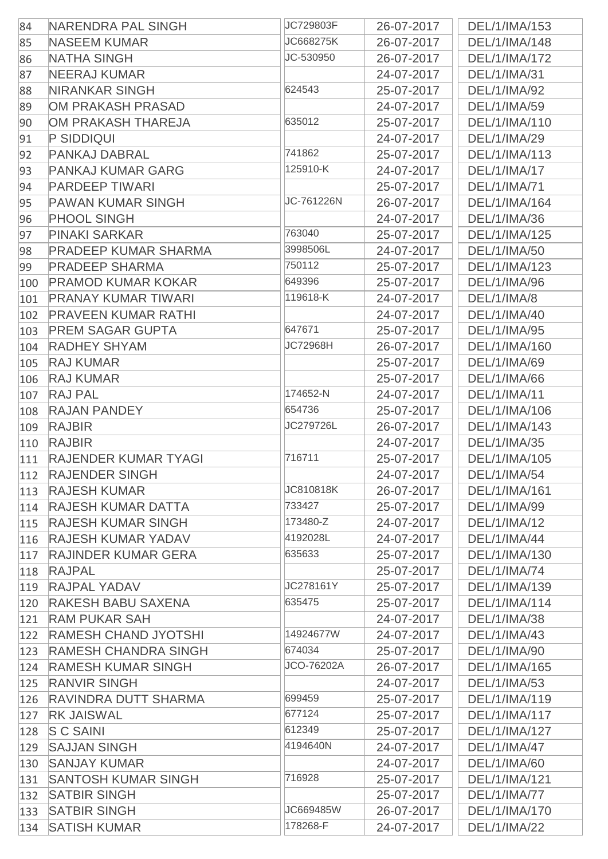| 84  | NARENDRA PAL SINGH          | JC729803F       | 26-07-2017 | DEL/1/IMA/153       |
|-----|-----------------------------|-----------------|------------|---------------------|
| 85  | <b>NASEEM KUMAR</b>         | JC668275K       | 26-07-2017 | DEL/1/IMA/148       |
| 86  | <b>NATHA SINGH</b>          | JC-530950       | 26-07-2017 | DEL/1/IMA/172       |
| 87  | <b>NEERAJ KUMAR</b>         |                 | 24-07-2017 | DEL/1/IMA/31        |
| 88  | <b>NIRANKAR SINGH</b>       | 624543          | 25-07-2017 | DEL/1/IMA/92        |
| 89  | <b>OM PRAKASH PRASAD</b>    |                 | 24-07-2017 | DEL/1/IMA/59        |
| 90  | OM PRAKASH THAREJA          | 635012          | 25-07-2017 | DEL/1/IMA/110       |
| 91  | P SIDDIQUI                  |                 | 24-07-2017 | DEL/1/IMA/29        |
| 92  | <b>PANKAJ DABRAL</b>        | 741862          | 25-07-2017 | DEL/1/IMA/113       |
| 93  | <b>PANKAJ KUMAR GARG</b>    | 125910-K        | 24-07-2017 | DEL/1/IMA/17        |
| 94  | <b>PARDEEP TIWARI</b>       |                 | 25-07-2017 | DEL/1/IMA/71        |
| 95  | <b>PAWAN KUMAR SINGH</b>    | JC-761226N      | 26-07-2017 | DEL/1/IMA/164       |
| 96  | <b>PHOOL SINGH</b>          |                 | 24-07-2017 | DEL/1/IMA/36        |
| 97  | <b>PINAKI SARKAR</b>        | 763040          | 25-07-2017 | DEL/1/IMA/125       |
| 98  | <b>PRADEEP KUMAR SHARMA</b> | 3998506L        | 24-07-2017 | DEL/1/IMA/50        |
| 99  | <b>PRADEEP SHARMA</b>       | 750112          | 25-07-2017 | DEL/1/IMA/123       |
| 100 | <b>PRAMOD KUMAR KOKAR</b>   | 649396          | 25-07-2017 | DEL/1/IMA/96        |
| 101 | <b>PRANAY KUMAR TIWARI</b>  | 119618-K        | 24-07-2017 | DEL/1/IMA/8         |
| 102 | <b>PRAVEEN KUMAR RATHI</b>  |                 | 24-07-2017 | DEL/1/IMA/40        |
| 103 | <b>PREM SAGAR GUPTA</b>     | 647671          | 25-07-2017 | DEL/1/IMA/95        |
| 104 | <b>RADHEY SHYAM</b>         | <b>JC72968H</b> | 26-07-2017 | DEL/1/IMA/160       |
| 105 | <b>RAJ KUMAR</b>            |                 | 25-07-2017 | DEL/1/IMA/69        |
| 106 | <b>RAJ KUMAR</b>            |                 | 25-07-2017 | <b>DEL/1/IMA/66</b> |
| 107 | <b>RAJ PAL</b>              | 174652-N        | 24-07-2017 | DEL/1/IMA/11        |
| 108 | <b>RAJAN PANDEY</b>         | 654736          | 25-07-2017 | DEL/1/IMA/106       |
| 109 | <b>RAJBIR</b>               | JC279726L       | 26-07-2017 | DEL/1/IMA/143       |
| 110 | <b>RAJBIR</b>               |                 | 24-07-2017 | DEL/1/IMA/35        |
| 111 | <b>RAJENDER KUMAR TYAGI</b> | 716711          | 25-07-2017 | DEL/1/IMA/105       |
|     | 112 RAJENDER SINGH          |                 | 24-07-2017 | <b>DEL/1/IMA/54</b> |
| 113 | <b>RAJESH KUMAR</b>         | JC810818K       | 26-07-2017 | DEL/1/IMA/161       |
| 114 | <b>RAJESH KUMAR DATTA</b>   | 733427          | 25-07-2017 | DEL/1/IMA/99        |
| 115 | <b>RAJESH KUMAR SINGH</b>   | 173480-Z        | 24-07-2017 | DEL/1/IMA/12        |
| 116 | <b>RAJESH KUMAR YADAV</b>   | 4192028L        | 24-07-2017 | DEL/1/IMA/44        |
| 117 | <b>RAJINDER KUMAR GERA</b>  | 635633          | 25-07-2017 | DEL/1/IMA/130       |
| 118 | <b>RAJPAL</b>               |                 | 25-07-2017 | <b>DEL/1/IMA/74</b> |
| 119 | <b>RAJPAL YADAV</b>         | JC278161Y       | 25-07-2017 | DEL/1/IMA/139       |
| 120 | RAKESH BABU SAXENA          | 635475          | 25-07-2017 | DEL/1/IMA/114       |
| 121 | <b>RAM PUKAR SAH</b>        |                 | 24-07-2017 | DEL/1/IMA/38        |
| 122 | <b>RAMESH CHAND JYOTSHI</b> | 14924677W       | 24-07-2017 | DEL/1/IMA/43        |
| 123 | <b>RAMESH CHANDRA SINGH</b> | 674034          | 25-07-2017 | DEL/1/IMA/90        |
| 124 | <b>RAMESH KUMAR SINGH</b>   | JCO-76202A      | 26-07-2017 | DEL/1/IMA/165       |
| 125 | <b>RANVIR SINGH</b>         |                 | 24-07-2017 | DEL/1/IMA/53        |
| 126 | <b>RAVINDRA DUTT SHARMA</b> | 699459          | 25-07-2017 | DEL/1/IMA/119       |
| 127 | <b>RK JAISWAL</b>           | 677124          | 25-07-2017 | DEL/1/IMA/117       |
| 128 | <b>SC SAINI</b>             | 612349          | 25-07-2017 | DEL/1/IMA/127       |
| 129 | <b>SAJJAN SINGH</b>         | 4194640N        | 24-07-2017 | DEL/1/IMA/47        |
| 130 | <b>SANJAY KUMAR</b>         |                 | 24-07-2017 | DEL/1/IMA/60        |
| 131 | <b>SANTOSH KUMAR SINGH</b>  | 716928          | 25-07-2017 | DEL/1/IMA/121       |
| 132 | <b>SATBIR SINGH</b>         |                 | 25-07-2017 | <b>DEL/1/IMA/77</b> |
| 133 | <b>SATBIR SINGH</b>         | JC669485W       | 26-07-2017 | DEL/1/IMA/170       |
| 134 | <b>SATISH KUMAR</b>         | 178268-F        | 24-07-2017 | <b>DEL/1/IMA/22</b> |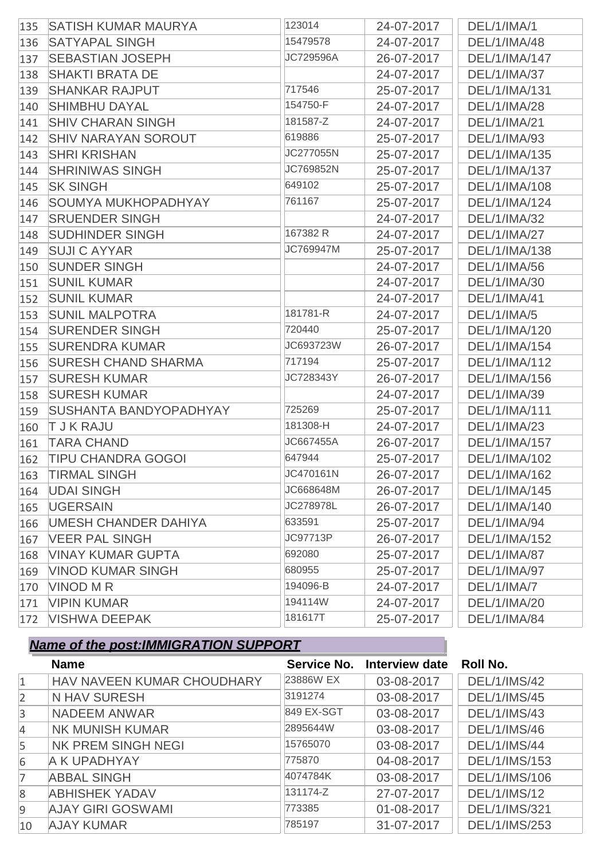| 135 | <b>SATISH KUMAR MAURYA</b>    | 123014          | 24-07-2017 | DEL/1/IMA/1         |
|-----|-------------------------------|-----------------|------------|---------------------|
| 136 | <b>SATYAPAL SINGH</b>         | 15479578        | 24-07-2017 | DEL/1/IMA/48        |
| 137 | <b>SEBASTIAN JOSEPH</b>       | JC729596A       | 26-07-2017 | DEL/1/IMA/147       |
| 138 | <b>SHAKTI BRATA DE</b>        |                 | 24-07-2017 | DEL/1/IMA/37        |
| 139 | <b>SHANKAR RAJPUT</b>         | 717546          | 25-07-2017 | DEL/1/IMA/131       |
| 140 | <b>SHIMBHU DAYAL</b>          | 154750-F        | 24-07-2017 | DEL/1/IMA/28        |
| 141 | <b>SHIV CHARAN SINGH</b>      | 181587-Z        | 24-07-2017 | DEL/1/IMA/21        |
| 142 | <b>SHIV NARAYAN SOROUT</b>    | 619886          | 25-07-2017 | DEL/1/IMA/93        |
| 143 | <b>SHRI KRISHAN</b>           | JC277055N       | 25-07-2017 | DEL/1/IMA/135       |
| 144 | <b>SHRINIWAS SINGH</b>        | JC769852N       | 25-07-2017 | DEL/1/IMA/137       |
| 145 | <b>SK SINGH</b>               | 649102          | 25-07-2017 | DEL/1/IMA/108       |
| 146 | <b>SOUMYA MUKHOPADHYAY</b>    | 761167          | 25-07-2017 | DEL/1/IMA/124       |
| 147 | <b>SRUENDER SINGH</b>         |                 | 24-07-2017 | DEL/1/IMA/32        |
| 148 | <b>SUDHINDER SINGH</b>        | 167382 R        | 24-07-2017 | <b>DEL/1/IMA/27</b> |
| 149 | <b>SUJI C AYYAR</b>           | JC769947M       | 25-07-2017 | DEL/1/IMA/138       |
| 150 | <b>SUNDER SINGH</b>           |                 | 24-07-2017 | DEL/1/IMA/56        |
| 151 | <b>SUNIL KUMAR</b>            |                 | 24-07-2017 | DEL/1/IMA/30        |
| 152 | <b>SUNIL KUMAR</b>            |                 | 24-07-2017 | DEL/1/IMA/41        |
| 153 | <b>SUNIL MALPOTRA</b>         | 181781-R        | 24-07-2017 | DEL/1/IMA/5         |
| 154 | <b>SURENDER SINGH</b>         | 720440          | 25-07-2017 | DEL/1/IMA/120       |
| 155 | <b>SURENDRA KUMAR</b>         | JC693723W       | 26-07-2017 | DEL/1/IMA/154       |
| 156 | <b>SURESH CHAND SHARMA</b>    | 717194          | 25-07-2017 | DEL/1/IMA/112       |
| 157 | <b>SURESH KUMAR</b>           | JC728343Y       | 26-07-2017 | DEL/1/IMA/156       |
| 158 | <b>SURESH KUMAR</b>           |                 | 24-07-2017 | DEL/1/IMA/39        |
| 159 | <b>SUSHANTA BANDYOPADHYAY</b> | 725269          | 25-07-2017 | DEL/1/IMA/111       |
| 160 | <b>T J K RAJU</b>             | 181308-H        | 24-07-2017 | DEL/1/IMA/23        |
| 161 | <b>TARA CHAND</b>             | JC667455A       | 26-07-2017 | DEL/1/IMA/157       |
| 162 | <b>TIPU CHANDRA GOGOI</b>     | 647944          | 25-07-2017 | DEL/1/IMA/102       |
| 163 | <b>TIRMAL SINGH</b>           | JC470161N       | 26-07-2017 | DEL/1/IMA/162       |
| 164 | <b>UDAI SINGH</b>             | JC668648M       | 26-07-2017 | DEL/1/IMA/145       |
| 165 | <b>UGERSAIN</b>               | JC278978L       | 26-07-2017 | DEL/1/IMA/140       |
| 166 | UMESH CHANDER DAHIYA          | 633591          | 25-07-2017 | DEL/1/IMA/94        |
| 167 | <b>VEER PAL SINGH</b>         | <b>JC97713P</b> | 26-07-2017 | DEL/1/IMA/152       |
| 168 | <b>VINAY KUMAR GUPTA</b>      | 692080          | 25-07-2017 | <b>DEL/1/IMA/87</b> |
| 169 | <b>VINOD KUMAR SINGH</b>      | 680955          | 25-07-2017 | DEL/1/IMA/97        |
| 170 | <b>VINOD M R</b>              | 194096-B        | 24-07-2017 | DEL/1/IMA/7         |
| 171 | <b>VIPIN KUMAR</b>            | 194114W         | 24-07-2017 | DEL/1/IMA/20        |
| 172 | <b>VISHWA DEEPAK</b>          | 181617T         | 25-07-2017 | DEL/1/IMA/84        |

|                | <b>Name</b>                | Service No. | Interview date | <b>Roll No.</b>      |
|----------------|----------------------------|-------------|----------------|----------------------|
| $\mathbf{1}$   | HAV NAVEEN KUMAR CHOUDHARY | 23886W EX   | 03-08-2017     | <b>DEL/1/IMS/42</b>  |
| $\overline{2}$ | N HAV SURESH               | 3191274     | 03-08-2017     | <b>DEL/1/IMS/45</b>  |
| 3              | <b>NADEEM ANWAR</b>        | 849 EX-SGT  | 03-08-2017     | <b>DEL/1/IMS/43</b>  |
| 4              | <b>NK MUNISH KUMAR</b>     | 2895644W    | 03-08-2017     | <b>DEL/1/IMS/46</b>  |
| 5              | NK PREM SINGH NEGI         | 15765070    | 03-08-2017     | <b>DEL/1/IMS/44</b>  |
| 6              | A K UPADHYAY               | 775870      | 04-08-2017     | DEL/1/IMS/153        |
| 7              | <b>ABBAL SINGH</b>         | 4074784K    | 03-08-2017     | DEL/1/IMS/106        |
| 8              | <b>ABHISHEK YADAV</b>      | 131174-Z    | 27-07-2017     | <b>DEL/1/IMS/12</b>  |
| 9              | <b>AJAY GIRI GOSWAMI</b>   | 773385      | 01-08-2017     | <b>DEL/1/IMS/321</b> |
| 10             | <b>AJAY KUMAR</b>          | 785197      | 31-07-2017     | DEL/1/IMS/253        |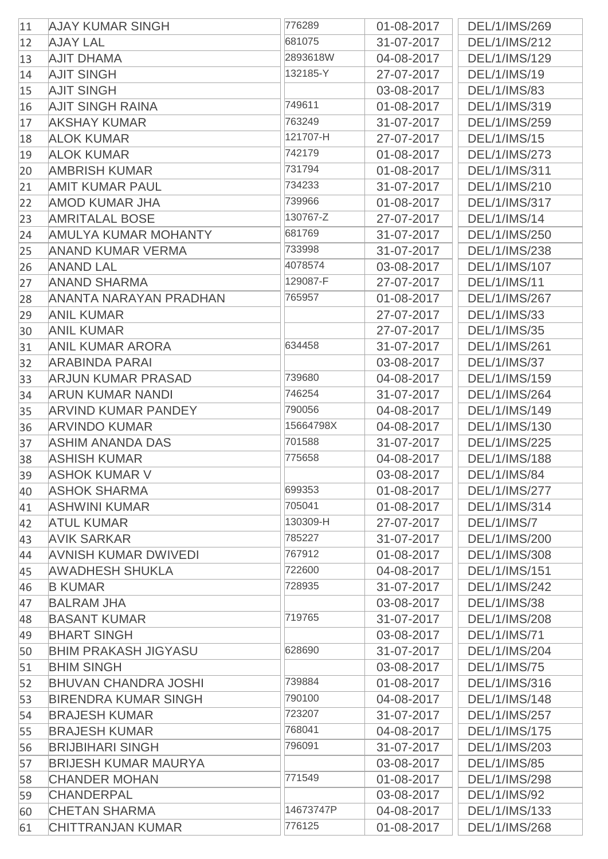| 11       | <b>AJAY KUMAR SINGH</b>                         | 776289    | 01-08-2017               | DEL/1/IMS/269        |
|----------|-------------------------------------------------|-----------|--------------------------|----------------------|
| 12       | <b>AJAY LAL</b>                                 | 681075    | 31-07-2017               | DEL/1/IMS/212        |
| 13       | <b>AJIT DHAMA</b>                               | 2893618W  | 04-08-2017               | DEL/1/IMS/129        |
| 14       | <b>AJIT SINGH</b>                               | 132185-Y  | 27-07-2017               | <b>DEL/1/IMS/19</b>  |
| 15       | <b>AJIT SINGH</b>                               |           | 03-08-2017               | <b>DEL/1/IMS/83</b>  |
| 16       | <b>AJIT SINGH RAINA</b>                         | 749611    | 01-08-2017               | DEL/1/IMS/319        |
| 17       | <b>AKSHAY KUMAR</b>                             | 763249    | 31-07-2017               | DEL/1/IMS/259        |
| 18       | <b>ALOK KUMAR</b>                               | 121707-H  | 27-07-2017               | <b>DEL/1/IMS/15</b>  |
| 19       | <b>ALOK KUMAR</b>                               | 742179    | 01-08-2017               | DEL/1/IMS/273        |
| 20       | <b>AMBRISH KUMAR</b>                            | 731794    | 01-08-2017               | DEL/1/IMS/311        |
| 21       | <b>AMIT KUMAR PAUL</b>                          | 734233    | 31-07-2017               | DEL/1/IMS/210        |
| 22       | <b>AMOD KUMAR JHA</b>                           | 739966    | 01-08-2017               | DEL/1/IMS/317        |
| 23       | <b>AMRITALAL BOSE</b>                           | 130767-Z  | 27-07-2017               | <b>DEL/1/IMS/14</b>  |
| 24       | <b>AMULYA KUMAR MOHANTY</b>                     | 681769    | 31-07-2017               | DEL/1/IMS/250        |
| 25       | <b>ANAND KUMAR VERMA</b>                        | 733998    | 31-07-2017               | DEL/1/IMS/238        |
| 26       | <b>ANAND LAL</b>                                | 4078574   | 03-08-2017               | DEL/1/IMS/107        |
| 27       | <b>ANAND SHARMA</b>                             | 129087-F  | 27-07-2017               | <b>DEL/1/IMS/11</b>  |
| 28       | ANANTA NARAYAN PRADHAN                          | 765957    | 01-08-2017               | DEL/1/IMS/267        |
| 29       | <b>ANIL KUMAR</b>                               |           | 27-07-2017               | <b>DEL/1/IMS/33</b>  |
| 30       | <b>ANIL KUMAR</b>                               |           | 27-07-2017               | <b>DEL/1/IMS/35</b>  |
| 31       | <b>ANIL KUMAR ARORA</b>                         | 634458    | 31-07-2017               | DEL/1/IMS/261        |
| 32       | <b>ARABINDA PARAI</b>                           |           | 03-08-2017               | <b>DEL/1/IMS/37</b>  |
| 33       | <b>ARJUN KUMAR PRASAD</b>                       | 739680    | 04-08-2017               | DEL/1/IMS/159        |
| 34       | <b>ARUN KUMAR NANDI</b>                         | 746254    | 31-07-2017               | DEL/1/IMS/264        |
|          | <b>ARVIND KUMAR PANDEY</b>                      | 790056    | 04-08-2017               | DEL/1/IMS/149        |
| 35       | <b>ARVINDO KUMAR</b>                            | 15664798X | 04-08-2017               | DEL/1/IMS/130        |
| 36<br>37 | <b>ASHIM ANANDA DAS</b>                         | 701588    | 31-07-2017               | DEL/1/IMS/225        |
| 38       | <b>ASHISH KUMAR</b>                             | 775658    | 04-08-2017               | <b>DEL/1/IMS/188</b> |
| 39       | <b>ASHOK KUMAR V</b>                            |           | 03-08-2017               | <b>DEL/1/IMS/84</b>  |
| 40       | <b>ASHOK SHARMA</b>                             | 699353    | 01-08-2017               | DEL/1/IMS/277        |
|          | ASHWINI KUMAR                                   | 705041    | 01-08-2017               | DEL/1/IMS/314        |
| 41       | <b>ATUL KUMAR</b>                               | 130309-H  | 27-07-2017               | DEL/1/IMS/7          |
| 42       | <b>AVIK SARKAR</b>                              | 785227    | 31-07-2017               | DEL/1/IMS/200        |
| 43       | <b>AVNISH KUMAR DWIVEDI</b>                     | 767912    | 01-08-2017               | DEL/1/IMS/308        |
| 44       | <b>AWADHESH SHUKLA</b>                          | 722600    | 04-08-2017               | DEL/1/IMS/151        |
| 45       | <b>B KUMAR</b>                                  | 728935    | 31-07-2017               | DEL/1/IMS/242        |
| 46       | <b>BALRAM JHA</b>                               |           | 03-08-2017               | <b>DEL/1/IMS/38</b>  |
| 47       | <b>BASANT KUMAR</b>                             | 719765    |                          | DEL/1/IMS/208        |
| 48       | <b>BHART SINGH</b>                              |           | 31-07-2017<br>03-08-2017 | <b>DEL/1/IMS/71</b>  |
| 49       | <b>BHIM PRAKASH JIGYASU</b>                     | 628690    | 31-07-2017               | DEL/1/IMS/204        |
| 50       | <b>BHIM SINGH</b>                               |           | 03-08-2017               | <b>DEL/1/IMS/75</b>  |
| 51       | <b>BHUVAN CHANDRA JOSHI</b>                     | 739884    | 01-08-2017               | DEL/1/IMS/316        |
| 52       | <b>BIRENDRA KUMAR SINGH</b>                     | 790100    | 04-08-2017               | DEL/1/IMS/148        |
| 53       | <b>BRAJESH KUMAR</b>                            | 723207    |                          | DEL/1/IMS/257        |
| 54       |                                                 | 768041    | 31-07-2017               |                      |
| 55       | <b>BRAJESH KUMAR</b><br><b>BRIJBIHARI SINGH</b> | 796091    | 04-08-2017               | DEL/1/IMS/175        |
| 56       |                                                 |           | 31-07-2017               | DEL/1/IMS/203        |
| 57       | <b>BRIJESH KUMAR MAURYA</b>                     | 771549    | 03-08-2017               | <b>DEL/1/IMS/85</b>  |
| 58       | <b>CHANDER MOHAN</b>                            |           | 01-08-2017               | DEL/1/IMS/298        |
| 59       | <b>CHANDERPAL</b>                               | 14673747P | 03-08-2017               | <b>DEL/1/IMS/92</b>  |
| 60       | <b>CHETAN SHARMA</b>                            | 776125    | 04-08-2017               | DEL/1/IMS/133        |
| 61       | <b>CHITTRANJAN KUMAR</b>                        |           | 01-08-2017               | DEL/1/IMS/268        |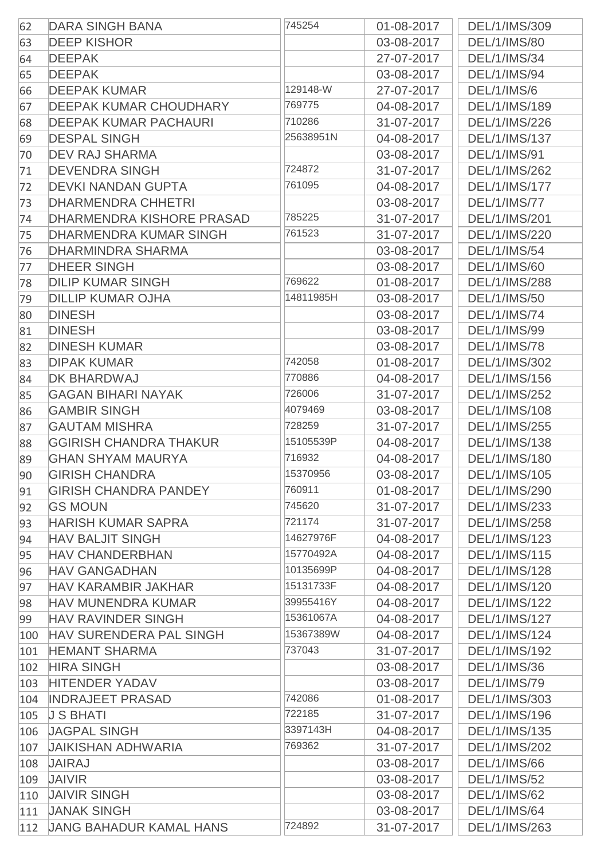| 62  | <b>DARA SINGH BANA</b>         | 745254    | 01-08-2017 | DEL/1/IMS/309        |
|-----|--------------------------------|-----------|------------|----------------------|
| 63  | <b>DEEP KISHOR</b>             |           | 03-08-2017 | <b>DEL/1/IMS/80</b>  |
| 64  | <b>DEEPAK</b>                  |           | 27-07-2017 | <b>DEL/1/IMS/34</b>  |
| 65  | <b>DEEPAK</b>                  |           | 03-08-2017 | <b>DEL/1/IMS/94</b>  |
| 66  | <b>DEEPAK KUMAR</b>            | 129148-W  | 27-07-2017 | DEL/1/IMS/6          |
| 67  | <b>DEEPAK KUMAR CHOUDHARY</b>  | 769775    | 04-08-2017 | DEL/1/IMS/189        |
| 68  | <b>DEEPAK KUMAR PACHAURI</b>   | 710286    | 31-07-2017 | DEL/1/IMS/226        |
| 69  | <b>DESPAL SINGH</b>            | 25638951N | 04-08-2017 | DEL/1/IMS/137        |
| 70  | <b>DEV RAJ SHARMA</b>          |           | 03-08-2017 | DEL/1/IMS/91         |
| 71  | <b>DEVENDRA SINGH</b>          | 724872    | 31-07-2017 | DEL/1/IMS/262        |
| 72  | <b>DEVKI NANDAN GUPTA</b>      | 761095    | 04-08-2017 | DEL/1/IMS/177        |
| 73  | <b>DHARMENDRA CHHETRI</b>      |           | 03-08-2017 | <b>DEL/1/IMS/77</b>  |
| 74  | DHARMENDRA KISHORE PRASAD      | 785225    | 31-07-2017 | DEL/1/IMS/201        |
| 75  | <b>DHARMENDRA KUMAR SINGH</b>  | 761523    | 31-07-2017 | DEL/1/IMS/220        |
| 76  | <b>DHARMINDRA SHARMA</b>       |           | 03-08-2017 | <b>DEL/1/IMS/54</b>  |
| 77  | <b>DHEER SINGH</b>             |           | 03-08-2017 | <b>DEL/1/IMS/60</b>  |
| 78  | <b>DILIP KUMAR SINGH</b>       | 769622    | 01-08-2017 | DEL/1/IMS/288        |
| 79  | <b>DILLIP KUMAR OJHA</b>       | 14811985H | 03-08-2017 | <b>DEL/1/IMS/50</b>  |
| 80  | <b>DINESH</b>                  |           | 03-08-2017 | <b>DEL/1/IMS/74</b>  |
| 81  | <b>DINESH</b>                  |           | 03-08-2017 | <b>DEL/1/IMS/99</b>  |
| 82  | <b>DINESH KUMAR</b>            |           | 03-08-2017 | <b>DEL/1/IMS/78</b>  |
| 83  | <b>DIPAK KUMAR</b>             | 742058    | 01-08-2017 | DEL/1/IMS/302        |
| 84  | <b>DK BHARDWAJ</b>             | 770886    | 04-08-2017 | DEL/1/IMS/156        |
| 85  | <b>GAGAN BIHARI NAYAK</b>      | 726006    | 31-07-2017 | DEL/1/IMS/252        |
| 86  | <b>GAMBIR SINGH</b>            | 4079469   | 03-08-2017 | DEL/1/IMS/108        |
| 87  | <b>GAUTAM MISHRA</b>           | 728259    | 31-07-2017 | DEL/1/IMS/255        |
| 88  | <b>GGIRISH CHANDRA THAKUR</b>  | 15105539P | 04-08-2017 | DEL/1/IMS/138        |
| 89  | <b>GHAN SHYAM MAURYA</b>       | 716932    | 04-08-2017 | DEL/1/IMS/180        |
| 90  | <b>GIRISH CHANDRA</b>          | 15370956  | 03-08-2017 | DEL/1/IMS/105        |
| 91  | <b>GIRISH CHANDRA PANDEY</b>   | 760911    | 01-08-2017 | DEL/1/IMS/290        |
| 92  | <b>GS MOUN</b>                 | 745620    | 31-07-2017 | <b>DEL/1/IMS/233</b> |
| 93  | <b>HARISH KUMAR SAPRA</b>      | 721174    | 31-07-2017 | DEL/1/IMS/258        |
| 94  | <b>HAV BALJIT SINGH</b>        | 14627976F | 04-08-2017 | DEL/1/IMS/123        |
| 95  | <b>HAV CHANDERBHAN</b>         | 15770492A | 04-08-2017 | DEL/1/IMS/115        |
| 96  | <b>HAV GANGADHAN</b>           | 10135699P | 04-08-2017 | DEL/1/IMS/128        |
| 97  | <b>HAV KARAMBIR JAKHAR</b>     | 15131733F | 04-08-2017 | DEL/1/IMS/120        |
| 98  | <b>HAV MUNENDRA KUMAR</b>      | 39955416Y | 04-08-2017 | <b>DEL/1/IMS/122</b> |
| 99  | <b>HAV RAVINDER SINGH</b>      | 15361067A | 04-08-2017 | DEL/1/IMS/127        |
| 100 | HAV SURENDERA PAL SINGH        | 15367389W | 04-08-2017 | DEL/1/IMS/124        |
| 101 | <b>HEMANT SHARMA</b>           | 737043    | 31-07-2017 | DEL/1/IMS/192        |
| 102 | <b>HIRA SINGH</b>              |           | 03-08-2017 | <b>DEL/1/IMS/36</b>  |
| 103 | <b>HITENDER YADAV</b>          |           | 03-08-2017 | <b>DEL/1/IMS/79</b>  |
| 104 | <b>INDRAJEET PRASAD</b>        | 742086    | 01-08-2017 | DEL/1/IMS/303        |
| 105 | <b>J S BHATI</b>               | 722185    | 31-07-2017 | DEL/1/IMS/196        |
| 106 | <b>JAGPAL SINGH</b>            | 3397143H  | 04-08-2017 | DEL/1/IMS/135        |
| 107 | <b>JAIKISHAN ADHWARIA</b>      | 769362    | 31-07-2017 | DEL/1/IMS/202        |
| 108 | <b>JAIRAJ</b>                  |           | 03-08-2017 | <b>DEL/1/IMS/66</b>  |
| 109 | <b>JAIVIR</b>                  |           | 03-08-2017 | <b>DEL/1/IMS/52</b>  |
| 110 | <b>JAIVIR SINGH</b>            |           | 03-08-2017 | <b>DEL/1/IMS/62</b>  |
| 111 | <b>JANAK SINGH</b>             |           | 03-08-2017 | <b>DEL/1/IMS/64</b>  |
| 112 | <b>JANG BAHADUR KAMAL HANS</b> | 724892    | 31-07-2017 | DEL/1/IMS/263        |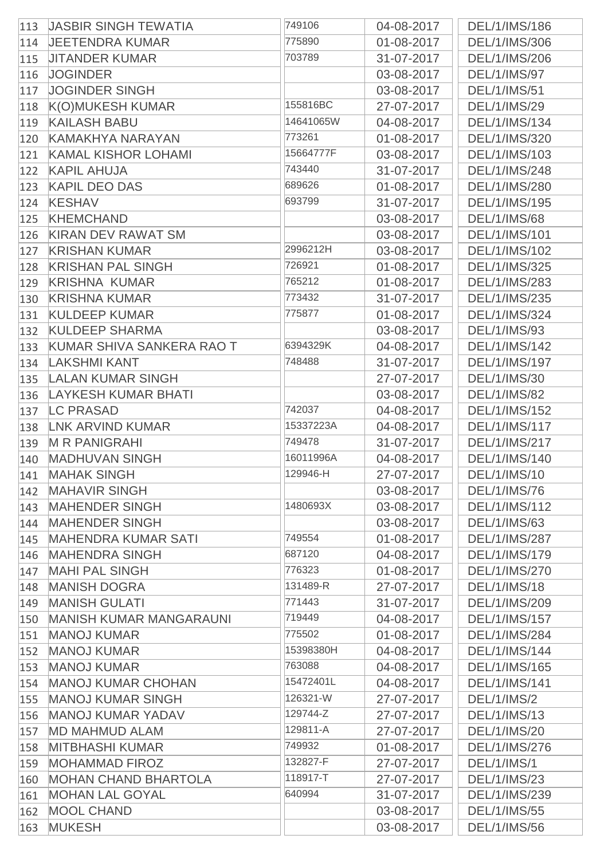| 113 | <b>JASBIR SINGH TEWATIA</b>      | 749106    | 04-08-2017 | DEL/1/IMS/186        |
|-----|----------------------------------|-----------|------------|----------------------|
| 114 | <b>JEETENDRA KUMAR</b>           | 775890    | 01-08-2017 | DEL/1/IMS/306        |
| 115 | <b>JITANDER KUMAR</b>            | 703789    | 31-07-2017 | DEL/1/IMS/206        |
| 116 | <b>JOGINDER</b>                  |           | 03-08-2017 | DEL/1/IMS/97         |
| 117 | <b>JOGINDER SINGH</b>            |           | 03-08-2017 | <b>DEL/1/IMS/51</b>  |
| 118 | <b>K(O)MUKESH KUMAR</b>          | 155816BC  | 27-07-2017 | <b>DEL/1/IMS/29</b>  |
| 119 | <b>KAILASH BABU</b>              | 14641065W | 04-08-2017 | <b>DEL/1/IMS/134</b> |
| 120 | <b>KAMAKHYA NARAYAN</b>          | 773261    | 01-08-2017 | DEL/1/IMS/320        |
| 121 | <b>KAMAL KISHOR LOHAMI</b>       | 15664777F | 03-08-2017 | DEL/1/IMS/103        |
| 122 | <b>KAPIL AHUJA</b>               | 743440    | 31-07-2017 | DEL/1/IMS/248        |
| 123 | <b>KAPIL DEO DAS</b>             | 689626    | 01-08-2017 | DEL/1/IMS/280        |
| 124 | <b>KESHAV</b>                    | 693799    | 31-07-2017 | DEL/1/IMS/195        |
| 125 | <b>KHEMCHAND</b>                 |           | 03-08-2017 | <b>DEL/1/IMS/68</b>  |
| 126 | <b>KIRAN DEV RAWAT SM</b>        |           | 03-08-2017 | DEL/1/IMS/101        |
| 127 | <b>KRISHAN KUMAR</b>             | 2996212H  | 03-08-2017 | DEL/1/IMS/102        |
| 128 | <b>KRISHAN PAL SINGH</b>         | 726921    | 01-08-2017 | DEL/1/IMS/325        |
| 129 | <b>KRISHNA KUMAR</b>             | 765212    | 01-08-2017 | DEL/1/IMS/283        |
| 130 | <b>KRISHNA KUMAR</b>             | 773432    | 31-07-2017 | DEL/1/IMS/235        |
| 131 | <b>KULDEEP KUMAR</b>             | 775877    | 01-08-2017 | DEL/1/IMS/324        |
| 132 | <b>KULDEEP SHARMA</b>            |           | 03-08-2017 | <b>DEL/1/IMS/93</b>  |
| 133 | <b>KUMAR SHIVA SANKERA RAO T</b> | 6394329K  | 04-08-2017 | DEL/1/IMS/142        |
| 134 | <b>LAKSHMI KANT</b>              | 748488    | 31-07-2017 | DEL/1/IMS/197        |
| 135 | <b>LALAN KUMAR SINGH</b>         |           | 27-07-2017 | DEL/1/IMS/30         |
| 136 | <b>LAYKESH KUMAR BHATI</b>       |           | 03-08-2017 | <b>DEL/1/IMS/82</b>  |
| 137 | <b>LC PRASAD</b>                 | 742037    | 04-08-2017 | DEL/1/IMS/152        |
| 138 | <b>LNK ARVIND KUMAR</b>          | 15337223A | 04-08-2017 | DEL/1/IMS/117        |
| 139 | <b>M R PANIGRAHI</b>             | 749478    | 31-07-2017 | DEL/1/IMS/217        |
| 140 | <b>MADHUVAN SINGH</b>            | 16011996A | 04-08-2017 | DEL/1/IMS/140        |
|     | 141 MAHAK SINGH                  | 129946-H  | 27-07-2017 | <b>DEL/1/IMS/10</b>  |
| 142 | <b>MAHAVIR SINGH</b>             |           | 03-08-2017 | <b>DEL/1/IMS/76</b>  |
| 143 | <b>MAHENDER SINGH</b>            | 1480693X  | 03-08-2017 | <b>DEL/1/IMS/112</b> |
| 144 | <b>MAHENDER SINGH</b>            |           | 03-08-2017 | <b>DEL/1/IMS/63</b>  |
| 145 | <b>MAHENDRA KUMAR SATI</b>       | 749554    | 01-08-2017 | DEL/1/IMS/287        |
| 146 | <b>MAHENDRA SINGH</b>            | 687120    | 04-08-2017 | DEL/1/IMS/179        |
| 147 | <b>MAHI PAL SINGH</b>            | 776323    | 01-08-2017 | DEL/1/IMS/270        |
| 148 | <b>MANISH DOGRA</b>              | 131489-R  | 27-07-2017 | <b>DEL/1/IMS/18</b>  |
| 149 | <b>MANISH GULATI</b>             | 771443    | 31-07-2017 | DEL/1/IMS/209        |
| 150 | <b>MANISH KUMAR MANGARAUNI</b>   | 719449    | 04-08-2017 | DEL/1/IMS/157        |
| 151 | <b>MANOJ KUMAR</b>               | 775502    | 01-08-2017 | DEL/1/IMS/284        |
| 152 | <b>MANOJ KUMAR</b>               | 15398380H | 04-08-2017 | DEL/1/IMS/144        |
| 153 | <b>MANOJ KUMAR</b>               | 763088    | 04-08-2017 | DEL/1/IMS/165        |
| 154 | <b>MANOJ KUMAR CHOHAN</b>        | 15472401L | 04-08-2017 | DEL/1/IMS/141        |
| 155 | <b>MANOJ KUMAR SINGH</b>         | 126321-W  | 27-07-2017 | <b>DEL/1/IMS/2</b>   |
| 156 | <b>MANOJ KUMAR YADAV</b>         | 129744-Z  | 27-07-2017 | DEL/1/IMS/13         |
| 157 | <b>MD MAHMUD ALAM</b>            | 129811-A  | 27-07-2017 | <b>DEL/1/IMS/20</b>  |
| 158 | <b>MITBHASHI KUMAR</b>           | 749932    | 01-08-2017 | DEL/1/IMS/276        |
| 159 | <b>MOHAMMAD FIROZ</b>            | 132827-F  | 27-07-2017 | DEL/1/IMS/1          |
| 160 | <b>MOHAN CHAND BHARTOLA</b>      | 118917-T  | 27-07-2017 | <b>DEL/1/IMS/23</b>  |
| 161 | <b>MOHAN LAL GOYAL</b>           | 640994    | 31-07-2017 | DEL/1/IMS/239        |
| 162 | <b>MOOL CHAND</b>                |           | 03-08-2017 | <b>DEL/1/IMS/55</b>  |
| 163 | <b>MUKESH</b>                    |           | 03-08-2017 | <b>DEL/1/IMS/56</b>  |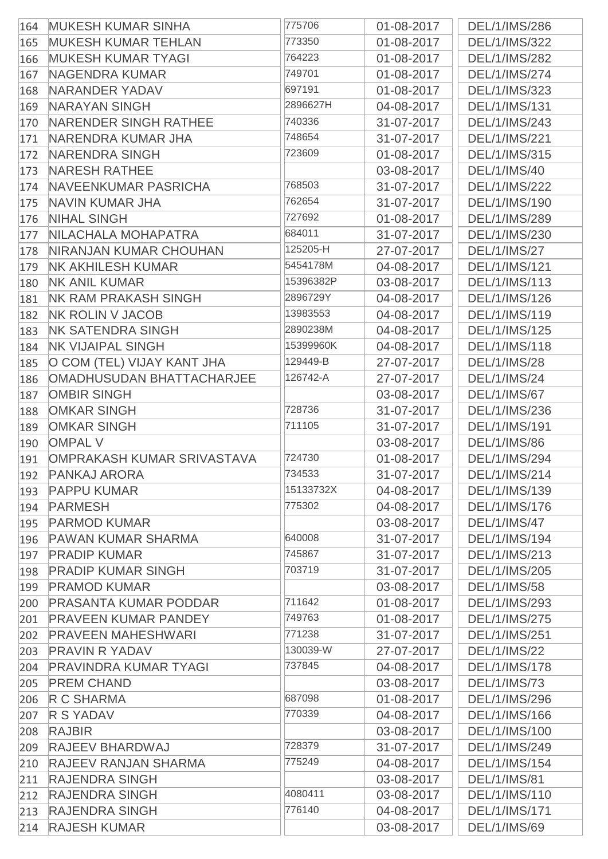| 773350<br><b>MUKESH KUMAR TEHLAN</b><br>01-08-2017<br><b>DEL/1/IMS/322</b><br>165<br>764223<br><b>MUKESH KUMAR TYAGI</b><br>01-08-2017<br><b>DEL/1/IMS/282</b><br>166<br>749701<br><b>NAGENDRA KUMAR</b><br>01-08-2017<br>DEL/1/IMS/274<br>167<br>697191<br><b>NARANDER YADAV</b><br>DEL/1/IMS/323<br>01-08-2017<br>168<br>2896627H<br><b>NARAYAN SINGH</b><br>DEL/1/IMS/131<br>04-08-2017<br>169<br>NARENDER SINGH RATHEE<br>740336<br>DEL/1/IMS/243<br>31-07-2017<br>170<br>748654<br>NARENDRA KUMAR JHA<br>31-07-2017<br>DEL/1/IMS/221<br>171<br><b>NARENDRA SINGH</b><br>723609<br>DEL/1/IMS/315<br>01-08-2017<br>172<br><b>NARESH RATHEE</b><br>03-08-2017<br>DEL/1/IMS/40<br>173<br>768503<br>NAVEENKUMAR PASRICHA<br>31-07-2017<br><b>DEL/1/IMS/222</b><br>174<br>762654<br>NAVIN KUMAR JHA<br>31-07-2017<br>DEL/1/IMS/190<br>175<br>727692<br><b>NIHAL SINGH</b><br>DEL/1/IMS/289<br>01-08-2017<br>176<br>NILACHALA MOHAPATRA<br>684011<br>DEL/1/IMS/230<br>31-07-2017<br>125205-H<br><b>NIRANJAN KUMAR CHOUHAN</b><br>27-07-2017<br><b>DEL/1/IMS/27</b><br>5454178M<br><b>NK AKHILESH KUMAR</b><br><b>DEL/1/IMS/121</b><br>04-08-2017<br>179<br>15396382P<br><b>NK ANIL KUMAR</b><br>03-08-2017<br>DEL/1/IMS/113<br>180<br>2896729Y<br><b>NK RAM PRAKASH SINGH</b><br>DEL/1/IMS/126<br>04-08-2017<br>181<br>13983553<br>DEL/1/IMS/119<br><b>NK ROLIN V JACOB</b><br>04-08-2017<br>182<br>2890238M<br><b>NK SATENDRA SINGH</b><br>04-08-2017<br>DEL/1/IMS/125<br>183<br>15399960K<br><b>NK VIJAIPAL SINGH</b><br>04-08-2017<br>DEL/1/IMS/118<br>184<br>O COM (TEL) VIJAY KANT JHA<br>129449-B<br><b>DEL/1/IMS/28</b><br>27-07-2017<br>185<br>126742-A<br>OMADHUSUDAN BHATTACHARJEE<br>27-07-2017<br><b>DEL/1/IMS/24</b><br>186<br><b>OMBIR SINGH</b><br><b>DEL/1/IMS/67</b><br>03-08-2017<br>187<br>728736<br><b>OMKAR SINGH</b><br>31-07-2017<br>DEL/1/IMS/236<br>188<br><b>OMKAR SINGH</b><br>711105<br>DEL/1/IMS/191<br>31-07-2017<br>189<br><b>OMPAL V</b><br><b>DEL/1/IMS/86</b><br>03-08-2017<br>190<br>724730<br>OMPRAKASH KUMAR SRIVASTAVA<br>01-08-2017<br><b>DEL/1/IMS/294</b><br>191<br>734533<br>31-07-2017<br>DEL/1/IMS/214<br>192 PANKAJ ARORA<br><b>PAPPU KUMAR</b><br>15133732X<br>04-08-2017<br>DEL/1/IMS/139<br>193<br>775302<br><b>PARMESH</b><br>DEL/1/IMS/176<br>04-08-2017<br>194<br><b>PARMOD KUMAR</b><br><b>DEL/1/IMS/47</b><br>03-08-2017<br>195<br>640008<br><b>PAWAN KUMAR SHARMA</b><br>DEL/1/IMS/194<br>31-07-2017<br>196<br><b>PRADIP KUMAR</b><br>745867<br>DEL/1/IMS/213<br>31-07-2017<br>197<br>703719<br><b>PRADIP KUMAR SINGH</b><br><b>DEL/1/IMS/205</b><br>31-07-2017<br>198<br><b>PRAMOD KUMAR</b><br><b>DEL/1/IMS/58</b><br>03-08-2017<br>199<br><b>PRASANTA KUMAR PODDAR</b><br>711642<br>01-08-2017<br>DEL/1/IMS/293<br>200<br>749763<br><b>PRAVEEN KUMAR PANDEY</b><br>01-08-2017<br>DEL/1/IMS/275<br>201<br>771238<br><b>PRAVEEN MAHESHWARI</b><br>31-07-2017<br>DEL/1/IMS/251<br>202<br><b>PRAVIN R YADAV</b><br>130039-W<br><b>DEL/1/IMS/22</b><br>27-07-2017<br>203<br>737845<br><b>PRAVINDRA KUMAR TYAGI</b><br>DEL/1/IMS/178<br>04-08-2017<br>204<br><b>PREM CHAND</b><br>03-08-2017<br><b>DEL/1/IMS/73</b><br>205<br>687098<br><b>R C SHARMA</b><br>DEL/1/IMS/296<br>01-08-2017<br>206<br>770339<br><b>R S YADAV</b><br>DEL/1/IMS/166<br>04-08-2017<br>207<br><b>RAJBIR</b><br>03-08-2017<br>DEL/1/IMS/100<br>208<br>728379<br><b>RAJEEV BHARDWAJ</b><br>31-07-2017<br>DEL/1/IMS/249<br>209<br><b>RAJEEV RANJAN SHARMA</b><br>775249<br>DEL/1/IMS/154<br>04-08-2017<br>210<br><b>RAJENDRA SINGH</b><br><b>DEL/1/IMS/81</b><br>03-08-2017<br>211<br>4080411<br><b>RAJENDRA SINGH</b><br>03-08-2017<br>DEL/1/IMS/110<br>212<br>776140<br><b>RAJENDRA SINGH</b><br>04-08-2017<br>DEL/1/IMS/171<br>213 | 164 | <b>MUKESH KUMAR SINHA</b> | 775706 | 01-08-2017 | DEL/1/IMS/286       |
|--------------------------------------------------------------------------------------------------------------------------------------------------------------------------------------------------------------------------------------------------------------------------------------------------------------------------------------------------------------------------------------------------------------------------------------------------------------------------------------------------------------------------------------------------------------------------------------------------------------------------------------------------------------------------------------------------------------------------------------------------------------------------------------------------------------------------------------------------------------------------------------------------------------------------------------------------------------------------------------------------------------------------------------------------------------------------------------------------------------------------------------------------------------------------------------------------------------------------------------------------------------------------------------------------------------------------------------------------------------------------------------------------------------------------------------------------------------------------------------------------------------------------------------------------------------------------------------------------------------------------------------------------------------------------------------------------------------------------------------------------------------------------------------------------------------------------------------------------------------------------------------------------------------------------------------------------------------------------------------------------------------------------------------------------------------------------------------------------------------------------------------------------------------------------------------------------------------------------------------------------------------------------------------------------------------------------------------------------------------------------------------------------------------------------------------------------------------------------------------------------------------------------------------------------------------------------------------------------------------------------------------------------------------------------------------------------------------------------------------------------------------------------------------------------------------------------------------------------------------------------------------------------------------------------------------------------------------------------------------------------------------------------------------------------------------------------------------------------------------------------------------------------------------------------------------------------------------------------------------------------------------------------------------------------------------------------------------------------------------------------------------------------------------------------------------------------------------------------------------------------------------------------------------------------------------------------------------------------------------------------------------------------------------------------------------------------------------------------------------------------------------|-----|---------------------------|--------|------------|---------------------|
|                                                                                                                                                                                                                                                                                                                                                                                                                                                                                                                                                                                                                                                                                                                                                                                                                                                                                                                                                                                                                                                                                                                                                                                                                                                                                                                                                                                                                                                                                                                                                                                                                                                                                                                                                                                                                                                                                                                                                                                                                                                                                                                                                                                                                                                                                                                                                                                                                                                                                                                                                                                                                                                                                                                                                                                                                                                                                                                                                                                                                                                                                                                                                                                                                                                                                                                                                                                                                                                                                                                                                                                                                                                                                                                                                              |     |                           |        |            |                     |
|                                                                                                                                                                                                                                                                                                                                                                                                                                                                                                                                                                                                                                                                                                                                                                                                                                                                                                                                                                                                                                                                                                                                                                                                                                                                                                                                                                                                                                                                                                                                                                                                                                                                                                                                                                                                                                                                                                                                                                                                                                                                                                                                                                                                                                                                                                                                                                                                                                                                                                                                                                                                                                                                                                                                                                                                                                                                                                                                                                                                                                                                                                                                                                                                                                                                                                                                                                                                                                                                                                                                                                                                                                                                                                                                                              |     |                           |        |            |                     |
|                                                                                                                                                                                                                                                                                                                                                                                                                                                                                                                                                                                                                                                                                                                                                                                                                                                                                                                                                                                                                                                                                                                                                                                                                                                                                                                                                                                                                                                                                                                                                                                                                                                                                                                                                                                                                                                                                                                                                                                                                                                                                                                                                                                                                                                                                                                                                                                                                                                                                                                                                                                                                                                                                                                                                                                                                                                                                                                                                                                                                                                                                                                                                                                                                                                                                                                                                                                                                                                                                                                                                                                                                                                                                                                                                              |     |                           |        |            |                     |
|                                                                                                                                                                                                                                                                                                                                                                                                                                                                                                                                                                                                                                                                                                                                                                                                                                                                                                                                                                                                                                                                                                                                                                                                                                                                                                                                                                                                                                                                                                                                                                                                                                                                                                                                                                                                                                                                                                                                                                                                                                                                                                                                                                                                                                                                                                                                                                                                                                                                                                                                                                                                                                                                                                                                                                                                                                                                                                                                                                                                                                                                                                                                                                                                                                                                                                                                                                                                                                                                                                                                                                                                                                                                                                                                                              |     |                           |        |            |                     |
|                                                                                                                                                                                                                                                                                                                                                                                                                                                                                                                                                                                                                                                                                                                                                                                                                                                                                                                                                                                                                                                                                                                                                                                                                                                                                                                                                                                                                                                                                                                                                                                                                                                                                                                                                                                                                                                                                                                                                                                                                                                                                                                                                                                                                                                                                                                                                                                                                                                                                                                                                                                                                                                                                                                                                                                                                                                                                                                                                                                                                                                                                                                                                                                                                                                                                                                                                                                                                                                                                                                                                                                                                                                                                                                                                              |     |                           |        |            |                     |
|                                                                                                                                                                                                                                                                                                                                                                                                                                                                                                                                                                                                                                                                                                                                                                                                                                                                                                                                                                                                                                                                                                                                                                                                                                                                                                                                                                                                                                                                                                                                                                                                                                                                                                                                                                                                                                                                                                                                                                                                                                                                                                                                                                                                                                                                                                                                                                                                                                                                                                                                                                                                                                                                                                                                                                                                                                                                                                                                                                                                                                                                                                                                                                                                                                                                                                                                                                                                                                                                                                                                                                                                                                                                                                                                                              |     |                           |        |            |                     |
|                                                                                                                                                                                                                                                                                                                                                                                                                                                                                                                                                                                                                                                                                                                                                                                                                                                                                                                                                                                                                                                                                                                                                                                                                                                                                                                                                                                                                                                                                                                                                                                                                                                                                                                                                                                                                                                                                                                                                                                                                                                                                                                                                                                                                                                                                                                                                                                                                                                                                                                                                                                                                                                                                                                                                                                                                                                                                                                                                                                                                                                                                                                                                                                                                                                                                                                                                                                                                                                                                                                                                                                                                                                                                                                                                              |     |                           |        |            |                     |
|                                                                                                                                                                                                                                                                                                                                                                                                                                                                                                                                                                                                                                                                                                                                                                                                                                                                                                                                                                                                                                                                                                                                                                                                                                                                                                                                                                                                                                                                                                                                                                                                                                                                                                                                                                                                                                                                                                                                                                                                                                                                                                                                                                                                                                                                                                                                                                                                                                                                                                                                                                                                                                                                                                                                                                                                                                                                                                                                                                                                                                                                                                                                                                                                                                                                                                                                                                                                                                                                                                                                                                                                                                                                                                                                                              |     |                           |        |            |                     |
|                                                                                                                                                                                                                                                                                                                                                                                                                                                                                                                                                                                                                                                                                                                                                                                                                                                                                                                                                                                                                                                                                                                                                                                                                                                                                                                                                                                                                                                                                                                                                                                                                                                                                                                                                                                                                                                                                                                                                                                                                                                                                                                                                                                                                                                                                                                                                                                                                                                                                                                                                                                                                                                                                                                                                                                                                                                                                                                                                                                                                                                                                                                                                                                                                                                                                                                                                                                                                                                                                                                                                                                                                                                                                                                                                              |     |                           |        |            |                     |
|                                                                                                                                                                                                                                                                                                                                                                                                                                                                                                                                                                                                                                                                                                                                                                                                                                                                                                                                                                                                                                                                                                                                                                                                                                                                                                                                                                                                                                                                                                                                                                                                                                                                                                                                                                                                                                                                                                                                                                                                                                                                                                                                                                                                                                                                                                                                                                                                                                                                                                                                                                                                                                                                                                                                                                                                                                                                                                                                                                                                                                                                                                                                                                                                                                                                                                                                                                                                                                                                                                                                                                                                                                                                                                                                                              |     |                           |        |            |                     |
|                                                                                                                                                                                                                                                                                                                                                                                                                                                                                                                                                                                                                                                                                                                                                                                                                                                                                                                                                                                                                                                                                                                                                                                                                                                                                                                                                                                                                                                                                                                                                                                                                                                                                                                                                                                                                                                                                                                                                                                                                                                                                                                                                                                                                                                                                                                                                                                                                                                                                                                                                                                                                                                                                                                                                                                                                                                                                                                                                                                                                                                                                                                                                                                                                                                                                                                                                                                                                                                                                                                                                                                                                                                                                                                                                              |     |                           |        |            |                     |
|                                                                                                                                                                                                                                                                                                                                                                                                                                                                                                                                                                                                                                                                                                                                                                                                                                                                                                                                                                                                                                                                                                                                                                                                                                                                                                                                                                                                                                                                                                                                                                                                                                                                                                                                                                                                                                                                                                                                                                                                                                                                                                                                                                                                                                                                                                                                                                                                                                                                                                                                                                                                                                                                                                                                                                                                                                                                                                                                                                                                                                                                                                                                                                                                                                                                                                                                                                                                                                                                                                                                                                                                                                                                                                                                                              |     |                           |        |            |                     |
|                                                                                                                                                                                                                                                                                                                                                                                                                                                                                                                                                                                                                                                                                                                                                                                                                                                                                                                                                                                                                                                                                                                                                                                                                                                                                                                                                                                                                                                                                                                                                                                                                                                                                                                                                                                                                                                                                                                                                                                                                                                                                                                                                                                                                                                                                                                                                                                                                                                                                                                                                                                                                                                                                                                                                                                                                                                                                                                                                                                                                                                                                                                                                                                                                                                                                                                                                                                                                                                                                                                                                                                                                                                                                                                                                              | 177 |                           |        |            |                     |
|                                                                                                                                                                                                                                                                                                                                                                                                                                                                                                                                                                                                                                                                                                                                                                                                                                                                                                                                                                                                                                                                                                                                                                                                                                                                                                                                                                                                                                                                                                                                                                                                                                                                                                                                                                                                                                                                                                                                                                                                                                                                                                                                                                                                                                                                                                                                                                                                                                                                                                                                                                                                                                                                                                                                                                                                                                                                                                                                                                                                                                                                                                                                                                                                                                                                                                                                                                                                                                                                                                                                                                                                                                                                                                                                                              | 178 |                           |        |            |                     |
|                                                                                                                                                                                                                                                                                                                                                                                                                                                                                                                                                                                                                                                                                                                                                                                                                                                                                                                                                                                                                                                                                                                                                                                                                                                                                                                                                                                                                                                                                                                                                                                                                                                                                                                                                                                                                                                                                                                                                                                                                                                                                                                                                                                                                                                                                                                                                                                                                                                                                                                                                                                                                                                                                                                                                                                                                                                                                                                                                                                                                                                                                                                                                                                                                                                                                                                                                                                                                                                                                                                                                                                                                                                                                                                                                              |     |                           |        |            |                     |
|                                                                                                                                                                                                                                                                                                                                                                                                                                                                                                                                                                                                                                                                                                                                                                                                                                                                                                                                                                                                                                                                                                                                                                                                                                                                                                                                                                                                                                                                                                                                                                                                                                                                                                                                                                                                                                                                                                                                                                                                                                                                                                                                                                                                                                                                                                                                                                                                                                                                                                                                                                                                                                                                                                                                                                                                                                                                                                                                                                                                                                                                                                                                                                                                                                                                                                                                                                                                                                                                                                                                                                                                                                                                                                                                                              |     |                           |        |            |                     |
|                                                                                                                                                                                                                                                                                                                                                                                                                                                                                                                                                                                                                                                                                                                                                                                                                                                                                                                                                                                                                                                                                                                                                                                                                                                                                                                                                                                                                                                                                                                                                                                                                                                                                                                                                                                                                                                                                                                                                                                                                                                                                                                                                                                                                                                                                                                                                                                                                                                                                                                                                                                                                                                                                                                                                                                                                                                                                                                                                                                                                                                                                                                                                                                                                                                                                                                                                                                                                                                                                                                                                                                                                                                                                                                                                              |     |                           |        |            |                     |
|                                                                                                                                                                                                                                                                                                                                                                                                                                                                                                                                                                                                                                                                                                                                                                                                                                                                                                                                                                                                                                                                                                                                                                                                                                                                                                                                                                                                                                                                                                                                                                                                                                                                                                                                                                                                                                                                                                                                                                                                                                                                                                                                                                                                                                                                                                                                                                                                                                                                                                                                                                                                                                                                                                                                                                                                                                                                                                                                                                                                                                                                                                                                                                                                                                                                                                                                                                                                                                                                                                                                                                                                                                                                                                                                                              |     |                           |        |            |                     |
|                                                                                                                                                                                                                                                                                                                                                                                                                                                                                                                                                                                                                                                                                                                                                                                                                                                                                                                                                                                                                                                                                                                                                                                                                                                                                                                                                                                                                                                                                                                                                                                                                                                                                                                                                                                                                                                                                                                                                                                                                                                                                                                                                                                                                                                                                                                                                                                                                                                                                                                                                                                                                                                                                                                                                                                                                                                                                                                                                                                                                                                                                                                                                                                                                                                                                                                                                                                                                                                                                                                                                                                                                                                                                                                                                              |     |                           |        |            |                     |
|                                                                                                                                                                                                                                                                                                                                                                                                                                                                                                                                                                                                                                                                                                                                                                                                                                                                                                                                                                                                                                                                                                                                                                                                                                                                                                                                                                                                                                                                                                                                                                                                                                                                                                                                                                                                                                                                                                                                                                                                                                                                                                                                                                                                                                                                                                                                                                                                                                                                                                                                                                                                                                                                                                                                                                                                                                                                                                                                                                                                                                                                                                                                                                                                                                                                                                                                                                                                                                                                                                                                                                                                                                                                                                                                                              |     |                           |        |            |                     |
|                                                                                                                                                                                                                                                                                                                                                                                                                                                                                                                                                                                                                                                                                                                                                                                                                                                                                                                                                                                                                                                                                                                                                                                                                                                                                                                                                                                                                                                                                                                                                                                                                                                                                                                                                                                                                                                                                                                                                                                                                                                                                                                                                                                                                                                                                                                                                                                                                                                                                                                                                                                                                                                                                                                                                                                                                                                                                                                                                                                                                                                                                                                                                                                                                                                                                                                                                                                                                                                                                                                                                                                                                                                                                                                                                              |     |                           |        |            |                     |
|                                                                                                                                                                                                                                                                                                                                                                                                                                                                                                                                                                                                                                                                                                                                                                                                                                                                                                                                                                                                                                                                                                                                                                                                                                                                                                                                                                                                                                                                                                                                                                                                                                                                                                                                                                                                                                                                                                                                                                                                                                                                                                                                                                                                                                                                                                                                                                                                                                                                                                                                                                                                                                                                                                                                                                                                                                                                                                                                                                                                                                                                                                                                                                                                                                                                                                                                                                                                                                                                                                                                                                                                                                                                                                                                                              |     |                           |        |            |                     |
|                                                                                                                                                                                                                                                                                                                                                                                                                                                                                                                                                                                                                                                                                                                                                                                                                                                                                                                                                                                                                                                                                                                                                                                                                                                                                                                                                                                                                                                                                                                                                                                                                                                                                                                                                                                                                                                                                                                                                                                                                                                                                                                                                                                                                                                                                                                                                                                                                                                                                                                                                                                                                                                                                                                                                                                                                                                                                                                                                                                                                                                                                                                                                                                                                                                                                                                                                                                                                                                                                                                                                                                                                                                                                                                                                              |     |                           |        |            |                     |
|                                                                                                                                                                                                                                                                                                                                                                                                                                                                                                                                                                                                                                                                                                                                                                                                                                                                                                                                                                                                                                                                                                                                                                                                                                                                                                                                                                                                                                                                                                                                                                                                                                                                                                                                                                                                                                                                                                                                                                                                                                                                                                                                                                                                                                                                                                                                                                                                                                                                                                                                                                                                                                                                                                                                                                                                                                                                                                                                                                                                                                                                                                                                                                                                                                                                                                                                                                                                                                                                                                                                                                                                                                                                                                                                                              |     |                           |        |            |                     |
|                                                                                                                                                                                                                                                                                                                                                                                                                                                                                                                                                                                                                                                                                                                                                                                                                                                                                                                                                                                                                                                                                                                                                                                                                                                                                                                                                                                                                                                                                                                                                                                                                                                                                                                                                                                                                                                                                                                                                                                                                                                                                                                                                                                                                                                                                                                                                                                                                                                                                                                                                                                                                                                                                                                                                                                                                                                                                                                                                                                                                                                                                                                                                                                                                                                                                                                                                                                                                                                                                                                                                                                                                                                                                                                                                              |     |                           |        |            |                     |
|                                                                                                                                                                                                                                                                                                                                                                                                                                                                                                                                                                                                                                                                                                                                                                                                                                                                                                                                                                                                                                                                                                                                                                                                                                                                                                                                                                                                                                                                                                                                                                                                                                                                                                                                                                                                                                                                                                                                                                                                                                                                                                                                                                                                                                                                                                                                                                                                                                                                                                                                                                                                                                                                                                                                                                                                                                                                                                                                                                                                                                                                                                                                                                                                                                                                                                                                                                                                                                                                                                                                                                                                                                                                                                                                                              |     |                           |        |            |                     |
|                                                                                                                                                                                                                                                                                                                                                                                                                                                                                                                                                                                                                                                                                                                                                                                                                                                                                                                                                                                                                                                                                                                                                                                                                                                                                                                                                                                                                                                                                                                                                                                                                                                                                                                                                                                                                                                                                                                                                                                                                                                                                                                                                                                                                                                                                                                                                                                                                                                                                                                                                                                                                                                                                                                                                                                                                                                                                                                                                                                                                                                                                                                                                                                                                                                                                                                                                                                                                                                                                                                                                                                                                                                                                                                                                              |     |                           |        |            |                     |
|                                                                                                                                                                                                                                                                                                                                                                                                                                                                                                                                                                                                                                                                                                                                                                                                                                                                                                                                                                                                                                                                                                                                                                                                                                                                                                                                                                                                                                                                                                                                                                                                                                                                                                                                                                                                                                                                                                                                                                                                                                                                                                                                                                                                                                                                                                                                                                                                                                                                                                                                                                                                                                                                                                                                                                                                                                                                                                                                                                                                                                                                                                                                                                                                                                                                                                                                                                                                                                                                                                                                                                                                                                                                                                                                                              |     |                           |        |            |                     |
|                                                                                                                                                                                                                                                                                                                                                                                                                                                                                                                                                                                                                                                                                                                                                                                                                                                                                                                                                                                                                                                                                                                                                                                                                                                                                                                                                                                                                                                                                                                                                                                                                                                                                                                                                                                                                                                                                                                                                                                                                                                                                                                                                                                                                                                                                                                                                                                                                                                                                                                                                                                                                                                                                                                                                                                                                                                                                                                                                                                                                                                                                                                                                                                                                                                                                                                                                                                                                                                                                                                                                                                                                                                                                                                                                              |     |                           |        |            |                     |
|                                                                                                                                                                                                                                                                                                                                                                                                                                                                                                                                                                                                                                                                                                                                                                                                                                                                                                                                                                                                                                                                                                                                                                                                                                                                                                                                                                                                                                                                                                                                                                                                                                                                                                                                                                                                                                                                                                                                                                                                                                                                                                                                                                                                                                                                                                                                                                                                                                                                                                                                                                                                                                                                                                                                                                                                                                                                                                                                                                                                                                                                                                                                                                                                                                                                                                                                                                                                                                                                                                                                                                                                                                                                                                                                                              |     |                           |        |            |                     |
|                                                                                                                                                                                                                                                                                                                                                                                                                                                                                                                                                                                                                                                                                                                                                                                                                                                                                                                                                                                                                                                                                                                                                                                                                                                                                                                                                                                                                                                                                                                                                                                                                                                                                                                                                                                                                                                                                                                                                                                                                                                                                                                                                                                                                                                                                                                                                                                                                                                                                                                                                                                                                                                                                                                                                                                                                                                                                                                                                                                                                                                                                                                                                                                                                                                                                                                                                                                                                                                                                                                                                                                                                                                                                                                                                              |     |                           |        |            |                     |
|                                                                                                                                                                                                                                                                                                                                                                                                                                                                                                                                                                                                                                                                                                                                                                                                                                                                                                                                                                                                                                                                                                                                                                                                                                                                                                                                                                                                                                                                                                                                                                                                                                                                                                                                                                                                                                                                                                                                                                                                                                                                                                                                                                                                                                                                                                                                                                                                                                                                                                                                                                                                                                                                                                                                                                                                                                                                                                                                                                                                                                                                                                                                                                                                                                                                                                                                                                                                                                                                                                                                                                                                                                                                                                                                                              |     |                           |        |            |                     |
|                                                                                                                                                                                                                                                                                                                                                                                                                                                                                                                                                                                                                                                                                                                                                                                                                                                                                                                                                                                                                                                                                                                                                                                                                                                                                                                                                                                                                                                                                                                                                                                                                                                                                                                                                                                                                                                                                                                                                                                                                                                                                                                                                                                                                                                                                                                                                                                                                                                                                                                                                                                                                                                                                                                                                                                                                                                                                                                                                                                                                                                                                                                                                                                                                                                                                                                                                                                                                                                                                                                                                                                                                                                                                                                                                              |     |                           |        |            |                     |
|                                                                                                                                                                                                                                                                                                                                                                                                                                                                                                                                                                                                                                                                                                                                                                                                                                                                                                                                                                                                                                                                                                                                                                                                                                                                                                                                                                                                                                                                                                                                                                                                                                                                                                                                                                                                                                                                                                                                                                                                                                                                                                                                                                                                                                                                                                                                                                                                                                                                                                                                                                                                                                                                                                                                                                                                                                                                                                                                                                                                                                                                                                                                                                                                                                                                                                                                                                                                                                                                                                                                                                                                                                                                                                                                                              |     |                           |        |            |                     |
|                                                                                                                                                                                                                                                                                                                                                                                                                                                                                                                                                                                                                                                                                                                                                                                                                                                                                                                                                                                                                                                                                                                                                                                                                                                                                                                                                                                                                                                                                                                                                                                                                                                                                                                                                                                                                                                                                                                                                                                                                                                                                                                                                                                                                                                                                                                                                                                                                                                                                                                                                                                                                                                                                                                                                                                                                                                                                                                                                                                                                                                                                                                                                                                                                                                                                                                                                                                                                                                                                                                                                                                                                                                                                                                                                              |     |                           |        |            |                     |
|                                                                                                                                                                                                                                                                                                                                                                                                                                                                                                                                                                                                                                                                                                                                                                                                                                                                                                                                                                                                                                                                                                                                                                                                                                                                                                                                                                                                                                                                                                                                                                                                                                                                                                                                                                                                                                                                                                                                                                                                                                                                                                                                                                                                                                                                                                                                                                                                                                                                                                                                                                                                                                                                                                                                                                                                                                                                                                                                                                                                                                                                                                                                                                                                                                                                                                                                                                                                                                                                                                                                                                                                                                                                                                                                                              |     |                           |        |            |                     |
|                                                                                                                                                                                                                                                                                                                                                                                                                                                                                                                                                                                                                                                                                                                                                                                                                                                                                                                                                                                                                                                                                                                                                                                                                                                                                                                                                                                                                                                                                                                                                                                                                                                                                                                                                                                                                                                                                                                                                                                                                                                                                                                                                                                                                                                                                                                                                                                                                                                                                                                                                                                                                                                                                                                                                                                                                                                                                                                                                                                                                                                                                                                                                                                                                                                                                                                                                                                                                                                                                                                                                                                                                                                                                                                                                              |     |                           |        |            |                     |
|                                                                                                                                                                                                                                                                                                                                                                                                                                                                                                                                                                                                                                                                                                                                                                                                                                                                                                                                                                                                                                                                                                                                                                                                                                                                                                                                                                                                                                                                                                                                                                                                                                                                                                                                                                                                                                                                                                                                                                                                                                                                                                                                                                                                                                                                                                                                                                                                                                                                                                                                                                                                                                                                                                                                                                                                                                                                                                                                                                                                                                                                                                                                                                                                                                                                                                                                                                                                                                                                                                                                                                                                                                                                                                                                                              |     |                           |        |            |                     |
|                                                                                                                                                                                                                                                                                                                                                                                                                                                                                                                                                                                                                                                                                                                                                                                                                                                                                                                                                                                                                                                                                                                                                                                                                                                                                                                                                                                                                                                                                                                                                                                                                                                                                                                                                                                                                                                                                                                                                                                                                                                                                                                                                                                                                                                                                                                                                                                                                                                                                                                                                                                                                                                                                                                                                                                                                                                                                                                                                                                                                                                                                                                                                                                                                                                                                                                                                                                                                                                                                                                                                                                                                                                                                                                                                              |     |                           |        |            |                     |
|                                                                                                                                                                                                                                                                                                                                                                                                                                                                                                                                                                                                                                                                                                                                                                                                                                                                                                                                                                                                                                                                                                                                                                                                                                                                                                                                                                                                                                                                                                                                                                                                                                                                                                                                                                                                                                                                                                                                                                                                                                                                                                                                                                                                                                                                                                                                                                                                                                                                                                                                                                                                                                                                                                                                                                                                                                                                                                                                                                                                                                                                                                                                                                                                                                                                                                                                                                                                                                                                                                                                                                                                                                                                                                                                                              |     |                           |        |            |                     |
|                                                                                                                                                                                                                                                                                                                                                                                                                                                                                                                                                                                                                                                                                                                                                                                                                                                                                                                                                                                                                                                                                                                                                                                                                                                                                                                                                                                                                                                                                                                                                                                                                                                                                                                                                                                                                                                                                                                                                                                                                                                                                                                                                                                                                                                                                                                                                                                                                                                                                                                                                                                                                                                                                                                                                                                                                                                                                                                                                                                                                                                                                                                                                                                                                                                                                                                                                                                                                                                                                                                                                                                                                                                                                                                                                              |     |                           |        |            |                     |
|                                                                                                                                                                                                                                                                                                                                                                                                                                                                                                                                                                                                                                                                                                                                                                                                                                                                                                                                                                                                                                                                                                                                                                                                                                                                                                                                                                                                                                                                                                                                                                                                                                                                                                                                                                                                                                                                                                                                                                                                                                                                                                                                                                                                                                                                                                                                                                                                                                                                                                                                                                                                                                                                                                                                                                                                                                                                                                                                                                                                                                                                                                                                                                                                                                                                                                                                                                                                                                                                                                                                                                                                                                                                                                                                                              |     |                           |        |            |                     |
|                                                                                                                                                                                                                                                                                                                                                                                                                                                                                                                                                                                                                                                                                                                                                                                                                                                                                                                                                                                                                                                                                                                                                                                                                                                                                                                                                                                                                                                                                                                                                                                                                                                                                                                                                                                                                                                                                                                                                                                                                                                                                                                                                                                                                                                                                                                                                                                                                                                                                                                                                                                                                                                                                                                                                                                                                                                                                                                                                                                                                                                                                                                                                                                                                                                                                                                                                                                                                                                                                                                                                                                                                                                                                                                                                              |     |                           |        |            |                     |
|                                                                                                                                                                                                                                                                                                                                                                                                                                                                                                                                                                                                                                                                                                                                                                                                                                                                                                                                                                                                                                                                                                                                                                                                                                                                                                                                                                                                                                                                                                                                                                                                                                                                                                                                                                                                                                                                                                                                                                                                                                                                                                                                                                                                                                                                                                                                                                                                                                                                                                                                                                                                                                                                                                                                                                                                                                                                                                                                                                                                                                                                                                                                                                                                                                                                                                                                                                                                                                                                                                                                                                                                                                                                                                                                                              |     |                           |        |            |                     |
|                                                                                                                                                                                                                                                                                                                                                                                                                                                                                                                                                                                                                                                                                                                                                                                                                                                                                                                                                                                                                                                                                                                                                                                                                                                                                                                                                                                                                                                                                                                                                                                                                                                                                                                                                                                                                                                                                                                                                                                                                                                                                                                                                                                                                                                                                                                                                                                                                                                                                                                                                                                                                                                                                                                                                                                                                                                                                                                                                                                                                                                                                                                                                                                                                                                                                                                                                                                                                                                                                                                                                                                                                                                                                                                                                              |     |                           |        |            |                     |
|                                                                                                                                                                                                                                                                                                                                                                                                                                                                                                                                                                                                                                                                                                                                                                                                                                                                                                                                                                                                                                                                                                                                                                                                                                                                                                                                                                                                                                                                                                                                                                                                                                                                                                                                                                                                                                                                                                                                                                                                                                                                                                                                                                                                                                                                                                                                                                                                                                                                                                                                                                                                                                                                                                                                                                                                                                                                                                                                                                                                                                                                                                                                                                                                                                                                                                                                                                                                                                                                                                                                                                                                                                                                                                                                                              |     |                           |        |            |                     |
|                                                                                                                                                                                                                                                                                                                                                                                                                                                                                                                                                                                                                                                                                                                                                                                                                                                                                                                                                                                                                                                                                                                                                                                                                                                                                                                                                                                                                                                                                                                                                                                                                                                                                                                                                                                                                                                                                                                                                                                                                                                                                                                                                                                                                                                                                                                                                                                                                                                                                                                                                                                                                                                                                                                                                                                                                                                                                                                                                                                                                                                                                                                                                                                                                                                                                                                                                                                                                                                                                                                                                                                                                                                                                                                                                              |     |                           |        |            |                     |
|                                                                                                                                                                                                                                                                                                                                                                                                                                                                                                                                                                                                                                                                                                                                                                                                                                                                                                                                                                                                                                                                                                                                                                                                                                                                                                                                                                                                                                                                                                                                                                                                                                                                                                                                                                                                                                                                                                                                                                                                                                                                                                                                                                                                                                                                                                                                                                                                                                                                                                                                                                                                                                                                                                                                                                                                                                                                                                                                                                                                                                                                                                                                                                                                                                                                                                                                                                                                                                                                                                                                                                                                                                                                                                                                                              |     |                           |        |            |                     |
|                                                                                                                                                                                                                                                                                                                                                                                                                                                                                                                                                                                                                                                                                                                                                                                                                                                                                                                                                                                                                                                                                                                                                                                                                                                                                                                                                                                                                                                                                                                                                                                                                                                                                                                                                                                                                                                                                                                                                                                                                                                                                                                                                                                                                                                                                                                                                                                                                                                                                                                                                                                                                                                                                                                                                                                                                                                                                                                                                                                                                                                                                                                                                                                                                                                                                                                                                                                                                                                                                                                                                                                                                                                                                                                                                              |     |                           |        |            |                     |
|                                                                                                                                                                                                                                                                                                                                                                                                                                                                                                                                                                                                                                                                                                                                                                                                                                                                                                                                                                                                                                                                                                                                                                                                                                                                                                                                                                                                                                                                                                                                                                                                                                                                                                                                                                                                                                                                                                                                                                                                                                                                                                                                                                                                                                                                                                                                                                                                                                                                                                                                                                                                                                                                                                                                                                                                                                                                                                                                                                                                                                                                                                                                                                                                                                                                                                                                                                                                                                                                                                                                                                                                                                                                                                                                                              | 214 | <b>RAJESH KUMAR</b>       |        | 03-08-2017 | <b>DEL/1/IMS/69</b> |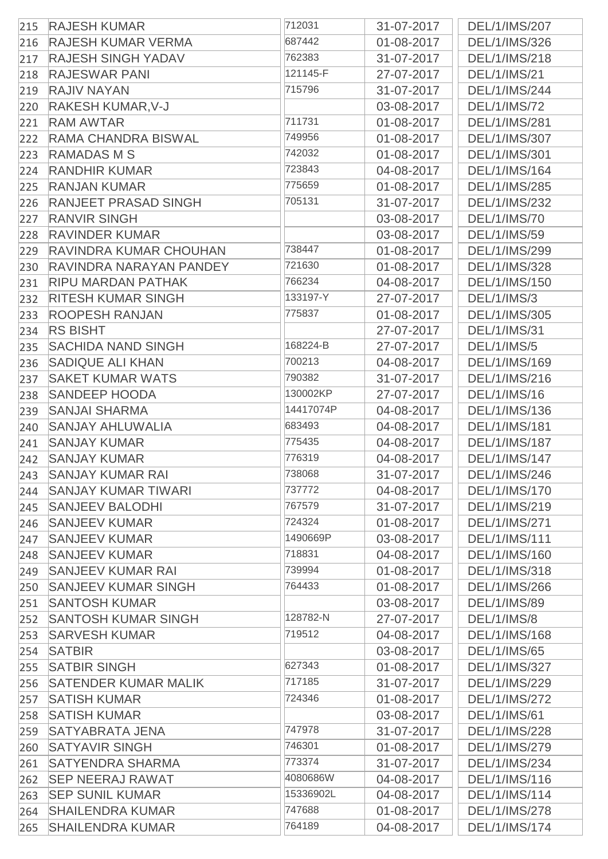| 215 | <b>RAJESH KUMAR</b>           | 712031    | 31-07-2017 | DEL/1/IMS/207        |
|-----|-------------------------------|-----------|------------|----------------------|
| 216 | <b>RAJESH KUMAR VERMA</b>     | 687442    | 01-08-2017 | DEL/1/IMS/326        |
| 217 | <b>RAJESH SINGH YADAV</b>     | 762383    | 31-07-2017 | DEL/1/IMS/218        |
| 218 | <b>RAJESWAR PANI</b>          | 121145-F  | 27-07-2017 | <b>DEL/1/IMS/21</b>  |
| 219 | <b>RAJIV NAYAN</b>            | 715796    | 31-07-2017 | DEL/1/IMS/244        |
| 220 | <b>RAKESH KUMAR, V-J</b>      |           | 03-08-2017 | <b>DEL/1/IMS/72</b>  |
| 221 | <b>RAM AWTAR</b>              | 711731    | 01-08-2017 | DEL/1/IMS/281        |
| 222 | <b>RAMA CHANDRA BISWAL</b>    | 749956    | 01-08-2017 | DEL/1/IMS/307        |
| 223 | <b>RAMADAS M S</b>            | 742032    | 01-08-2017 | DEL/1/IMS/301        |
| 224 | <b>RANDHIR KUMAR</b>          | 723843    | 04-08-2017 | DEL/1/IMS/164        |
| 225 | <b>RANJAN KUMAR</b>           | 775659    | 01-08-2017 | DEL/1/IMS/285        |
| 226 | <b>RANJEET PRASAD SINGH</b>   | 705131    | 31-07-2017 | DEL/1/IMS/232        |
| 227 | <b>RANVIR SINGH</b>           |           | 03-08-2017 | <b>DEL/1/IMS/70</b>  |
| 228 | <b>RAVINDER KUMAR</b>         |           | 03-08-2017 | <b>DEL/1/IMS/59</b>  |
| 229 | <b>RAVINDRA KUMAR CHOUHAN</b> | 738447    | 01-08-2017 | DEL/1/IMS/299        |
| 230 | RAVINDRA NARAYAN PANDEY       | 721630    | 01-08-2017 | <b>DEL/1/IMS/328</b> |
| 231 | <b>RIPU MARDAN PATHAK</b>     | 766234    | 04-08-2017 | DEL/1/IMS/150        |
| 232 | <b>RITESH KUMAR SINGH</b>     | 133197-Y  | 27-07-2017 | <b>DEL/1/IMS/3</b>   |
| 233 | <b>ROOPESH RANJAN</b>         | 775837    | 01-08-2017 | DEL/1/IMS/305        |
| 234 | <b>RS BISHT</b>               |           | 27-07-2017 | <b>DEL/1/IMS/31</b>  |
| 235 | <b>SACHIDA NAND SINGH</b>     | 168224-B  | 27-07-2017 | <b>DEL/1/IMS/5</b>   |
| 236 | <b>SADIQUE ALI KHAN</b>       | 700213    | 04-08-2017 | DEL/1/IMS/169        |
| 237 | <b>SAKET KUMAR WATS</b>       | 790382    | 31-07-2017 | DEL/1/IMS/216        |
| 238 | <b>SANDEEP HOODA</b>          | 130002KP  | 27-07-2017 | <b>DEL/1/IMS/16</b>  |
| 239 | <b>SANJAI SHARMA</b>          | 14417074P | 04-08-2017 | DEL/1/IMS/136        |
| 240 | <b>SANJAY AHLUWALIA</b>       | 683493    | 04-08-2017 | DEL/1/IMS/181        |
| 241 | <b>SANJAY KUMAR</b>           | 775435    | 04-08-2017 | <b>DEL/1/IMS/187</b> |
| 242 | <b>SANJAY KUMAR</b>           | 776319    | 04-08-2017 | <b>DEL/1/IMS/147</b> |
| 243 | <b>SANJAY KUMAR RAI</b>       | 738068    | 31-07-2017 | DEL/1/IMS/246        |
| 244 | <b>SANJAY KUMAR TIWARI</b>    | 737772    | 04-08-2017 | DEL/1/IMS/170        |
| 245 | <b>SANJEEV BALODHI</b>        | 767579    | 31-07-2017 | DEL/1/IMS/219        |
| 246 | <b>SANJEEV KUMAR</b>          | 724324    | 01-08-2017 | DEL/1/IMS/271        |
| 247 | <b>SANJEEV KUMAR</b>          | 1490669P  | 03-08-2017 | DEL/1/IMS/111        |
| 248 | <b>SANJEEV KUMAR</b>          | 718831    | 04-08-2017 | DEL/1/IMS/160        |
| 249 | <b>SANJEEV KUMAR RAI</b>      | 739994    | 01-08-2017 | DEL/1/IMS/318        |
| 250 | <b>SANJEEV KUMAR SINGH</b>    | 764433    | 01-08-2017 | DEL/1/IMS/266        |
| 251 | <b>SANTOSH KUMAR</b>          |           | 03-08-2017 | <b>DEL/1/IMS/89</b>  |
| 252 | <b>SANTOSH KUMAR SINGH</b>    | 128782-N  | 27-07-2017 | <b>DEL/1/IMS/8</b>   |
| 253 | <b>SARVESH KUMAR</b>          | 719512    | 04-08-2017 | DEL/1/IMS/168        |
| 254 | <b>SATBIR</b>                 |           | 03-08-2017 | <b>DEL/1/IMS/65</b>  |
| 255 | <b>SATBIR SINGH</b>           | 627343    | 01-08-2017 | <b>DEL/1/IMS/327</b> |
| 256 | <b>SATENDER KUMAR MALIK</b>   | 717185    | 31-07-2017 | DEL/1/IMS/229        |
| 257 | <b>SATISH KUMAR</b>           | 724346    | 01-08-2017 | <b>DEL/1/IMS/272</b> |
| 258 | <b>SATISH KUMAR</b>           |           | 03-08-2017 | <b>DEL/1/IMS/61</b>  |
| 259 | <b>SATYABRATA JENA</b>        | 747978    | 31-07-2017 | DEL/1/IMS/228        |
| 260 | <b>SATYAVIR SINGH</b>         | 746301    | 01-08-2017 | DEL/1/IMS/279        |
| 261 | <b>SATYENDRA SHARMA</b>       | 773374    | 31-07-2017 | DEL/1/IMS/234        |
| 262 | <b>SEP NEERAJ RAWAT</b>       | 4080686W  | 04-08-2017 | DEL/1/IMS/116        |
| 263 | <b>SEP SUNIL KUMAR</b>        | 15336902L | 04-08-2017 | DEL/1/IMS/114        |
| 264 | <b>SHAILENDRA KUMAR</b>       | 747688    | 01-08-2017 | DEL/1/IMS/278        |
| 265 | <b>SHAILENDRA KUMAR</b>       | 764189    | 04-08-2017 | DEL/1/IMS/174        |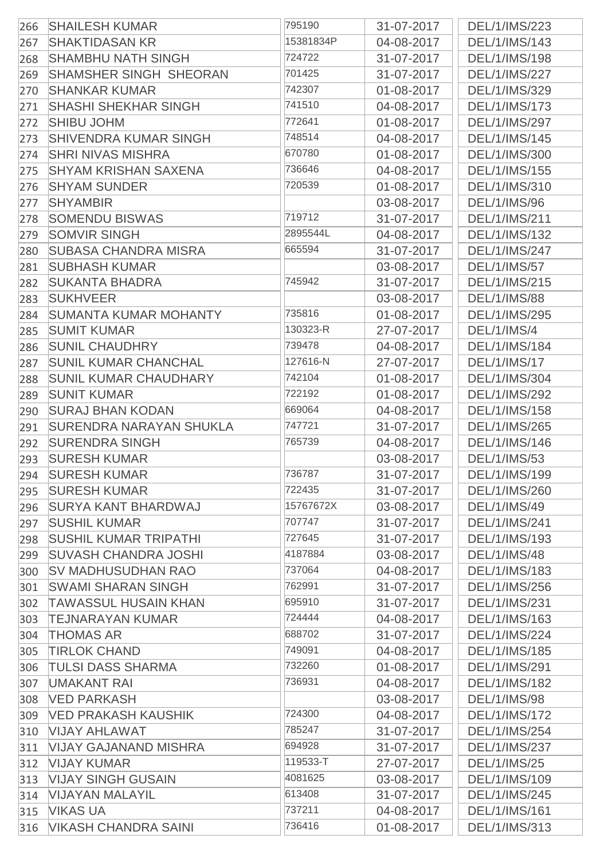| 266 | <b>SHAILESH KUMAR</b>          | 795190    | 31-07-2017 | DEL/1/IMS/223        |
|-----|--------------------------------|-----------|------------|----------------------|
| 267 | <b>SHAKTIDASAN KR</b>          | 15381834P | 04-08-2017 | DEL/1/IMS/143        |
| 268 | <b>SHAMBHU NATH SINGH</b>      | 724722    | 31-07-2017 | DEL/1/IMS/198        |
| 269 | <b>SHAMSHER SINGH SHEORAN</b>  | 701425    | 31-07-2017 | DEL/1/IMS/227        |
| 270 | <b>SHANKAR KUMAR</b>           | 742307    | 01-08-2017 | DEL/1/IMS/329        |
| 271 | <b>SHASHI SHEKHAR SINGH</b>    | 741510    | 04-08-2017 | DEL/1/IMS/173        |
| 272 | <b>SHIBU JOHM</b>              | 772641    | 01-08-2017 | DEL/1/IMS/297        |
| 273 | <b>SHIVENDRA KUMAR SINGH</b>   | 748514    | 04-08-2017 | DEL/1/IMS/145        |
| 274 | <b>SHRI NIVAS MISHRA</b>       | 670780    | 01-08-2017 | DEL/1/IMS/300        |
| 275 | <b>SHYAM KRISHAN SAXENA</b>    | 736646    | 04-08-2017 | <b>DEL/1/IMS/155</b> |
| 276 | <b>SHYAM SUNDER</b>            | 720539    | 01-08-2017 | DEL/1/IMS/310        |
| 277 | <b>SHYAMBIR</b>                |           | 03-08-2017 | <b>DEL/1/IMS/96</b>  |
| 278 | <b>SOMENDU BISWAS</b>          | 719712    | 31-07-2017 | <b>DEL/1/IMS/211</b> |
| 279 | <b>SOMVIR SINGH</b>            | 2895544L  | 04-08-2017 | DEL/1/IMS/132        |
| 280 | <b>SUBASA CHANDRA MISRA</b>    | 665594    | 31-07-2017 | DEL/1/IMS/247        |
| 281 | <b>SUBHASH KUMAR</b>           |           | 03-08-2017 | <b>DEL/1/IMS/57</b>  |
| 282 | <b>SUKANTA BHADRA</b>          | 745942    | 31-07-2017 | DEL/1/IMS/215        |
| 283 | <b>SUKHVEER</b>                |           | 03-08-2017 | <b>DEL/1/IMS/88</b>  |
| 284 | <b>SUMANTA KUMAR MOHANTY</b>   | 735816    | 01-08-2017 | DEL/1/IMS/295        |
| 285 | <b>SUMIT KUMAR</b>             | 130323-R  | 27-07-2017 | DEL/1/IMS/4          |
| 286 | <b>SUNIL CHAUDHRY</b>          | 739478    | 04-08-2017 | DEL/1/IMS/184        |
| 287 | <b>SUNIL KUMAR CHANCHAL</b>    | 127616-N  | 27-07-2017 | <b>DEL/1/IMS/17</b>  |
| 288 | <b>SUNIL KUMAR CHAUDHARY</b>   | 742104    | 01-08-2017 | DEL/1/IMS/304        |
| 289 | <b>SUNIT KUMAR</b>             | 722192    | 01-08-2017 | DEL/1/IMS/292        |
| 290 | <b>SURAJ BHAN KODAN</b>        | 669064    | 04-08-2017 | DEL/1/IMS/158        |
| 291 | <b>SURENDRA NARAYAN SHUKLA</b> | 747721    | 31-07-2017 | DEL/1/IMS/265        |
| 292 | <b>SURENDRA SINGH</b>          | 765739    | 04-08-2017 | DEL/1/IMS/146        |
| 293 | <b>SURESH KUMAR</b>            |           | 03-08-2017 | <b>DEL/1/IMS/53</b>  |
| 294 | <b>SURESH KUMAR</b>            | 736787    | 31-07-2017 | DEL/1/IMS/199        |
| 295 | <b>SURESH KUMAR</b>            | 722435    | 31-07-2017 | DEL/1/IMS/260        |
| 296 | <b>SURYA KANT BHARDWAJ</b>     | 15767672X | 03-08-2017 | <b>DEL/1/IMS/49</b>  |
| 297 | <b>SUSHIL KUMAR</b>            | 707747    | 31-07-2017 | DEL/1/IMS/241        |
| 298 | <b>SUSHIL KUMAR TRIPATHI</b>   | 727645    | 31-07-2017 | DEL/1/IMS/193        |
| 299 | <b>SUVASH CHANDRA JOSHI</b>    | 4187884   | 03-08-2017 | <b>DEL/1/IMS/48</b>  |
| 300 | <b>SV MADHUSUDHAN RAO</b>      | 737064    | 04-08-2017 | <b>DEL/1/IMS/183</b> |
| 301 | <b>SWAMI SHARAN SINGH</b>      | 762991    | 31-07-2017 | DEL/1/IMS/256        |
| 302 | <b>TAWASSUL HUSAIN KHAN</b>    | 695910    | 31-07-2017 | DEL/1/IMS/231        |
| 303 | <b>TEJNARAYAN KUMAR</b>        | 724444    | 04-08-2017 | DEL/1/IMS/163        |
| 304 | THOMAS AR                      | 688702    | 31-07-2017 | DEL/1/IMS/224        |
| 305 | <b>TIRLOK CHAND</b>            | 749091    | 04-08-2017 | DEL/1/IMS/185        |
| 306 | <b>TULSI DASS SHARMA</b>       | 732260    | 01-08-2017 | DEL/1/IMS/291        |
| 307 | <b>UMAKANT RAI</b>             | 736931    | 04-08-2017 | DEL/1/IMS/182        |
| 308 | <b>VED PARKASH</b>             |           | 03-08-2017 | <b>DEL/1/IMS/98</b>  |
| 309 | <b>VED PRAKASH KAUSHIK</b>     | 724300    | 04-08-2017 | DEL/1/IMS/172        |
| 310 | <b>VIJAY AHLAWAT</b>           | 785247    | 31-07-2017 | DEL/1/IMS/254        |
| 311 | <b>VIJAY GAJANAND MISHRA</b>   | 694928    | 31-07-2017 | DEL/1/IMS/237        |
| 312 | <b>VIJAY KUMAR</b>             | 119533-T  | 27-07-2017 | <b>DEL/1/IMS/25</b>  |
| 313 | <b>VIJAY SINGH GUSAIN</b>      | 4081625   | 03-08-2017 | DEL/1/IMS/109        |
| 314 | <b>VIJAYAN MALAYIL</b>         | 613408    | 31-07-2017 | DEL/1/IMS/245        |
| 315 | <b>VIKAS UA</b>                | 737211    | 04-08-2017 | DEL/1/IMS/161        |
| 316 | <b>VIKASH CHANDRA SAINI</b>    | 736416    | 01-08-2017 | DEL/1/IMS/313        |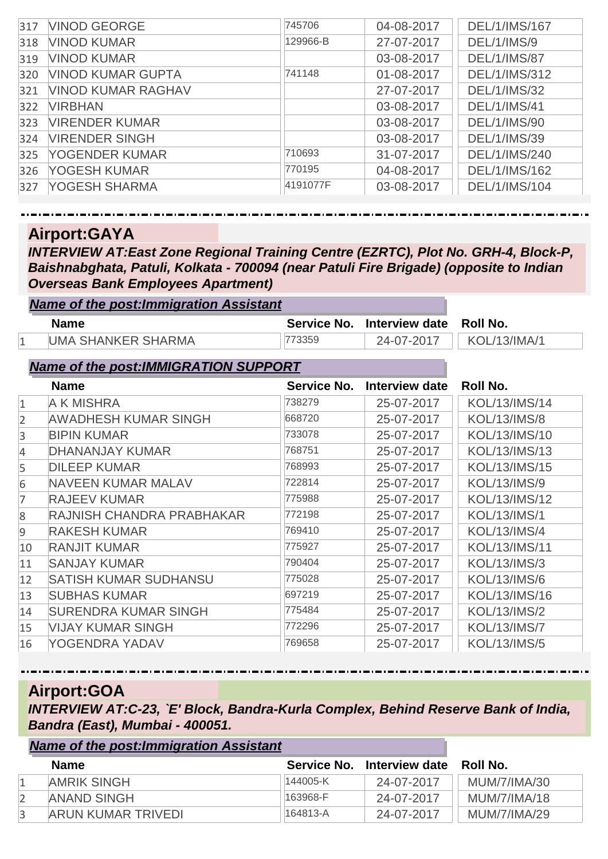| 317 | <b>VINOD GEORGE</b>       | 745706   | 04-08-2017 | DEL/1/IMS/167       |
|-----|---------------------------|----------|------------|---------------------|
| 318 | <b>VINOD KUMAR</b>        | 129966-B | 27-07-2017 | DEL/1/IMS/9         |
| 319 | <b>VINOD KUMAR</b>        |          | 03-08-2017 | <b>DEL/1/IMS/87</b> |
| 320 | <b>VINOD KUMAR GUPTA</b>  | 741148   | 01-08-2017 | DEL/1/IMS/312       |
| 321 | <b>VINOD KUMAR RAGHAV</b> |          | 27-07-2017 | <b>DEL/1/IMS/32</b> |
| 322 | <b>VIRBHAN</b>            |          | 03-08-2017 | <b>DEL/1/IMS/41</b> |
| 323 | <b>VIRENDER KUMAR</b>     |          | 03-08-2017 | <b>DEL/1/IMS/90</b> |
| 324 | <b>VIRENDER SINGH</b>     |          | 03-08-2017 | <b>DEL/1/IMS/39</b> |
| 325 | YOGENDER KUMAR            | 710693   | 31-07-2017 | DEL/1/IMS/240       |
| 326 | YOGESH KUMAR              | 770195   | 04-08-2017 | DEL/1/IMS/162       |
| 327 | YOGESH SHARMA             | 4191077F | 03-08-2017 | DEL/1/IMS/104       |

**Airport:GAYA**

*INTERVIEW AT:East Zone Regional Training Centre (EZRTC), Plot No. GRH-4, Block-P, Baishnabghata, Patuli, Kolkata - 700094 (near Patuli Fire Brigade) (opposite to Indian Overseas Bank Employees Apartment)*

|    | <b>Name of the post: Immigration Assistant</b> |             |                       |                     |
|----|------------------------------------------------|-------------|-----------------------|---------------------|
|    | <b>Name</b>                                    | Service No. | Interview date        | <b>Roll No.</b>     |
| 1  | <b>UMA SHANKER SHARMA</b>                      | 773359      | 24-07-2017            | <b>KOL/13/IMA/1</b> |
|    | <b>Name of the post:IMMIGRATION SUPPORT</b>    |             |                       |                     |
|    | <b>Name</b>                                    | Service No. | <b>Interview date</b> | <b>Roll No.</b>     |
| 1  | <b>A K MISHRA</b>                              | 738279      | 25-07-2017            | KOL/13/IMS/14       |
| 2  | <b>AWADHESH KUMAR SINGH</b>                    | 668720      | 25-07-2017            | <b>KOL/13/IMS/8</b> |
| 3  | <b>BIPIN KUMAR</b>                             | 733078      | 25-07-2017            | KOL/13/IMS/10       |
| 4  | <b>DHANANJAY KUMAR</b>                         | 768751      | 25-07-2017            | KOL/13/IMS/13       |
| 5  | <b>DILEEP KUMAR</b>                            | 768993      | 25-07-2017            | KOL/13/IMS/15       |
| 6  | NAVEEN KUMAR MALAV                             | 722814      | 25-07-2017            | <b>KOL/13/IMS/9</b> |
| 7  | <b>RAJEEV KUMAR</b>                            | 775988      | 25-07-2017            | KOL/13/IMS/12       |
| 8  | RAJNISH CHANDRA PRABHAKAR                      | 772198      | 25-07-2017            | <b>KOL/13/IMS/1</b> |
| 9  | <b>RAKESH KUMAR</b>                            | 769410      | 25-07-2017            | <b>KOL/13/IMS/4</b> |
| 10 | <b>RANJIT KUMAR</b>                            | 775927      | 25-07-2017            | KOL/13/IMS/11       |
| 11 | <b>SANJAY KUMAR</b>                            | 790404      | 25-07-2017            | <b>KOL/13/IMS/3</b> |
| 12 | <b>SATISH KUMAR SUDHANSU</b>                   | 775028      | 25-07-2017            | <b>KOL/13/IMS/6</b> |
| 13 | <b>SUBHAS KUMAR</b>                            | 697219      | 25-07-2017            | KOL/13/IMS/16       |
| 14 | SURENDRA KUMAR SINGH                           | 775484      | 25-07-2017            | <b>KOL/13/IMS/2</b> |
| 15 | <b>VIJAY KUMAR SINGH</b>                       | 772296      | 25-07-2017            | <b>KOL/13/IMS/7</b> |
| 16 | YOGENDRA YADAV                                 | 769658      | 25-07-2017            | <b>KOL/13/IMS/5</b> |

#### **Airport:GOA**

*INTERVIEW AT:C-23, `E' Block, Bandra-Kurla Complex, Behind Reserve Bank of India, Bandra (East), Mumbai - 400051.*

| <b>Name of the post: Immigration Assistant</b> |          |                            |                     |
|------------------------------------------------|----------|----------------------------|---------------------|
| <b>Name</b>                                    |          | Service No. Interview date | Roll No.            |
| <b>AMRIK SINGH</b>                             | 144005-K | 24-07-2017                 | MUM/7/IMA/30        |
| <b>ANAND SINGH</b>                             | 163968-F | 24-07-2017                 | <b>MUM/7/IMA/18</b> |
| ARUN KUMAR TRIVEDI                             | 164813-A | 24-07-2017                 | MUM/7/IMA/29        |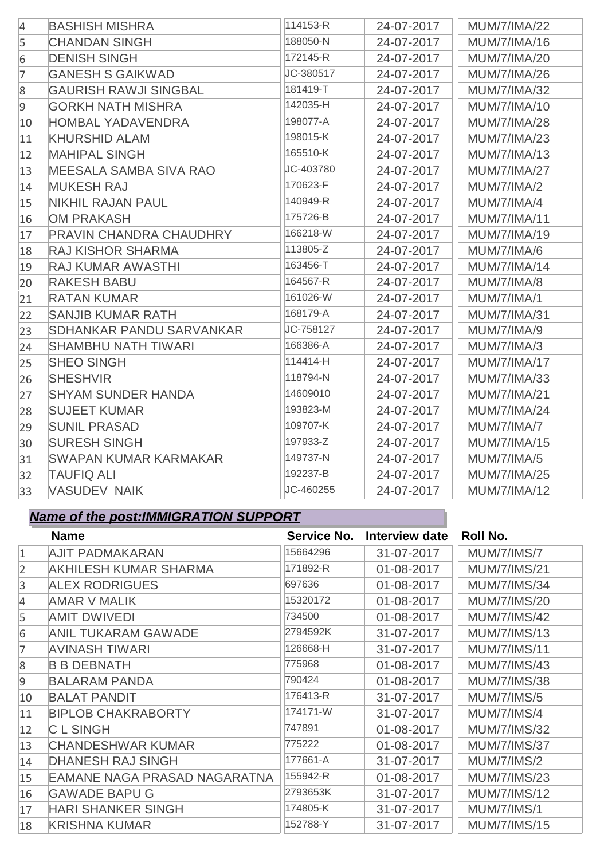| $\overline{4}$ | <b>BASHISH MISHRA</b>           | 114153-R  | 24-07-2017 | <b>MUM/7/IMA/22</b> |
|----------------|---------------------------------|-----------|------------|---------------------|
| 5              | <b>CHANDAN SINGH</b>            | 188050-N  | 24-07-2017 | <b>MUM/7/IMA/16</b> |
| 6              | <b>DENISH SINGH</b>             | 172145-R  | 24-07-2017 | <b>MUM/7/IMA/20</b> |
| $\overline{7}$ | <b>GANESH S GAIKWAD</b>         | JC-380517 | 24-07-2017 | <b>MUM/7/IMA/26</b> |
| 8              | <b>GAURISH RAWJI SINGBAL</b>    | 181419-T  | 24-07-2017 | <b>MUM/7/IMA/32</b> |
| 9              | <b>GORKH NATH MISHRA</b>        | 142035-H  | 24-07-2017 | <b>MUM/7/IMA/10</b> |
| 10             | <b>HOMBAL YADAVENDRA</b>        | 198077-A  | 24-07-2017 | <b>MUM/7/IMA/28</b> |
| 11             | <b>KHURSHID ALAM</b>            | 198015-K  | 24-07-2017 | <b>MUM/7/IMA/23</b> |
| 12             | <b>MAHIPAL SINGH</b>            | 165510-K  | 24-07-2017 | <b>MUM/7/IMA/13</b> |
| 13             | <b>MEESALA SAMBA SIVA RAO</b>   | JC-403780 | 24-07-2017 | <b>MUM/7/IMA/27</b> |
| 14             | <b>MUKESH RAJ</b>               | 170623-F  | 24-07-2017 | MUM/7/IMA/2         |
| 15             | <b>NIKHIL RAJAN PAUL</b>        | 140949-R  | 24-07-2017 | MUM/7/IMA/4         |
| 16             | <b>OM PRAKASH</b>               | 175726-B  | 24-07-2017 | <b>MUM/7/IMA/11</b> |
| 17             | <b>PRAVIN CHANDRA CHAUDHRY</b>  | 166218-W  | 24-07-2017 | <b>MUM/7/IMA/19</b> |
| 18             | <b>RAJ KISHOR SHARMA</b>        | 113805-Z  | 24-07-2017 | MUM/7/IMA/6         |
| 19             | <b>RAJ KUMAR AWASTHI</b>        | 163456-T  | 24-07-2017 | <b>MUM/7/IMA/14</b> |
| 20             | <b>RAKESH BABU</b>              | 164567-R  | 24-07-2017 | MUM/7/IMA/8         |
| 21             | <b>RATAN KUMAR</b>              | 161026-W  | 24-07-2017 | MUM/7/IMA/1         |
| 22             | <b>SANJIB KUMAR RATH</b>        | 168179-A  | 24-07-2017 | <b>MUM/7/IMA/31</b> |
| 23             | <b>SDHANKAR PANDU SARVANKAR</b> | JC-758127 | 24-07-2017 | MUM/7/IMA/9         |
| 24             | <b>SHAMBHU NATH TIWARI</b>      | 166386-A  | 24-07-2017 | MUM/7/IMA/3         |
| 25             | <b>SHEO SINGH</b>               | 114414-H  | 24-07-2017 | <b>MUM/7/IMA/17</b> |
| 26             | <b>SHESHVIR</b>                 | 118794-N  | 24-07-2017 | <b>MUM/7/IMA/33</b> |
| 27             | <b>SHYAM SUNDER HANDA</b>       | 14609010  | 24-07-2017 | <b>MUM/7/IMA/21</b> |
| 28             | <b>SUJEET KUMAR</b>             | 193823-M  | 24-07-2017 | <b>MUM/7/IMA/24</b> |
| 29             | <b>SUNIL PRASAD</b>             | 109707-K  | 24-07-2017 | MUM/7/IMA/7         |
| 30             | <b>SURESH SINGH</b>             | 197933-Z  | 24-07-2017 | <b>MUM/7/IMA/15</b> |
| 31             | <b>SWAPAN KUMAR KARMAKAR</b>    | 149737-N  | 24-07-2017 | MUM/7/IMA/5         |
| 32             | <b>TAUFIQ ALI</b>               | 192237-B  | 24-07-2017 | <b>MUM/7/IMA/25</b> |
| 33             | <b>VASUDEV NAIK</b>             | JC-460255 | 24-07-2017 | <b>MUM/7/IMA/12</b> |

# *Name of the post:IMMIGRATION SUPPORT*

|                | <b>Name</b>                         | Service No. | Interview date | <b>Roll No.</b>     |
|----------------|-------------------------------------|-------------|----------------|---------------------|
| $\mathbf{1}$   | <b>AJIT PADMAKARAN</b>              | 15664296    | 31-07-2017     | <b>MUM/7/IMS/7</b>  |
| $\overline{2}$ | <b>AKHILESH KUMAR SHARMA</b>        | 171892-R    | 01-08-2017     | <b>MUM/7/IMS/21</b> |
| 3              | <b>ALEX RODRIGUES</b>               | 697636      | 01-08-2017     | <b>MUM/7/IMS/34</b> |
| 4              | <b>AMAR V MALIK</b>                 | 15320172    | 01-08-2017     | <b>MUM/7/IMS/20</b> |
| 5              | <b>AMIT DWIVEDI</b>                 | 734500      | 01-08-2017     | <b>MUM/7/IMS/42</b> |
| 6              | <b>ANIL TUKARAM GAWADE</b>          | 2794592K    | 31-07-2017     | <b>MUM/7/IMS/13</b> |
| 7              | <b>AVINASH TIWARI</b>               | 126668-H    | 31-07-2017     | <b>MUM/7/IMS/11</b> |
| 8              | <b>B B DEBNATH</b>                  | 775968      | 01-08-2017     | <b>MUM/7/IMS/43</b> |
| $\overline{9}$ | <b>BALARAM PANDA</b>                | 790424      | 01-08-2017     | <b>MUM/7/IMS/38</b> |
| 10             | <b>BALAT PANDIT</b>                 | 176413-R    | 31-07-2017     | <b>MUM/7/IMS/5</b>  |
| 11             | <b>BIPLOB CHAKRABORTY</b>           | 174171-W    | 31-07-2017     | <b>MUM/7/IMS/4</b>  |
| 12             | <b>CLSINGH</b>                      | 747891      | 01-08-2017     | <b>MUM/7/IMS/32</b> |
| 13             | <b>CHANDESHWAR KUMAR</b>            | 775222      | 01-08-2017     | <b>MUM/7/IMS/37</b> |
| 14             | <b>DHANESH RAJ SINGH</b>            | 177661-A    | 31-07-2017     | <b>MUM/7/IMS/2</b>  |
| 15             | <b>EAMANE NAGA PRASAD NAGARATNA</b> | 155942-R    | 01-08-2017     | <b>MUM/7/IMS/23</b> |
| 16             | <b>GAWADE BAPU G</b>                | 2793653K    | 31-07-2017     | <b>MUM/7/IMS/12</b> |
| 17             | <b>HARI SHANKER SINGH</b>           | 174805-K    | 31-07-2017     | <b>MUM/7/IMS/1</b>  |
| 18             | <b>KRISHNA KUMAR</b>                | 152788-Y    | 31-07-2017     | <b>MUM/7/IMS/15</b> |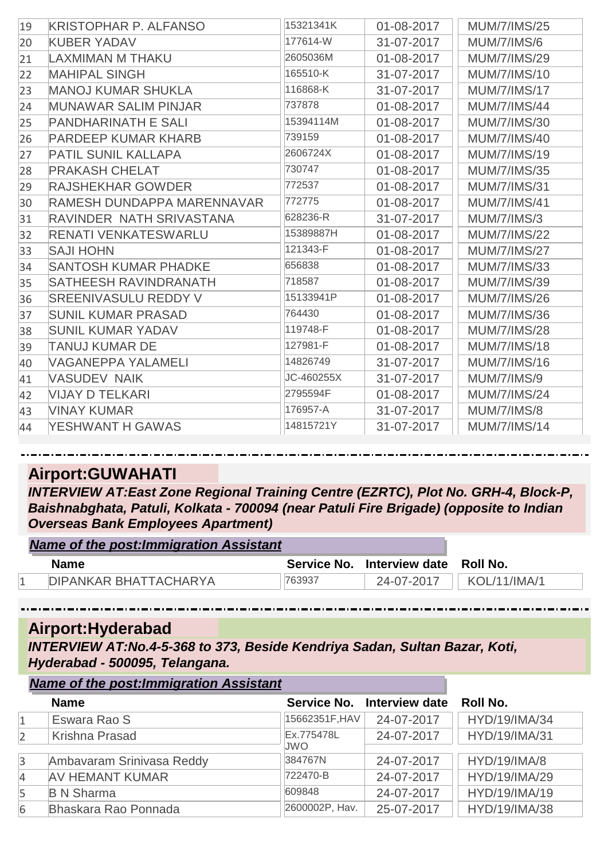| 19 | <b>KRISTOPHAR P. ALFANSO</b> | 15321341K  | 01-08-2017 | <b>MUM/7/IMS/25</b> |
|----|------------------------------|------------|------------|---------------------|
| 20 | <b>KUBER YADAV</b>           | 177614-W   | 31-07-2017 | <b>MUM/7/IMS/6</b>  |
| 21 | <b>LAXMIMAN M THAKU</b>      | 2605036M   | 01-08-2017 | <b>MUM/7/IMS/29</b> |
| 22 | <b>MAHIPAL SINGH</b>         | 165510-K   | 31-07-2017 | <b>MUM/7/IMS/10</b> |
| 23 | <b>MANOJ KUMAR SHUKLA</b>    | 116868-K   | 31-07-2017 | <b>MUM/7/IMS/17</b> |
| 24 | <b>MUNAWAR SALIM PINJAR</b>  | 737878     | 01-08-2017 | <b>MUM/7/IMS/44</b> |
| 25 | <b>PANDHARINATH E SALI</b>   | 15394114M  | 01-08-2017 | <b>MUM/7/IMS/30</b> |
| 26 | <b>PARDEEP KUMAR KHARB</b>   | 739159     | 01-08-2017 | <b>MUM/7/IMS/40</b> |
| 27 | <b>PATIL SUNIL KALLAPA</b>   | 2606724X   | 01-08-2017 | <b>MUM/7/IMS/19</b> |
| 28 | <b>PRAKASH CHELAT</b>        | 730747     | 01-08-2017 | <b>MUM/7/IMS/35</b> |
| 29 | <b>RAJSHEKHAR GOWDER</b>     | 772537     | 01-08-2017 | <b>MUM/7/IMS/31</b> |
| 30 | RAMESH DUNDAPPA MARENNAVAR   | 772775     | 01-08-2017 | <b>MUM/7/IMS/41</b> |
| 31 | RAVINDER NATH SRIVASTANA     | 628236-R   | 31-07-2017 | <b>MUM/7/IMS/3</b>  |
| 32 | <b>RENATI VENKATESWARLU</b>  | 15389887H  | 01-08-2017 | <b>MUM/7/IMS/22</b> |
| 33 | <b>SAJI HOHN</b>             | 121343-F   | 01-08-2017 | <b>MUM/7/IMS/27</b> |
| 34 | <b>SANTOSH KUMAR PHADKE</b>  | 656838     | 01-08-2017 | <b>MUM/7/IMS/33</b> |
| 35 | <b>SATHEESH RAVINDRANATH</b> | 718587     | 01-08-2017 | <b>MUM/7/IMS/39</b> |
| 36 | <b>SREENIVASULU REDDY V</b>  | 15133941P  | 01-08-2017 | <b>MUM/7/IMS/26</b> |
| 37 | <b>SUNIL KUMAR PRASAD</b>    | 764430     | 01-08-2017 | <b>MUM/7/IMS/36</b> |
| 38 | <b>SUNIL KUMAR YADAV</b>     | 119748-F   | 01-08-2017 | <b>MUM/7/IMS/28</b> |
| 39 | <b>TANUJ KUMAR DE</b>        | 127981-F   | 01-08-2017 | <b>MUM/7/IMS/18</b> |
| 40 | <b>VAGANEPPA YALAMELI</b>    | 14826749   | 31-07-2017 | <b>MUM/7/IMS/16</b> |
| 41 | <b>VASUDEV NAIK</b>          | JC-460255X | 31-07-2017 | <b>MUM/7/IMS/9</b>  |
| 42 | <b>VIJAY D TELKARI</b>       | 2795594F   | 01-08-2017 | <b>MUM/7/IMS/24</b> |
| 43 | <b>VINAY KUMAR</b>           | 176957-A   | 31-07-2017 | <b>MUM/7/IMS/8</b>  |
| 44 | YESHWANT H GAWAS             | 14815721Y  | 31-07-2017 | <b>MUM/7/IMS/14</b> |
|    |                              |            |            |                     |

# **Airport:GUWAHATI**

*INTERVIEW AT:East Zone Regional Training Centre (EZRTC), Plot No. GRH-4, Block-P, Baishnabghata, Patuli, Kolkata - 700094 (near Patuli Fire Brigade) (opposite to Indian Overseas Bank Employees Apartment)*

| <b>Name of the post: Immigration Assistant</b> |                              |        |                                     |                          |  |
|------------------------------------------------|------------------------------|--------|-------------------------------------|--------------------------|--|
|                                                | <b>Name</b>                  |        | Service No. Interview date Roll No. |                          |  |
|                                                | <b>DIPANKAR BHATTACHARYA</b> | 763937 | 24-07-2017                          | $\parallel$ KOL/11/IMA/1 |  |

#### **Airport:Hyderabad**

*INTERVIEW AT:No.4-5-368 to 373, Beside Kendriya Sadan, Sultan Bazar, Koti, Hyderabad - 500095, Telangana.*

|                | <b>Name of the post: Immigration Assistant</b> |                   |                            |                     |
|----------------|------------------------------------------------|-------------------|----------------------------|---------------------|
|                | <b>Name</b>                                    |                   | Service No. Interview date | Roll No.            |
|                | Eswara Rao S                                   | 15662351F, HAV    | 24-07-2017                 | HYD/19/IMA/34       |
| $\overline{2}$ | Krishna Prasad                                 | Ex.775478L<br>JWO | 24-07-2017                 | HYD/19/IMA/31       |
| 3              | Ambavaram Srinivasa Reddy                      | 384767N           | 24-07-2017                 | <b>HYD/19/IMA/8</b> |
| 4              | <b>AV HEMANT KUMAR</b>                         | 722470-B          | 24-07-2017                 | HYD/19/IMA/29       |
| 5              | <b>B N Sharma</b>                              | 609848            | 24-07-2017                 | HYD/19/IMA/19       |
| 6              | Bhaskara Rao Ponnada                           | 2600002P, Hav.    | 25-07-2017                 | HYD/19/IMA/38       |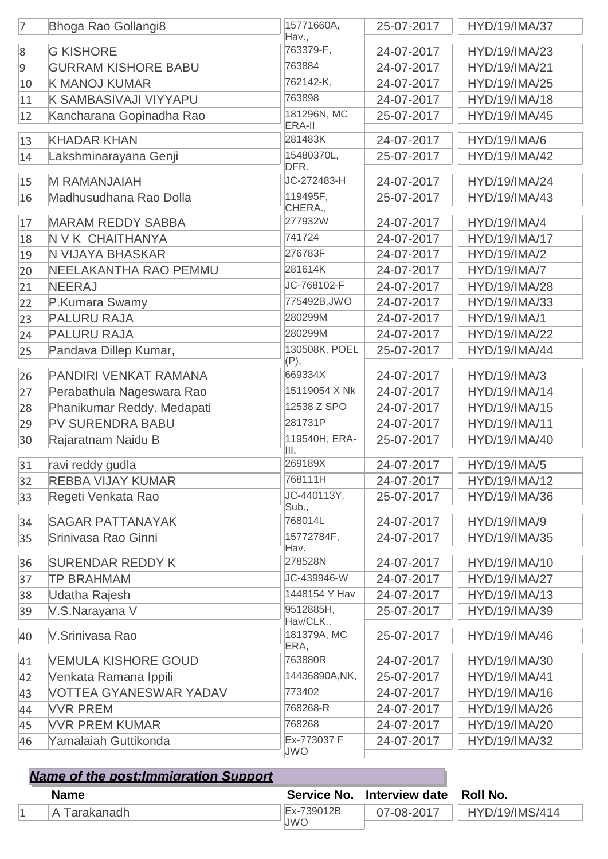| $\overline{7}$   | Bhoga Rao Gollangi8           | 15771660A,<br>Hav.,       | 25-07-2017 | HYD/19/IMA/37        |
|------------------|-------------------------------|---------------------------|------------|----------------------|
| $\boldsymbol{8}$ | <b>G KISHORE</b>              | 763379-F,                 | 24-07-2017 | HYD/19/IMA/23        |
| 9                | <b>GURRAM KISHORE BABU</b>    | 763884                    | 24-07-2017 | HYD/19/IMA/21        |
| 10               | <b>K MANOJ KUMAR</b>          | 762142-K,                 | 24-07-2017 | HYD/19/IMA/25        |
| 11               | K SAMBASIVAJI VIYYAPU         | 763898                    | 24-07-2017 | HYD/19/IMA/18        |
| 12               | Kancharana Gopinadha Rao      | 181296N, MC<br>ERA-II     | 25-07-2017 | HYD/19/IMA/45        |
| 13               | <b>KHADAR KHAN</b>            | 281483K                   | 24-07-2017 | <b>HYD/19/IMA/6</b>  |
| 14               | Lakshminarayana Genji         | 15480370L,<br>DFR.        | 25-07-2017 | HYD/19/IMA/42        |
| 15               | <b>M RAMANJAIAH</b>           | JC-272483-H               | 24-07-2017 | HYD/19/IMA/24        |
| 16               | Madhusudhana Rao Dolla        | 119495F,<br>CHERA.,       | 25-07-2017 | HYD/19/IMA/43        |
| 17               | <b>MARAM REDDY SABBA</b>      | 277932W                   | 24-07-2017 | <b>HYD/19/IMA/4</b>  |
| 18               | N V K CHAITHANYA              | 741724                    | 24-07-2017 | HYD/19/IMA/17        |
| 19               | N VIJAYA BHASKAR              | 276783F                   | 24-07-2017 | <b>HYD/19/IMA/2</b>  |
| 20               | NEELAKANTHA RAO PEMMU         | 281614K                   | 24-07-2017 | <b>HYD/19/IMA/7</b>  |
| 21               | <b>NEERAJ</b>                 | JC-768102-F               | 24-07-2017 | <b>HYD/19/IMA/28</b> |
| 22               | P.Kumara Swamy                | 775492B, JWO              | 24-07-2017 | HYD/19/IMA/33        |
| 23               | <b>PALURU RAJA</b>            | 280299M                   | 24-07-2017 | <b>HYD/19/IMA/1</b>  |
| 24               | <b>PALURU RAJA</b>            | 280299M                   | 24-07-2017 | HYD/19/IMA/22        |
| 25               | Pandava Dillep Kumar,         | 130508K, POEL<br>(P),     | 25-07-2017 | HYD/19/IMA/44        |
| 26               | PANDIRI VENKAT RAMANA         | 669334X                   | 24-07-2017 | HYD/19/IMA/3         |
| 27               | Perabathula Nageswara Rao     | 15119054 X Nk             | 24-07-2017 | HYD/19/IMA/14        |
| 28               | Phanikumar Reddy. Medapati    | 12538 Z SPO               | 24-07-2017 | HYD/19/IMA/15        |
| 29               | PV SURENDRA BABU              | 281731P                   | 24-07-2017 | HYD/19/IMA/11        |
| 30               | Rajaratnam Naidu B            | 119540H, ERA-<br>III,     | 25-07-2017 | HYD/19/IMA/40        |
| 31               | ravi reddy gudla              | 269189X                   | 24-07-2017 | HYD/19/IMA/5         |
| 32               | <b>REBBA VIJAY KUMAR</b>      | 768111H                   | 24-07-2017 | HYD/19/IMA/12        |
| 33               | Regeti Venkata Rao            | JC-440113Y,               | 25-07-2017 | HYD/19/IMA/36        |
| 34               | <b>SAGAR PATTANAYAK</b>       | Sub.,<br>768014L          | 24-07-2017 | HYD/19/IMA/9         |
| 35               | Srinivasa Rao Ginni           | 15772784F,<br>Hav.        | 24-07-2017 | HYD/19/IMA/35        |
| 36               | <b>SURENDAR REDDY K</b>       | 278528N                   | 24-07-2017 | HYD/19/IMA/10        |
| 37               | <b>TP BRAHMAM</b>             | JC-439946-W               | 24-07-2017 | HYD/19/IMA/27        |
| 38               | Udatha Rajesh                 | 1448154 Y Hav             | 24-07-2017 | HYD/19/IMA/13        |
| 39               | V.S.Narayana V                | 9512885H,<br>Hav/CLK.,    | 25-07-2017 | HYD/19/IMA/39        |
| 40               | V.Srinivasa Rao               | 181379A, MC<br>ERA,       | 25-07-2017 | HYD/19/IMA/46        |
| 41               | <b>VEMULA KISHORE GOUD</b>    | 763880R                   | 24-07-2017 | HYD/19/IMA/30        |
| 42               | Venkata Ramana Ippili         | 14436890A, NK,            | 25-07-2017 | HYD/19/IMA/41        |
| 43               | <b>VOTTEA GYANESWAR YADAV</b> | 773402                    | 24-07-2017 | HYD/19/IMA/16        |
| 44               | <b>VVR PREM</b>               | 768268-R                  | 24-07-2017 | HYD/19/IMA/26        |
| 45               | <b>VVR PREM KUMAR</b>         | 768268                    | 24-07-2017 | HYD/19/IMA/20        |
| 46               | Yamalaiah Guttikonda          | Ex-773037 F<br><b>JWO</b> | 24-07-2017 | HYD/19/IMA/32        |

| <b>Name of the post: Immigration Support</b> |            |                                     |                       |
|----------------------------------------------|------------|-------------------------------------|-----------------------|
| <b>Name</b>                                  |            | Service No. Interview date Roll No. |                       |
| A Tarakanadh                                 | Ex-739012B | $07 - 08 - 2017$                    | <b>HYD/19/IMS/414</b> |
|                                              | JWO        |                                     |                       |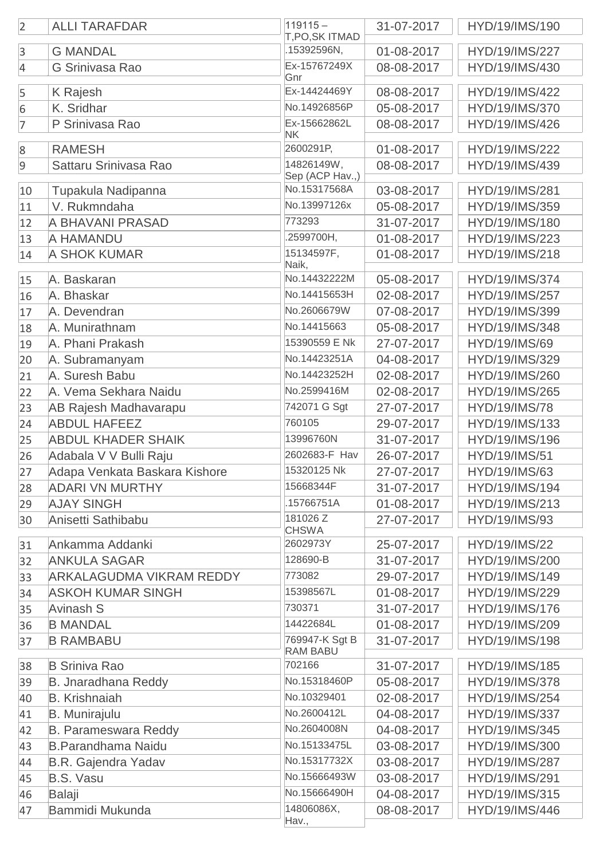| $\overline{2}$   | <b>ALLI TARAFDAR</b>            | $119115 -$<br>T, PO, SK ITMAD     | 31-07-2017 | HYD/19/IMS/190       |
|------------------|---------------------------------|-----------------------------------|------------|----------------------|
| $\overline{3}$   | <b>G MANDAL</b>                 | .15392596N,                       | 01-08-2017 | HYD/19/IMS/227       |
| $\overline{4}$   | <b>G Srinivasa Rao</b>          | Ex-15767249X<br>Gnr               | 08-08-2017 | HYD/19/IMS/430       |
| 5                | K Rajesh                        | Ex-14424469Y                      | 08-08-2017 | HYD/19/IMS/422       |
| $6\phantom{.}6$  | K. Sridhar                      | No.14926856P                      | 05-08-2017 | HYD/19/IMS/370       |
| $\overline{7}$   | P Srinivasa Rao                 | Ex-15662862L<br>NK                | 08-08-2017 | HYD/19/IMS/426       |
| $\boldsymbol{8}$ | <b>RAMESH</b>                   | 2600291P,                         | 01-08-2017 | HYD/19/IMS/222       |
| $\overline{9}$   | Sattaru Srinivasa Rao           | 14826149W,<br>Sep (ACP Hav.,)     | 08-08-2017 | HYD/19/IMS/439       |
| 10               | Tupakula Nadipanna              | No.15317568A                      | 03-08-2017 | HYD/19/IMS/281       |
| 11               | V. Rukmndaha                    | No.13997126x                      | 05-08-2017 | HYD/19/IMS/359       |
| 12               | A BHAVANI PRASAD                | 773293                            | 31-07-2017 | HYD/19/IMS/180       |
| 13               | A HAMANDU                       | .2599700H,                        | 01-08-2017 | HYD/19/IMS/223       |
| 14               | <b>A SHOK KUMAR</b>             | 15134597F,                        | 01-08-2017 | HYD/19/IMS/218       |
| 15               | A. Baskaran                     | Naik,<br>No.14432222M             | 05-08-2017 | HYD/19/IMS/374       |
| 16               | A. Bhaskar                      | No.14415653H                      | 02-08-2017 | HYD/19/IMS/257       |
| 17               | A. Devendran                    | No.2606679W                       | 07-08-2017 | HYD/19/IMS/399       |
| 18               | A. Munirathnam                  | No.14415663                       | 05-08-2017 | HYD/19/IMS/348       |
| 19               | A. Phani Prakash                | 15390559 E Nk                     | 27-07-2017 | HYD/19/IMS/69        |
| 20               | A. Subramanyam                  | No.14423251A                      | 04-08-2017 | HYD/19/IMS/329       |
| 21               | A. Suresh Babu                  | No.14423252H                      | 02-08-2017 | HYD/19/IMS/260       |
| 22               | A. Vema Sekhara Naidu           | No.2599416M                       | 02-08-2017 | HYD/19/IMS/265       |
| 23               | <b>AB Rajesh Madhavarapu</b>    | 742071 G Sgt                      | 27-07-2017 | <b>HYD/19/IMS/78</b> |
| 24               | <b>ABDUL HAFEEZ</b>             | 760105                            | 29-07-2017 | HYD/19/IMS/133       |
| 25               | <b>ABDUL KHADER SHAIK</b>       | 13996760N                         | 31-07-2017 | HYD/19/IMS/196       |
| 26               | Adabala V V Bulli Raju          | 2602683-F Hav                     | 26-07-2017 | HYD/19/IMS/51        |
| 27               | Adapa Venkata Baskara Kishore   | 15320125 Nk                       | 27-07-2017 | <b>HYD/19/IMS/63</b> |
| 28               | <b>ADARI VN MURTHY</b>          | 15668344F                         | 31-07-2017 | HYD/19/IMS/194       |
| 29               | <b>AJAY SINGH</b>               | .15766751A                        | 01-08-2017 | HYD/19/IMS/213       |
| 30               | Anisetti Sathibabu              | 181026 Z<br><b>CHSWA</b>          | 27-07-2017 | HYD/19/IMS/93        |
| 31               | Ankamma Addanki                 | 2602973Y                          | 25-07-2017 | <b>HYD/19/IMS/22</b> |
| 32               | <b>ANKULA SAGAR</b>             | 128690-B                          | 31-07-2017 | HYD/19/IMS/200       |
| 33               | <b>ARKALAGUDMA VIKRAM REDDY</b> | 773082                            | 29-07-2017 | HYD/19/IMS/149       |
| 34               | <b>ASKOH KUMAR SINGH</b>        | 15398567L                         | 01-08-2017 | HYD/19/IMS/229       |
| 35               | Avinash S                       | 730371                            | 31-07-2017 | HYD/19/IMS/176       |
| 36               | <b>B MANDAL</b>                 | 14422684L                         | 01-08-2017 | HYD/19/IMS/209       |
| 37               | <b>B RAMBABU</b>                | 769947-K Sgt B<br><b>RAM BABU</b> | 31-07-2017 | HYD/19/IMS/198       |
| 38               | <b>B Sriniva Rao</b>            | 702166                            | 31-07-2017 | HYD/19/IMS/185       |
| 39               | B. Jnaradhana Reddy             | No.15318460P                      | 05-08-2017 | HYD/19/IMS/378       |
| 40               | <b>B.</b> Krishnaiah            | No.10329401                       | 02-08-2017 | HYD/19/IMS/254       |
| 41               | <b>B.</b> Munirajulu            | No.2600412L                       | 04-08-2017 | HYD/19/IMS/337       |
| 42               | <b>B. Parameswara Reddy</b>     | No.2604008N                       | 04-08-2017 | HYD/19/IMS/345       |
| 43               | <b>B.Parandhama Naidu</b>       | No.15133475L                      | 03-08-2017 | HYD/19/IMS/300       |
| 44               | <b>B.R. Gajendra Yadav</b>      | No.15317732X                      | 03-08-2017 | HYD/19/IMS/287       |
| 45               | <b>B.S. Vasu</b>                | No.15666493W                      | 03-08-2017 | HYD/19/IMS/291       |
| 46               | <b>Balaji</b>                   | No.15666490H                      | 04-08-2017 | HYD/19/IMS/315       |
| 47               | Bammidi Mukunda                 | 14806086X,                        | 08-08-2017 | HYD/19/IMS/446       |
|                  |                                 | Hav.,                             |            |                      |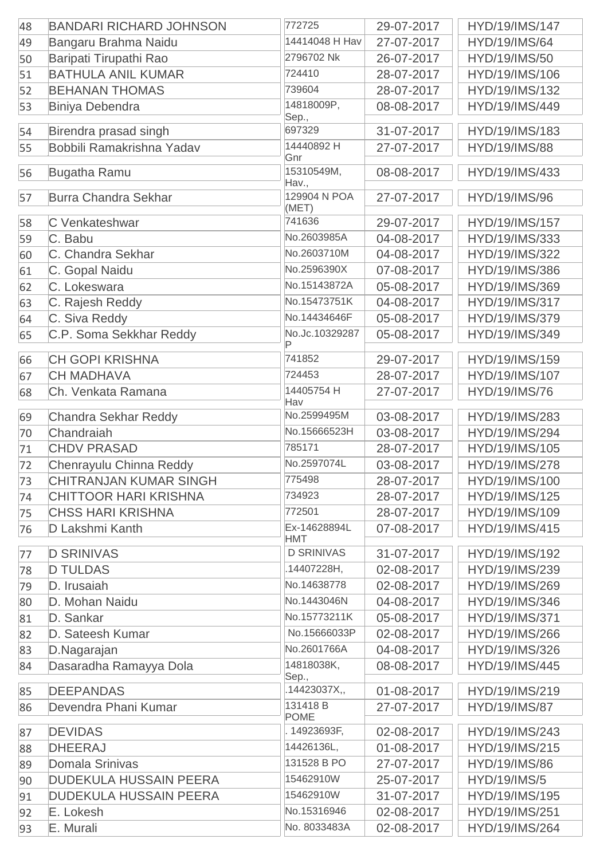| 48 | <b>BANDARI RICHARD JOHNSON</b>                                 | 772725                     | 29-07-2017 | HYD/19/IMS/147                        |
|----|----------------------------------------------------------------|----------------------------|------------|---------------------------------------|
| 49 | Bangaru Brahma Naidu                                           | 14414048 H Hav             | 27-07-2017 | <b>HYD/19/IMS/64</b>                  |
| 50 | Baripati Tirupathi Rao                                         | 2796702 Nk                 | 26-07-2017 | HYD/19/IMS/50                         |
| 51 | <b>BATHULA ANIL KUMAR</b>                                      | 724410                     | 28-07-2017 | HYD/19/IMS/106                        |
| 52 | <b>BEHANAN THOMAS</b>                                          | 739604                     | 28-07-2017 | HYD/19/IMS/132                        |
| 53 | <b>Biniya Debendra</b>                                         | 14818009P,                 | 08-08-2017 | HYD/19/IMS/449                        |
|    |                                                                | Sep.,                      |            |                                       |
| 54 | Birendra prasad singh                                          | 697329                     | 31-07-2017 | HYD/19/IMS/183                        |
| 55 | Bobbili Ramakrishna Yadav                                      | 14440892 H<br>Gnr          | 27-07-2017 | <b>HYD/19/IMS/88</b>                  |
| 56 | <b>Bugatha Ramu</b>                                            | 15310549M,<br>Hav.,        | 08-08-2017 | HYD/19/IMS/433                        |
| 57 | <b>Burra Chandra Sekhar</b>                                    | 129904 N POA<br>(MET)      | 27-07-2017 | HYD/19/IMS/96                         |
| 58 | C Venkateshwar                                                 | 741636                     | 29-07-2017 | HYD/19/IMS/157                        |
| 59 | C. Babu                                                        | No.2603985A                | 04-08-2017 | HYD/19/IMS/333                        |
| 60 | C. Chandra Sekhar                                              | No.2603710M                | 04-08-2017 | HYD/19/IMS/322                        |
| 61 | C. Gopal Naidu                                                 | No.2596390X                | 07-08-2017 | HYD/19/IMS/386                        |
| 62 | C. Lokeswara                                                   | No.15143872A               | 05-08-2017 | HYD/19/IMS/369                        |
| 63 | C. Rajesh Reddy                                                | No.15473751K               | 04-08-2017 | HYD/19/IMS/317                        |
| 64 | C. Siva Reddy                                                  | No.14434646F               | 05-08-2017 | HYD/19/IMS/379                        |
| 65 | C.P. Soma Sekkhar Reddy                                        | No.Jc.10329287<br>P        | 05-08-2017 | HYD/19/IMS/349                        |
| 66 | <b>CH GOPI KRISHNA</b>                                         | 741852                     | 29-07-2017 | HYD/19/IMS/159                        |
| 67 | <b>CH MADHAVA</b>                                              | 724453                     | 28-07-2017 | HYD/19/IMS/107                        |
| 68 | Ch. Venkata Ramana                                             | 14405754 H                 | 27-07-2017 | <b>HYD/19/IMS/76</b>                  |
|    |                                                                | Hav                        |            |                                       |
| 69 | <b>Chandra Sekhar Reddy</b>                                    | No.2599495M                | 03-08-2017 | HYD/19/IMS/283                        |
| 70 | Chandraiah                                                     | No.15666523H               | 03-08-2017 | HYD/19/IMS/294                        |
| 71 | <b>CHDV PRASAD</b>                                             | 785171                     | 28-07-2017 | HYD/19/IMS/105                        |
| 72 | Chenrayulu Chinna Reddy                                        | No.2597074L                | 03-08-2017 | HYD/19/IMS/278                        |
| 73 | <b>CHITRANJAN KUMAR SINGH</b>                                  | 775498                     | 28-07-2017 | HYD/19/IMS/100                        |
| 74 | <b>CHITTOOR HARI KRISHNA</b>                                   | 734923                     | 28-07-2017 | HYD/19/IMS/125                        |
| 75 | <b>CHSS HARI KRISHNA</b>                                       | 772501                     | 28-07-2017 | HYD/19/IMS/109                        |
| 76 | D Lakshmi Kanth                                                | Ex-14628894L<br><b>HMT</b> | 07-08-2017 | HYD/19/IMS/415                        |
| 77 | <b>D SRINIVAS</b>                                              | <b>D SRINIVAS</b>          | 31-07-2017 | HYD/19/IMS/192                        |
| 78 | <b>D TULDAS</b>                                                | .14407228H,                | 02-08-2017 | HYD/19/IMS/239                        |
| 79 | D. Irusaiah                                                    | No.14638778                | 02-08-2017 | HYD/19/IMS/269                        |
| 80 | D. Mohan Naidu                                                 | No.1443046N                | 04-08-2017 | HYD/19/IMS/346                        |
| 81 | D. Sankar                                                      | No.15773211K               | 05-08-2017 | HYD/19/IMS/371                        |
| 82 | D. Sateesh Kumar                                               | No.15666033P               | 02-08-2017 | HYD/19/IMS/266                        |
| 83 | D.Nagarajan                                                    | No.2601766A                | 04-08-2017 | HYD/19/IMS/326                        |
| 84 | Dasaradha Ramayya Dola                                         | 14818038K,<br>Sep.,        | 08-08-2017 | HYD/19/IMS/445                        |
| 85 | <b>DEEPANDAS</b>                                               | .14423037X,,               | 01-08-2017 | HYD/19/IMS/219                        |
| 86 | Devendra Phani Kumar                                           | 131418 B                   | 27-07-2017 | <b>HYD/19/IMS/87</b>                  |
| 87 | <b>DEVIDAS</b>                                                 | <b>POME</b><br>14923693F,  | 02-08-2017 | HYD/19/IMS/243                        |
|    | <b>DHEERAJ</b>                                                 | 14426136L,                 | 01-08-2017 | HYD/19/IMS/215                        |
| 88 |                                                                | 131528 B PO                | 27-07-2017 | <b>HYD/19/IMS/86</b>                  |
| 89 | <b>Domala Srinivas</b>                                         | 15462910W                  | 25-07-2017 |                                       |
| 90 | <b>DUDEKULA HUSSAIN PEERA</b><br><b>DUDEKULA HUSSAIN PEERA</b> | 15462910W                  |            | <b>HYD/19/IMS/5</b><br>HYD/19/IMS/195 |
| 91 |                                                                | No.15316946                | 31-07-2017 | HYD/19/IMS/251                        |
| 92 | E. Lokesh                                                      | No. 8033483A               | 02-08-2017 |                                       |
| 93 | E. Murali                                                      |                            | 02-08-2017 | HYD/19/IMS/264                        |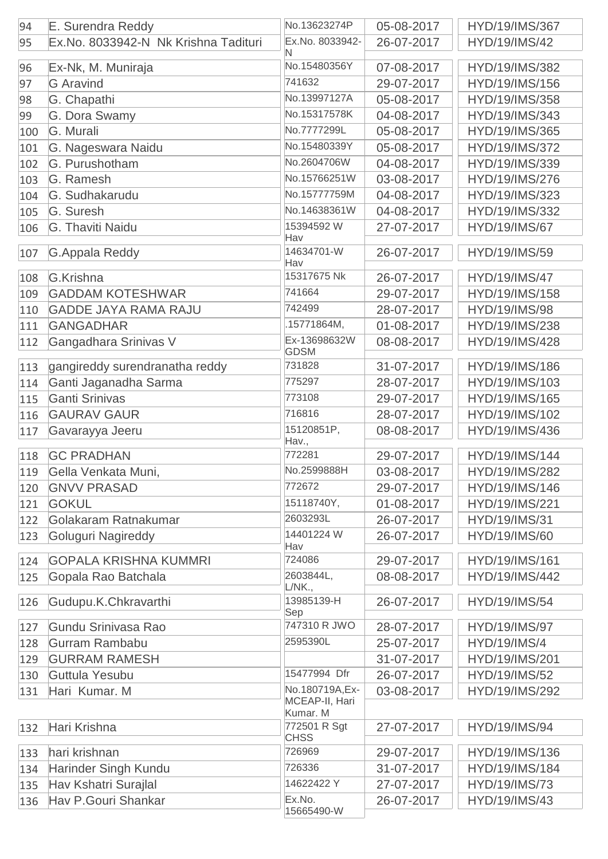| 94  | E. Surendra Reddy                    | No.13623274P                                  | 05-08-2017 | HYD/19/IMS/367       |
|-----|--------------------------------------|-----------------------------------------------|------------|----------------------|
| 95  | Ex.No. 8033942-N Nk Krishna Tadituri | Ex.No. 8033942-<br>N                          | 26-07-2017 | HYD/19/IMS/42        |
| 96  | Ex-Nk, M. Muniraja                   | No.15480356Y                                  | 07-08-2017 | HYD/19/IMS/382       |
| 97  | <b>G</b> Aravind                     | 741632                                        | 29-07-2017 | HYD/19/IMS/156       |
| 98  | G. Chapathi                          | No.13997127A                                  | 05-08-2017 | HYD/19/IMS/358       |
| 99  | G. Dora Swamy                        | No.15317578K                                  | 04-08-2017 | HYD/19/IMS/343       |
| 100 | G. Murali                            | No.7777299L                                   | 05-08-2017 | HYD/19/IMS/365       |
| 101 | G. Nageswara Naidu                   | No.15480339Y                                  | 05-08-2017 | HYD/19/IMS/372       |
| 102 | G. Purushotham                       | No.2604706W                                   | 04-08-2017 | HYD/19/IMS/339       |
| 103 | G. Ramesh                            | No.15766251W                                  | 03-08-2017 | HYD/19/IMS/276       |
| 104 | G. Sudhakarudu                       | No.15777759M                                  | 04-08-2017 | HYD/19/IMS/323       |
| 105 | G. Suresh                            | No.14638361W                                  | 04-08-2017 | HYD/19/IMS/332       |
| 106 | G. Thaviti Naidu                     | 15394592 W                                    | 27-07-2017 | <b>HYD/19/IMS/67</b> |
| 107 | <b>G.Appala Reddy</b>                | Hav<br>14634701-W                             | 26-07-2017 | HYD/19/IMS/59        |
| 108 | G.Krishna                            | Hav<br>15317675 Nk                            | 26-07-2017 | <b>HYD/19/IMS/47</b> |
| 109 | <b>GADDAM KOTESHWAR</b>              | 741664                                        | 29-07-2017 | HYD/19/IMS/158       |
| 110 | <b>GADDE JAYA RAMA RAJU</b>          | 742499                                        | 28-07-2017 | HYD/19/IMS/98        |
| 111 | <b>GANGADHAR</b>                     | .15771864M,                                   | 01-08-2017 | HYD/19/IMS/238       |
|     |                                      | Ex-13698632W                                  |            | HYD/19/IMS/428       |
| 112 | Gangadhara Srinivas V                | <b>GDSM</b>                                   | 08-08-2017 |                      |
| 113 | gangireddy surendranatha reddy       | 731828                                        | 31-07-2017 | HYD/19/IMS/186       |
| 114 | Ganti Jaganadha Sarma                | 775297                                        | 28-07-2017 | HYD/19/IMS/103       |
| 115 | <b>Ganti Srinivas</b>                | 773108                                        | 29-07-2017 | HYD/19/IMS/165       |
| 116 | <b>GAURAV GAUR</b>                   | 716816                                        | 28-07-2017 | HYD/19/IMS/102       |
| 117 | Gavarayya Jeeru                      | 15120851P,<br>Hav.,                           | 08-08-2017 | HYD/19/IMS/436       |
| 118 | <b>GC PRADHAN</b>                    | 772281                                        | 29-07-2017 | HYD/19/IMS/144       |
| 119 | Gella Venkata Muni,                  | No.2599888H                                   | 03-08-2017 | HYD/19/IMS/282       |
| 120 | <b>GNVV PRASAD</b>                   | 772672                                        | 29-07-2017 | HYD/19/IMS/146       |
| 121 | <b>GOKUL</b>                         | 15118740Y,                                    | 01-08-2017 | HYD/19/IMS/221       |
| 122 | Golakaram Ratnakumar                 | 2603293L                                      | 26-07-2017 | <b>HYD/19/IMS/31</b> |
| 123 | Goluguri Nagireddy                   | 14401224 W                                    | 26-07-2017 | HYD/19/IMS/60        |
| 124 | <b>GOPALA KRISHNA KUMMRI</b>         | Hav<br>724086                                 | 29-07-2017 | HYD/19/IMS/161       |
| 125 | Gopala Rao Batchala                  | 2603844L,                                     | 08-08-2017 | HYD/19/IMS/442       |
|     |                                      | L/NK.                                         |            |                      |
| 126 | Gudupu.K.Chkravarthi                 | 13985139-H<br>Sep                             | 26-07-2017 | HYD/19/IMS/54        |
| 127 | Gundu Srinivasa Rao                  | 747310 R JWO                                  | 28-07-2017 | HYD/19/IMS/97        |
| 128 | Gurram Rambabu                       | 2595390L                                      | 25-07-2017 | <b>HYD/19/IMS/4</b>  |
| 129 | <b>GURRAM RAMESH</b>                 |                                               | 31-07-2017 | HYD/19/IMS/201       |
| 130 | Guttula Yesubu                       | 15477994 Dfr                                  | 26-07-2017 | HYD/19/IMS/52        |
| 131 | Hari Kumar. M                        | No.180719A, Ex-<br>MCEAP-II, Hari<br>Kumar. M | 03-08-2017 | HYD/19/IMS/292       |
| 132 | Hari Krishna                         | 772501 R Sgt<br><b>CHSS</b>                   | 27-07-2017 | HYD/19/IMS/94        |
| 133 | hari krishnan                        | 726969                                        | 29-07-2017 | HYD/19/IMS/136       |
| 134 | <b>Harinder Singh Kundu</b>          | 726336                                        | 31-07-2017 | HYD/19/IMS/184       |
| 135 | Hav Kshatri Surajlal                 | 14622422 Y                                    | 27-07-2017 | HYD/19/IMS/73        |
| 136 | <b>Hav P.Gouri Shankar</b>           | Ex.No.<br>15665490-W                          | 26-07-2017 | HYD/19/IMS/43        |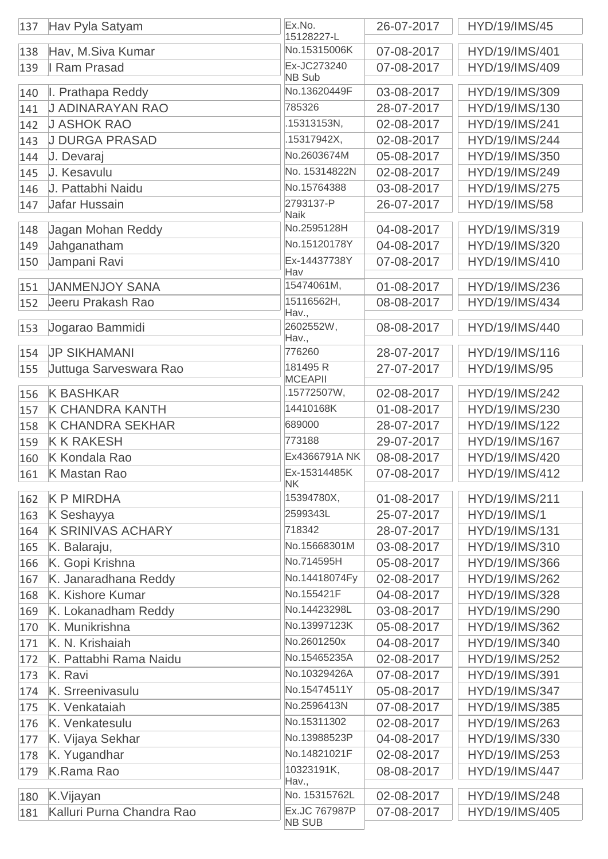| 137 | Hav Pyla Satyam           | Ex.No.<br>15128227-L           | 26-07-2017 | <b>HYD/19/IMS/45</b> |
|-----|---------------------------|--------------------------------|------------|----------------------|
| 138 | Hav, M.Siva Kumar         | No.15315006K                   | 07-08-2017 | HYD/19/IMS/401       |
| 139 | I Ram Prasad              | Ex-JC273240<br><b>NB Sub</b>   | 07-08-2017 | HYD/19/IMS/409       |
| 140 | I. Prathapa Reddy         | No.13620449F                   | 03-08-2017 | HYD/19/IMS/309       |
| 141 | <b>J ADINARAYAN RAO</b>   | 785326                         | 28-07-2017 | HYD/19/IMS/130       |
| 142 | <b>J ASHOK RAO</b>        | .15313153N,                    | 02-08-2017 | HYD/19/IMS/241       |
| 143 | <b>J DURGA PRASAD</b>     | .15317942X,                    | 02-08-2017 | HYD/19/IMS/244       |
| 144 | J. Devaraj                | No.2603674M                    | 05-08-2017 | HYD/19/IMS/350       |
| 145 | J. Kesavulu               | No. 15314822N                  | 02-08-2017 | HYD/19/IMS/249       |
| 146 | J. Pattabhi Naidu         | No.15764388                    | 03-08-2017 | HYD/19/IMS/275       |
| 147 | Jafar Hussain             | 2793137-P<br><b>Naik</b>       | 26-07-2017 | HYD/19/IMS/58        |
| 148 | Jagan Mohan Reddy         | No.2595128H                    | 04-08-2017 | HYD/19/IMS/319       |
| 149 | Jahganatham               | No.15120178Y                   | 04-08-2017 | HYD/19/IMS/320       |
| 150 | Jampani Ravi              | Ex-14437738Y                   | 07-08-2017 | HYD/19/IMS/410       |
|     |                           | Hav                            |            |                      |
| 151 | <b>JANMENJOY SANA</b>     | 15474061M,                     | 01-08-2017 | HYD/19/IMS/236       |
| 152 | Jeeru Prakash Rao         | 15116562H,<br>Hav.,            | 08-08-2017 | HYD/19/IMS/434       |
| 153 | Jogarao Bammidi           | 2602552W,<br>Hav.,             | 08-08-2017 | HYD/19/IMS/440       |
| 154 | <b>JP SIKHAMANI</b>       | 776260                         | 28-07-2017 | HYD/19/IMS/116       |
| 155 | Juttuga Sarveswara Rao    | 181495 R<br><b>MCEAPII</b>     | 27-07-2017 | HYD/19/IMS/95        |
| 156 | <b>K BASHKAR</b>          | .15772507W,                    | 02-08-2017 | HYD/19/IMS/242       |
| 157 | <b>K CHANDRA KANTH</b>    | 14410168K                      | 01-08-2017 | HYD/19/IMS/230       |
| 158 | <b>K CHANDRA SEKHAR</b>   | 689000                         | 28-07-2017 | HYD/19/IMS/122       |
| 159 | <b>K K RAKESH</b>         | 773188                         | 29-07-2017 | HYD/19/IMS/167       |
| 160 | K Kondala Rao             | Ex4366791A NK                  | 08-08-2017 | HYD/19/IMS/420       |
| 161 | K Mastan Rao              | Ex-15314485K<br><b>NK</b>      | 07-08-2017 | HYD/19/IMS/412       |
| 162 | <b>K P MIRDHA</b>         | 15394780X,                     | 01-08-2017 | HYD/19/IMS/211       |
| 163 | K Seshayya                | 2599343L                       | 25-07-2017 | <b>HYD/19/IMS/1</b>  |
| 164 | <b>K SRINIVAS ACHARY</b>  | 718342                         | 28-07-2017 | HYD/19/IMS/131       |
| 165 | K. Balaraju,              | No.15668301M                   | 03-08-2017 | HYD/19/IMS/310       |
| 166 | K. Gopi Krishna           | No.714595H                     | 05-08-2017 | HYD/19/IMS/366       |
| 167 | K. Janaradhana Reddy      | No.14418074Fy                  | 02-08-2017 | HYD/19/IMS/262       |
| 168 | K. Kishore Kumar          | No.155421F                     | 04-08-2017 | HYD/19/IMS/328       |
| 169 | K. Lokanadham Reddy       | No.14423298L                   | 03-08-2017 | HYD/19/IMS/290       |
| 170 | K. Munikrishna            | No.13997123K                   | 05-08-2017 | HYD/19/IMS/362       |
| 171 | K. N. Krishaiah           | No.2601250x                    | 04-08-2017 | HYD/19/IMS/340       |
| 172 | K. Pattabhi Rama Naidu    | No.15465235A                   | 02-08-2017 | HYD/19/IMS/252       |
| 173 | K. Ravi                   | No.10329426A                   | 07-08-2017 | HYD/19/IMS/391       |
| 174 | K. Srreenivasulu          | No.15474511Y                   | 05-08-2017 | HYD/19/IMS/347       |
| 175 | K. Venkataiah             | No.2596413N                    | 07-08-2017 | HYD/19/IMS/385       |
| 176 | K. Venkatesulu            | No.15311302                    | 02-08-2017 | HYD/19/IMS/263       |
| 177 | K. Vijaya Sekhar          | No.13988523P                   | 04-08-2017 | HYD/19/IMS/330       |
| 178 | K. Yugandhar              | No.14821021F                   | 02-08-2017 | HYD/19/IMS/253       |
| 179 | K.Rama Rao                | 10323191K,<br>Hav.,            | 08-08-2017 | HYD/19/IMS/447       |
| 180 | K.Vijayan                 | No. 15315762L                  | 02-08-2017 | HYD/19/IMS/248       |
| 181 | Kalluri Purna Chandra Rao | Ex.JC 767987P<br><b>NB SUB</b> | 07-08-2017 | HYD/19/IMS/405       |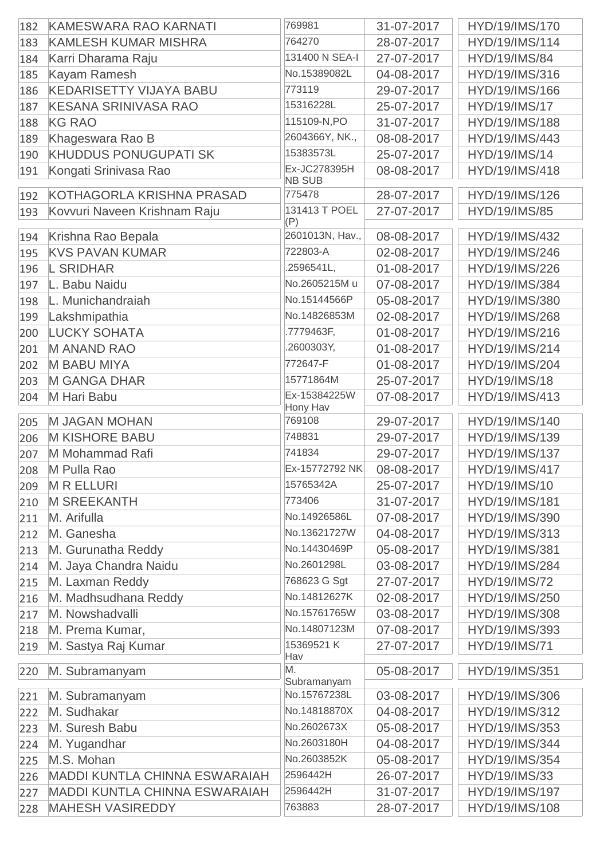| 182 | KAMESWARA RAO KARNATI                | 769981                        | 31-07-2017 | HYD/19/IMS/170       |
|-----|--------------------------------------|-------------------------------|------------|----------------------|
| 183 | <b>KAMLESH KUMAR MISHRA</b>          | 764270                        | 28-07-2017 | HYD/19/IMS/114       |
| 184 | Karri Dharama Raju                   | 131400 N SEA-I                | 27-07-2017 | <b>HYD/19/IMS/84</b> |
| 185 | Kayam Ramesh                         | No.15389082L                  | 04-08-2017 | HYD/19/IMS/316       |
| 186 | <b>KEDARISETTY VIJAYA BABU</b>       | 773119                        | 29-07-2017 | HYD/19/IMS/166       |
| 187 | <b>KESANA SRINIVASA RAO</b>          | 15316228L                     | 25-07-2017 | <b>HYD/19/IMS/17</b> |
| 188 | <b>KG RAO</b>                        | 115109-N,PO                   | 31-07-2017 | HYD/19/IMS/188       |
| 189 | Khageswara Rao B                     | 2604366Y, NK.,                | 08-08-2017 | HYD/19/IMS/443       |
| 190 | <b>KHUDDUS PONUGUPATI SK</b>         | 15383573L                     | 25-07-2017 | HYD/19/IMS/14        |
| 191 | Kongati Srinivasa Rao                | Ex-JC278395H<br><b>NB SUB</b> | 08-08-2017 | HYD/19/IMS/418       |
| 192 | KOTHAGORLA KRISHNA PRASAD            | 775478                        | 28-07-2017 | HYD/19/IMS/126       |
| 193 | Kovvuri Naveen Krishnam Raju         | 131413 T POEL<br>(P)          | 27-07-2017 | <b>HYD/19/IMS/85</b> |
| 194 | Krishna Rao Bepala                   | 2601013N, Hav.,               | 08-08-2017 | HYD/19/IMS/432       |
| 195 | <b>KVS PAVAN KUMAR</b>               | 722803-A                      | 02-08-2017 | HYD/19/IMS/246       |
| 196 | <b>L SRIDHAR</b>                     | .2596541L,                    | 01-08-2017 | HYD/19/IMS/226       |
| 197 | L. Babu Naidu                        | No.2605215M u                 | 07-08-2017 | HYD/19/IMS/384       |
| 198 | L. Munichandraiah                    | No.15144566P                  | 05-08-2017 | HYD/19/IMS/380       |
| 199 | Lakshmipathia                        | No.14826853M                  | 02-08-2017 | HYD/19/IMS/268       |
| 200 | <b>LUCKY SOHATA</b>                  | .7779463F,                    | 01-08-2017 | HYD/19/IMS/216       |
| 201 | <b>M ANAND RAO</b>                   | .2600303Y,                    | 01-08-2017 | HYD/19/IMS/214       |
| 202 | <b>M BABU MIYA</b>                   | 772647-F                      | 01-08-2017 | HYD/19/IMS/204       |
| 203 | <b>M GANGA DHAR</b>                  | 15771864M                     | 25-07-2017 | <b>HYD/19/IMS/18</b> |
| 204 | M Hari Babu                          | Ex-15384225W<br>Hony Hav      | 07-08-2017 | HYD/19/IMS/413       |
| 205 | <b>M JAGAN MOHAN</b>                 | 769108                        | 29-07-2017 | HYD/19/IMS/140       |
| 206 | <b>M KISHORE BABU</b>                | 748831                        | 29-07-2017 | HYD/19/IMS/139       |
| 207 | M Mohammad Rafi                      | 741834                        | 29-07-2017 | HYD/19/IMS/137       |
| 208 | M Pulla Rao                          | Ex-15772792 NK                | 08-08-2017 | HYD/19/IMS/417       |
| 209 | <b>MRELLURI</b>                      | 15765342A                     | 25-07-2017 | HYD/19/IMS/10        |
| 210 | <b>M SREEKANTH</b>                   | 773406                        | 31-07-2017 | HYD/19/IMS/181       |
| 211 | M. Arifulla                          | No.14926586L                  | 07-08-2017 | HYD/19/IMS/390       |
| 212 | M. Ganesha                           | No.13621727W                  | 04-08-2017 | HYD/19/IMS/313       |
| 213 | M. Gurunatha Reddy                   | No.14430469P                  | 05-08-2017 | HYD/19/IMS/381       |
| 214 | M. Jaya Chandra Naidu                | No.2601298L                   | 03-08-2017 | HYD/19/IMS/284       |
| 215 | M. Laxman Reddy                      | 768623 G Sgt                  | 27-07-2017 | <b>HYD/19/IMS/72</b> |
| 216 | M. Madhsudhana Reddy                 | No.14812627K                  | 02-08-2017 | HYD/19/IMS/250       |
| 217 | M. Nowshadvalli                      | No.15761765W                  | 03-08-2017 | HYD/19/IMS/308       |
| 218 | M. Prema Kumar,                      | No.14807123M                  | 07-08-2017 | HYD/19/IMS/393       |
| 219 | M. Sastya Raj Kumar                  | 15369521 K<br>Hav             | 27-07-2017 | <b>HYD/19/IMS/71</b> |
| 220 | M. Subramanyam                       | M.<br>Subramanyam             | 05-08-2017 | HYD/19/IMS/351       |
| 221 | M. Subramanyam                       | No.15767238L                  | 03-08-2017 | HYD/19/IMS/306       |
| 222 | M. Sudhakar                          | No.14818870X                  | 04-08-2017 | HYD/19/IMS/312       |
| 223 | M. Suresh Babu                       | No.2602673X                   | 05-08-2017 | HYD/19/IMS/353       |
| 224 | M. Yugandhar                         | No.2603180H                   | 04-08-2017 | HYD/19/IMS/344       |
| 225 | M.S. Mohan                           | No.2603852K                   | 05-08-2017 | HYD/19/IMS/354       |
| 226 | <b>MADDI KUNTLA CHINNA ESWARAIAH</b> | 2596442H                      | 26-07-2017 | HYD/19/IMS/33        |
| 227 | <b>MADDI KUNTLA CHINNA ESWARAIAH</b> | 2596442H                      | 31-07-2017 | HYD/19/IMS/197       |
| 228 | <b>MAHESH VASIREDDY</b>              | 763883                        | 28-07-2017 | HYD/19/IMS/108       |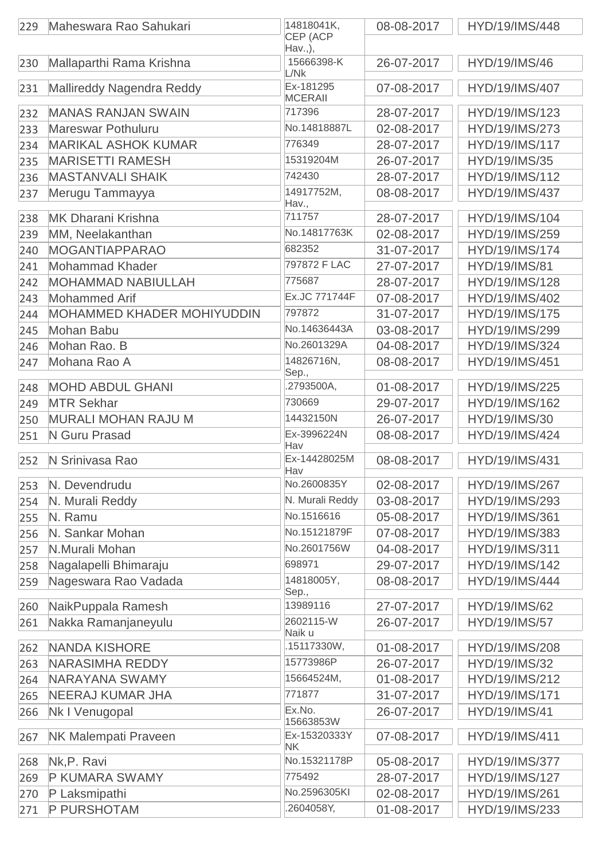| 229 | Maheswara Rao Sahukari            | 14818041K,<br>CEP (ACP<br>Hav.,), | 08-08-2017 | HYD/19/IMS/448       |
|-----|-----------------------------------|-----------------------------------|------------|----------------------|
| 230 | Mallaparthi Rama Krishna          | 15666398-K<br>L/Nk                | 26-07-2017 | HYD/19/IMS/46        |
| 231 | Mallireddy Nagendra Reddy         | Ex-181295<br><b>MCERAII</b>       | 07-08-2017 | HYD/19/IMS/407       |
| 232 | <b>MANAS RANJAN SWAIN</b>         | 717396                            | 28-07-2017 | HYD/19/IMS/123       |
| 233 | <b>Mareswar Pothuluru</b>         | No.14818887L                      | 02-08-2017 | HYD/19/IMS/273       |
| 234 | <b>MARIKAL ASHOK KUMAR</b>        | 776349                            | 28-07-2017 | HYD/19/IMS/117       |
| 235 | <b>MARISETTI RAMESH</b>           | 15319204M                         | 26-07-2017 | HYD/19/IMS/35        |
| 236 | <b>MASTANVALI SHAIK</b>           | 742430                            | 28-07-2017 | HYD/19/IMS/112       |
| 237 | Merugu Tammayya                   | 14917752M,<br>Hav.,               | 08-08-2017 | HYD/19/IMS/437       |
| 238 | <b>MK Dharani Krishna</b>         | 711757                            | 28-07-2017 | HYD/19/IMS/104       |
| 239 | MM, Neelakanthan                  | No.14817763K                      | 02-08-2017 | HYD/19/IMS/259       |
| 240 | <b>MOGANTIAPPARAO</b>             | 682352                            | 31-07-2017 | HYD/19/IMS/174       |
| 241 | <b>Mohammad Khader</b>            | 797872 F LAC                      | 27-07-2017 | <b>HYD/19/IMS/81</b> |
| 242 | <b>MOHAMMAD NABIULLAH</b>         | 775687                            | 28-07-2017 | HYD/19/IMS/128       |
| 243 | <b>Mohammed Arif</b>              | Ex.JC 771744F                     | 07-08-2017 | HYD/19/IMS/402       |
| 244 | <b>MOHAMMED KHADER MOHIYUDDIN</b> | 797872                            | 31-07-2017 | HYD/19/IMS/175       |
| 245 | Mohan Babu                        | No.14636443A                      | 03-08-2017 | HYD/19/IMS/299       |
| 246 | Mohan Rao. B                      | No.2601329A                       | 04-08-2017 | HYD/19/IMS/324       |
| 247 | Mohana Rao A                      | 14826716N,<br>Sep.,               | 08-08-2017 | HYD/19/IMS/451       |
| 248 | <b>MOHD ABDUL GHANI</b>           | .2793500A,                        | 01-08-2017 | HYD/19/IMS/225       |
| 249 | <b>MTR Sekhar</b>                 | 730669                            | 29-07-2017 | HYD/19/IMS/162       |
| 250 | <b>MURALI MOHAN RAJU M</b>        | 14432150N                         | 26-07-2017 | HYD/19/IMS/30        |
| 251 | N Guru Prasad                     | Ex-3996224N                       | 08-08-2017 | HYD/19/IMS/424       |
| 252 | N Srinivasa Rao                   | Hav<br>Ex-14428025M<br>Hav        | 08-08-2017 | HYD/19/IMS/431       |
| 253 | N. Devendrudu                     | No.2600835Y                       | 02-08-2017 | HYD/19/IMS/267       |
| 254 | N. Murali Reddy                   | N. Murali Reddy                   | 03-08-2017 | HYD/19/IMS/293       |
| 255 | N. Ramu                           | No.1516616                        | 05-08-2017 | HYD/19/IMS/361       |
| 256 | N. Sankar Mohan                   | No.15121879F                      | 07-08-2017 | HYD/19/IMS/383       |
| 257 | N.Murali Mohan                    | No.2601756W                       | 04-08-2017 | HYD/19/IMS/311       |
| 258 | Nagalapelli Bhimaraju             | 698971                            | 29-07-2017 | HYD/19/IMS/142       |
| 259 | Nageswara Rao Vadada              | 14818005Y,<br>Sep.,               | 08-08-2017 | HYD/19/IMS/444       |
| 260 | NaikPuppala Ramesh                | 13989116                          | 27-07-2017 | HYD/19/IMS/62        |
| 261 | Nakka Ramanjaneyulu               | 2602115-W<br>Naik u               | 26-07-2017 | <b>HYD/19/IMS/57</b> |
| 262 | <b>NANDA KISHORE</b>              | .15117330W,                       | 01-08-2017 | HYD/19/IMS/208       |
| 263 | <b>NARASIMHA REDDY</b>            | 15773986P                         | 26-07-2017 | HYD/19/IMS/32        |
| 264 | <b>NARAYANA SWAMY</b>             | 15664524M,                        | 01-08-2017 | HYD/19/IMS/212       |
| 265 | <b>NEERAJ KUMAR JHA</b>           | 771877                            | 31-07-2017 | HYD/19/IMS/171       |
| 266 | Nk I Venugopal                    | Ex.No.<br>15663853W               | 26-07-2017 | <b>HYD/19/IMS/41</b> |
| 267 | <b>NK Malempati Praveen</b>       | Ex-15320333Y<br><b>NK</b>         | 07-08-2017 | HYD/19/IMS/411       |
| 268 | Nk, P. Ravi                       | No.15321178P                      | 05-08-2017 | HYD/19/IMS/377       |
| 269 | <b>P KUMARA SWAMY</b>             | 775492                            | 28-07-2017 | HYD/19/IMS/127       |
| 270 | P Laksmipathi                     | No.2596305KI                      | 02-08-2017 | HYD/19/IMS/261       |
| 271 | P PURSHOTAM                       | .2604058Y,                        | 01-08-2017 | HYD/19/IMS/233       |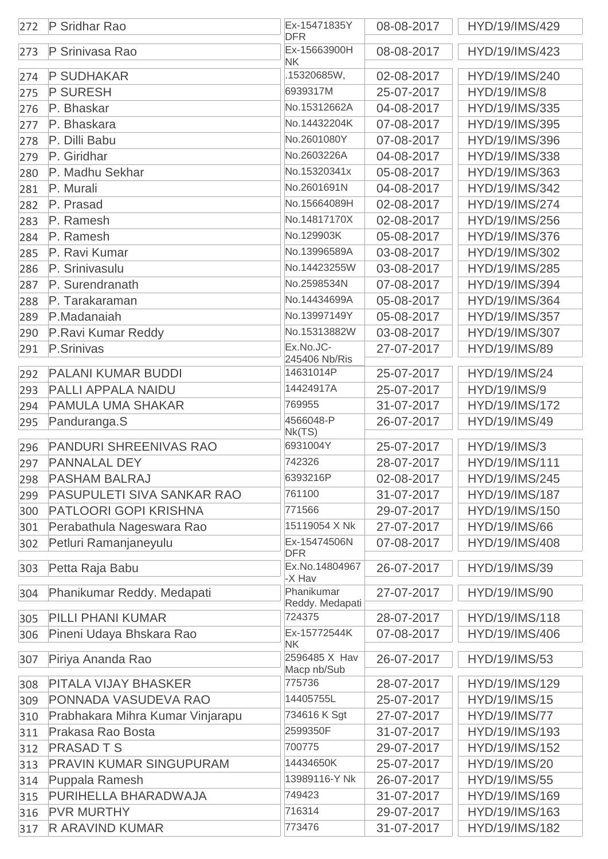| 272 | P Sridhar Rao                    | Ex-15471835Y<br><b>DFR</b>                | 08-08-2017 | HYD/19/IMS/429       |
|-----|----------------------------------|-------------------------------------------|------------|----------------------|
| 273 | P Srinivasa Rao                  | Ex-15663900H<br><b>NK</b>                 | 08-08-2017 | HYD/19/IMS/423       |
| 274 | <b>P SUDHAKAR</b>                | .15320685W,                               | 02-08-2017 | HYD/19/IMS/240       |
| 275 | <b>P SURESH</b>                  | 6939317M                                  | 25-07-2017 | <b>HYD/19/IMS/8</b>  |
| 276 | P. Bhaskar                       | No.15312662A                              | 04-08-2017 | HYD/19/IMS/335       |
| 277 | P. Bhaskara                      | No.14432204K                              | 07-08-2017 | HYD/19/IMS/395       |
| 278 | P. Dilli Babu                    | No.2601080Y                               | 07-08-2017 | HYD/19/IMS/396       |
| 279 | P. Giridhar                      | No.2603226A                               | 04-08-2017 | HYD/19/IMS/338       |
| 280 | P. Madhu Sekhar                  | No.15320341x                              | 05-08-2017 | HYD/19/IMS/363       |
| 281 | P. Murali                        | No.2601691N                               | 04-08-2017 | HYD/19/IMS/342       |
| 282 | P. Prasad                        | No.15664089H                              | 02-08-2017 | HYD/19/IMS/274       |
| 283 | P. Ramesh                        | No.14817170X                              | 02-08-2017 | HYD/19/IMS/256       |
| 284 | P. Ramesh                        | No.129903K                                | 05-08-2017 | HYD/19/IMS/376       |
| 285 | P. Ravi Kumar                    | No.13996589A                              | 03-08-2017 | HYD/19/IMS/302       |
| 286 | P. Srinivasulu                   | No.14423255W                              | 03-08-2017 | HYD/19/IMS/285       |
| 287 | P. Surendranath                  | No.2598534N                               | 07-08-2017 | HYD/19/IMS/394       |
| 288 | P. Tarakaraman                   | No.14434699A                              | 05-08-2017 | HYD/19/IMS/364       |
| 289 | P.Madanaiah                      | No.13997149Y                              | 05-08-2017 | HYD/19/IMS/357       |
| 290 | P.Ravi Kumar Reddy               | No.15313882W                              | 03-08-2017 | HYD/19/IMS/307       |
| 291 | P.Srinivas                       | Ex.No.JC-                                 | 27-07-2017 | HYD/19/IMS/89        |
|     |                                  | 245406 Nb/Ris                             |            |                      |
| 292 | <b>PALANI KUMAR BUDDI</b>        | 14631014P                                 | 25-07-2017 | <b>HYD/19/IMS/24</b> |
| 293 | PALLI APPALA NAIDU               | 14424917A                                 | 25-07-2017 | <b>HYD/19/IMS/9</b>  |
| 294 | <b>PAMULA UMA SHAKAR</b>         | 769955                                    | 31-07-2017 | HYD/19/IMS/172       |
| 295 | Panduranga.S                     | 4566048-P<br>Nk(TS)                       | 26-07-2017 | HYD/19/IMS/49        |
| 296 | <b>PANDURI SHREENIVAS RAO</b>    | 6931004Y                                  | 25-07-2017 | <b>HYD/19/IMS/3</b>  |
| 297 | <b>PANNALAL DEY</b>              | 742326                                    | 28-07-2017 | HYD/19/IMS/111       |
| 298 | <b>PASHAM BALRAJ</b>             | 6393216P                                  | 02-08-2017 | HYD/19/IMS/245       |
| 299 | PASUPULETI SIVA SANKAR RAO       | 761100                                    | 31-07-2017 | HYD/19/IMS/187       |
| 300 | PATLOORI GOPI KRISHNA            | 771566                                    | 29-07-2017 | HYD/19/IMS/150       |
| 301 | Perabathula Nageswara Rao        | 15119054 X Nk                             | 27-07-2017 | HYD/19/IMS/66        |
| 302 | Petluri Ramanjaneyulu            | Ex-15474506N<br><b>DFR</b>                | 07-08-2017 | HYD/19/IMS/408       |
| 303 | Petta Raja Babu                  | Ex.No.14804967<br>-X Hav                  | 26-07-2017 | HYD/19/IMS/39        |
| 304 | Phanikumar Reddy. Medapati       | Phanikumar<br>Reddy. Medapati             | 27-07-2017 | HYD/19/IMS/90        |
| 305 | PILLI PHANI KUMAR                | 724375                                    | 28-07-2017 | HYD/19/IMS/118       |
| 306 | Pineni Udaya Bhskara Rao         | Ex-15772544K                              | 07-08-2017 | HYD/19/IMS/406       |
| 307 | Piriya Ananda Rao                | <b>NK</b><br>2596485 X Hav<br>Macp nb/Sub | 26-07-2017 | HYD/19/IMS/53        |
| 308 | <b>PITALA VIJAY BHASKER</b>      | 775736                                    | 28-07-2017 | HYD/19/IMS/129       |
| 309 | PONNADA VASUDEVA RAO             | 14405755L                                 | 25-07-2017 | <b>HYD/19/IMS/15</b> |
| 310 | Prabhakara Mihra Kumar Vinjarapu | 734616 K Sgt                              | 27-07-2017 | <b>HYD/19/IMS/77</b> |
| 311 | Prakasa Rao Bosta                | 2599350F                                  | 31-07-2017 | HYD/19/IMS/193       |
| 312 | <b>PRASAD T S</b>                | 700775                                    | 29-07-2017 | HYD/19/IMS/152       |
| 313 | <b>PRAVIN KUMAR SINGUPURAM</b>   | 14434650K                                 | 25-07-2017 | <b>HYD/19/IMS/20</b> |
| 314 | Puppala Ramesh                   | 13989116-Y Nk                             | 26-07-2017 | HYD/19/IMS/55        |
| 315 | PURIHELLA BHARADWAJA             | 749423                                    | 31-07-2017 | HYD/19/IMS/169       |
| 316 | <b>PVR MURTHY</b>                | 716314                                    | 29-07-2017 | HYD/19/IMS/163       |
| 317 | <b>R ARAVIND KUMAR</b>           | 773476                                    | 31-07-2017 | HYD/19/IMS/182       |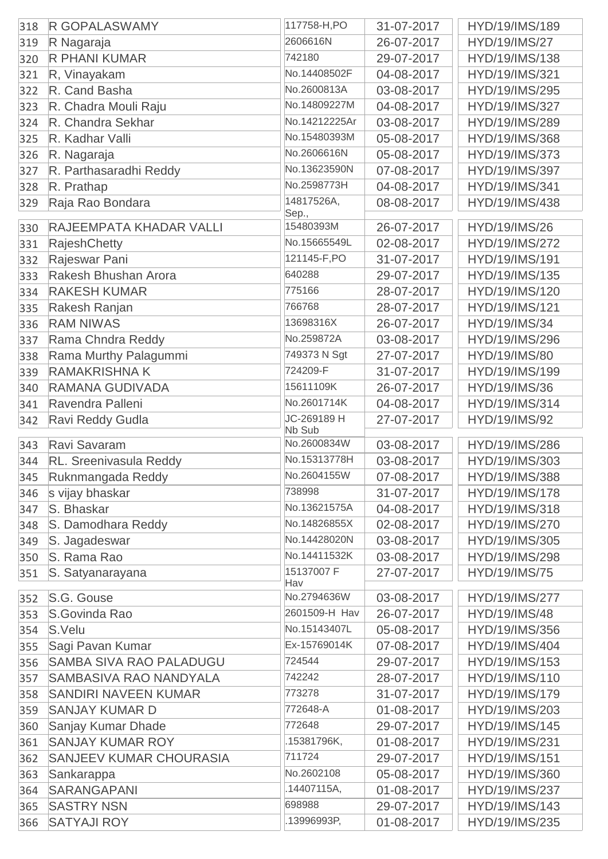| 318 | <b>R GOPALASWAMY</b>           | 117758-H,PO           | 31-07-2017               | HYD/19/IMS/189                         |
|-----|--------------------------------|-----------------------|--------------------------|----------------------------------------|
| 319 | R Nagaraja                     | 2606616N              | 26-07-2017               | <b>HYD/19/IMS/27</b>                   |
| 320 | <b>R PHANI KUMAR</b>           | 742180                | 29-07-2017               | HYD/19/IMS/138                         |
| 321 | R, Vinayakam                   | No.14408502F          | 04-08-2017               | HYD/19/IMS/321                         |
| 322 | R. Cand Basha                  | No.2600813A           | 03-08-2017               | HYD/19/IMS/295                         |
| 323 | R. Chadra Mouli Raju           | No.14809227M          | 04-08-2017               | HYD/19/IMS/327                         |
| 324 | R. Chandra Sekhar              | No.14212225Ar         | 03-08-2017               | HYD/19/IMS/289                         |
| 325 | R. Kadhar Valli                | No.15480393M          | 05-08-2017               | HYD/19/IMS/368                         |
| 326 | R. Nagaraja                    | No.2606616N           | 05-08-2017               | HYD/19/IMS/373                         |
| 327 | R. Parthasaradhi Reddy         | No.13623590N          | 07-08-2017               | HYD/19/IMS/397                         |
| 328 | R. Prathap                     | No.2598773H           | 04-08-2017               | HYD/19/IMS/341                         |
| 329 | Raja Rao Bondara               | 14817526A,            | 08-08-2017               | HYD/19/IMS/438                         |
|     |                                | Sep.,                 |                          |                                        |
| 330 | RAJEEMPATA KHADAR VALLI        | 15480393M             | 26-07-2017               | HYD/19/IMS/26                          |
| 331 | <b>RajeshChetty</b>            | No.15665549L          | 02-08-2017               | HYD/19/IMS/272                         |
| 332 | Rajeswar Pani                  | 121145-F,PO           | 31-07-2017               | HYD/19/IMS/191                         |
| 333 | Rakesh Bhushan Arora           | 640288                | 29-07-2017               | HYD/19/IMS/135                         |
| 334 | <b>RAKESH KUMAR</b>            | 775166                | 28-07-2017               | HYD/19/IMS/120                         |
| 335 | Rakesh Ranjan                  | 766768                | 28-07-2017               | HYD/19/IMS/121                         |
| 336 | <b>RAM NIWAS</b>               | 13698316X             | 26-07-2017               | HYD/19/IMS/34                          |
| 337 | Rama Chndra Reddy              | No.259872A            | 03-08-2017               | HYD/19/IMS/296                         |
| 338 | Rama Murthy Palagummi          | 749373 N Sgt          | 27-07-2017               | HYD/19/IMS/80                          |
| 339 | <b>RAMAKRISHNA K</b>           | 724209-F              | 31-07-2017               | HYD/19/IMS/199                         |
| 340 | <b>RAMANA GUDIVADA</b>         | 15611109K             | 26-07-2017               | HYD/19/IMS/36                          |
| 341 | Ravendra Palleni               | No.2601714K           | 04-08-2017               | HYD/19/IMS/314                         |
| 342 | Ravi Reddy Gudla               | JC-269189 H<br>Nb Sub | 27-07-2017               | HYD/19/IMS/92                          |
| 343 | Ravi Savaram                   | No.2600834W           | 03-08-2017               | HYD/19/IMS/286                         |
| 344 | RL. Sreenivasula Reddy         | No.15313778H          | 03-08-2017               | HYD/19/IMS/303                         |
| 345 | Ruknmangada Reddy              | No.2604155W           | 07-08-2017               | HYD/19/IMS/388                         |
| 346 | s vijay bhaskar                | 738998                | 31-07-2017               | HYD/19/IMS/178                         |
| 347 | S. Bhaskar                     | No.13621575A          | 04-08-2017               | HYD/19/IMS/318                         |
| 348 | S. Damodhara Reddy             | No.14826855X          | 02-08-2017               | HYD/19/IMS/270                         |
| 349 | S. Jagadeswar                  | No.14428020N          | 03-08-2017               | HYD/19/IMS/305                         |
| 350 | S. Rama Rao                    | No.14411532K          | 03-08-2017               | HYD/19/IMS/298                         |
| 351 | S. Satyanarayana               | 15137007 F            | 27-07-2017               | <b>HYD/19/IMS/75</b>                   |
|     |                                | Hav<br>No.2794636W    |                          |                                        |
| 352 | S.G. Gouse<br>S.Govinda Rao    | 2601509-H Hav         | 03-08-2017<br>26-07-2017 | HYD/19/IMS/277<br><b>HYD/19/IMS/48</b> |
| 353 | S.Velu                         | No.15143407L          | 05-08-2017               | HYD/19/IMS/356                         |
| 354 |                                | Ex-15769014K          |                          |                                        |
| 355 | Sagi Pavan Kumar               | 724544                | 07-08-2017               | HYD/19/IMS/404                         |
| 356 | <b>SAMBA SIVA RAO PALADUGU</b> | 742242                | 29-07-2017               | HYD/19/IMS/153                         |
| 357 | SAMBASIVA RAO NANDYALA         | 773278                | 28-07-2017               | HYD/19/IMS/110                         |
| 358 | <b>SANDIRI NAVEEN KUMAR</b>    | 772648-A              | 31-07-2017               | HYD/19/IMS/179                         |
| 359 | <b>SANJAY KUMAR D</b>          | 772648                | 01-08-2017               | HYD/19/IMS/203                         |
| 360 | Sanjay Kumar Dhade             |                       | 29-07-2017               | HYD/19/IMS/145                         |
| 361 | <b>SANJAY KUMAR ROY</b>        | .15381796K,<br>711724 | 01-08-2017               | HYD/19/IMS/231                         |
| 362 | <b>SANJEEV KUMAR CHOURASIA</b> | No.2602108            | 29-07-2017               | HYD/19/IMS/151                         |
| 363 | Sankarappa                     |                       | 05-08-2017               | HYD/19/IMS/360                         |
| 364 | SARANGAPANI                    | .14407115A,           | 01-08-2017               | HYD/19/IMS/237                         |
| 365 | <b>SASTRY NSN</b>              | 698988                | 29-07-2017               | HYD/19/IMS/143                         |
| 366 | <b>SATYAJI ROY</b>             | .13996993P,           | 01-08-2017               | HYD/19/IMS/235                         |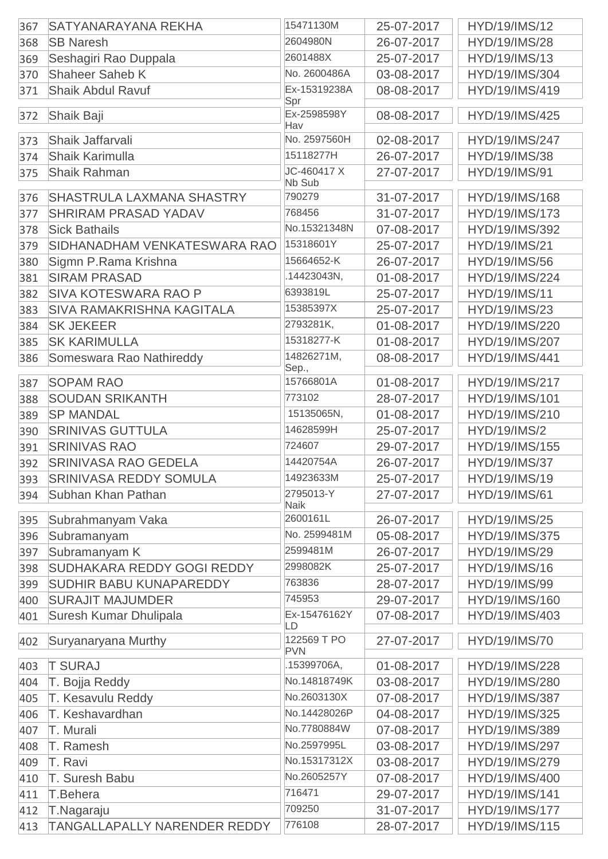| 2604980N<br>26-07-2017<br><b>HYD/19/IMS/28</b><br><b>SB Naresh</b><br>368<br>2601488X<br>Seshagiri Rao Duppala<br>HYD/19/IMS/13<br>25-07-2017<br>369<br>No. 2600486A<br>Shaheer Saheb K<br>03-08-2017<br>HYD/19/IMS/304<br>370<br>Ex-15319238A<br><b>Shaik Abdul Ravuf</b><br>08-08-2017<br>HYD/19/IMS/419<br>371<br>Spr<br>Ex-2598598Y<br>08-08-2017<br>Shaik Baji<br>HYD/19/IMS/425<br>372<br>Hav<br>No. 2597560H<br>Shaik Jaffarvali<br>02-08-2017<br>HYD/19/IMS/247<br>373<br>15118277H<br><b>Shaik Karimulla</b><br>26-07-2017<br><b>HYD/19/IMS/38</b><br>374<br>JC-460417 X<br><b>Shaik Rahman</b><br>27-07-2017<br>HYD/19/IMS/91<br>375<br>Nb Sub<br><b>SHASTRULA LAXMANA SHASTRY</b><br>790279<br>31-07-2017<br>HYD/19/IMS/168<br>376<br><b>SHRIRAM PRASAD YADAV</b><br>768456<br>31-07-2017<br>HYD/19/IMS/173<br>377<br>No.15321348N<br><b>Sick Bathails</b><br>07-08-2017<br>HYD/19/IMS/392<br>378<br>15318601Y<br>SIDHANADHAM VENKATESWARA RAO<br>25-07-2017<br>HYD/19/IMS/21<br>379<br>15664652-K<br>Sigmn P.Rama Krishna<br>26-07-2017<br><b>HYD/19/IMS/56</b><br>380<br>.14423043N,<br><b>SIRAM PRASAD</b><br>01-08-2017<br>HYD/19/IMS/224<br>381<br>6393819L<br><b>SIVA KOTESWARA RAO P</b><br>25-07-2017<br>HYD/19/IMS/11<br>382<br>15385397X<br><b>SIVA RAMAKRISHNA KAGITALA</b><br>HYD/19/IMS/23<br>383<br>25-07-2017<br>2793281K,<br><b>SK JEKEER</b><br>01-08-2017<br>HYD/19/IMS/220<br>384<br>15318277-K<br><b>SK KARIMULLA</b><br>01-08-2017<br>HYD/19/IMS/207<br>385<br>14826271M,<br>Someswara Rao Nathireddy<br>08-08-2017<br>HYD/19/IMS/441<br>386<br>Sep.,<br>15766801A<br><b>SOPAM RAO</b><br>HYD/19/IMS/217<br>01-08-2017<br>387<br>773102<br><b>SOUDAN SRIKANTH</b><br>28-07-2017<br>HYD/19/IMS/101<br>388<br>15135065N,<br><b>SP MANDAL</b><br>01-08-2017<br>HYD/19/IMS/210<br>389<br>14628599H<br><b>SRINIVAS GUTTULA</b><br>390<br>25-07-2017<br><b>HYD/19/IMS/2</b><br>724607<br><b>SRINIVAS RAO</b><br>29-07-2017<br>HYD/19/IMS/155<br>391<br>14420754A<br><b>SRINIVASA RAO GEDELA</b><br><b>HYD/19/IMS/37</b><br>26-07-2017<br>392<br>393<br><b>SRINIVASA REDDY SOMULA</b><br>14923633M<br>25-07-2017<br>HYD/19/IMS/19<br>2795013-Y<br>27-07-2017<br><b>HYD/19/IMS/61</b><br>Subhan Khan Pathan<br>394<br><b>Naik</b><br>2600161L<br>26-07-2017<br><b>HYD/19/IMS/25</b><br>Subrahmanyam Vaka<br>395<br>No. 2599481M<br>HYD/19/IMS/375<br>Subramanyam<br>05-08-2017<br>396<br>2599481M<br>Subramanyam K<br>26-07-2017<br>HYD/19/IMS/29<br>397<br>2998082K<br>SUDHAKARA REDDY GOGI REDDY<br>25-07-2017<br><b>HYD/19/IMS/16</b><br>398<br>763836<br><b>SUDHIR BABU KUNAPAREDDY</b><br>28-07-2017<br>HYD/19/IMS/99<br>399<br>745953<br><b>SURAJIT MAJUMDER</b><br>HYD/19/IMS/160<br>29-07-2017<br>400<br>Ex-15476162Y<br>HYD/19/IMS/403<br>Suresh Kumar Dhulipala<br>07-08-2017<br>401<br>LD<br>122569 T PO<br>Suryanaryana Murthy<br>27-07-2017<br>HYD/19/IMS/70<br>402<br><b>PVN</b><br>.15399706A,<br><b>T SURAJ</b><br>01-08-2017<br>HYD/19/IMS/228<br>403<br>No.14818749K<br>T. Bojja Reddy<br>03-08-2017<br>HYD/19/IMS/280<br>404<br>No.2603130X<br>T. Kesavulu Reddy<br>07-08-2017<br>HYD/19/IMS/387<br>405<br>No.14428026P<br>T. Keshavardhan<br>04-08-2017<br>HYD/19/IMS/325<br>406<br>No.7780884W<br>T. Murali<br>07-08-2017<br>HYD/19/IMS/389<br>407<br>No.2597995L<br>T. Ramesh<br>03-08-2017<br>HYD/19/IMS/297<br>408<br>No.15317312X<br>T. Ravi<br>03-08-2017<br>HYD/19/IMS/279<br>409<br>No.2605257Y<br>T. Suresh Babu<br>07-08-2017<br>HYD/19/IMS/400<br>410<br>716471<br>T.Behera<br>29-07-2017<br>HYD/19/IMS/141<br>411<br>709250<br>31-07-2017<br>HYD/19/IMS/177<br>412<br>T.Nagaraju<br>776108<br>TANGALLAPALLY NARENDER REDDY<br>28-07-2017<br>HYD/19/IMS/115<br>413 | 367 | <b>SATYANARAYANA REKHA</b> | 15471130M | 25-07-2017 | HYD/19/IMS/12 |
|---------------------------------------------------------------------------------------------------------------------------------------------------------------------------------------------------------------------------------------------------------------------------------------------------------------------------------------------------------------------------------------------------------------------------------------------------------------------------------------------------------------------------------------------------------------------------------------------------------------------------------------------------------------------------------------------------------------------------------------------------------------------------------------------------------------------------------------------------------------------------------------------------------------------------------------------------------------------------------------------------------------------------------------------------------------------------------------------------------------------------------------------------------------------------------------------------------------------------------------------------------------------------------------------------------------------------------------------------------------------------------------------------------------------------------------------------------------------------------------------------------------------------------------------------------------------------------------------------------------------------------------------------------------------------------------------------------------------------------------------------------------------------------------------------------------------------------------------------------------------------------------------------------------------------------------------------------------------------------------------------------------------------------------------------------------------------------------------------------------------------------------------------------------------------------------------------------------------------------------------------------------------------------------------------------------------------------------------------------------------------------------------------------------------------------------------------------------------------------------------------------------------------------------------------------------------------------------------------------------------------------------------------------------------------------------------------------------------------------------------------------------------------------------------------------------------------------------------------------------------------------------------------------------------------------------------------------------------------------------------------------------------------------------------------------------------------------------------------------------------------------------------------------------------------------------------------------------------------------------------------------------------------------------------------------------------------------------------------------------------------------------------------------------------------------------------------------------------------------------------------------------------------------------------------------------------------------------------------------------------------------------------------------------------------------------------------------------------------|-----|----------------------------|-----------|------------|---------------|
|                                                                                                                                                                                                                                                                                                                                                                                                                                                                                                                                                                                                                                                                                                                                                                                                                                                                                                                                                                                                                                                                                                                                                                                                                                                                                                                                                                                                                                                                                                                                                                                                                                                                                                                                                                                                                                                                                                                                                                                                                                                                                                                                                                                                                                                                                                                                                                                                                                                                                                                                                                                                                                                                                                                                                                                                                                                                                                                                                                                                                                                                                                                                                                                                                                                                                                                                                                                                                                                                                                                                                                                                                                                                                                                           |     |                            |           |            |               |
|                                                                                                                                                                                                                                                                                                                                                                                                                                                                                                                                                                                                                                                                                                                                                                                                                                                                                                                                                                                                                                                                                                                                                                                                                                                                                                                                                                                                                                                                                                                                                                                                                                                                                                                                                                                                                                                                                                                                                                                                                                                                                                                                                                                                                                                                                                                                                                                                                                                                                                                                                                                                                                                                                                                                                                                                                                                                                                                                                                                                                                                                                                                                                                                                                                                                                                                                                                                                                                                                                                                                                                                                                                                                                                                           |     |                            |           |            |               |
|                                                                                                                                                                                                                                                                                                                                                                                                                                                                                                                                                                                                                                                                                                                                                                                                                                                                                                                                                                                                                                                                                                                                                                                                                                                                                                                                                                                                                                                                                                                                                                                                                                                                                                                                                                                                                                                                                                                                                                                                                                                                                                                                                                                                                                                                                                                                                                                                                                                                                                                                                                                                                                                                                                                                                                                                                                                                                                                                                                                                                                                                                                                                                                                                                                                                                                                                                                                                                                                                                                                                                                                                                                                                                                                           |     |                            |           |            |               |
|                                                                                                                                                                                                                                                                                                                                                                                                                                                                                                                                                                                                                                                                                                                                                                                                                                                                                                                                                                                                                                                                                                                                                                                                                                                                                                                                                                                                                                                                                                                                                                                                                                                                                                                                                                                                                                                                                                                                                                                                                                                                                                                                                                                                                                                                                                                                                                                                                                                                                                                                                                                                                                                                                                                                                                                                                                                                                                                                                                                                                                                                                                                                                                                                                                                                                                                                                                                                                                                                                                                                                                                                                                                                                                                           |     |                            |           |            |               |
|                                                                                                                                                                                                                                                                                                                                                                                                                                                                                                                                                                                                                                                                                                                                                                                                                                                                                                                                                                                                                                                                                                                                                                                                                                                                                                                                                                                                                                                                                                                                                                                                                                                                                                                                                                                                                                                                                                                                                                                                                                                                                                                                                                                                                                                                                                                                                                                                                                                                                                                                                                                                                                                                                                                                                                                                                                                                                                                                                                                                                                                                                                                                                                                                                                                                                                                                                                                                                                                                                                                                                                                                                                                                                                                           |     |                            |           |            |               |
|                                                                                                                                                                                                                                                                                                                                                                                                                                                                                                                                                                                                                                                                                                                                                                                                                                                                                                                                                                                                                                                                                                                                                                                                                                                                                                                                                                                                                                                                                                                                                                                                                                                                                                                                                                                                                                                                                                                                                                                                                                                                                                                                                                                                                                                                                                                                                                                                                                                                                                                                                                                                                                                                                                                                                                                                                                                                                                                                                                                                                                                                                                                                                                                                                                                                                                                                                                                                                                                                                                                                                                                                                                                                                                                           |     |                            |           |            |               |
|                                                                                                                                                                                                                                                                                                                                                                                                                                                                                                                                                                                                                                                                                                                                                                                                                                                                                                                                                                                                                                                                                                                                                                                                                                                                                                                                                                                                                                                                                                                                                                                                                                                                                                                                                                                                                                                                                                                                                                                                                                                                                                                                                                                                                                                                                                                                                                                                                                                                                                                                                                                                                                                                                                                                                                                                                                                                                                                                                                                                                                                                                                                                                                                                                                                                                                                                                                                                                                                                                                                                                                                                                                                                                                                           |     |                            |           |            |               |
|                                                                                                                                                                                                                                                                                                                                                                                                                                                                                                                                                                                                                                                                                                                                                                                                                                                                                                                                                                                                                                                                                                                                                                                                                                                                                                                                                                                                                                                                                                                                                                                                                                                                                                                                                                                                                                                                                                                                                                                                                                                                                                                                                                                                                                                                                                                                                                                                                                                                                                                                                                                                                                                                                                                                                                                                                                                                                                                                                                                                                                                                                                                                                                                                                                                                                                                                                                                                                                                                                                                                                                                                                                                                                                                           |     |                            |           |            |               |
|                                                                                                                                                                                                                                                                                                                                                                                                                                                                                                                                                                                                                                                                                                                                                                                                                                                                                                                                                                                                                                                                                                                                                                                                                                                                                                                                                                                                                                                                                                                                                                                                                                                                                                                                                                                                                                                                                                                                                                                                                                                                                                                                                                                                                                                                                                                                                                                                                                                                                                                                                                                                                                                                                                                                                                                                                                                                                                                                                                                                                                                                                                                                                                                                                                                                                                                                                                                                                                                                                                                                                                                                                                                                                                                           |     |                            |           |            |               |
|                                                                                                                                                                                                                                                                                                                                                                                                                                                                                                                                                                                                                                                                                                                                                                                                                                                                                                                                                                                                                                                                                                                                                                                                                                                                                                                                                                                                                                                                                                                                                                                                                                                                                                                                                                                                                                                                                                                                                                                                                                                                                                                                                                                                                                                                                                                                                                                                                                                                                                                                                                                                                                                                                                                                                                                                                                                                                                                                                                                                                                                                                                                                                                                                                                                                                                                                                                                                                                                                                                                                                                                                                                                                                                                           |     |                            |           |            |               |
|                                                                                                                                                                                                                                                                                                                                                                                                                                                                                                                                                                                                                                                                                                                                                                                                                                                                                                                                                                                                                                                                                                                                                                                                                                                                                                                                                                                                                                                                                                                                                                                                                                                                                                                                                                                                                                                                                                                                                                                                                                                                                                                                                                                                                                                                                                                                                                                                                                                                                                                                                                                                                                                                                                                                                                                                                                                                                                                                                                                                                                                                                                                                                                                                                                                                                                                                                                                                                                                                                                                                                                                                                                                                                                                           |     |                            |           |            |               |
|                                                                                                                                                                                                                                                                                                                                                                                                                                                                                                                                                                                                                                                                                                                                                                                                                                                                                                                                                                                                                                                                                                                                                                                                                                                                                                                                                                                                                                                                                                                                                                                                                                                                                                                                                                                                                                                                                                                                                                                                                                                                                                                                                                                                                                                                                                                                                                                                                                                                                                                                                                                                                                                                                                                                                                                                                                                                                                                                                                                                                                                                                                                                                                                                                                                                                                                                                                                                                                                                                                                                                                                                                                                                                                                           |     |                            |           |            |               |
|                                                                                                                                                                                                                                                                                                                                                                                                                                                                                                                                                                                                                                                                                                                                                                                                                                                                                                                                                                                                                                                                                                                                                                                                                                                                                                                                                                                                                                                                                                                                                                                                                                                                                                                                                                                                                                                                                                                                                                                                                                                                                                                                                                                                                                                                                                                                                                                                                                                                                                                                                                                                                                                                                                                                                                                                                                                                                                                                                                                                                                                                                                                                                                                                                                                                                                                                                                                                                                                                                                                                                                                                                                                                                                                           |     |                            |           |            |               |
|                                                                                                                                                                                                                                                                                                                                                                                                                                                                                                                                                                                                                                                                                                                                                                                                                                                                                                                                                                                                                                                                                                                                                                                                                                                                                                                                                                                                                                                                                                                                                                                                                                                                                                                                                                                                                                                                                                                                                                                                                                                                                                                                                                                                                                                                                                                                                                                                                                                                                                                                                                                                                                                                                                                                                                                                                                                                                                                                                                                                                                                                                                                                                                                                                                                                                                                                                                                                                                                                                                                                                                                                                                                                                                                           |     |                            |           |            |               |
|                                                                                                                                                                                                                                                                                                                                                                                                                                                                                                                                                                                                                                                                                                                                                                                                                                                                                                                                                                                                                                                                                                                                                                                                                                                                                                                                                                                                                                                                                                                                                                                                                                                                                                                                                                                                                                                                                                                                                                                                                                                                                                                                                                                                                                                                                                                                                                                                                                                                                                                                                                                                                                                                                                                                                                                                                                                                                                                                                                                                                                                                                                                                                                                                                                                                                                                                                                                                                                                                                                                                                                                                                                                                                                                           |     |                            |           |            |               |
|                                                                                                                                                                                                                                                                                                                                                                                                                                                                                                                                                                                                                                                                                                                                                                                                                                                                                                                                                                                                                                                                                                                                                                                                                                                                                                                                                                                                                                                                                                                                                                                                                                                                                                                                                                                                                                                                                                                                                                                                                                                                                                                                                                                                                                                                                                                                                                                                                                                                                                                                                                                                                                                                                                                                                                                                                                                                                                                                                                                                                                                                                                                                                                                                                                                                                                                                                                                                                                                                                                                                                                                                                                                                                                                           |     |                            |           |            |               |
|                                                                                                                                                                                                                                                                                                                                                                                                                                                                                                                                                                                                                                                                                                                                                                                                                                                                                                                                                                                                                                                                                                                                                                                                                                                                                                                                                                                                                                                                                                                                                                                                                                                                                                                                                                                                                                                                                                                                                                                                                                                                                                                                                                                                                                                                                                                                                                                                                                                                                                                                                                                                                                                                                                                                                                                                                                                                                                                                                                                                                                                                                                                                                                                                                                                                                                                                                                                                                                                                                                                                                                                                                                                                                                                           |     |                            |           |            |               |
|                                                                                                                                                                                                                                                                                                                                                                                                                                                                                                                                                                                                                                                                                                                                                                                                                                                                                                                                                                                                                                                                                                                                                                                                                                                                                                                                                                                                                                                                                                                                                                                                                                                                                                                                                                                                                                                                                                                                                                                                                                                                                                                                                                                                                                                                                                                                                                                                                                                                                                                                                                                                                                                                                                                                                                                                                                                                                                                                                                                                                                                                                                                                                                                                                                                                                                                                                                                                                                                                                                                                                                                                                                                                                                                           |     |                            |           |            |               |
|                                                                                                                                                                                                                                                                                                                                                                                                                                                                                                                                                                                                                                                                                                                                                                                                                                                                                                                                                                                                                                                                                                                                                                                                                                                                                                                                                                                                                                                                                                                                                                                                                                                                                                                                                                                                                                                                                                                                                                                                                                                                                                                                                                                                                                                                                                                                                                                                                                                                                                                                                                                                                                                                                                                                                                                                                                                                                                                                                                                                                                                                                                                                                                                                                                                                                                                                                                                                                                                                                                                                                                                                                                                                                                                           |     |                            |           |            |               |
|                                                                                                                                                                                                                                                                                                                                                                                                                                                                                                                                                                                                                                                                                                                                                                                                                                                                                                                                                                                                                                                                                                                                                                                                                                                                                                                                                                                                                                                                                                                                                                                                                                                                                                                                                                                                                                                                                                                                                                                                                                                                                                                                                                                                                                                                                                                                                                                                                                                                                                                                                                                                                                                                                                                                                                                                                                                                                                                                                                                                                                                                                                                                                                                                                                                                                                                                                                                                                                                                                                                                                                                                                                                                                                                           |     |                            |           |            |               |
|                                                                                                                                                                                                                                                                                                                                                                                                                                                                                                                                                                                                                                                                                                                                                                                                                                                                                                                                                                                                                                                                                                                                                                                                                                                                                                                                                                                                                                                                                                                                                                                                                                                                                                                                                                                                                                                                                                                                                                                                                                                                                                                                                                                                                                                                                                                                                                                                                                                                                                                                                                                                                                                                                                                                                                                                                                                                                                                                                                                                                                                                                                                                                                                                                                                                                                                                                                                                                                                                                                                                                                                                                                                                                                                           |     |                            |           |            |               |
|                                                                                                                                                                                                                                                                                                                                                                                                                                                                                                                                                                                                                                                                                                                                                                                                                                                                                                                                                                                                                                                                                                                                                                                                                                                                                                                                                                                                                                                                                                                                                                                                                                                                                                                                                                                                                                                                                                                                                                                                                                                                                                                                                                                                                                                                                                                                                                                                                                                                                                                                                                                                                                                                                                                                                                                                                                                                                                                                                                                                                                                                                                                                                                                                                                                                                                                                                                                                                                                                                                                                                                                                                                                                                                                           |     |                            |           |            |               |
|                                                                                                                                                                                                                                                                                                                                                                                                                                                                                                                                                                                                                                                                                                                                                                                                                                                                                                                                                                                                                                                                                                                                                                                                                                                                                                                                                                                                                                                                                                                                                                                                                                                                                                                                                                                                                                                                                                                                                                                                                                                                                                                                                                                                                                                                                                                                                                                                                                                                                                                                                                                                                                                                                                                                                                                                                                                                                                                                                                                                                                                                                                                                                                                                                                                                                                                                                                                                                                                                                                                                                                                                                                                                                                                           |     |                            |           |            |               |
|                                                                                                                                                                                                                                                                                                                                                                                                                                                                                                                                                                                                                                                                                                                                                                                                                                                                                                                                                                                                                                                                                                                                                                                                                                                                                                                                                                                                                                                                                                                                                                                                                                                                                                                                                                                                                                                                                                                                                                                                                                                                                                                                                                                                                                                                                                                                                                                                                                                                                                                                                                                                                                                                                                                                                                                                                                                                                                                                                                                                                                                                                                                                                                                                                                                                                                                                                                                                                                                                                                                                                                                                                                                                                                                           |     |                            |           |            |               |
|                                                                                                                                                                                                                                                                                                                                                                                                                                                                                                                                                                                                                                                                                                                                                                                                                                                                                                                                                                                                                                                                                                                                                                                                                                                                                                                                                                                                                                                                                                                                                                                                                                                                                                                                                                                                                                                                                                                                                                                                                                                                                                                                                                                                                                                                                                                                                                                                                                                                                                                                                                                                                                                                                                                                                                                                                                                                                                                                                                                                                                                                                                                                                                                                                                                                                                                                                                                                                                                                                                                                                                                                                                                                                                                           |     |                            |           |            |               |
|                                                                                                                                                                                                                                                                                                                                                                                                                                                                                                                                                                                                                                                                                                                                                                                                                                                                                                                                                                                                                                                                                                                                                                                                                                                                                                                                                                                                                                                                                                                                                                                                                                                                                                                                                                                                                                                                                                                                                                                                                                                                                                                                                                                                                                                                                                                                                                                                                                                                                                                                                                                                                                                                                                                                                                                                                                                                                                                                                                                                                                                                                                                                                                                                                                                                                                                                                                                                                                                                                                                                                                                                                                                                                                                           |     |                            |           |            |               |
|                                                                                                                                                                                                                                                                                                                                                                                                                                                                                                                                                                                                                                                                                                                                                                                                                                                                                                                                                                                                                                                                                                                                                                                                                                                                                                                                                                                                                                                                                                                                                                                                                                                                                                                                                                                                                                                                                                                                                                                                                                                                                                                                                                                                                                                                                                                                                                                                                                                                                                                                                                                                                                                                                                                                                                                                                                                                                                                                                                                                                                                                                                                                                                                                                                                                                                                                                                                                                                                                                                                                                                                                                                                                                                                           |     |                            |           |            |               |
|                                                                                                                                                                                                                                                                                                                                                                                                                                                                                                                                                                                                                                                                                                                                                                                                                                                                                                                                                                                                                                                                                                                                                                                                                                                                                                                                                                                                                                                                                                                                                                                                                                                                                                                                                                                                                                                                                                                                                                                                                                                                                                                                                                                                                                                                                                                                                                                                                                                                                                                                                                                                                                                                                                                                                                                                                                                                                                                                                                                                                                                                                                                                                                                                                                                                                                                                                                                                                                                                                                                                                                                                                                                                                                                           |     |                            |           |            |               |
|                                                                                                                                                                                                                                                                                                                                                                                                                                                                                                                                                                                                                                                                                                                                                                                                                                                                                                                                                                                                                                                                                                                                                                                                                                                                                                                                                                                                                                                                                                                                                                                                                                                                                                                                                                                                                                                                                                                                                                                                                                                                                                                                                                                                                                                                                                                                                                                                                                                                                                                                                                                                                                                                                                                                                                                                                                                                                                                                                                                                                                                                                                                                                                                                                                                                                                                                                                                                                                                                                                                                                                                                                                                                                                                           |     |                            |           |            |               |
|                                                                                                                                                                                                                                                                                                                                                                                                                                                                                                                                                                                                                                                                                                                                                                                                                                                                                                                                                                                                                                                                                                                                                                                                                                                                                                                                                                                                                                                                                                                                                                                                                                                                                                                                                                                                                                                                                                                                                                                                                                                                                                                                                                                                                                                                                                                                                                                                                                                                                                                                                                                                                                                                                                                                                                                                                                                                                                                                                                                                                                                                                                                                                                                                                                                                                                                                                                                                                                                                                                                                                                                                                                                                                                                           |     |                            |           |            |               |
|                                                                                                                                                                                                                                                                                                                                                                                                                                                                                                                                                                                                                                                                                                                                                                                                                                                                                                                                                                                                                                                                                                                                                                                                                                                                                                                                                                                                                                                                                                                                                                                                                                                                                                                                                                                                                                                                                                                                                                                                                                                                                                                                                                                                                                                                                                                                                                                                                                                                                                                                                                                                                                                                                                                                                                                                                                                                                                                                                                                                                                                                                                                                                                                                                                                                                                                                                                                                                                                                                                                                                                                                                                                                                                                           |     |                            |           |            |               |
|                                                                                                                                                                                                                                                                                                                                                                                                                                                                                                                                                                                                                                                                                                                                                                                                                                                                                                                                                                                                                                                                                                                                                                                                                                                                                                                                                                                                                                                                                                                                                                                                                                                                                                                                                                                                                                                                                                                                                                                                                                                                                                                                                                                                                                                                                                                                                                                                                                                                                                                                                                                                                                                                                                                                                                                                                                                                                                                                                                                                                                                                                                                                                                                                                                                                                                                                                                                                                                                                                                                                                                                                                                                                                                                           |     |                            |           |            |               |
|                                                                                                                                                                                                                                                                                                                                                                                                                                                                                                                                                                                                                                                                                                                                                                                                                                                                                                                                                                                                                                                                                                                                                                                                                                                                                                                                                                                                                                                                                                                                                                                                                                                                                                                                                                                                                                                                                                                                                                                                                                                                                                                                                                                                                                                                                                                                                                                                                                                                                                                                                                                                                                                                                                                                                                                                                                                                                                                                                                                                                                                                                                                                                                                                                                                                                                                                                                                                                                                                                                                                                                                                                                                                                                                           |     |                            |           |            |               |
|                                                                                                                                                                                                                                                                                                                                                                                                                                                                                                                                                                                                                                                                                                                                                                                                                                                                                                                                                                                                                                                                                                                                                                                                                                                                                                                                                                                                                                                                                                                                                                                                                                                                                                                                                                                                                                                                                                                                                                                                                                                                                                                                                                                                                                                                                                                                                                                                                                                                                                                                                                                                                                                                                                                                                                                                                                                                                                                                                                                                                                                                                                                                                                                                                                                                                                                                                                                                                                                                                                                                                                                                                                                                                                                           |     |                            |           |            |               |
|                                                                                                                                                                                                                                                                                                                                                                                                                                                                                                                                                                                                                                                                                                                                                                                                                                                                                                                                                                                                                                                                                                                                                                                                                                                                                                                                                                                                                                                                                                                                                                                                                                                                                                                                                                                                                                                                                                                                                                                                                                                                                                                                                                                                                                                                                                                                                                                                                                                                                                                                                                                                                                                                                                                                                                                                                                                                                                                                                                                                                                                                                                                                                                                                                                                                                                                                                                                                                                                                                                                                                                                                                                                                                                                           |     |                            |           |            |               |
|                                                                                                                                                                                                                                                                                                                                                                                                                                                                                                                                                                                                                                                                                                                                                                                                                                                                                                                                                                                                                                                                                                                                                                                                                                                                                                                                                                                                                                                                                                                                                                                                                                                                                                                                                                                                                                                                                                                                                                                                                                                                                                                                                                                                                                                                                                                                                                                                                                                                                                                                                                                                                                                                                                                                                                                                                                                                                                                                                                                                                                                                                                                                                                                                                                                                                                                                                                                                                                                                                                                                                                                                                                                                                                                           |     |                            |           |            |               |
|                                                                                                                                                                                                                                                                                                                                                                                                                                                                                                                                                                                                                                                                                                                                                                                                                                                                                                                                                                                                                                                                                                                                                                                                                                                                                                                                                                                                                                                                                                                                                                                                                                                                                                                                                                                                                                                                                                                                                                                                                                                                                                                                                                                                                                                                                                                                                                                                                                                                                                                                                                                                                                                                                                                                                                                                                                                                                                                                                                                                                                                                                                                                                                                                                                                                                                                                                                                                                                                                                                                                                                                                                                                                                                                           |     |                            |           |            |               |
|                                                                                                                                                                                                                                                                                                                                                                                                                                                                                                                                                                                                                                                                                                                                                                                                                                                                                                                                                                                                                                                                                                                                                                                                                                                                                                                                                                                                                                                                                                                                                                                                                                                                                                                                                                                                                                                                                                                                                                                                                                                                                                                                                                                                                                                                                                                                                                                                                                                                                                                                                                                                                                                                                                                                                                                                                                                                                                                                                                                                                                                                                                                                                                                                                                                                                                                                                                                                                                                                                                                                                                                                                                                                                                                           |     |                            |           |            |               |
|                                                                                                                                                                                                                                                                                                                                                                                                                                                                                                                                                                                                                                                                                                                                                                                                                                                                                                                                                                                                                                                                                                                                                                                                                                                                                                                                                                                                                                                                                                                                                                                                                                                                                                                                                                                                                                                                                                                                                                                                                                                                                                                                                                                                                                                                                                                                                                                                                                                                                                                                                                                                                                                                                                                                                                                                                                                                                                                                                                                                                                                                                                                                                                                                                                                                                                                                                                                                                                                                                                                                                                                                                                                                                                                           |     |                            |           |            |               |
|                                                                                                                                                                                                                                                                                                                                                                                                                                                                                                                                                                                                                                                                                                                                                                                                                                                                                                                                                                                                                                                                                                                                                                                                                                                                                                                                                                                                                                                                                                                                                                                                                                                                                                                                                                                                                                                                                                                                                                                                                                                                                                                                                                                                                                                                                                                                                                                                                                                                                                                                                                                                                                                                                                                                                                                                                                                                                                                                                                                                                                                                                                                                                                                                                                                                                                                                                                                                                                                                                                                                                                                                                                                                                                                           |     |                            |           |            |               |
|                                                                                                                                                                                                                                                                                                                                                                                                                                                                                                                                                                                                                                                                                                                                                                                                                                                                                                                                                                                                                                                                                                                                                                                                                                                                                                                                                                                                                                                                                                                                                                                                                                                                                                                                                                                                                                                                                                                                                                                                                                                                                                                                                                                                                                                                                                                                                                                                                                                                                                                                                                                                                                                                                                                                                                                                                                                                                                                                                                                                                                                                                                                                                                                                                                                                                                                                                                                                                                                                                                                                                                                                                                                                                                                           |     |                            |           |            |               |
|                                                                                                                                                                                                                                                                                                                                                                                                                                                                                                                                                                                                                                                                                                                                                                                                                                                                                                                                                                                                                                                                                                                                                                                                                                                                                                                                                                                                                                                                                                                                                                                                                                                                                                                                                                                                                                                                                                                                                                                                                                                                                                                                                                                                                                                                                                                                                                                                                                                                                                                                                                                                                                                                                                                                                                                                                                                                                                                                                                                                                                                                                                                                                                                                                                                                                                                                                                                                                                                                                                                                                                                                                                                                                                                           |     |                            |           |            |               |
|                                                                                                                                                                                                                                                                                                                                                                                                                                                                                                                                                                                                                                                                                                                                                                                                                                                                                                                                                                                                                                                                                                                                                                                                                                                                                                                                                                                                                                                                                                                                                                                                                                                                                                                                                                                                                                                                                                                                                                                                                                                                                                                                                                                                                                                                                                                                                                                                                                                                                                                                                                                                                                                                                                                                                                                                                                                                                                                                                                                                                                                                                                                                                                                                                                                                                                                                                                                                                                                                                                                                                                                                                                                                                                                           |     |                            |           |            |               |
|                                                                                                                                                                                                                                                                                                                                                                                                                                                                                                                                                                                                                                                                                                                                                                                                                                                                                                                                                                                                                                                                                                                                                                                                                                                                                                                                                                                                                                                                                                                                                                                                                                                                                                                                                                                                                                                                                                                                                                                                                                                                                                                                                                                                                                                                                                                                                                                                                                                                                                                                                                                                                                                                                                                                                                                                                                                                                                                                                                                                                                                                                                                                                                                                                                                                                                                                                                                                                                                                                                                                                                                                                                                                                                                           |     |                            |           |            |               |
|                                                                                                                                                                                                                                                                                                                                                                                                                                                                                                                                                                                                                                                                                                                                                                                                                                                                                                                                                                                                                                                                                                                                                                                                                                                                                                                                                                                                                                                                                                                                                                                                                                                                                                                                                                                                                                                                                                                                                                                                                                                                                                                                                                                                                                                                                                                                                                                                                                                                                                                                                                                                                                                                                                                                                                                                                                                                                                                                                                                                                                                                                                                                                                                                                                                                                                                                                                                                                                                                                                                                                                                                                                                                                                                           |     |                            |           |            |               |
|                                                                                                                                                                                                                                                                                                                                                                                                                                                                                                                                                                                                                                                                                                                                                                                                                                                                                                                                                                                                                                                                                                                                                                                                                                                                                                                                                                                                                                                                                                                                                                                                                                                                                                                                                                                                                                                                                                                                                                                                                                                                                                                                                                                                                                                                                                                                                                                                                                                                                                                                                                                                                                                                                                                                                                                                                                                                                                                                                                                                                                                                                                                                                                                                                                                                                                                                                                                                                                                                                                                                                                                                                                                                                                                           |     |                            |           |            |               |
|                                                                                                                                                                                                                                                                                                                                                                                                                                                                                                                                                                                                                                                                                                                                                                                                                                                                                                                                                                                                                                                                                                                                                                                                                                                                                                                                                                                                                                                                                                                                                                                                                                                                                                                                                                                                                                                                                                                                                                                                                                                                                                                                                                                                                                                                                                                                                                                                                                                                                                                                                                                                                                                                                                                                                                                                                                                                                                                                                                                                                                                                                                                                                                                                                                                                                                                                                                                                                                                                                                                                                                                                                                                                                                                           |     |                            |           |            |               |
|                                                                                                                                                                                                                                                                                                                                                                                                                                                                                                                                                                                                                                                                                                                                                                                                                                                                                                                                                                                                                                                                                                                                                                                                                                                                                                                                                                                                                                                                                                                                                                                                                                                                                                                                                                                                                                                                                                                                                                                                                                                                                                                                                                                                                                                                                                                                                                                                                                                                                                                                                                                                                                                                                                                                                                                                                                                                                                                                                                                                                                                                                                                                                                                                                                                                                                                                                                                                                                                                                                                                                                                                                                                                                                                           |     |                            |           |            |               |
|                                                                                                                                                                                                                                                                                                                                                                                                                                                                                                                                                                                                                                                                                                                                                                                                                                                                                                                                                                                                                                                                                                                                                                                                                                                                                                                                                                                                                                                                                                                                                                                                                                                                                                                                                                                                                                                                                                                                                                                                                                                                                                                                                                                                                                                                                                                                                                                                                                                                                                                                                                                                                                                                                                                                                                                                                                                                                                                                                                                                                                                                                                                                                                                                                                                                                                                                                                                                                                                                                                                                                                                                                                                                                                                           |     |                            |           |            |               |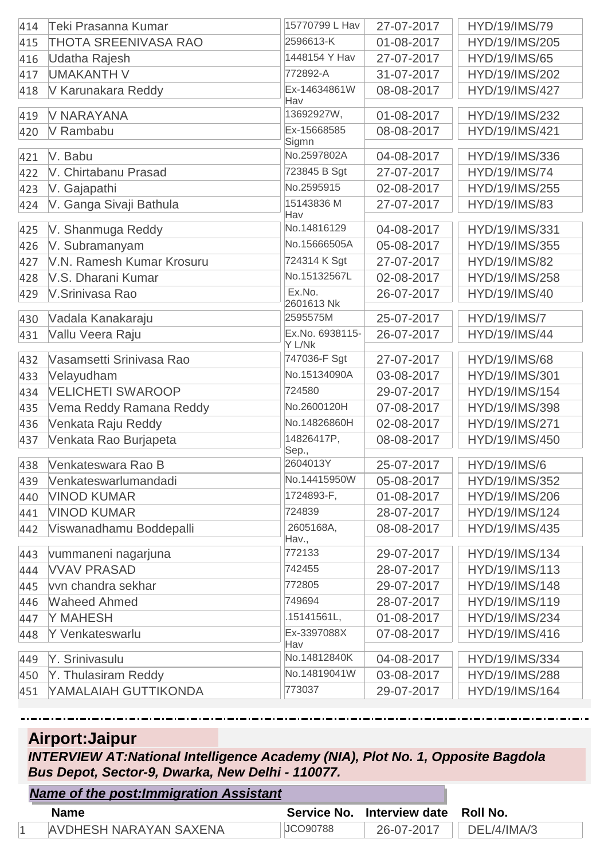| 414 | Teki Prasanna Kumar         | 15770799 L Hav         | 27-07-2017 | HYD/19/IMS/79        |
|-----|-----------------------------|------------------------|------------|----------------------|
| 415 | <b>THOTA SREENIVASA RAO</b> | 2596613-K              | 01-08-2017 | HYD/19/IMS/205       |
| 416 | Udatha Rajesh               | 1448154 Y Hav          | 27-07-2017 | HYD/19/IMS/65        |
| 417 | <b>UMAKANTH V</b>           | 772892-A               | 31-07-2017 | HYD/19/IMS/202       |
| 418 | V Karunakara Reddy          | Ex-14634861W<br>Hav    | 08-08-2017 | HYD/19/IMS/427       |
| 419 | <b>V NARAYANA</b>           | 13692927W,             | 01-08-2017 | HYD/19/IMS/232       |
| 420 | V Rambabu                   | Ex-15668585            | 08-08-2017 | HYD/19/IMS/421       |
| 421 | V. Babu                     | Sigmn<br>No.2597802A   | 04-08-2017 | HYD/19/IMS/336       |
| 422 | V. Chirtabanu Prasad        | 723845 B Sgt           | 27-07-2017 | HYD/19/IMS/74        |
| 423 | V. Gajapathi                | No.2595915             | 02-08-2017 | HYD/19/IMS/255       |
| 424 | V. Ganga Sivaji Bathula     | 15143836 M<br>Hav      | 27-07-2017 | HYD/19/IMS/83        |
| 425 | V. Shanmuga Reddy           | No.14816129            | 04-08-2017 | HYD/19/IMS/331       |
| 426 | V. Subramanyam              | No.15666505A           | 05-08-2017 | HYD/19/IMS/355       |
| 427 | V.N. Ramesh Kumar Krosuru   | 724314 K Sgt           | 27-07-2017 | <b>HYD/19/IMS/82</b> |
| 428 | V.S. Dharani Kumar          | No.15132567L           | 02-08-2017 | HYD/19/IMS/258       |
| 429 | V.Srinivasa Rao             | Ex.No.                 | 26-07-2017 | HYD/19/IMS/40        |
| 430 | Vadala Kanakaraju           | 2601613 Nk<br>2595575M | 25-07-2017 | <b>HYD/19/IMS/7</b>  |
| 431 | Vallu Veera Raju            | Ex.No. 6938115-        | 26-07-2017 | HYD/19/IMS/44        |
|     |                             | Y L/Nk                 |            |                      |
| 432 | Vasamsetti Srinivasa Rao    | 747036-F Sgt           | 27-07-2017 | HYD/19/IMS/68        |
| 433 | Velayudham                  | No.15134090A           | 03-08-2017 | HYD/19/IMS/301       |
| 434 | <b>VELICHETI SWAROOP</b>    | 724580                 | 29-07-2017 | HYD/19/IMS/154       |
| 435 | Vema Reddy Ramana Reddy     | No.2600120H            | 07-08-2017 | HYD/19/IMS/398       |
| 436 | Venkata Raju Reddy          | No.14826860H           | 02-08-2017 | HYD/19/IMS/271       |
| 437 | Venkata Rao Burjapeta       | 14826417P,<br>Sep.,    | 08-08-2017 | HYD/19/IMS/450       |
| 438 | Venkateswara Rao B          | 2604013Y               | 25-07-2017 | <b>HYD/19/IMS/6</b>  |
| 439 | Venkateswarlumandadi        | No.14415950W           | 05-08-2017 | HYD/19/IMS/352       |
| 440 | <b>VINOD KUMAR</b>          | 1724893-F,             | 01-08-2017 | HYD/19/IMS/206       |
| 441 | <b>VINOD KUMAR</b>          | 724839                 | 28-07-2017 | HYD/19/IMS/124       |
| 442 | Viswanadhamu Boddepalli     | 2605168A,<br>Hav.,     | 08-08-2017 | HYD/19/IMS/435       |
| 443 | vummaneni nagarjuna         | 772133                 | 29-07-2017 | HYD/19/IMS/134       |
| 444 | <b>VVAV PRASAD</b>          | 742455                 | 28-07-2017 | HYD/19/IMS/113       |
| 445 | vvn chandra sekhar          | 772805                 | 29-07-2017 | HYD/19/IMS/148       |
| 446 | <b>Waheed Ahmed</b>         | 749694                 | 28-07-2017 | HYD/19/IMS/119       |
| 447 | Y MAHESH                    | .15141561L,            | 01-08-2017 | HYD/19/IMS/234       |
| 448 | Y Venkateswarlu             | Ex-3397088X<br>Hav     | 07-08-2017 | HYD/19/IMS/416       |
| 449 | Y. Srinivasulu              | No.14812840K           | 04-08-2017 | HYD/19/IMS/334       |
| 450 | Y. Thulasiram Reddy         | No.14819041W           | 03-08-2017 | HYD/19/IMS/288       |
| 451 | YAMALAIAH GUTTIKONDA        | 773037                 | 29-07-2017 | HYD/19/IMS/164       |

# **Airport:Jaipur**

*Name of the post:Immigration Assistant*

*INTERVIEW AT:National Intelligence Academy (NIA), Plot No. 1, Opposite Bagdola Bus Depot, Sector-9, Dwarka, New Delhi - 110077.*

| <b>Hand Of the postmining anon Assistant</b> |                 |                                     |             |
|----------------------------------------------|-----------------|-------------------------------------|-------------|
| <b>Name</b>                                  |                 | Service No. Interview date Roll No. |             |
| AVDHESH NARAYAN SAXENA                       | <b>JCO90788</b> | 26-07-2017                          | DEL/4/IMA/3 |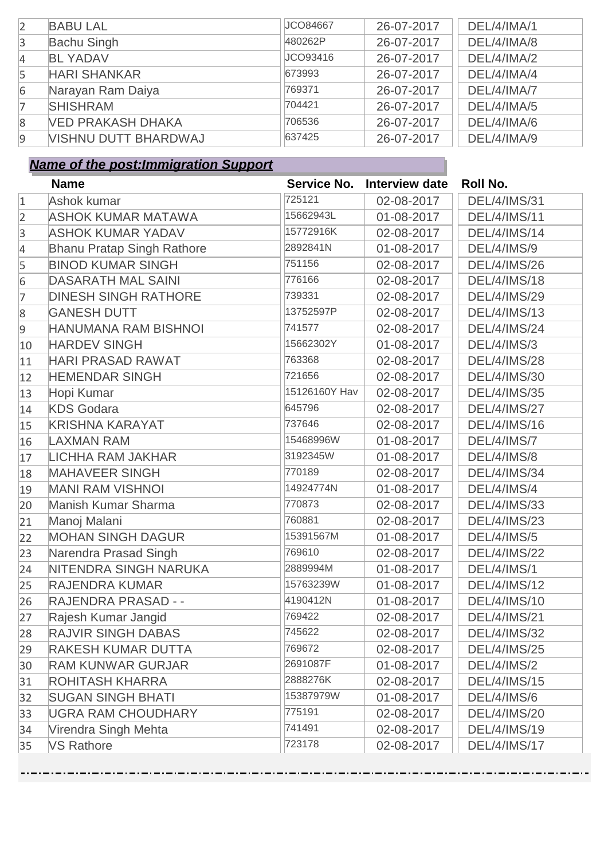| $\overline{2}$ | <b>BABU LAL</b>             | JCO84667 | 26-07-2017 | DEL/4/IMA/1 |
|----------------|-----------------------------|----------|------------|-------------|
| $\overline{3}$ | <b>Bachu Singh</b>          | 480262P  | 26-07-2017 | DEL/4/IMA/8 |
| $\overline{4}$ | <b>BL YADAV</b>             | JCO93416 | 26-07-2017 | DEL/4/IMA/2 |
| 5              | <b>HARI SHANKAR</b>         | 673993   | 26-07-2017 | DEL/4/IMA/4 |
| 6              | Narayan Ram Daiya           | 769371   | 26-07-2017 | DEL/4/IMA/7 |
| $\overline{7}$ | <b>SHISHRAM</b>             | 704421   | 26-07-2017 | DEL/4/IMA/5 |
| 8              | <b>VED PRAKASH DHAKA</b>    | 706536   | 26-07-2017 | DEL/4/IMA/6 |
| $\overline{9}$ | <b>VISHNU DUTT BHARDWAJ</b> | 637425   | 26-07-2017 | DEL/4/IMA/9 |

|                | <b>Name</b>                       |               | Service No. Interview date | <b>Roll No.</b>     |
|----------------|-----------------------------------|---------------|----------------------------|---------------------|
| $\mathbf{1}$   | Ashok kumar                       | 725121        | 02-08-2017                 | <b>DEL/4/IMS/31</b> |
| $\overline{2}$ | <b>ASHOK KUMAR MATAWA</b>         | 15662943L     | 01-08-2017                 | <b>DEL/4/IMS/11</b> |
| $\overline{3}$ | <b>ASHOK KUMAR YADAV</b>          | 15772916K     | 02-08-2017                 | <b>DEL/4/IMS/14</b> |
| 4              | <b>Bhanu Pratap Singh Rathore</b> | 2892841N      | 01-08-2017                 | <b>DEL/4/IMS/9</b>  |
| 5              | <b>BINOD KUMAR SINGH</b>          | 751156        | 02-08-2017                 | <b>DEL/4/IMS/26</b> |
| 6              | <b>DASARATH MAL SAINI</b>         | 776166        | 02-08-2017                 | <b>DEL/4/IMS/18</b> |
| 7              | <b>DINESH SINGH RATHORE</b>       | 739331        | 02-08-2017                 | <b>DEL/4/IMS/29</b> |
| 8              | <b>GANESH DUTT</b>                | 13752597P     | 02-08-2017                 | <b>DEL/4/IMS/13</b> |
| 9              | HANUMANA RAM BISHNOI              | 741577        | 02-08-2017                 | <b>DEL/4/IMS/24</b> |
| 10             | <b>HARDEV SINGH</b>               | 15662302Y     | 01-08-2017                 | <b>DEL/4/IMS/3</b>  |
| 11             | <b>HARI PRASAD RAWAT</b>          | 763368        | 02-08-2017                 | <b>DEL/4/IMS/28</b> |
| 12             | <b>HEMENDAR SINGH</b>             | 721656        | 02-08-2017                 | <b>DEL/4/IMS/30</b> |
| 13             | Hopi Kumar                        | 15126160Y Hav | 02-08-2017                 | <b>DEL/4/IMS/35</b> |
| 14             | <b>KDS Godara</b>                 | 645796        | 02-08-2017                 | <b>DEL/4/IMS/27</b> |
| 15             | <b>KRISHNA KARAYAT</b>            | 737646        | 02-08-2017                 | <b>DEL/4/IMS/16</b> |
| 16             | <b>LAXMAN RAM</b>                 | 15468996W     | 01-08-2017                 | DEL/4/IMS/7         |
| 17             | <b>LICHHA RAM JAKHAR</b>          | 3192345W      | 01-08-2017                 | DEL/4/IMS/8         |
| 18             | <b>MAHAVEER SINGH</b>             | 770189        | 02-08-2017                 | <b>DEL/4/IMS/34</b> |
| 19             | <b>MANI RAM VISHNOI</b>           | 14924774N     | 01-08-2017                 | DEL/4/IMS/4         |
| 20             | <b>Manish Kumar Sharma</b>        | 770873        | 02-08-2017                 | <b>DEL/4/IMS/33</b> |
| 21             | Manoj Malani                      | 760881        | 02-08-2017                 | <b>DEL/4/IMS/23</b> |
| 22             | <b>MOHAN SINGH DAGUR</b>          | 15391567M     | 01-08-2017                 | <b>DEL/4/IMS/5</b>  |
| 23             | Narendra Prasad Singh             | 769610        | 02-08-2017                 | <b>DEL/4/IMS/22</b> |
| 24             | <b>NITENDRA SINGH NARUKA</b>      | 2889994M      | 01-08-2017                 | <b>DEL/4/IMS/1</b>  |
| 25             | <b>RAJENDRA KUMAR</b>             | 15763239W     | 01-08-2017                 | <b>DEL/4/IMS/12</b> |
| 26             | RAJENDRA PRASAD - -               | 4190412N      | 01-08-2017                 | <b>DEL/4/IMS/10</b> |
| 27             | Rajesh Kumar Jangid               | 769422        | 02-08-2017                 | <b>DEL/4/IMS/21</b> |
| 28             | <b>RAJVIR SINGH DABAS</b>         | 745622        | 02-08-2017                 | <b>DEL/4/IMS/32</b> |
| 29             | <b>RAKESH KUMAR DUTTA</b>         | 769672        | 02-08-2017                 | <b>DEL/4/IMS/25</b> |
| 30             | <b>RAM KUNWAR GURJAR</b>          | 2691087F      | 01-08-2017                 | <b>DEL/4/IMS/2</b>  |
| 31             | <b>ROHITASH KHARRA</b>            | 2888276K      | 02-08-2017                 | <b>DEL/4/IMS/15</b> |
| 32             | <b>SUGAN SINGH BHATI</b>          | 15387979W     | 01-08-2017                 | DEL/4/IMS/6         |
| 33             | <b>UGRA RAM CHOUDHARY</b>         | 775191        | 02-08-2017                 | <b>DEL/4/IMS/20</b> |
| 34             | Virendra Singh Mehta              | 741491        | 02-08-2017                 | <b>DEL/4/IMS/19</b> |
| 35             | <b>VS Rathore</b>                 | 723178        | 02-08-2017                 | <b>DEL/4/IMS/17</b> |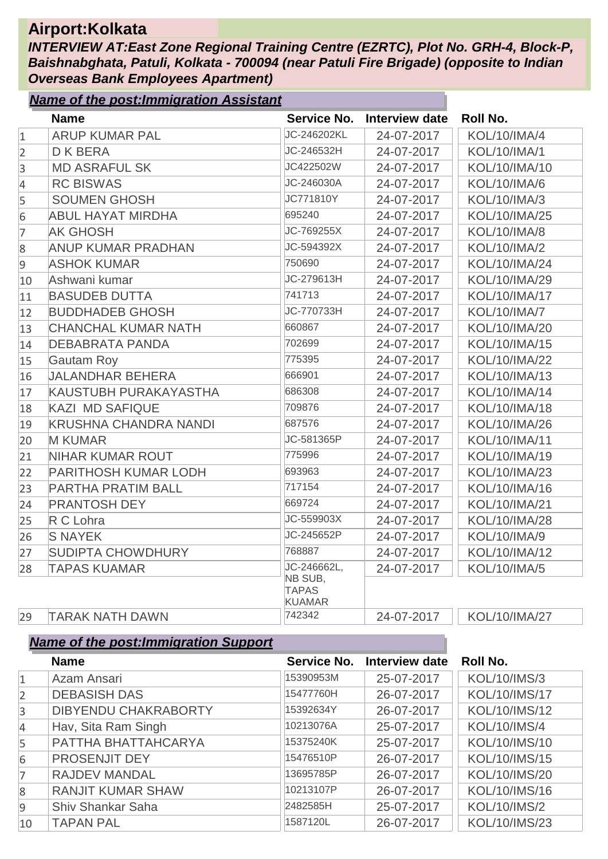### **Airport:Kolkata**

*INTERVIEW AT:East Zone Regional Training Centre (EZRTC), Plot No. GRH-4, Block-P, Baishnabghata, Patuli, Kolkata - 700094 (near Patuli Fire Brigade) (opposite to Indian Overseas Bank Employees Apartment)*

|                | <b>Name of the post: Immigration Assistant</b> |                                          |                       |                     |
|----------------|------------------------------------------------|------------------------------------------|-----------------------|---------------------|
|                | <b>Name</b>                                    | <b>Service No.</b>                       | <b>Interview date</b> | <b>Roll No.</b>     |
| $\mathbf{1}$   | <b>ARUP KUMAR PAL</b>                          | JC-246202KL                              | 24-07-2017            | <b>KOL/10/IMA/4</b> |
| $\overline{2}$ | <b>DKBERA</b>                                  | JC-246532H                               | 24-07-2017            | <b>KOL/10/IMA/1</b> |
| $\overline{3}$ | <b>MD ASRAFUL SK</b>                           | JC422502W                                | 24-07-2017            | KOL/10/IMA/10       |
| $\overline{4}$ | <b>RC BISWAS</b>                               | JC-246030A                               | 24-07-2017            | <b>KOL/10/IMA/6</b> |
| 5              | <b>SOUMEN GHOSH</b>                            | JC771810Y                                | 24-07-2017            | <b>KOL/10/IMA/3</b> |
| 6              | <b>ABUL HAYAT MIRDHA</b>                       | 695240                                   | 24-07-2017            | KOL/10/IMA/25       |
| 7              | <b>AK GHOSH</b>                                | JC-769255X                               | 24-07-2017            | <b>KOL/10/IMA/8</b> |
| 8              | <b>ANUP KUMAR PRADHAN</b>                      | JC-594392X                               | 24-07-2017            | <b>KOL/10/IMA/2</b> |
| $\overline{9}$ | <b>ASHOK KUMAR</b>                             | 750690                                   | 24-07-2017            | KOL/10/IMA/24       |
| 10             | Ashwani kumar                                  | JC-279613H                               | 24-07-2017            | KOL/10/IMA/29       |
| 11             | <b>BASUDEB DUTTA</b>                           | 741713                                   | 24-07-2017            | KOL/10/IMA/17       |
| 12             | <b>BUDDHADEB GHOSH</b>                         | JC-770733H                               | 24-07-2017            | <b>KOL/10/IMA/7</b> |
| 13             | <b>CHANCHAL KUMAR NATH</b>                     | 660867                                   | 24-07-2017            | KOL/10/IMA/20       |
| 14             | <b>DEBABRATA PANDA</b>                         | 702699                                   | 24-07-2017            | KOL/10/IMA/15       |
| 15             | <b>Gautam Roy</b>                              | 775395                                   | 24-07-2017            | KOL/10/IMA/22       |
| 16             | <b>JALANDHAR BEHERA</b>                        | 666901                                   | 24-07-2017            | KOL/10/IMA/13       |
| 17             | KAUSTUBH PURAKAYASTHA                          | 686308                                   | 24-07-2017            | KOL/10/IMA/14       |
| 18             | <b>KAZI MD SAFIQUE</b>                         | 709876                                   | 24-07-2017            | KOL/10/IMA/18       |
| 19             | <b>KRUSHNA CHANDRA NANDI</b>                   | 687576                                   | 24-07-2017            | KOL/10/IMA/26       |
| 20             | <b>M KUMAR</b>                                 | JC-581365P                               | 24-07-2017            | KOL/10/IMA/11       |
| 21             | <b>NIHAR KUMAR ROUT</b>                        | 775996                                   | 24-07-2017            | KOL/10/IMA/19       |
| 22             | <b>PARITHOSH KUMAR LODH</b>                    | 693963                                   | 24-07-2017            | KOL/10/IMA/23       |
| 23             | <b>PARTHA PRATIM BALL</b>                      | 717154                                   | 24-07-2017            | KOL/10/IMA/16       |
| 24             | <b>PRANTOSH DEY</b>                            | 669724                                   | 24-07-2017            | KOL/10/IMA/21       |
| 25             | R C Lohra                                      | JC-559903X                               | 24-07-2017            | KOL/10/IMA/28       |
| 26             | <b>S NAYEK</b>                                 | JC-245652P                               | 24-07-2017            | KOL/10/IMA/9        |
| 27             | <b>SUDIPTA CHOWDHURY</b>                       | 768887                                   | 24-07-2017            | KOL/10/IMA/12       |
| 28             | <b>TAPAS KUAMAR</b>                            | JC-246662L,                              | 24-07-2017            | <b>KOL/10/IMA/5</b> |
|                |                                                | NB SUB,<br><b>TAPAS</b><br><b>KUAMAR</b> |                       |                     |
| 29             | <b>TARAK NATH DAWN</b>                         | 742342                                   | 24-07-2017            | KOL/10/IMA/27       |

|                | <b>Name</b>                 | Service No. | Interview date | Roll No.             |
|----------------|-----------------------------|-------------|----------------|----------------------|
| $\mathbf{1}$   | Azam Ansari                 | 15390953M   | 25-07-2017     | <b>KOL/10/IMS/3</b>  |
| $\overline{2}$ | <b>DEBASISH DAS</b>         | 15477760H   | 26-07-2017     | <b>KOL/10/IMS/17</b> |
| $\overline{3}$ | <b>DIBYENDU CHAKRABORTY</b> | 15392634Y   | 26-07-2017     | <b>KOL/10/IMS/12</b> |
| 4              | Hav, Sita Ram Singh         | 10213076A   | 25-07-2017     | <b>KOL/10/IMS/4</b>  |
| 5              | PATTHA BHATTAHCARYA         | 15375240K   | 25-07-2017     | KOL/10/IMS/10        |
| 6              | PROSENJIT DEY               | 15476510P   | 26-07-2017     | <b>KOL/10/IMS/15</b> |
| $\overline{7}$ | <b>RAJDEV MANDAL</b>        | 13695785P   | 26-07-2017     | KOL/10/IMS/20        |
| 8              | <b>RANJIT KUMAR SHAW</b>    | 10213107P   | 26-07-2017     | KOL/10/IMS/16        |
| $\overline{9}$ | <b>Shiv Shankar Saha</b>    | 2482585H    | 25-07-2017     | <b>KOL/10/IMS/2</b>  |
| 10             | <b>TAPAN PAL</b>            | 1587120L    | 26-07-2017     | KOL/10/IMS/23        |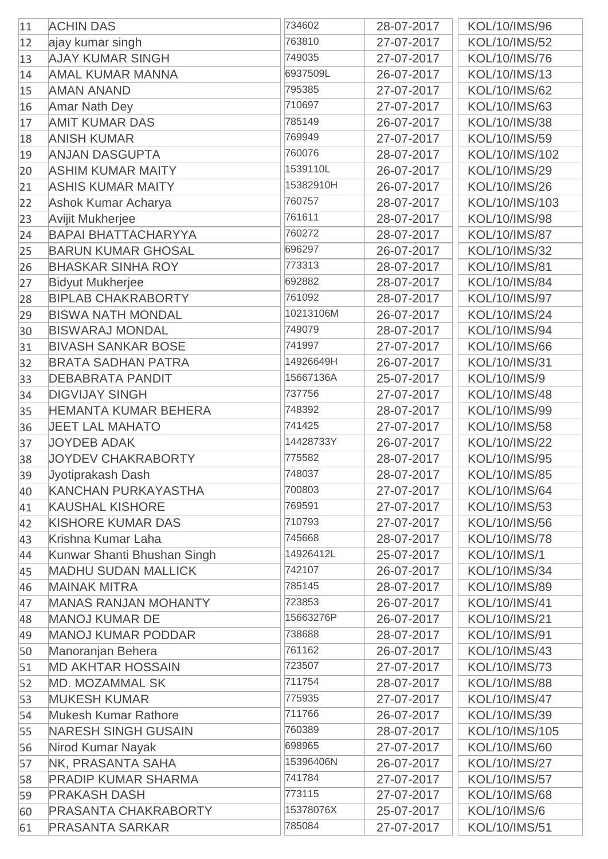| 11 | <b>ACHIN DAS</b>            | 734602    | 28-07-2017 | KOL/10/IMS/96       |
|----|-----------------------------|-----------|------------|---------------------|
| 12 | ajay kumar singh            | 763810    | 27-07-2017 | KOL/10/IMS/52       |
| 13 | <b>AJAY KUMAR SINGH</b>     | 749035    | 27-07-2017 | KOL/10/IMS/76       |
| 14 | <b>AMAL KUMAR MANNA</b>     | 6937509L  | 26-07-2017 | KOL/10/IMS/13       |
| 15 | <b>AMAN ANAND</b>           | 795385    | 27-07-2017 | KOL/10/IMS/62       |
| 16 | <b>Amar Nath Dey</b>        | 710697    | 27-07-2017 | KOL/10/IMS/63       |
| 17 | <b>AMIT KUMAR DAS</b>       | 785149    | 26-07-2017 | KOL/10/IMS/38       |
| 18 | <b>ANISH KUMAR</b>          | 769949    | 27-07-2017 | KOL/10/IMS/59       |
| 19 | <b>ANJAN DASGUPTA</b>       | 760076    | 28-07-2017 | KOL/10/IMS/102      |
| 20 | <b>ASHIM KUMAR MAITY</b>    | 1539110L  | 26-07-2017 | KOL/10/IMS/29       |
| 21 | <b>ASHIS KUMAR MAITY</b>    | 15382910H | 26-07-2017 | KOL/10/IMS/26       |
| 22 | Ashok Kumar Acharya         | 760757    | 28-07-2017 | KOL/10/IMS/103      |
| 23 | <b>Avijit Mukherjee</b>     | 761611    | 28-07-2017 | KOL/10/IMS/98       |
| 24 | <b>BAPAI BHATTACHARYYA</b>  | 760272    | 28-07-2017 | KOL/10/IMS/87       |
| 25 | <b>BARUN KUMAR GHOSAL</b>   | 696297    | 26-07-2017 | KOL/10/IMS/32       |
| 26 | <b>BHASKAR SINHA ROY</b>    | 773313    | 28-07-2017 | KOL/10/IMS/81       |
| 27 | <b>Bidyut Mukherjee</b>     | 692882    | 28-07-2017 | KOL/10/IMS/84       |
| 28 | <b>BIPLAB CHAKRABORTY</b>   | 761092    | 28-07-2017 | KOL/10/IMS/97       |
| 29 | <b>BISWA NATH MONDAL</b>    | 10213106M | 26-07-2017 | KOL/10/IMS/24       |
| 30 | <b>BISWARAJ MONDAL</b>      | 749079    | 28-07-2017 | KOL/10/IMS/94       |
| 31 | <b>BIVASH SANKAR BOSE</b>   | 741997    | 27-07-2017 | KOL/10/IMS/66       |
| 32 | <b>BRATA SADHAN PATRA</b>   | 14926649H | 26-07-2017 | KOL/10/IMS/31       |
|    | <b>DEBABRATA PANDIT</b>     | 15667136A | 25-07-2017 | <b>KOL/10/IMS/9</b> |
| 33 | <b>DIGVIJAY SINGH</b>       | 737756    | 27-07-2017 | KOL/10/IMS/48       |
| 34 | <b>HEMANTA KUMAR BEHERA</b> | 748392    |            | KOL/10/IMS/99       |
| 35 | <b>JEET LAL MAHATO</b>      | 741425    | 28-07-2017 |                     |
| 36 |                             | 14428733Y | 27-07-2017 | KOL/10/IMS/58       |
| 37 | <b>JOYDEB ADAK</b>          | 775582    | 26-07-2017 | KOL/10/IMS/22       |
| 38 | <b>JOYDEV CHAKRABORTY</b>   | 748037    | 28-07-2017 | KOL/10/IMS/95       |
| 39 | Jyotiprakash Dash           | 700803    | 28-07-2017 | KOL/10/IMS/85       |
| 40 | <b>KANCHAN PURKAYASTHA</b>  | 769591    | 27-07-2017 | KOL/10/IMS/64       |
| 41 | <b>KAUSHAL KISHORE</b>      | 710793    | 27-07-2017 | KOL/10/IMS/53       |
| 42 | <b>KISHORE KUMAR DAS</b>    |           | 27-07-2017 | KOL/10/IMS/56       |
| 43 | Krishna Kumar Laha          | 745668    | 28-07-2017 | KOL/10/IMS/78       |
| 44 | Kunwar Shanti Bhushan Singh | 14926412L | 25-07-2017 | <b>KOL/10/IMS/1</b> |
| 45 | <b>MADHU SUDAN MALLICK</b>  | 742107    | 26-07-2017 | KOL/10/IMS/34       |
| 46 | <b>MAINAK MITRA</b>         | 785145    | 28-07-2017 | KOL/10/IMS/89       |
| 47 | <b>MANAS RANJAN MOHANTY</b> | 723853    | 26-07-2017 | KOL/10/IMS/41       |
| 48 | <b>MANOJ KUMAR DE</b>       | 15663276P | 26-07-2017 | KOL/10/IMS/21       |
| 49 | <b>MANOJ KUMAR PODDAR</b>   | 738688    | 28-07-2017 | KOL/10/IMS/91       |
| 50 | Manoranjan Behera           | 761162    | 26-07-2017 | KOL/10/IMS/43       |
| 51 | <b>MD AKHTAR HOSSAIN</b>    | 723507    | 27-07-2017 | KOL/10/IMS/73       |
| 52 | <b>MD. MOZAMMAL SK</b>      | 711754    | 28-07-2017 | KOL/10/IMS/88       |
| 53 | <b>MUKESH KUMAR</b>         | 775935    | 27-07-2017 | KOL/10/IMS/47       |
| 54 | <b>Mukesh Kumar Rathore</b> | 711766    | 26-07-2017 | KOL/10/IMS/39       |
| 55 | <b>NARESH SINGH GUSAIN</b>  | 760389    | 28-07-2017 | KOL/10/IMS/105      |
| 56 | Nirod Kumar Nayak           | 698965    | 27-07-2017 | KOL/10/IMS/60       |
| 57 | NK, PRASANTA SAHA           | 15396406N | 26-07-2017 | KOL/10/IMS/27       |
| 58 | <b>PRADIP KUMAR SHARMA</b>  | 741784    | 27-07-2017 | KOL/10/IMS/57       |
| 59 | <b>PRAKASH DASH</b>         | 773115    | 27-07-2017 | KOL/10/IMS/68       |
| 60 | <b>PRASANTA CHAKRABORTY</b> | 15378076X | 25-07-2017 | <b>KOL/10/IMS/6</b> |
| 61 | <b>PRASANTA SARKAR</b>      | 785084    | 27-07-2017 | KOL/10/IMS/51       |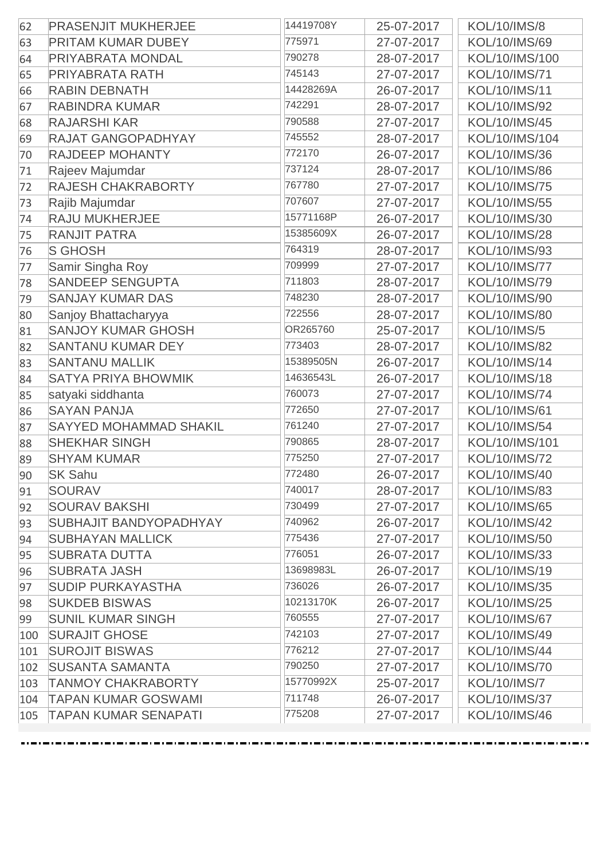| 62  | <b>PRASENJIT MUKHERJEE</b>    | 14419708Y | 25-07-2017 | <b>KOL/10/IMS/8</b> |
|-----|-------------------------------|-----------|------------|---------------------|
| 63  | <b>PRITAM KUMAR DUBEY</b>     | 775971    | 27-07-2017 | KOL/10/IMS/69       |
| 64  | <b>PRIYABRATA MONDAL</b>      | 790278    | 28-07-2017 | KOL/10/IMS/100      |
| 65  | <b>PRIYABRATA RATH</b>        | 745143    | 27-07-2017 | KOL/10/IMS/71       |
| 66  | <b>RABIN DEBNATH</b>          | 14428269A | 26-07-2017 | KOL/10/IMS/11       |
| 67  | <b>RABINDRA KUMAR</b>         | 742291    | 28-07-2017 | KOL/10/IMS/92       |
| 68  | <b>RAJARSHI KAR</b>           | 790588    | 27-07-2017 | KOL/10/IMS/45       |
| 69  | <b>RAJAT GANGOPADHYAY</b>     | 745552    | 28-07-2017 | KOL/10/IMS/104      |
| 70  | <b>RAJDEEP MOHANTY</b>        | 772170    | 26-07-2017 | KOL/10/IMS/36       |
| 71  | Rajeev Majumdar               | 737124    | 28-07-2017 | KOL/10/IMS/86       |
| 72  | RAJESH CHAKRABORTY            | 767780    | 27-07-2017 | KOL/10/IMS/75       |
| 73  | Rajib Majumdar                | 707607    | 27-07-2017 | KOL/10/IMS/55       |
| 74  | <b>RAJU MUKHERJEE</b>         | 15771168P | 26-07-2017 | KOL/10/IMS/30       |
| 75  | <b>RANJIT PATRA</b>           | 15385609X | 26-07-2017 | KOL/10/IMS/28       |
| 76  | <b>S GHOSH</b>                | 764319    | 28-07-2017 | KOL/10/IMS/93       |
| 77  | Samir Singha Roy              | 709999    | 27-07-2017 | KOL/10/IMS/77       |
| 78  | <b>SANDEEP SENGUPTA</b>       | 711803    | 28-07-2017 | KOL/10/IMS/79       |
| 79  | <b>SANJAY KUMAR DAS</b>       | 748230    | 28-07-2017 | KOL/10/IMS/90       |
| 80  | Sanjoy Bhattacharyya          | 722556    | 28-07-2017 | KOL/10/IMS/80       |
| 81  | <b>SANJOY KUMAR GHOSH</b>     | OR265760  | 25-07-2017 | <b>KOL/10/IMS/5</b> |
| 82  | <b>SANTANU KUMAR DEY</b>      | 773403    | 28-07-2017 | KOL/10/IMS/82       |
| 83  | <b>SANTANU MALLIK</b>         | 15389505N | 26-07-2017 | KOL/10/IMS/14       |
| 84  | <b>SATYA PRIYA BHOWMIK</b>    | 14636543L | 26-07-2017 | KOL/10/IMS/18       |
| 85  | satyaki siddhanta             | 760073    | 27-07-2017 | KOL/10/IMS/74       |
| 86  | <b>SAYAN PANJA</b>            | 772650    | 27-07-2017 | KOL/10/IMS/61       |
| 87  | <b>SAYYED MOHAMMAD SHAKIL</b> | 761240    | 27-07-2017 | KOL/10/IMS/54       |
| 88  | <b>SHEKHAR SINGH</b>          | 790865    | 28-07-2017 | KOL/10/IMS/101      |
| 89  | <b>SHYAM KUMAR</b>            | 775250    | 27-07-2017 | KOL/10/IMS/72       |
| 90  | <b>SK Sahu</b>                | 772480    | 26-07-2017 | KOL/10/IMS/40       |
| 91  | <b>SOURAV</b>                 | 740017    | 28-07-2017 | KOL/10/IMS/83       |
| 92  | <b>SOURAV BAKSHI</b>          | 730499    | 27-07-2017 | KOL/10/IMS/65       |
| 93  | <b>SUBHAJIT BANDYOPADHYAY</b> | 740962    | 26-07-2017 | KOL/10/IMS/42       |
| 94  | <b>SUBHAYAN MALLICK</b>       | 775436    | 27-07-2017 | KOL/10/IMS/50       |
| 95  | <b>SUBRATA DUTTA</b>          | 776051    | 26-07-2017 | KOL/10/IMS/33       |
| 96  | <b>SUBRATA JASH</b>           | 13698983L | 26-07-2017 | KOL/10/IMS/19       |
| 97  | <b>SUDIP PURKAYASTHA</b>      | 736026    | 26-07-2017 | KOL/10/IMS/35       |
| 98  | <b>SUKDEB BISWAS</b>          | 10213170K | 26-07-2017 | KOL/10/IMS/25       |
| 99  | <b>SUNIL KUMAR SINGH</b>      | 760555    | 27-07-2017 | KOL/10/IMS/67       |
| 100 | <b>SURAJIT GHOSE</b>          | 742103    | 27-07-2017 | KOL/10/IMS/49       |
| 101 | <b>SUROJIT BISWAS</b>         | 776212    | 27-07-2017 | KOL/10/IMS/44       |
| 102 | <b>SUSANTA SAMANTA</b>        | 790250    | 27-07-2017 | KOL/10/IMS/70       |
| 103 | <b>TANMOY CHAKRABORTY</b>     | 15770992X | 25-07-2017 | <b>KOL/10/IMS/7</b> |
| 104 | <b>TAPAN KUMAR GOSWAMI</b>    | 711748    | 26-07-2017 | KOL/10/IMS/37       |
| 105 | <b>TAPAN KUMAR SENAPATI</b>   | 775208    | 27-07-2017 | KOL/10/IMS/46       |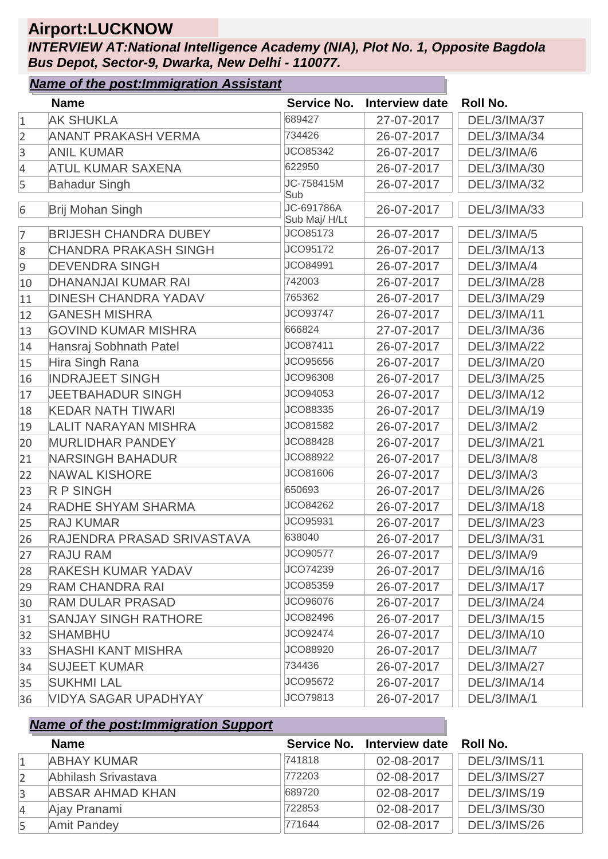# **Airport:LUCKNOW**

*INTERVIEW AT:National Intelligence Academy (NIA), Plot No. 1, Opposite Bagdola Bus Depot, Sector-9, Dwarka, New Delhi - 110077.*

#### *Name of the post:Immigration Assistant*

|                | <b>Name</b>                  |                            | Service No. Interview date | <b>Roll No.</b>     |
|----------------|------------------------------|----------------------------|----------------------------|---------------------|
| $\mathbf{1}$   | <b>AK SHUKLA</b>             | 689427                     | 27-07-2017                 | <b>DEL/3/IMA/37</b> |
| $\overline{2}$ | <b>ANANT PRAKASH VERMA</b>   | 734426                     | 26-07-2017                 | DEL/3/IMA/34        |
| 3              | <b>ANIL KUMAR</b>            | JCO85342                   | 26-07-2017                 | DEL/3/IMA/6         |
| 4              | <b>ATUL KUMAR SAXENA</b>     | 622950                     | 26-07-2017                 | DEL/3/IMA/30        |
| 5              | <b>Bahadur Singh</b>         | JC-758415M<br>Sub          | 26-07-2017                 | <b>DEL/3/IMA/32</b> |
| 6              | Brij Mohan Singh             | JC-691786A<br>Sub Maj/H/Lt | 26-07-2017                 | <b>DEL/3/IMA/33</b> |
| 7              | <b>BRIJESH CHANDRA DUBEY</b> | JCO85173                   | 26-07-2017                 | DEL/3/IMA/5         |
| 8              | <b>CHANDRA PRAKASH SINGH</b> | JCO95172                   | 26-07-2017                 | DEL/3/IMA/13        |
| $\overline{9}$ | <b>DEVENDRA SINGH</b>        | JCO84991                   | 26-07-2017                 | DEL/3/IMA/4         |
| 10             | <b>DHANANJAI KUMAR RAI</b>   | 742003                     | 26-07-2017                 | <b>DEL/3/IMA/28</b> |
| 11             | <b>DINESH CHANDRA YADAV</b>  | 765362                     | 26-07-2017                 | DEL/3/IMA/29        |
| 12             | <b>GANESH MISHRA</b>         | JCO93747                   | 26-07-2017                 | DEL/3/IMA/11        |
| 13             | <b>GOVIND KUMAR MISHRA</b>   | 666824                     | 27-07-2017                 | DEL/3/IMA/36        |
| 14             | Hansraj Sobhnath Patel       | JCO87411                   | 26-07-2017                 | <b>DEL/3/IMA/22</b> |
| 15             | Hira Singh Rana              | JCO95656                   | 26-07-2017                 | <b>DEL/3/IMA/20</b> |
| 16             | <b>INDRAJEET SINGH</b>       | JCO96308                   | 26-07-2017                 | DEL/3/IMA/25        |
| 17             | <b>JEETBAHADUR SINGH</b>     | JCO94053                   | 26-07-2017                 | DEL/3/IMA/12        |
| 18             | <b>KEDAR NATH TIWARI</b>     | JCO88335                   | 26-07-2017                 | DEL/3/IMA/19        |
| 19             | <b>LALIT NARAYAN MISHRA</b>  | JCO81582                   | 26-07-2017                 | DEL/3/IMA/2         |
| 20             | <b>MURLIDHAR PANDEY</b>      | JCO88428                   | 26-07-2017                 | <b>DEL/3/IMA/21</b> |
| 21             | <b>NARSINGH BAHADUR</b>      | JCO88922                   | 26-07-2017                 | DEL/3/IMA/8         |
| 22             | <b>NAWAL KISHORE</b>         | JCO81606                   | 26-07-2017                 | DEL/3/IMA/3         |
| 23             | <b>R P SINGH</b>             | 650693                     | 26-07-2017                 | DEL/3/IMA/26        |
| 24             | RADHE SHYAM SHARMA           | JCO84262                   | 26-07-2017                 | DEL/3/IMA/18        |
| 25             | <b>RAJ KUMAR</b>             | JCO95931                   | 26-07-2017                 | DEL/3/IMA/23        |
| 26             | RAJENDRA PRASAD SRIVASTAVA   | 638040                     | 26-07-2017                 | DEL/3/IMA/31        |
| 27             | <b>RAJU RAM</b>              | JCO90577                   | 26-07-2017                 | DEL/3/IMA/9         |
| 28             | <b>RAKESH KUMAR YADAV</b>    | JCO74239                   | 26-07-2017                 | DEL/3/IMA/16        |
| 29             | <b>RAM CHANDRA RAI</b>       | JCO85359                   | 26-07-2017                 | DEL/3/IMA/17        |
| 30             | <b>RAM DULAR PRASAD</b>      | JCO96076                   | 26-07-2017                 | DEL/3/IMA/24        |
| 31             | <b>SANJAY SINGH RATHORE</b>  | JCO82496                   | 26-07-2017                 | DEL/3/IMA/15        |
| 32             | <b>SHAMBHU</b>               | JCO92474                   | 26-07-2017                 | DEL/3/IMA/10        |
| 33             | <b>SHASHI KANT MISHRA</b>    | JCO88920                   | 26-07-2017                 | DEL/3/IMA/7         |
| 34             | <b>SUJEET KUMAR</b>          | 734436                     | 26-07-2017                 | DEL/3/IMA/27        |
| 35             | <b>SUKHMI LAL</b>            | JCO95672                   | 26-07-2017                 | DEL/3/IMA/14        |
| 36             | <b>VIDYA SAGAR UPADHYAY</b>  | JCO79813                   | 26-07-2017                 | DEL/3/IMA/1         |

|                | <b>Name</b>             |        | Service No. Interview date | Roll No.            |
|----------------|-------------------------|--------|----------------------------|---------------------|
|                | <b>ABHAY KUMAR</b>      | 741818 | 02-08-2017                 | <b>DEL/3/IMS/11</b> |
|                | Abhilash Srivastava     | 772203 | 02-08-2017                 | <b>DEL/3/IMS/27</b> |
| $\overline{3}$ | <b>ABSAR AHMAD KHAN</b> | 689720 | 02-08-2017                 | <b>DEL/3/IMS/19</b> |
| $\overline{4}$ | Ajay Pranami            | 722853 | 02-08-2017                 | <b>DEL/3/IMS/30</b> |
| 5              | <b>Amit Pandey</b>      | 771644 | 02-08-2017                 | <b>DEL/3/IMS/26</b> |
|                |                         |        |                            |                     |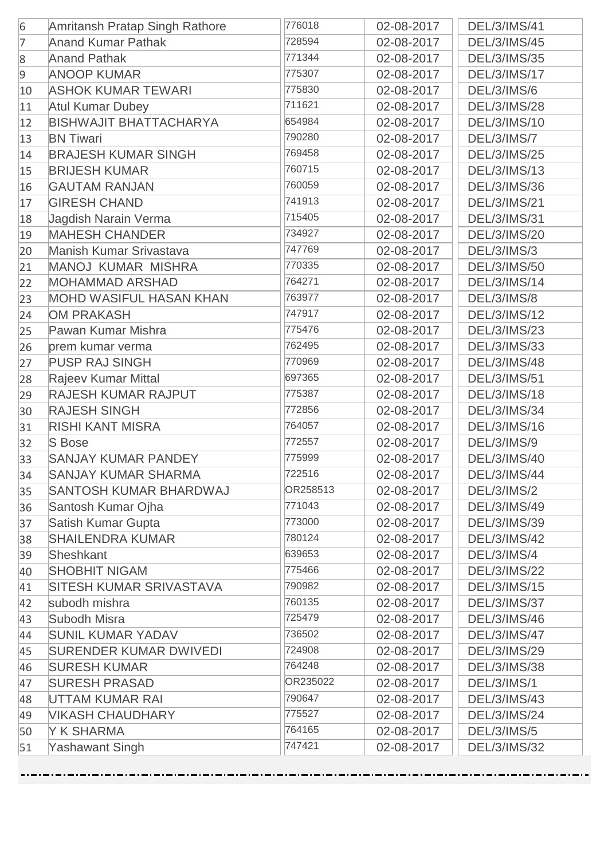| 6              | Amritansh Pratap Singh Rathore | 776018   | 02-08-2017 | <b>DEL/3/IMS/41</b> |
|----------------|--------------------------------|----------|------------|---------------------|
| $\overline{7}$ | <b>Anand Kumar Pathak</b>      | 728594   | 02-08-2017 | <b>DEL/3/IMS/45</b> |
| 8              | <b>Anand Pathak</b>            | 771344   | 02-08-2017 | <b>DEL/3/IMS/35</b> |
| 9              | <b>ANOOP KUMAR</b>             | 775307   | 02-08-2017 | <b>DEL/3/IMS/17</b> |
| 10             | <b>ASHOK KUMAR TEWARI</b>      | 775830   | 02-08-2017 | DEL/3/IMS/6         |
| 11             | <b>Atul Kumar Dubey</b>        | 711621   | 02-08-2017 | <b>DEL/3/IMS/28</b> |
| 12             | <b>BISHWAJIT BHATTACHARYA</b>  | 654984   | 02-08-2017 | DEL/3/IMS/10        |
| 13             | <b>BN Tiwari</b>               | 790280   | 02-08-2017 | DEL/3/IMS/7         |
| 14             | <b>BRAJESH KUMAR SINGH</b>     | 769458   | 02-08-2017 | <b>DEL/3/IMS/25</b> |
| 15             | <b>BRIJESH KUMAR</b>           | 760715   | 02-08-2017 | <b>DEL/3/IMS/13</b> |
| 16             | <b>GAUTAM RANJAN</b>           | 760059   | 02-08-2017 | <b>DEL/3/IMS/36</b> |
| 17             | <b>GIRESH CHAND</b>            | 741913   | 02-08-2017 | <b>DEL/3/IMS/21</b> |
| 18             | Jagdish Narain Verma           | 715405   | 02-08-2017 | <b>DEL/3/IMS/31</b> |
| 19             | <b>MAHESH CHANDER</b>          | 734927   | 02-08-2017 | <b>DEL/3/IMS/20</b> |
| 20             | Manish Kumar Srivastava        | 747769   | 02-08-2017 | DEL/3/IMS/3         |
| 21             | <b>MANOJ KUMAR MISHRA</b>      | 770335   | 02-08-2017 | <b>DEL/3/IMS/50</b> |
| 22             | <b>MOHAMMAD ARSHAD</b>         | 764271   | 02-08-2017 | <b>DEL/3/IMS/14</b> |
| 23             | <b>MOHD WASIFUL HASAN KHAN</b> | 763977   | 02-08-2017 | DEL/3/IMS/8         |
| 24             | <b>OM PRAKASH</b>              | 747917   | 02-08-2017 | DEL/3/IMS/12        |
| 25             | Pawan Kumar Mishra             | 775476   | 02-08-2017 | <b>DEL/3/IMS/23</b> |
| 26             | prem kumar verma               | 762495   | 02-08-2017 | <b>DEL/3/IMS/33</b> |
| 27             | <b>PUSP RAJ SINGH</b>          | 770969   | 02-08-2017 | <b>DEL/3/IMS/48</b> |
| 28             | <b>Rajeev Kumar Mittal</b>     | 697365   | 02-08-2017 | <b>DEL/3/IMS/51</b> |
| 29             | <b>RAJESH KUMAR RAJPUT</b>     | 775387   | 02-08-2017 | <b>DEL/3/IMS/18</b> |
| 30             | <b>RAJESH SINGH</b>            | 772856   | 02-08-2017 | <b>DEL/3/IMS/34</b> |
| 31             | <b>RISHI KANT MISRA</b>        | 764057   | 02-08-2017 | DEL/3/IMS/16        |
| 32             | <b>S</b> Bose                  | 772557   | 02-08-2017 | DEL/3/IMS/9         |
| 33             | <b>SANJAY KUMAR PANDEY</b>     | 775999   | 02-08-2017 | DEL/3/IMS/40        |
| 34             | <b>SANJAY KUMAR SHARMA</b>     | 722516   | 02-08-2017 | <b>DEL/3/IMS/44</b> |
| 35             | <b>SANTOSH KUMAR BHARDWAJ</b>  | OR258513 | 02-08-2017 | <b>DEL/3/IMS/2</b>  |
| 36             | Santosh Kumar Ojha             | 771043   | 02-08-2017 | <b>DEL/3/IMS/49</b> |
| 37             | <b>Satish Kumar Gupta</b>      | 773000   | 02-08-2017 | DEL/3/IMS/39        |
| 38             | <b>SHAILENDRA KUMAR</b>        | 780124   | 02-08-2017 | <b>DEL/3/IMS/42</b> |
| 39             | Sheshkant                      | 639653   | 02-08-2017 | DEL/3/IMS/4         |
| 40             | <b>SHOBHIT NIGAM</b>           | 775466   | 02-08-2017 | <b>DEL/3/IMS/22</b> |
| 41             | SITESH KUMAR SRIVASTAVA        | 790982   | 02-08-2017 | DEL/3/IMS/15        |
| 42             | subodh mishra                  | 760135   | 02-08-2017 | <b>DEL/3/IMS/37</b> |
| 43             | Subodh Misra                   | 725479   | 02-08-2017 | DEL/3/IMS/46        |
| 44             | <b>SUNIL KUMAR YADAV</b>       | 736502   | 02-08-2017 | <b>DEL/3/IMS/47</b> |
| 45             | <b>SURENDER KUMAR DWIVEDI</b>  | 724908   | 02-08-2017 | DEL/3/IMS/29        |
| 46             | <b>SURESH KUMAR</b>            | 764248   | 02-08-2017 | <b>DEL/3/IMS/38</b> |
| 47             | <b>SURESH PRASAD</b>           | OR235022 | 02-08-2017 | DEL/3/IMS/1         |
| 48             | UTTAM KUMAR RAI                | 790647   | 02-08-2017 | <b>DEL/3/IMS/43</b> |
| 49             | <b>VIKASH CHAUDHARY</b>        | 775527   | 02-08-2017 | <b>DEL/3/IMS/24</b> |
| 50             | Y K SHARMA                     | 764165   | 02-08-2017 | <b>DEL/3/IMS/5</b>  |
| 51             | <b>Yashawant Singh</b>         | 747421   | 02-08-2017 | <b>DEL/3/IMS/32</b> |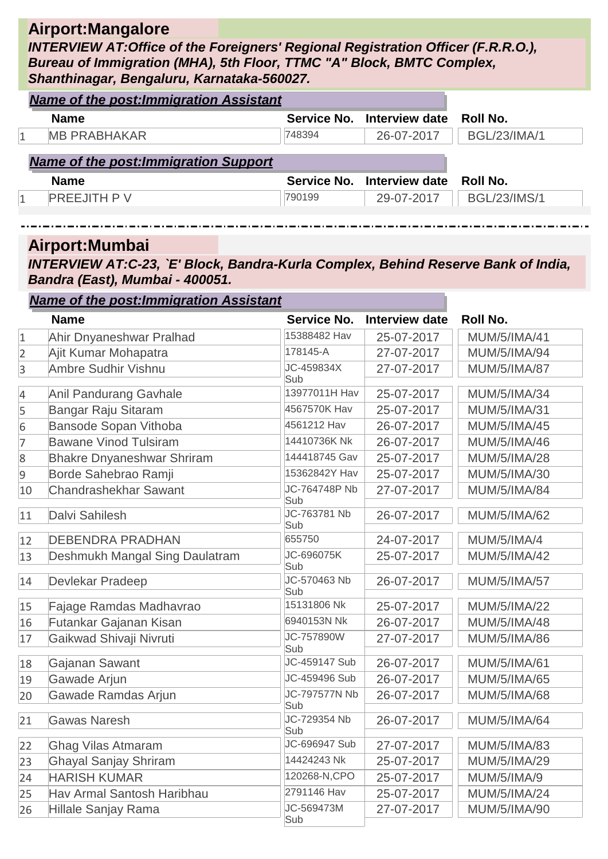#### **Airport:Mangalore**

*INTERVIEW AT:Office of the Foreigners' Regional Registration Officer (F.R.R.O.), Bureau of Immigration (MHA), 5th Floor, TTMC "A" Block, BMTC Complex, Shanthinagar, Bengaluru, Karnataka-560027.*

| <b>Name of the post: Immigration Assistant</b> |        |                            |                     |
|------------------------------------------------|--------|----------------------------|---------------------|
| <b>Name</b>                                    |        | Service No. Interview date | Roll No.            |
| <b>MB PRABHAKAR</b>                            | 748394 | 26-07-2017                 | <b>BGL/23/IMA/1</b> |
| <b>Name of the post: Immigration Support</b>   |        |                            |                     |
|                                                |        |                            |                     |
| <b>Name</b>                                    |        | Service No. Interview date | <b>Roll No.</b>     |
| <b>PREEJITH PV</b>                             | 790199 | 29-07-2017                 | <b>BGL/23/IMS/1</b> |

#### **Airport:Mumbai**

*INTERVIEW AT:C-23, `E' Block, Bandra-Kurla Complex, Behind Reserve Bank of India, Bandra (East), Mumbai - 400051.*

|              | <b>Name of the post: Immigration Assistant</b> |                      |                       |                     |
|--------------|------------------------------------------------|----------------------|-----------------------|---------------------|
|              | <b>Name</b>                                    | <b>Service No.</b>   | <b>Interview date</b> | <b>Roll No.</b>     |
| $\mathbf{1}$ | Ahir Dnyaneshwar Pralhad                       | 15388482 Hav         | 25-07-2017            | <b>MUM/5/IMA/41</b> |
| 2            | Ajit Kumar Mohapatra                           | 178145-A             | 27-07-2017            | <b>MUM/5/IMA/94</b> |
| 3            | Ambre Sudhir Vishnu                            | JC-459834X<br>Sub    | 27-07-2017            | <b>MUM/5/IMA/87</b> |
| 4            | <b>Anil Pandurang Gavhale</b>                  | 13977011H Hav        | 25-07-2017            | <b>MUM/5/IMA/34</b> |
| 5            | Bangar Raju Sitaram                            | 4567570K Hav         | 25-07-2017            | <b>MUM/5/IMA/31</b> |
| 6            | Bansode Sopan Vithoba                          | 4561212 Hav          | 26-07-2017            | <b>MUM/5/IMA/45</b> |
| 7            | <b>Bawane Vinod Tulsiram</b>                   | 14410736K Nk         | 26-07-2017            | <b>MUM/5/IMA/46</b> |
| 8            | <b>Bhakre Dnyaneshwar Shriram</b>              | 144418745 Gav        | 25-07-2017            | <b>MUM/5/IMA/28</b> |
| 9            | Borde Sahebrao Ramji                           | 15362842Y Hav        | 25-07-2017            | <b>MUM/5/IMA/30</b> |
| 10           | <b>Chandrashekhar Sawant</b>                   | JC-764748P Nb<br>Sub | 27-07-2017            | <b>MUM/5/IMA/84</b> |
| 11           | Dalvi Sahilesh                                 | JC-763781 Nb<br>Sub  | 26-07-2017            | <b>MUM/5/IMA/62</b> |
| 12           | <b>DEBENDRA PRADHAN</b>                        | 655750               | 24-07-2017            | <b>MUM/5/IMA/4</b>  |
| 13           | Deshmukh Mangal Sing Daulatram                 | JC-696075K<br>Sub    | 25-07-2017            | <b>MUM/5/IMA/42</b> |
| 14           | Devlekar Pradeep                               | JC-570463 Nb<br>Sub  | 26-07-2017            | <b>MUM/5/IMA/57</b> |
| 15           | Fajage Ramdas Madhavrao                        | 15131806 Nk          | 25-07-2017            | <b>MUM/5/IMA/22</b> |
| 16           | Futankar Gajanan Kisan                         | 6940153N Nk          | 26-07-2017            | <b>MUM/5/IMA/48</b> |
| 17           | Gaikwad Shivaji Nivruti                        | JC-757890W<br>Sub    | 27-07-2017            | <b>MUM/5/IMA/86</b> |
| 18           | Gajanan Sawant                                 | JC-459147 Sub        | 26-07-2017            | <b>MUM/5/IMA/61</b> |
| 19           | Gawade Arjun                                   | JC-459496 Sub        | 26-07-2017            | <b>MUM/5/IMA/65</b> |
| 20           | Gawade Ramdas Arjun                            | JC-797577N Nb<br>Sub | 26-07-2017            | <b>MUM/5/IMA/68</b> |
| 21           | <b>Gawas Naresh</b>                            | JC-729354 Nb<br>Sub  | 26-07-2017            | <b>MUM/5/IMA/64</b> |
| 22           | <b>Ghag Vilas Atmaram</b>                      | JC-696947 Sub        | 27-07-2017            | <b>MUM/5/IMA/83</b> |
| 23           | <b>Ghayal Sanjay Shriram</b>                   | 14424243 Nk          | 25-07-2017            | <b>MUM/5/IMA/29</b> |
| 24           | <b>HARISH KUMAR</b>                            | 120268-N, CPO        | 25-07-2017            | <b>MUM/5/IMA/9</b>  |
| 25           | Hav Armal Santosh Haribhau                     | 2791146 Hav          | 25-07-2017            | <b>MUM/5/IMA/24</b> |
| 26           | Hillale Sanjay Rama                            | JC-569473M           | 27-07-2017            | MI IM/5/IMA/90      |

Sub 26 Hillale Sanjay Rama 27-07-2017 | MUM/5/IMA/90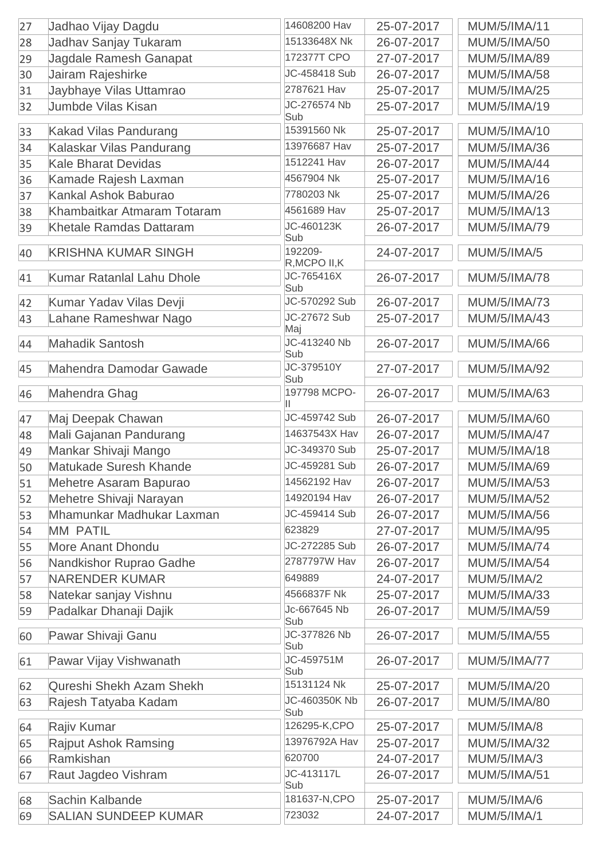| 27 | Jadhao Vijay Dagdu               | 14608200 Hav             | 25-07-2017 | <b>MUM/5/IMA/11</b> |
|----|----------------------------------|--------------------------|------------|---------------------|
| 28 | Jadhav Sanjay Tukaram            | 15133648X Nk             | 26-07-2017 | <b>MUM/5/IMA/50</b> |
| 29 | Jagdale Ramesh Ganapat           | 172377T CPO              | 27-07-2017 | <b>MUM/5/IMA/89</b> |
| 30 | Jairam Rajeshirke                | JC-458418 Sub            | 26-07-2017 | <b>MUM/5/IMA/58</b> |
| 31 | Jaybhaye Vilas Uttamrao          | 2787621 Hav              | 25-07-2017 | <b>MUM/5/IMA/25</b> |
| 32 | <b>Jumbde Vilas Kisan</b>        | JC-276574 Nb             | 25-07-2017 | MUM/5/IMA/19        |
|    |                                  | Sub                      |            |                     |
| 33 | <b>Kakad Vilas Pandurang</b>     | 15391560 Nk              | 25-07-2017 | MUM/5/IMA/10        |
| 34 | Kalaskar Vilas Pandurang         | 13976687 Hav             | 25-07-2017 | <b>MUM/5/IMA/36</b> |
| 35 | <b>Kale Bharat Devidas</b>       | 1512241 Hav              | 26-07-2017 | <b>MUM/5/IMA/44</b> |
| 36 | Kamade Rajesh Laxman             | 4567904 Nk               | 25-07-2017 | <b>MUM/5/IMA/16</b> |
| 37 | Kankal Ashok Baburao             | 7780203 Nk               | 25-07-2017 | <b>MUM/5/IMA/26</b> |
| 38 | Khambaitkar Atmaram Totaram      | 4561689 Hav              | 25-07-2017 | <b>MUM/5/IMA/13</b> |
| 39 | Khetale Ramdas Dattaram          | JC-460123K<br>Sub        | 26-07-2017 | <b>MUM/5/IMA/79</b> |
| 40 | <b>KRISHNA KUMAR SINGH</b>       | 192209-<br>R, MCPO II, K | 24-07-2017 | <b>MUM/5/IMA/5</b>  |
| 41 | <b>Kumar Ratanlal Lahu Dhole</b> | JC-765416X               | 26-07-2017 | <b>MUM/5/IMA/78</b> |
|    |                                  | Sub                      |            |                     |
| 42 | Kumar Yadav Vilas Devji          | JC-570292 Sub            | 26-07-2017 | <b>MUM/5/IMA/73</b> |
| 43 | Lahane Rameshwar Nago            | JC-27672 Sub<br>Maj      | 25-07-2017 | <b>MUM/5/IMA/43</b> |
| 44 | <b>Mahadik Santosh</b>           | JC-413240 Nb             | 26-07-2017 | <b>MUM/5/IMA/66</b> |
|    |                                  | Sub                      |            |                     |
| 45 | Mahendra Damodar Gawade          | JC-379510Y<br>Sub        | 27-07-2017 | <b>MUM/5/IMA/92</b> |
| 46 | Mahendra Ghag                    | 197798 MCPO-             | 26-07-2017 | <b>MUM/5/IMA/63</b> |
| 47 | Maj Deepak Chawan                | JC-459742 Sub            | 26-07-2017 | <b>MUM/5/IMA/60</b> |
| 48 | Mali Gajanan Pandurang           | 14637543X Hav            | 26-07-2017 | <b>MUM/5/IMA/47</b> |
| 49 | Mankar Shivaji Mango             | JC-349370 Sub            | 25-07-2017 | <b>MUM/5/IMA/18</b> |
| 50 | Matukade Suresh Khande           | JC-459281 Sub            | 26-07-2017 | <b>MUM/5/IMA/69</b> |
| 51 | Mehetre Asaram Bapurao           | 14562192 Hav             | 26-07-2017 | <b>MUM/5/IMA/53</b> |
| 52 | Mehetre Shivaji Narayan          | 14920194 Hav             | 26-07-2017 | <b>MUM/5/IMA/52</b> |
| 53 | Mhamunkar Madhukar Laxman        | JC-459414 Sub            | 26-07-2017 | <b>MUM/5/IMA/56</b> |
| 54 | <b>MM PATIL</b>                  | 623829                   | 27-07-2017 | <b>MUM/5/IMA/95</b> |
| 55 | <b>More Anant Dhondu</b>         | JC-272285 Sub            | 26-07-2017 | <b>MUM/5/IMA/74</b> |
| 56 | Nandkishor Ruprao Gadhe          | 2787797W Hav             | 26-07-2017 | <b>MUM/5/IMA/54</b> |
| 57 | <b>NARENDER KUMAR</b>            | 649889                   | 24-07-2017 | <b>MUM/5/IMA/2</b>  |
| 58 | Natekar sanjay Vishnu            | 4566837F Nk              | 25-07-2017 | <b>MUM/5/IMA/33</b> |
| 59 | Padalkar Dhanaji Dajik           | Jc-667645 Nb             | 26-07-2017 | <b>MUM/5/IMA/59</b> |
| 60 | Pawar Shivaji Ganu               | Sub<br>JC-377826 Nb      | 26-07-2017 | <b>MUM/5/IMA/55</b> |
|    |                                  | Sub                      |            |                     |
| 61 | Pawar Vijay Vishwanath           | JC-459751M<br>Sub        | 26-07-2017 | <b>MUM/5/IMA/77</b> |
| 62 | Qureshi Shekh Azam Shekh         | 15131124 Nk              | 25-07-2017 | <b>MUM/5/IMA/20</b> |
| 63 | Rajesh Tatyaba Kadam             | JC-460350K Nb            | 26-07-2017 | <b>MUM/5/IMA/80</b> |
| 64 | Rajiv Kumar                      | Sub<br>126295-K,CPO      | 25-07-2017 | <b>MUM/5/IMA/8</b>  |
| 65 | <b>Rajput Ashok Ramsing</b>      | 13976792A Hav            | 25-07-2017 | <b>MUM/5/IMA/32</b> |
| 66 | Ramkishan                        | 620700                   | 24-07-2017 | <b>MUM/5/IMA/3</b>  |
| 67 | Raut Jagdeo Vishram              | JC-413117L<br>Sub        | 26-07-2017 | <b>MUM/5/IMA/51</b> |
| 68 | Sachin Kalbande                  | 181637-N, CPO            | 25-07-2017 | <b>MUM/5/IMA/6</b>  |
| 69 | <b>SALIAN SUNDEEP KUMAR</b>      | 723032                   | 24-07-2017 | <b>MUM/5/IMA/1</b>  |
|    |                                  |                          |            |                     |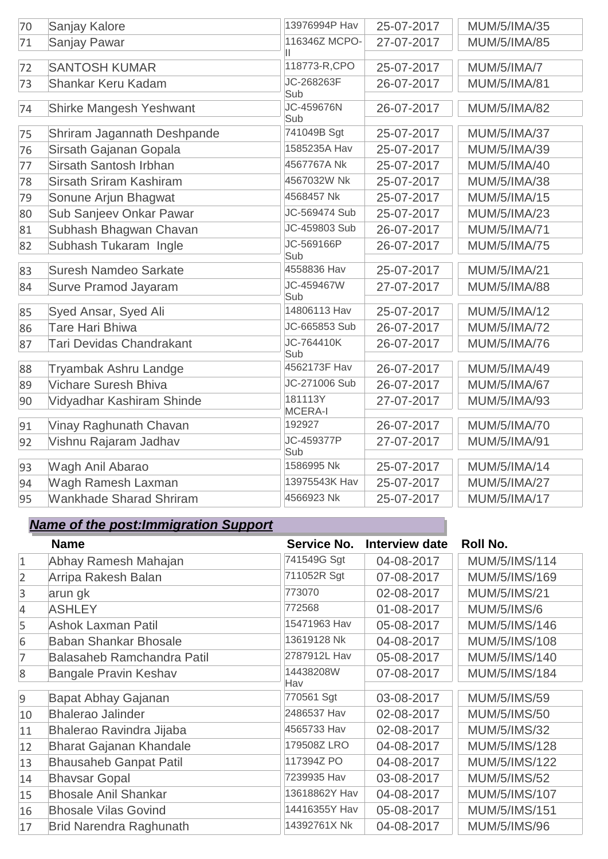| 70 | Sanjay Kalore                   | 13976994P Hav             | 25-07-2017 | <b>MUM/5/IMA/35</b> |
|----|---------------------------------|---------------------------|------------|---------------------|
| 71 | <b>Sanjay Pawar</b>             | 116346Z MCPO-             | 27-07-2017 | <b>MUM/5/IMA/85</b> |
| 72 | <b>SANTOSH KUMAR</b>            | Ш<br>118773-R,CPO         | 25-07-2017 | <b>MUM/5/IMA/7</b>  |
| 73 | Shankar Keru Kadam              | JC-268263F                | 26-07-2017 | <b>MUM/5/IMA/81</b> |
| 74 | Shirke Mangesh Yeshwant         | Sub<br>JC-459676N<br>Sub  | 26-07-2017 | <b>MUM/5/IMA/82</b> |
| 75 | Shriram Jagannath Deshpande     | 741049B Sgt               | 25-07-2017 | <b>MUM/5/IMA/37</b> |
| 76 | Sirsath Gajanan Gopala          | 1585235A Hav              | 25-07-2017 | MUM/5/IMA/39        |
| 77 | Sirsath Santosh Irbhan          | 4567767A Nk               | 25-07-2017 | <b>MUM/5/IMA/40</b> |
| 78 | <b>Sirsath Sriram Kashiram</b>  | 4567032W Nk               | 25-07-2017 | <b>MUM/5/IMA/38</b> |
| 79 | Sonune Arjun Bhagwat            | 4568457 Nk                | 25-07-2017 | <b>MUM/5/IMA/15</b> |
| 80 | Sub Sanjeev Onkar Pawar         | JC-569474 Sub             | 25-07-2017 | <b>MUM/5/IMA/23</b> |
| 81 | Subhash Bhagwan Chavan          | JC-459803 Sub             | 26-07-2017 | <b>MUM/5/IMA/71</b> |
| 82 | Subhash Tukaram Ingle           | JC-569166P<br>Sub         | 26-07-2017 | <b>MUM/5/IMA/75</b> |
| 83 | <b>Suresh Namdeo Sarkate</b>    | 4558836 Hav               | 25-07-2017 | <b>MUM/5/IMA/21</b> |
| 84 | <b>Surve Pramod Jayaram</b>     | JC-459467W<br>Sub         | 27-07-2017 | <b>MUM/5/IMA/88</b> |
| 85 | Syed Ansar, Syed Ali            | 14806113 Hav              | 25-07-2017 | <b>MUM/5/IMA/12</b> |
| 86 | <b>Tare Hari Bhiwa</b>          | JC-665853 Sub             | 26-07-2017 | <b>MUM/5/IMA/72</b> |
| 87 | <b>Tari Devidas Chandrakant</b> | JC-764410K<br>Sub         | 26-07-2017 | <b>MUM/5/IMA/76</b> |
| 88 | Tryambak Ashru Landge           | 4562173F Hav              | 26-07-2017 | <b>MUM/5/IMA/49</b> |
| 89 | Vichare Suresh Bhiva            | JC-271006 Sub             | 26-07-2017 | <b>MUM/5/IMA/67</b> |
| 90 | Vidyadhar Kashiram Shinde       | 181113Y<br><b>MCERA-I</b> | 27-07-2017 | <b>MUM/5/IMA/93</b> |
| 91 | Vinay Raghunath Chavan          | 192927                    | 26-07-2017 | <b>MUM/5/IMA/70</b> |
| 92 | Vishnu Rajaram Jadhav           | JC-459377P<br>Sub         | 27-07-2017 | <b>MUM/5/IMA/91</b> |
| 93 | Wagh Anil Abarao                | 1586995 Nk                | 25-07-2017 | <b>MUM/5/IMA/14</b> |
| 94 | Wagh Ramesh Laxman              | 13975543K Hav             | 25-07-2017 | <b>MUM/5/IMA/27</b> |
| 95 | <b>Wankhade Sharad Shriram</b>  | 4566923 Nk                | 25-07-2017 | <b>MUM/5/IMA/17</b> |

|                | <b>Name</b>                       | Service No.   | <b>Interview date</b> | <b>Roll No.</b>      |
|----------------|-----------------------------------|---------------|-----------------------|----------------------|
| $\mathbf{1}$   | Abhay Ramesh Mahajan              | 741549G Sgt   | 04-08-2017            | MUM/5/IMS/114        |
| $\overline{2}$ | Arripa Rakesh Balan               | 711052R Sgt   | 07-08-2017            | MUM/5/IMS/169        |
| $\overline{3}$ | arun gk                           | 773070        | 02-08-2017            | <b>MUM/5/IMS/21</b>  |
| $\overline{4}$ | <b>ASHLEY</b>                     | 772568        | 01-08-2017            | <b>MUM/5/IMS/6</b>   |
| 5              | <b>Ashok Laxman Patil</b>         | 15471963 Hav  | 05-08-2017            | MUM/5/IMS/146        |
| 6              | <b>Baban Shankar Bhosale</b>      | 13619128 Nk   | 04-08-2017            | <b>MUM/5/IMS/108</b> |
| 7              | <b>Balasaheb Ramchandra Patil</b> | 2787912L Hav  | 05-08-2017            | MUM/5/IMS/140        |
| 8              | <b>Bangale Pravin Keshav</b>      | 14438208W     | 07-08-2017            | <b>MUM/5/IMS/184</b> |
|                |                                   | Hav           |                       |                      |
| $\overline{9}$ | Bapat Abhay Gajanan               | 770561 Sgt    | 03-08-2017            | <b>MUM/5/IMS/59</b>  |
| 10             | <b>Bhalerao Jalinder</b>          | 2486537 Hav   | 02-08-2017            | <b>MUM/5/IMS/50</b>  |
| 11             | Bhalerao Ravindra Jijaba          | 4565733 Hav   | 02-08-2017            | <b>MUM/5/IMS/32</b>  |
| 12             | <b>Bharat Gajanan Khandale</b>    | 179508Z LRO   | 04-08-2017            | <b>MUM/5/IMS/128</b> |
| 13             | <b>Bhausaheb Ganpat Patil</b>     | 117394Z PO    | 04-08-2017            | <b>MUM/5/IMS/122</b> |
| 14             | <b>Bhavsar Gopal</b>              | 7239935 Hav   | 03-08-2017            | <b>MUM/5/IMS/52</b>  |
| 15             | <b>Bhosale Anil Shankar</b>       | 13618862Y Hav | 04-08-2017            | <b>MUM/5/IMS/107</b> |
| 16             | <b>Bhosale Vilas Govind</b>       | 14416355Y Hav | 05-08-2017            | <b>MUM/5/IMS/151</b> |
| 17             | <b>Brid Narendra Raghunath</b>    | 14392761X Nk  | 04-08-2017            | <b>MUM/5/IMS/96</b>  |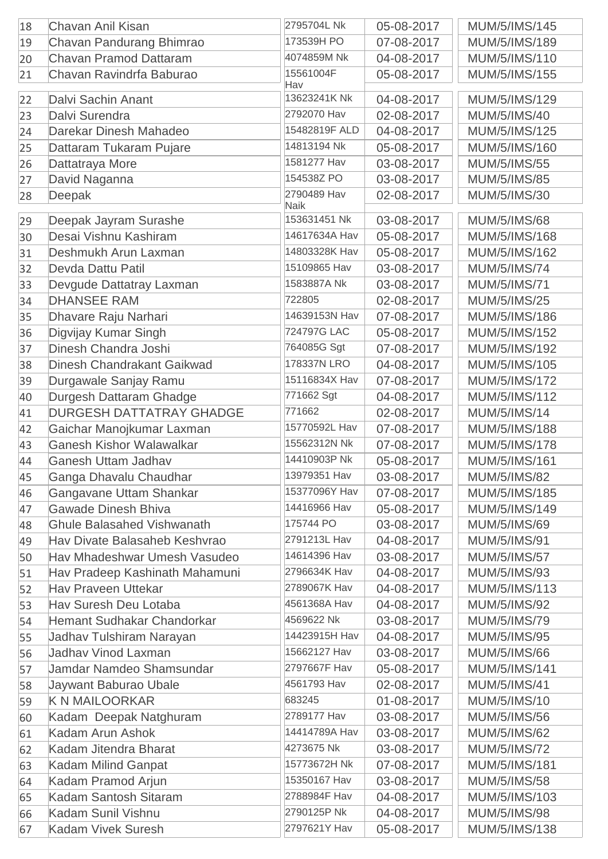| 18 | Chavan Anil Kisan                            | 2795704L Nk                | 05-08-2017 | MUM/5/IMS/145        |
|----|----------------------------------------------|----------------------------|------------|----------------------|
| 19 | Chavan Pandurang Bhimrao                     | 173539H PO                 | 07-08-2017 | MUM/5/IMS/189        |
| 20 | <b>Chavan Pramod Dattaram</b>                | 4074859M Nk                | 04-08-2017 | MUM/5/IMS/110        |
| 21 | Chavan Ravindrfa Baburao                     | 15561004F                  | 05-08-2017 | MUM/5/IMS/155        |
|    |                                              | Hav                        |            |                      |
| 22 | Dalvi Sachin Anant                           | 13623241K Nk               | 04-08-2017 | MUM/5/IMS/129        |
| 23 | Dalvi Surendra                               | 2792070 Hav                | 02-08-2017 | <b>MUM/5/IMS/40</b>  |
| 24 | Darekar Dinesh Mahadeo                       | 15482819F ALD              | 04-08-2017 | MUM/5/IMS/125        |
| 25 | Dattaram Tukaram Pujare                      | 14813194 Nk                | 05-08-2017 | MUM/5/IMS/160        |
| 26 | Dattatraya More                              | 1581277 Hav                | 03-08-2017 | <b>MUM/5/IMS/55</b>  |
| 27 | David Naganna                                | 154538Z PO                 | 03-08-2017 | <b>MUM/5/IMS/85</b>  |
| 28 | Deepak                                       | 2790489 Hav<br><b>Naik</b> | 02-08-2017 | <b>MUM/5/IMS/30</b>  |
| 29 | Deepak Jayram Surashe                        | 153631451 Nk               | 03-08-2017 | <b>MUM/5/IMS/68</b>  |
| 30 | Desai Vishnu Kashiram                        | 14617634A Hav              | 05-08-2017 | MUM/5/IMS/168        |
| 31 | Deshmukh Arun Laxman                         | 14803328K Hav              | 05-08-2017 | MUM/5/IMS/162        |
| 32 | Devda Dattu Patil                            | 15109865 Hav               | 03-08-2017 | <b>MUM/5/IMS/74</b>  |
| 33 | Devgude Dattatray Laxman                     | 1583887A Nk                | 03-08-2017 | <b>MUM/5/IMS/71</b>  |
| 34 | <b>DHANSEE RAM</b>                           | 722805                     | 02-08-2017 | <b>MUM/5/IMS/25</b>  |
| 35 | Dhavare Raju Narhari                         | 14639153N Hav              | 07-08-2017 | MUM/5/IMS/186        |
|    |                                              | 724797G LAC                | 05-08-2017 | MUM/5/IMS/152        |
| 36 | Digvijay Kumar Singh<br>Dinesh Chandra Joshi | 764085G Sgt                |            |                      |
| 37 |                                              | 178337N LRO                | 07-08-2017 | MUM/5/IMS/192        |
| 38 | <b>Dinesh Chandrakant Gaikwad</b>            | 15116834X Hav              | 04-08-2017 | MUM/5/IMS/105        |
| 39 | Durgawale Sanjay Ramu                        |                            | 07-08-2017 | <b>MUM/5/IMS/172</b> |
| 40 | Durgesh Dattaram Ghadge                      | 771662 Sgt                 | 04-08-2017 | MUM/5/IMS/112        |
| 41 | <b>DURGESH DATTATRAY GHADGE</b>              | 771662                     | 02-08-2017 | <b>MUM/5/IMS/14</b>  |
| 42 | Gaichar Manojkumar Laxman                    | 15770592L Hav              | 07-08-2017 | <b>MUM/5/IMS/188</b> |
| 43 | <b>Ganesh Kishor Walawalkar</b>              | 15562312N Nk               | 07-08-2017 | <b>MUM/5/IMS/178</b> |
| 44 | <b>Ganesh Uttam Jadhav</b>                   | 14410903P Nk               | 05-08-2017 | <b>MUM/5/IMS/161</b> |
| 45 | Ganga Dhavalu Chaudhar                       | 13979351 Hav               | 03-08-2017 | <b>MUM/5/IMS/82</b>  |
| 46 | Gangavane Uttam Shankar                      | 15377096Y Hav              | 07-08-2017 | MUM/5/IMS/185        |
| 47 | <b>Gawade Dinesh Bhiva</b>                   | 14416966 Hav               | 05-08-2017 | MUM/5/IMS/149        |
| 48 | <b>Ghule Balasahed Vishwanath</b>            | 175744 PO                  | 03-08-2017 | <b>MUM/5/IMS/69</b>  |
| 49 | Hav Divate Balasaheb Keshvrao                | 2791213L Hav               | 04-08-2017 | <b>MUM/5/IMS/91</b>  |
| 50 | Hav Mhadeshwar Umesh Vasudeo                 | 14614396 Hav               | 03-08-2017 | <b>MUM/5/IMS/57</b>  |
| 51 | Hav Pradeep Kashinath Mahamuni               | 2796634K Hav               | 04-08-2017 | <b>MUM/5/IMS/93</b>  |
| 52 | <b>Hav Praveen Uttekar</b>                   | 2789067K Hav               | 04-08-2017 | MUM/5/IMS/113        |
| 53 | <b>Hav Suresh Deu Lotaba</b>                 | 4561368A Hav               | 04-08-2017 | <b>MUM/5/IMS/92</b>  |
| 54 | Hemant Sudhakar Chandorkar                   | 4569622 Nk                 | 03-08-2017 | <b>MUM/5/IMS/79</b>  |
| 55 | Jadhav Tulshiram Narayan                     | 14423915H Hav              | 04-08-2017 | <b>MUM/5/IMS/95</b>  |
| 56 | <b>Jadhav Vinod Laxman</b>                   | 15662127 Hav               | 03-08-2017 | <b>MUM/5/IMS/66</b>  |
| 57 | Jamdar Namdeo Shamsundar                     | 2797667F Hav               | 05-08-2017 | <b>MUM/5/IMS/141</b> |
| 58 | Jaywant Baburao Ubale                        | 4561793 Hav                | 02-08-2017 | <b>MUM/5/IMS/41</b>  |
| 59 | <b>K N MAILOORKAR</b>                        | 683245                     | 01-08-2017 | <b>MUM/5/IMS/10</b>  |
| 60 | Kadam Deepak Natghuram                       | 2789177 Hav                | 03-08-2017 | <b>MUM/5/IMS/56</b>  |
| 61 | Kadam Arun Ashok                             | 14414789A Hav              | 03-08-2017 | <b>MUM/5/IMS/62</b>  |
| 62 | Kadam Jitendra Bharat                        | 4273675 Nk                 | 03-08-2017 | <b>MUM/5/IMS/72</b>  |
| 63 | Kadam Milind Ganpat                          | 15773672H Nk               | 07-08-2017 | <b>MUM/5/IMS/181</b> |
| 64 | Kadam Pramod Arjun                           | 15350167 Hav               | 03-08-2017 | <b>MUM/5/IMS/58</b>  |
| 65 | Kadam Santosh Sitaram                        | 2788984F Hav               | 04-08-2017 | MUM/5/IMS/103        |
| 66 | Kadam Sunil Vishnu                           | 2790125P Nk                | 04-08-2017 | <b>MUM/5/IMS/98</b>  |
| 67 | <b>Kadam Vivek Suresh</b>                    | 2797621Y Hav               | 05-08-2017 | MUM/5/IMS/138        |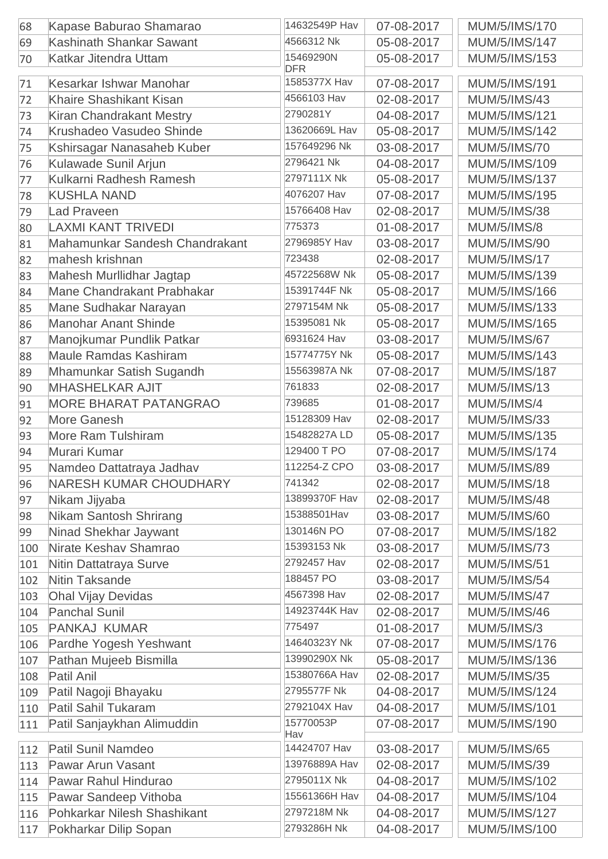| 68  | Kapase Baburao Shamarao         | 14632549P Hav           | 07-08-2017 | MUM/5/IMS/170        |
|-----|---------------------------------|-------------------------|------------|----------------------|
| 69  | Kashinath Shankar Sawant        | 4566312 Nk              | 05-08-2017 | <b>MUM/5/IMS/147</b> |
| 70  | <b>Katkar Jitendra Uttam</b>    | 15469290N<br><b>DFR</b> | 05-08-2017 | MUM/5/IMS/153        |
| 71  | Kesarkar Ishwar Manohar         | 1585377X Hav            | 07-08-2017 | <b>MUM/5/IMS/191</b> |
| 72  | <b>Khaire Shashikant Kisan</b>  | 4566103 Hav             | 02-08-2017 | <b>MUM/5/IMS/43</b>  |
| 73  | <b>Kiran Chandrakant Mestry</b> | 2790281Y                | 04-08-2017 | <b>MUM/5/IMS/121</b> |
| 74  | Krushadeo Vasudeo Shinde        | 13620669L Hav           | 05-08-2017 | <b>MUM/5/IMS/142</b> |
| 75  | Kshirsagar Nanasaheb Kuber      | 157649296 Nk            | 03-08-2017 | <b>MUM/5/IMS/70</b>  |
| 76  | Kulawade Sunil Arjun            | 2796421 Nk              | 04-08-2017 | MUM/5/IMS/109        |
| 77  | Kulkarni Radhesh Ramesh         | 2797111X Nk             | 05-08-2017 | <b>MUM/5/IMS/137</b> |
| 78  | <b>KUSHLA NAND</b>              | 4076207 Hav             | 07-08-2017 | MUM/5/IMS/195        |
| 79  | <b>Lad Praveen</b>              | 15766408 Hav            | 02-08-2017 | <b>MUM/5/IMS/38</b>  |
| 80  | <b>LAXMI KANT TRIVEDI</b>       | 775373                  | 01-08-2017 | <b>MUM/5/IMS/8</b>   |
| 81  | Mahamunkar Sandesh Chandrakant  | 2796985Y Hav            | 03-08-2017 | <b>MUM/5/IMS/90</b>  |
| 82  | mahesh krishnan                 | 723438                  | 02-08-2017 | <b>MUM/5/IMS/17</b>  |
| 83  | Mahesh Murllidhar Jagtap        | 45722568W Nk            | 05-08-2017 | MUM/5/IMS/139        |
| 84  | Mane Chandrakant Prabhakar      | 15391744F Nk            | 05-08-2017 | MUM/5/IMS/166        |
| 85  | Mane Sudhakar Narayan           | 2797154M Nk             | 05-08-2017 | MUM/5/IMS/133        |
| 86  | <b>Manohar Anant Shinde</b>     | 15395081 Nk             | 05-08-2017 | MUM/5/IMS/165        |
| 87  | Manojkumar Pundlik Patkar       | 6931624 Hav             | 03-08-2017 | <b>MUM/5/IMS/67</b>  |
| 88  | <b>Maule Ramdas Kashiram</b>    | 15774775Y Nk            | 05-08-2017 | MUM/5/IMS/143        |
| 89  | Mhamunkar Satish Sugandh        | 15563987A Nk            | 07-08-2017 | <b>MUM/5/IMS/187</b> |
| 90  | <b>MHASHELKAR AJIT</b>          | 761833                  | 02-08-2017 | <b>MUM/5/IMS/13</b>  |
| 91  | <b>MORE BHARAT PATANGRAO</b>    | 739685                  | 01-08-2017 | <b>MUM/5/IMS/4</b>   |
| 92  | <b>More Ganesh</b>              | 15128309 Hav            | 02-08-2017 | <b>MUM/5/IMS/33</b>  |
| 93  | <b>More Ram Tulshiram</b>       | 15482827A LD            | 05-08-2017 | MUM/5/IMS/135        |
|     | Murari Kumar                    | 129400 T PO             | 07-08-2017 | <b>MUM/5/IMS/174</b> |
| 94  |                                 | 112254-Z CPO            |            |                      |
| 95  | Namdeo Dattatraya Jadhav        | 741342                  | 03-08-2017 | <b>MUM/5/IMS/89</b>  |
| 96  | <b>NARESH KUMAR CHOUDHARY</b>   | 13899370F Hav           | 02-08-2017 | <b>MUM/5/IMS/18</b>  |
| 97  | Nikam Jijyaba                   | 15388501Hav             | 02-08-2017 | <b>MUM/5/IMS/48</b>  |
| 98  | Nikam Santosh Shrirang          |                         | 03-08-2017 | <b>MUM/5/IMS/60</b>  |
| 99  | Ninad Shekhar Jaywant           | 130146N PO              | 07-08-2017 | <b>MUM/5/IMS/182</b> |
| 100 | Nirate Keshav Shamrao           | 15393153 Nk             | 03-08-2017 | <b>MUM/5/IMS/73</b>  |
| 101 | Nitin Dattatraya Surve          | 2792457 Hav             | 02-08-2017 | <b>MUM/5/IMS/51</b>  |
| 102 | Nitin Taksande                  | 188457 PO               | 03-08-2017 | <b>MUM/5/IMS/54</b>  |
| 103 | <b>Ohal Vijay Devidas</b>       | 4567398 Hav             | 02-08-2017 | <b>MUM/5/IMS/47</b>  |
| 104 | <b>Panchal Sunil</b>            | 14923744K Hav           | 02-08-2017 | <b>MUM/5/IMS/46</b>  |
| 105 | <b>PANKAJ KUMAR</b>             | 775497                  | 01-08-2017 | <b>MUM/5/IMS/3</b>   |
| 106 | Pardhe Yogesh Yeshwant          | 14640323Y Nk            | 07-08-2017 | MUM/5/IMS/176        |
| 107 | Pathan Mujeeb Bismilla          | 13990290X Nk            | 05-08-2017 | MUM/5/IMS/136        |
| 108 | Patil Anil                      | 15380766A Hav           | 02-08-2017 | <b>MUM/5/IMS/35</b>  |
| 109 | Patil Nagoji Bhayaku            | 2795577F Nk             | 04-08-2017 | <b>MUM/5/IMS/124</b> |
| 110 | Patil Sahil Tukaram             | 2792104X Hav            | 04-08-2017 | <b>MUM/5/IMS/101</b> |
| 111 | Patil Sanjaykhan Alimuddin      | 15770053P<br>Hav        | 07-08-2017 | MUM/5/IMS/190        |
| 112 | Patil Sunil Namdeo              | 14424707 Hav            | 03-08-2017 | <b>MUM/5/IMS/65</b>  |
| 113 | <b>Pawar Arun Vasant</b>        | 13976889A Hav           | 02-08-2017 | <b>MUM/5/IMS/39</b>  |
| 114 | Pawar Rahul Hindurao            | 2795011X Nk             | 04-08-2017 | MUM/5/IMS/102        |
| 115 | Pawar Sandeep Vithoba           | 15561366H Hav           | 04-08-2017 | MUM/5/IMS/104        |
| 116 | Pohkarkar Nilesh Shashikant     | 2797218M Nk             | 04-08-2017 | <b>MUM/5/IMS/127</b> |
| 117 | Pokharkar Dilip Sopan           | 2793286H Nk             | 04-08-2017 | MUM/5/IMS/100        |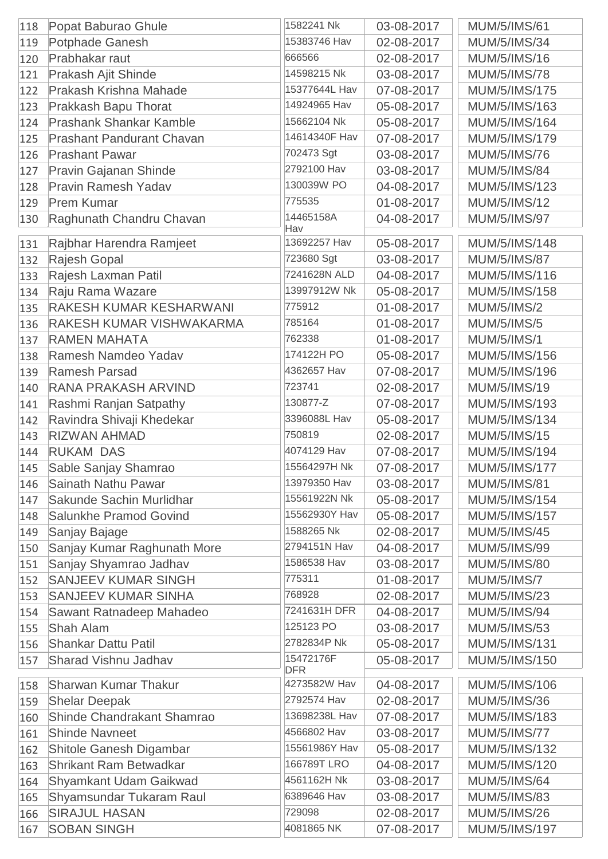| 118 | Popat Baburao Ghule              | 1582241 Nk              | 03-08-2017 | <b>MUM/5/IMS/61</b>  |
|-----|----------------------------------|-------------------------|------------|----------------------|
| 119 | <b>Potphade Ganesh</b>           | 15383746 Hav            | 02-08-2017 | <b>MUM/5/IMS/34</b>  |
| 120 | Prabhakar raut                   | 666566                  | 02-08-2017 | <b>MUM/5/IMS/16</b>  |
| 121 | Prakash Ajit Shinde              | 14598215 Nk             | 03-08-2017 | <b>MUM/5/IMS/78</b>  |
| 122 | Prakash Krishna Mahade           | 15377644L Hav           | 07-08-2017 | <b>MUM/5/IMS/175</b> |
| 123 | Prakkash Bapu Thorat             | 14924965 Hav            | 05-08-2017 | MUM/5/IMS/163        |
| 124 | <b>Prashank Shankar Kamble</b>   | 15662104 Nk             | 05-08-2017 | MUM/5/IMS/164        |
| 125 | <b>Prashant Pandurant Chavan</b> | 14614340F Hav           | 07-08-2017 | MUM/5/IMS/179        |
| 126 | <b>Prashant Pawar</b>            | 702473 Sgt              | 03-08-2017 | <b>MUM/5/IMS/76</b>  |
| 127 | Pravin Gajanan Shinde            | 2792100 Hav             | 03-08-2017 | <b>MUM/5/IMS/84</b>  |
| 128 | <b>Pravin Ramesh Yadav</b>       | 130039W PO              | 04-08-2017 | MUM/5/IMS/123        |
| 129 | <b>Prem Kumar</b>                | 775535                  | 01-08-2017 | <b>MUM/5/IMS/12</b>  |
| 130 | Raghunath Chandru Chavan         | 14465158A<br>Hav        | 04-08-2017 | <b>MUM/5/IMS/97</b>  |
| 131 | Rajbhar Harendra Ramjeet         | 13692257 Hav            | 05-08-2017 | MUM/5/IMS/148        |
| 132 | Rajesh Gopal                     | 723680 Sgt              | 03-08-2017 | <b>MUM/5/IMS/87</b>  |
| 133 | Rajesh Laxman Patil              | 7241628N ALD            | 04-08-2017 | MUM/5/IMS/116        |
| 134 | Raju Rama Wazare                 | 13997912W Nk            | 05-08-2017 | MUM/5/IMS/158        |
| 135 | <b>RAKESH KUMAR KESHARWANI</b>   | 775912                  | 01-08-2017 | <b>MUM/5/IMS/2</b>   |
| 136 | RAKESH KUMAR VISHWAKARMA         | 785164                  | 01-08-2017 | <b>MUM/5/IMS/5</b>   |
| 137 | <b>RAMEN MAHATA</b>              | 762338                  | 01-08-2017 | <b>MUM/5/IMS/1</b>   |
| 138 | Ramesh Namdeo Yadav              | 174122H PO              | 05-08-2017 | MUM/5/IMS/156        |
| 139 | <b>Ramesh Parsad</b>             | 4362657 Hav             | 07-08-2017 | MUM/5/IMS/196        |
| 140 | <b>RANA PRAKASH ARVIND</b>       | 723741                  | 02-08-2017 | <b>MUM/5/IMS/19</b>  |
| 141 | Rashmi Ranjan Satpathy           | 130877-Z                | 07-08-2017 | MUM/5/IMS/193        |
| 142 | Ravindra Shivaji Khedekar        | 3396088L Hav            | 05-08-2017 | MUM/5/IMS/134        |
| 143 | <b>RIZWAN AHMAD</b>              | 750819                  | 02-08-2017 | <b>MUM/5/IMS/15</b>  |
| 144 | <b>RUKAM DAS</b>                 | 4074129 Hav             | 07-08-2017 | MUM/5/IMS/194        |
| 145 | Sable Sanjay Shamrao             | 15564297H Nk            | 07-08-2017 | <b>MUM/5/IMS/177</b> |
| 146 | Sainath Nathu Pawar              | 13979350 Hav            | 03-08-2017 | <b>MUM/5/IMS/81</b>  |
| 147 | Sakunde Sachin Murlidhar         | 15561922N Nk            | 05-08-2017 | MUM/5/IMS/154        |
| 148 | Salunkhe Pramod Govind           | 15562930Y Hav           | 05-08-2017 | <b>MUM/5/IMS/157</b> |
| 149 | Sanjay Bajage                    | 1588265 Nk              | 02-08-2017 | <b>MUM/5/IMS/45</b>  |
| 150 | Sanjay Kumar Raghunath More      | 2794151N Hav            | 04-08-2017 | <b>MUM/5/IMS/99</b>  |
| 151 | Sanjay Shyamrao Jadhav           | 1586538 Hav             | 03-08-2017 | <b>MUM/5/IMS/80</b>  |
| 152 | <b>SANJEEV KUMAR SINGH</b>       | 775311                  | 01-08-2017 | <b>MUM/5/IMS/7</b>   |
| 153 | <b>SANJEEV KUMAR SINHA</b>       | 768928                  | 02-08-2017 | <b>MUM/5/IMS/23</b>  |
| 154 | Sawant Ratnadeep Mahadeo         | 7241631H DFR            | 04-08-2017 | <b>MUM/5/IMS/94</b>  |
| 155 | <b>Shah Alam</b>                 | 125123 PO               | 03-08-2017 | <b>MUM/5/IMS/53</b>  |
| 156 | <b>Shankar Dattu Patil</b>       | 2782834P Nk             | 05-08-2017 | <b>MUM/5/IMS/131</b> |
| 157 | <b>Sharad Vishnu Jadhav</b>      | 15472176F<br><b>DFR</b> | 05-08-2017 | MUM/5/IMS/150        |
| 158 | <b>Sharwan Kumar Thakur</b>      | 4273582W Hav            | 04-08-2017 | MUM/5/IMS/106        |
| 159 | <b>Shelar Deepak</b>             | 2792574 Hav             | 02-08-2017 | <b>MUM/5/IMS/36</b>  |
| 160 | Shinde Chandrakant Shamrao       | 13698238L Hav           | 07-08-2017 | <b>MUM/5/IMS/183</b> |
| 161 | <b>Shinde Navneet</b>            | 4566802 Hav             | 03-08-2017 | <b>MUM/5/IMS/77</b>  |
| 162 | Shitole Ganesh Digambar          | 15561986Y Hav           | 05-08-2017 | MUM/5/IMS/132        |
| 163 | <b>Shrikant Ram Betwadkar</b>    | 166789T LRO             | 04-08-2017 | MUM/5/IMS/120        |
| 164 | Shyamkant Udam Gaikwad           | 4561162H Nk             | 03-08-2017 | <b>MUM/5/IMS/64</b>  |
| 165 | Shyamsundar Tukaram Raul         | 6389646 Hav             | 03-08-2017 | <b>MUM/5/IMS/83</b>  |
| 166 | <b>SIRAJUL HASAN</b>             | 729098                  | 02-08-2017 | <b>MUM/5/IMS/26</b>  |
| 167 | <b>SOBAN SINGH</b>               | 4081865 NK              | 07-08-2017 | MUM/5/IMS/197        |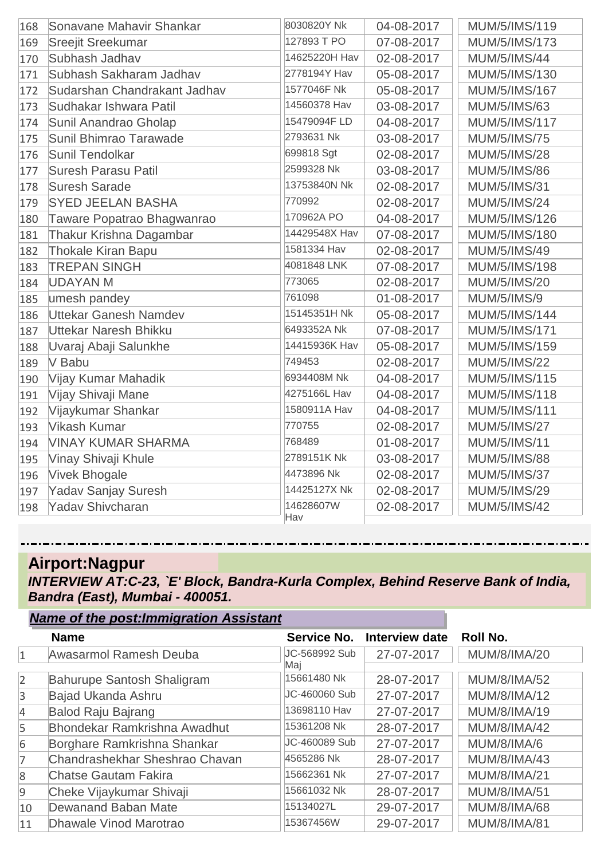| 168 | Sonavane Mahavir Shankar     | 8030820Y Nk      | 04-08-2017 | MUM/5/IMS/119        |
|-----|------------------------------|------------------|------------|----------------------|
| 169 | <b>Sreejit Sreekumar</b>     | 127893 T PO      | 07-08-2017 | MUM/5/IMS/173        |
| 170 | Subhash Jadhav               | 14625220H Hav    | 02-08-2017 | <b>MUM/5/IMS/44</b>  |
| 171 | Subhash Sakharam Jadhav      | 2778194Y Hav     | 05-08-2017 | MUM/5/IMS/130        |
| 172 | Sudarshan Chandrakant Jadhav | 1577046F Nk      | 05-08-2017 | MUM/5/IMS/167        |
| 173 | Sudhakar Ishwara Patil       | 14560378 Hav     | 03-08-2017 | <b>MUM/5/IMS/63</b>  |
| 174 | Sunil Anandrao Gholap        | 15479094F LD     | 04-08-2017 | MUM/5/IMS/117        |
| 175 | Sunil Bhimrao Tarawade       | 2793631 Nk       | 03-08-2017 | <b>MUM/5/IMS/75</b>  |
| 176 | <b>Sunil Tendolkar</b>       | 699818 Sgt       | 02-08-2017 | <b>MUM/5/IMS/28</b>  |
| 177 | <b>Suresh Parasu Patil</b>   | 2599328 Nk       | 03-08-2017 | <b>MUM/5/IMS/86</b>  |
| 178 | <b>Suresh Sarade</b>         | 13753840N Nk     | 02-08-2017 | <b>MUM/5/IMS/31</b>  |
| 179 | <b>SYED JEELAN BASHA</b>     | 770992           | 02-08-2017 | <b>MUM/5/IMS/24</b>  |
| 180 | Taware Popatrao Bhagwanrao   | 170962A PO       | 04-08-2017 | MUM/5/IMS/126        |
| 181 | Thakur Krishna Dagambar      | 14429548X Hav    | 07-08-2017 | <b>MUM/5/IMS/180</b> |
| 182 | <b>Thokale Kiran Bapu</b>    | 1581334 Hav      | 02-08-2017 | <b>MUM/5/IMS/49</b>  |
| 183 | <b>TREPAN SINGH</b>          | 4081848 LNK      | 07-08-2017 | MUM/5/IMS/198        |
| 184 | <b>UDAYAN M</b>              | 773065           | 02-08-2017 | <b>MUM/5/IMS/20</b>  |
| 185 | umesh pandey                 | 761098           | 01-08-2017 | <b>MUM/5/IMS/9</b>   |
| 186 | Uttekar Ganesh Namdev        | 15145351H Nk     | 05-08-2017 | MUM/5/IMS/144        |
| 187 | <b>Uttekar Naresh Bhikku</b> | 6493352A Nk      | 07-08-2017 | MUM/5/IMS/171        |
| 188 | Uvaraj Abaji Salunkhe        | 14415936K Hav    | 05-08-2017 | MUM/5/IMS/159        |
| 189 | V Babu                       | 749453           | 02-08-2017 | <b>MUM/5/IMS/22</b>  |
| 190 | Vijay Kumar Mahadik          | 6934408M Nk      | 04-08-2017 | MUM/5/IMS/115        |
| 191 | Vijay Shivaji Mane           | 4275166L Hav     | 04-08-2017 | MUM/5/IMS/118        |
| 192 | Vijaykumar Shankar           | 1580911A Hav     | 04-08-2017 | <b>MUM/5/IMS/111</b> |
| 193 | <b>Vikash Kumar</b>          | 770755           | 02-08-2017 | <b>MUM/5/IMS/27</b>  |
| 194 | <b>VINAY KUMAR SHARMA</b>    | 768489           | 01-08-2017 | <b>MUM/5/IMS/11</b>  |
| 195 | Vinay Shivaji Khule          | 2789151K Nk      | 03-08-2017 | <b>MUM/5/IMS/88</b>  |
| 196 | <b>Vivek Bhogale</b>         | 4473896 Nk       | 02-08-2017 | <b>MUM/5/IMS/37</b>  |
| 197 | <b>Yadav Sanjay Suresh</b>   | 14425127X Nk     | 02-08-2017 | <b>MUM/5/IMS/29</b>  |
| 198 | <b>Yadav Shivcharan</b>      | 14628607W<br>Hav | 02-08-2017 | <b>MUM/5/IMS/42</b>  |

# **Airport:Nagpur**

*INTERVIEW AT:C-23, `E' Block, Bandra-Kurla Complex, Behind Reserve Bank of India, Bandra (East), Mumbai - 400051.*

|                | <b>Name of the post: Immigration Assistant</b> |                      |                |                     |
|----------------|------------------------------------------------|----------------------|----------------|---------------------|
|                | <b>Name</b>                                    | Service No.          | Interview date | Roll No.            |
| $\mathbf{1}$   | <b>Awasarmol Ramesh Deuba</b>                  | JC-568992 Sub<br>Maj | 27-07-2017     | <b>MUM/8/IMA/20</b> |
| $\overline{2}$ | Bahurupe Santosh Shaligram                     | 15661480 Nk          | 28-07-2017     | <b>MUM/8/IMA/52</b> |
| $\overline{3}$ | Bajad Ukanda Ashru                             | JC-460060 Sub        | 27-07-2017     | <b>MUM/8/IMA/12</b> |
| $\overline{4}$ | <b>Balod Raju Bajrang</b>                      | 13698110 Hav         | 27-07-2017     | <b>MUM/8/IMA/19</b> |
| 5              | <b>Bhondekar Ramkrishna Awadhut</b>            | 15361208 Nk          | 28-07-2017     | <b>MUM/8/IMA/42</b> |
| 6              | Borghare Ramkrishna Shankar                    | JC-460089 Sub        | 27-07-2017     | MUM/8/IMA/6         |
| 7              | Chandrashekhar Sheshrao Chavan                 | 4565286 Nk           | 28-07-2017     | <b>MUM/8/IMA/43</b> |
| 8              | <b>Chatse Gautam Fakira</b>                    | 15662361 Nk          | 27-07-2017     | <b>MUM/8/IMA/21</b> |
| $\overline{9}$ | Cheke Vijaykumar Shivaji                       | 15661032 Nk          | 28-07-2017     | <b>MUM/8/IMA/51</b> |
| 10             | <b>Dewanand Baban Mate</b>                     | 15134027L            | 29-07-2017     | <b>MUM/8/IMA/68</b> |
| 11             | Dhawale Vinod Marotrao                         | 15367456W            | 29-07-2017     | <b>MUM/8/IMA/81</b> |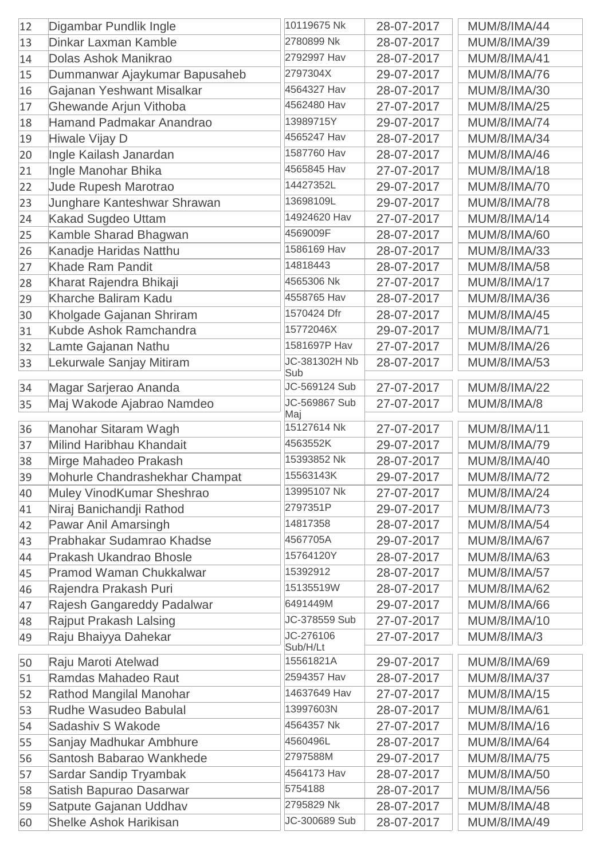| 2780899 Nk<br><b>Dinkar Laxman Kamble</b><br>28-07-2017<br><b>MUM/8/IMA/39</b><br>13<br>2792997 Hav<br>Dolas Ashok Manikrao<br>28-07-2017<br><b>MUM/8/IMA/41</b><br>14<br>2797304X<br>29-07-2017<br><b>MUM/8/IMA/76</b><br>Dummanwar Ajaykumar Bapusaheb<br>15<br>4564327 Hav<br>Gajanan Yeshwant Misalkar<br><b>MUM/8/IMA/30</b><br>16<br>28-07-2017<br>4562480 Hav<br>Ghewande Arjun Vithoba<br>27-07-2017<br><b>MUM/8/IMA/25</b><br>17<br>13989715Y<br>Hamand Padmakar Anandrao<br>29-07-2017<br><b>MUM/8/IMA/74</b><br>18<br>4565247 Hav<br>Hiwale Vijay D<br>28-07-2017<br><b>MUM/8/IMA/34</b><br>19<br>1587760 Hav<br>Ingle Kailash Janardan<br><b>MUM/8/IMA/46</b><br>28-07-2017<br>20<br>4565845 Hav<br>Ingle Manohar Bhika<br>27-07-2017<br><b>MUM/8/IMA/18</b><br>21<br>14427352L<br>Jude Rupesh Marotrao<br>29-07-2017<br><b>MUM/8/IMA/70</b><br>22<br>13698109L<br>Junghare Kanteshwar Shrawan<br>29-07-2017<br><b>MUM/8/IMA/78</b><br>23<br>14924620 Hav<br>Kakad Sugdeo Uttam<br><b>MUM/8/IMA/14</b><br>24<br>27-07-2017<br>Kamble Sharad Bhagwan<br>4569009F<br><b>MUM/8/IMA/60</b><br>28-07-2017<br>25<br>1586169 Hav<br>Kanadje Haridas Natthu<br><b>MUM/8/IMA/33</b><br>28-07-2017<br>26<br>Khade Ram Pandit<br>14818443<br>28-07-2017<br><b>MUM/8/IMA/58</b><br>27<br>4565306 Nk<br>Kharat Rajendra Bhikaji<br><b>MUM/8/IMA/17</b><br>27-07-2017<br>28<br>4558765 Hav<br>Kharche Baliram Kadu<br><b>MUM/8/IMA/36</b><br>28-07-2017<br>29<br>1570424 Dfr<br>Kholgade Gajanan Shriram<br>28-07-2017<br><b>MUM/8/IMA/45</b><br>30<br>15772046X<br>Kubde Ashok Ramchandra<br>29-07-2017<br><b>MUM/8/IMA/71</b><br>31<br>1581697P Hav<br>Lamte Gajanan Nathu<br>27-07-2017<br><b>MUM/8/IMA/26</b><br>32<br>JC-381302H Nb<br>Lekurwale Sanjay Mitiram<br><b>MUM/8/IMA/53</b><br>28-07-2017<br>33<br>Sub<br>JC-569124 Sub<br>Magar Sarjerao Ananda<br>27-07-2017<br><b>MUM/8/IMA/22</b><br>34<br>JC-569867 Sub<br>Maj Wakode Ajabrao Namdeo<br>27-07-2017<br>MUM/8/IMA/8<br>35<br>Maj<br>15127614 Nk<br>Manohar Sitaram Wagh<br>27-07-2017<br><b>MUM/8/IMA/11</b><br>36<br>Milind Haribhau Khandait<br>4563552K<br>29-07-2017<br><b>MUM/8/IMA/79</b><br>37<br>15393852 Nk<br>Mirge Mahadeo Prakash<br>28-07-2017<br><b>MUM/8/IMA/40</b><br>38<br>15563143K<br>Mohurle Chandrashekhar Champat<br><b>MUM/8/IMA/72</b><br>29-07-2017<br>39<br>13995107 Nk<br>Muley VinodKumar Sheshrao<br>27-07-2017<br><b>MUM/8/IMA/24</b><br>40<br>2797351P<br>Niraj Banichandji Rathod<br>29-07-2017<br><b>MUM/8/IMA/73</b><br>41<br>14817358<br>Pawar Anil Amarsingh<br><b>MUM/8/IMA/54</b><br>28-07-2017<br>42<br>Prabhakar Sudamrao Khadse<br>4567705A<br>29-07-2017<br><b>MUM/8/IMA/67</b><br>43<br>15764120Y<br>Prakash Ukandrao Bhosle<br>28-07-2017<br><b>MUM/8/IMA/63</b><br>44<br>15392912<br>Pramod Waman Chukkalwar<br>28-07-2017<br><b>MUM/8/IMA/57</b><br>45<br>15135519W<br>Rajendra Prakash Puri<br><b>MUM/8/IMA/62</b><br>28-07-2017<br>46<br>6491449M<br>Rajesh Gangareddy Padalwar<br>29-07-2017<br>MUM/8/IMA/66<br>47<br>JC-378559 Sub<br><b>Rajput Prakash Lalsing</b><br>27-07-2017<br><b>MUM/8/IMA/10</b><br>48<br>JC-276106<br>Raju Bhaiyya Dahekar<br>MUM/8/IMA/3<br>27-07-2017<br>49<br>Sub/H/Lt<br>15561821A<br>Raju Maroti Atelwad<br>29-07-2017<br><b>MUM/8/IMA/69</b><br>50<br>2594357 Hav<br>Ramdas Mahadeo Raut<br>28-07-2017<br><b>MUM/8/IMA/37</b><br>51<br>14637649 Hav<br>Rathod Mangilal Manohar<br>27-07-2017<br><b>MUM/8/IMA/15</b><br>52<br>13997603N<br>Rudhe Wasudeo Babulal<br>28-07-2017<br><b>MUM/8/IMA/61</b><br>53<br>4564357 Nk<br>Sadashiv S Wakode<br>27-07-2017<br>MUM/8/IMA/16<br>54<br>4560496L<br>Sanjay Madhukar Ambhure<br><b>MUM/8/IMA/64</b><br>28-07-2017<br>55<br>2797588M<br>Santosh Babarao Wankhede<br>29-07-2017<br><b>MUM/8/IMA/75</b><br>56<br>4564173 Hav<br>Sardar Sandip Tryambak<br>28-07-2017<br><b>MUM/8/IMA/50</b><br>57<br>5754188<br>Satish Bapurao Dasarwar<br>28-07-2017<br><b>MUM/8/IMA/56</b><br>58<br>2795829 Nk<br><b>MUM/8/IMA/48</b> | 12 | Digambar Pundlik Ingle | 10119675 Nk | 28-07-2017 | <b>MUM/8/IMA/44</b> |
|--------------------------------------------------------------------------------------------------------------------------------------------------------------------------------------------------------------------------------------------------------------------------------------------------------------------------------------------------------------------------------------------------------------------------------------------------------------------------------------------------------------------------------------------------------------------------------------------------------------------------------------------------------------------------------------------------------------------------------------------------------------------------------------------------------------------------------------------------------------------------------------------------------------------------------------------------------------------------------------------------------------------------------------------------------------------------------------------------------------------------------------------------------------------------------------------------------------------------------------------------------------------------------------------------------------------------------------------------------------------------------------------------------------------------------------------------------------------------------------------------------------------------------------------------------------------------------------------------------------------------------------------------------------------------------------------------------------------------------------------------------------------------------------------------------------------------------------------------------------------------------------------------------------------------------------------------------------------------------------------------------------------------------------------------------------------------------------------------------------------------------------------------------------------------------------------------------------------------------------------------------------------------------------------------------------------------------------------------------------------------------------------------------------------------------------------------------------------------------------------------------------------------------------------------------------------------------------------------------------------------------------------------------------------------------------------------------------------------------------------------------------------------------------------------------------------------------------------------------------------------------------------------------------------------------------------------------------------------------------------------------------------------------------------------------------------------------------------------------------------------------------------------------------------------------------------------------------------------------------------------------------------------------------------------------------------------------------------------------------------------------------------------------------------------------------------------------------------------------------------------------------------------------------------------------------------------------------------------------------------------------------------------------------------------------------------------------------------------------------------------------------------------------------------------------------------------------------------------------------------------------------------------------------------------------------------------------------------------------------------------------------------|----|------------------------|-------------|------------|---------------------|
|                                                                                                                                                                                                                                                                                                                                                                                                                                                                                                                                                                                                                                                                                                                                                                                                                                                                                                                                                                                                                                                                                                                                                                                                                                                                                                                                                                                                                                                                                                                                                                                                                                                                                                                                                                                                                                                                                                                                                                                                                                                                                                                                                                                                                                                                                                                                                                                                                                                                                                                                                                                                                                                                                                                                                                                                                                                                                                                                                                                                                                                                                                                                                                                                                                                                                                                                                                                                                                                                                                                                                                                                                                                                                                                                                                                                                                                                                                                                                                                                                    |    |                        |             |            |                     |
|                                                                                                                                                                                                                                                                                                                                                                                                                                                                                                                                                                                                                                                                                                                                                                                                                                                                                                                                                                                                                                                                                                                                                                                                                                                                                                                                                                                                                                                                                                                                                                                                                                                                                                                                                                                                                                                                                                                                                                                                                                                                                                                                                                                                                                                                                                                                                                                                                                                                                                                                                                                                                                                                                                                                                                                                                                                                                                                                                                                                                                                                                                                                                                                                                                                                                                                                                                                                                                                                                                                                                                                                                                                                                                                                                                                                                                                                                                                                                                                                                    |    |                        |             |            |                     |
|                                                                                                                                                                                                                                                                                                                                                                                                                                                                                                                                                                                                                                                                                                                                                                                                                                                                                                                                                                                                                                                                                                                                                                                                                                                                                                                                                                                                                                                                                                                                                                                                                                                                                                                                                                                                                                                                                                                                                                                                                                                                                                                                                                                                                                                                                                                                                                                                                                                                                                                                                                                                                                                                                                                                                                                                                                                                                                                                                                                                                                                                                                                                                                                                                                                                                                                                                                                                                                                                                                                                                                                                                                                                                                                                                                                                                                                                                                                                                                                                                    |    |                        |             |            |                     |
|                                                                                                                                                                                                                                                                                                                                                                                                                                                                                                                                                                                                                                                                                                                                                                                                                                                                                                                                                                                                                                                                                                                                                                                                                                                                                                                                                                                                                                                                                                                                                                                                                                                                                                                                                                                                                                                                                                                                                                                                                                                                                                                                                                                                                                                                                                                                                                                                                                                                                                                                                                                                                                                                                                                                                                                                                                                                                                                                                                                                                                                                                                                                                                                                                                                                                                                                                                                                                                                                                                                                                                                                                                                                                                                                                                                                                                                                                                                                                                                                                    |    |                        |             |            |                     |
|                                                                                                                                                                                                                                                                                                                                                                                                                                                                                                                                                                                                                                                                                                                                                                                                                                                                                                                                                                                                                                                                                                                                                                                                                                                                                                                                                                                                                                                                                                                                                                                                                                                                                                                                                                                                                                                                                                                                                                                                                                                                                                                                                                                                                                                                                                                                                                                                                                                                                                                                                                                                                                                                                                                                                                                                                                                                                                                                                                                                                                                                                                                                                                                                                                                                                                                                                                                                                                                                                                                                                                                                                                                                                                                                                                                                                                                                                                                                                                                                                    |    |                        |             |            |                     |
|                                                                                                                                                                                                                                                                                                                                                                                                                                                                                                                                                                                                                                                                                                                                                                                                                                                                                                                                                                                                                                                                                                                                                                                                                                                                                                                                                                                                                                                                                                                                                                                                                                                                                                                                                                                                                                                                                                                                                                                                                                                                                                                                                                                                                                                                                                                                                                                                                                                                                                                                                                                                                                                                                                                                                                                                                                                                                                                                                                                                                                                                                                                                                                                                                                                                                                                                                                                                                                                                                                                                                                                                                                                                                                                                                                                                                                                                                                                                                                                                                    |    |                        |             |            |                     |
|                                                                                                                                                                                                                                                                                                                                                                                                                                                                                                                                                                                                                                                                                                                                                                                                                                                                                                                                                                                                                                                                                                                                                                                                                                                                                                                                                                                                                                                                                                                                                                                                                                                                                                                                                                                                                                                                                                                                                                                                                                                                                                                                                                                                                                                                                                                                                                                                                                                                                                                                                                                                                                                                                                                                                                                                                                                                                                                                                                                                                                                                                                                                                                                                                                                                                                                                                                                                                                                                                                                                                                                                                                                                                                                                                                                                                                                                                                                                                                                                                    |    |                        |             |            |                     |
|                                                                                                                                                                                                                                                                                                                                                                                                                                                                                                                                                                                                                                                                                                                                                                                                                                                                                                                                                                                                                                                                                                                                                                                                                                                                                                                                                                                                                                                                                                                                                                                                                                                                                                                                                                                                                                                                                                                                                                                                                                                                                                                                                                                                                                                                                                                                                                                                                                                                                                                                                                                                                                                                                                                                                                                                                                                                                                                                                                                                                                                                                                                                                                                                                                                                                                                                                                                                                                                                                                                                                                                                                                                                                                                                                                                                                                                                                                                                                                                                                    |    |                        |             |            |                     |
|                                                                                                                                                                                                                                                                                                                                                                                                                                                                                                                                                                                                                                                                                                                                                                                                                                                                                                                                                                                                                                                                                                                                                                                                                                                                                                                                                                                                                                                                                                                                                                                                                                                                                                                                                                                                                                                                                                                                                                                                                                                                                                                                                                                                                                                                                                                                                                                                                                                                                                                                                                                                                                                                                                                                                                                                                                                                                                                                                                                                                                                                                                                                                                                                                                                                                                                                                                                                                                                                                                                                                                                                                                                                                                                                                                                                                                                                                                                                                                                                                    |    |                        |             |            |                     |
|                                                                                                                                                                                                                                                                                                                                                                                                                                                                                                                                                                                                                                                                                                                                                                                                                                                                                                                                                                                                                                                                                                                                                                                                                                                                                                                                                                                                                                                                                                                                                                                                                                                                                                                                                                                                                                                                                                                                                                                                                                                                                                                                                                                                                                                                                                                                                                                                                                                                                                                                                                                                                                                                                                                                                                                                                                                                                                                                                                                                                                                                                                                                                                                                                                                                                                                                                                                                                                                                                                                                                                                                                                                                                                                                                                                                                                                                                                                                                                                                                    |    |                        |             |            |                     |
|                                                                                                                                                                                                                                                                                                                                                                                                                                                                                                                                                                                                                                                                                                                                                                                                                                                                                                                                                                                                                                                                                                                                                                                                                                                                                                                                                                                                                                                                                                                                                                                                                                                                                                                                                                                                                                                                                                                                                                                                                                                                                                                                                                                                                                                                                                                                                                                                                                                                                                                                                                                                                                                                                                                                                                                                                                                                                                                                                                                                                                                                                                                                                                                                                                                                                                                                                                                                                                                                                                                                                                                                                                                                                                                                                                                                                                                                                                                                                                                                                    |    |                        |             |            |                     |
|                                                                                                                                                                                                                                                                                                                                                                                                                                                                                                                                                                                                                                                                                                                                                                                                                                                                                                                                                                                                                                                                                                                                                                                                                                                                                                                                                                                                                                                                                                                                                                                                                                                                                                                                                                                                                                                                                                                                                                                                                                                                                                                                                                                                                                                                                                                                                                                                                                                                                                                                                                                                                                                                                                                                                                                                                                                                                                                                                                                                                                                                                                                                                                                                                                                                                                                                                                                                                                                                                                                                                                                                                                                                                                                                                                                                                                                                                                                                                                                                                    |    |                        |             |            |                     |
|                                                                                                                                                                                                                                                                                                                                                                                                                                                                                                                                                                                                                                                                                                                                                                                                                                                                                                                                                                                                                                                                                                                                                                                                                                                                                                                                                                                                                                                                                                                                                                                                                                                                                                                                                                                                                                                                                                                                                                                                                                                                                                                                                                                                                                                                                                                                                                                                                                                                                                                                                                                                                                                                                                                                                                                                                                                                                                                                                                                                                                                                                                                                                                                                                                                                                                                                                                                                                                                                                                                                                                                                                                                                                                                                                                                                                                                                                                                                                                                                                    |    |                        |             |            |                     |
|                                                                                                                                                                                                                                                                                                                                                                                                                                                                                                                                                                                                                                                                                                                                                                                                                                                                                                                                                                                                                                                                                                                                                                                                                                                                                                                                                                                                                                                                                                                                                                                                                                                                                                                                                                                                                                                                                                                                                                                                                                                                                                                                                                                                                                                                                                                                                                                                                                                                                                                                                                                                                                                                                                                                                                                                                                                                                                                                                                                                                                                                                                                                                                                                                                                                                                                                                                                                                                                                                                                                                                                                                                                                                                                                                                                                                                                                                                                                                                                                                    |    |                        |             |            |                     |
|                                                                                                                                                                                                                                                                                                                                                                                                                                                                                                                                                                                                                                                                                                                                                                                                                                                                                                                                                                                                                                                                                                                                                                                                                                                                                                                                                                                                                                                                                                                                                                                                                                                                                                                                                                                                                                                                                                                                                                                                                                                                                                                                                                                                                                                                                                                                                                                                                                                                                                                                                                                                                                                                                                                                                                                                                                                                                                                                                                                                                                                                                                                                                                                                                                                                                                                                                                                                                                                                                                                                                                                                                                                                                                                                                                                                                                                                                                                                                                                                                    |    |                        |             |            |                     |
|                                                                                                                                                                                                                                                                                                                                                                                                                                                                                                                                                                                                                                                                                                                                                                                                                                                                                                                                                                                                                                                                                                                                                                                                                                                                                                                                                                                                                                                                                                                                                                                                                                                                                                                                                                                                                                                                                                                                                                                                                                                                                                                                                                                                                                                                                                                                                                                                                                                                                                                                                                                                                                                                                                                                                                                                                                                                                                                                                                                                                                                                                                                                                                                                                                                                                                                                                                                                                                                                                                                                                                                                                                                                                                                                                                                                                                                                                                                                                                                                                    |    |                        |             |            |                     |
|                                                                                                                                                                                                                                                                                                                                                                                                                                                                                                                                                                                                                                                                                                                                                                                                                                                                                                                                                                                                                                                                                                                                                                                                                                                                                                                                                                                                                                                                                                                                                                                                                                                                                                                                                                                                                                                                                                                                                                                                                                                                                                                                                                                                                                                                                                                                                                                                                                                                                                                                                                                                                                                                                                                                                                                                                                                                                                                                                                                                                                                                                                                                                                                                                                                                                                                                                                                                                                                                                                                                                                                                                                                                                                                                                                                                                                                                                                                                                                                                                    |    |                        |             |            |                     |
|                                                                                                                                                                                                                                                                                                                                                                                                                                                                                                                                                                                                                                                                                                                                                                                                                                                                                                                                                                                                                                                                                                                                                                                                                                                                                                                                                                                                                                                                                                                                                                                                                                                                                                                                                                                                                                                                                                                                                                                                                                                                                                                                                                                                                                                                                                                                                                                                                                                                                                                                                                                                                                                                                                                                                                                                                                                                                                                                                                                                                                                                                                                                                                                                                                                                                                                                                                                                                                                                                                                                                                                                                                                                                                                                                                                                                                                                                                                                                                                                                    |    |                        |             |            |                     |
|                                                                                                                                                                                                                                                                                                                                                                                                                                                                                                                                                                                                                                                                                                                                                                                                                                                                                                                                                                                                                                                                                                                                                                                                                                                                                                                                                                                                                                                                                                                                                                                                                                                                                                                                                                                                                                                                                                                                                                                                                                                                                                                                                                                                                                                                                                                                                                                                                                                                                                                                                                                                                                                                                                                                                                                                                                                                                                                                                                                                                                                                                                                                                                                                                                                                                                                                                                                                                                                                                                                                                                                                                                                                                                                                                                                                                                                                                                                                                                                                                    |    |                        |             |            |                     |
|                                                                                                                                                                                                                                                                                                                                                                                                                                                                                                                                                                                                                                                                                                                                                                                                                                                                                                                                                                                                                                                                                                                                                                                                                                                                                                                                                                                                                                                                                                                                                                                                                                                                                                                                                                                                                                                                                                                                                                                                                                                                                                                                                                                                                                                                                                                                                                                                                                                                                                                                                                                                                                                                                                                                                                                                                                                                                                                                                                                                                                                                                                                                                                                                                                                                                                                                                                                                                                                                                                                                                                                                                                                                                                                                                                                                                                                                                                                                                                                                                    |    |                        |             |            |                     |
|                                                                                                                                                                                                                                                                                                                                                                                                                                                                                                                                                                                                                                                                                                                                                                                                                                                                                                                                                                                                                                                                                                                                                                                                                                                                                                                                                                                                                                                                                                                                                                                                                                                                                                                                                                                                                                                                                                                                                                                                                                                                                                                                                                                                                                                                                                                                                                                                                                                                                                                                                                                                                                                                                                                                                                                                                                                                                                                                                                                                                                                                                                                                                                                                                                                                                                                                                                                                                                                                                                                                                                                                                                                                                                                                                                                                                                                                                                                                                                                                                    |    |                        |             |            |                     |
|                                                                                                                                                                                                                                                                                                                                                                                                                                                                                                                                                                                                                                                                                                                                                                                                                                                                                                                                                                                                                                                                                                                                                                                                                                                                                                                                                                                                                                                                                                                                                                                                                                                                                                                                                                                                                                                                                                                                                                                                                                                                                                                                                                                                                                                                                                                                                                                                                                                                                                                                                                                                                                                                                                                                                                                                                                                                                                                                                                                                                                                                                                                                                                                                                                                                                                                                                                                                                                                                                                                                                                                                                                                                                                                                                                                                                                                                                                                                                                                                                    |    |                        |             |            |                     |
|                                                                                                                                                                                                                                                                                                                                                                                                                                                                                                                                                                                                                                                                                                                                                                                                                                                                                                                                                                                                                                                                                                                                                                                                                                                                                                                                                                                                                                                                                                                                                                                                                                                                                                                                                                                                                                                                                                                                                                                                                                                                                                                                                                                                                                                                                                                                                                                                                                                                                                                                                                                                                                                                                                                                                                                                                                                                                                                                                                                                                                                                                                                                                                                                                                                                                                                                                                                                                                                                                                                                                                                                                                                                                                                                                                                                                                                                                                                                                                                                                    |    |                        |             |            |                     |
|                                                                                                                                                                                                                                                                                                                                                                                                                                                                                                                                                                                                                                                                                                                                                                                                                                                                                                                                                                                                                                                                                                                                                                                                                                                                                                                                                                                                                                                                                                                                                                                                                                                                                                                                                                                                                                                                                                                                                                                                                                                                                                                                                                                                                                                                                                                                                                                                                                                                                                                                                                                                                                                                                                                                                                                                                                                                                                                                                                                                                                                                                                                                                                                                                                                                                                                                                                                                                                                                                                                                                                                                                                                                                                                                                                                                                                                                                                                                                                                                                    |    |                        |             |            |                     |
|                                                                                                                                                                                                                                                                                                                                                                                                                                                                                                                                                                                                                                                                                                                                                                                                                                                                                                                                                                                                                                                                                                                                                                                                                                                                                                                                                                                                                                                                                                                                                                                                                                                                                                                                                                                                                                                                                                                                                                                                                                                                                                                                                                                                                                                                                                                                                                                                                                                                                                                                                                                                                                                                                                                                                                                                                                                                                                                                                                                                                                                                                                                                                                                                                                                                                                                                                                                                                                                                                                                                                                                                                                                                                                                                                                                                                                                                                                                                                                                                                    |    |                        |             |            |                     |
|                                                                                                                                                                                                                                                                                                                                                                                                                                                                                                                                                                                                                                                                                                                                                                                                                                                                                                                                                                                                                                                                                                                                                                                                                                                                                                                                                                                                                                                                                                                                                                                                                                                                                                                                                                                                                                                                                                                                                                                                                                                                                                                                                                                                                                                                                                                                                                                                                                                                                                                                                                                                                                                                                                                                                                                                                                                                                                                                                                                                                                                                                                                                                                                                                                                                                                                                                                                                                                                                                                                                                                                                                                                                                                                                                                                                                                                                                                                                                                                                                    |    |                        |             |            |                     |
|                                                                                                                                                                                                                                                                                                                                                                                                                                                                                                                                                                                                                                                                                                                                                                                                                                                                                                                                                                                                                                                                                                                                                                                                                                                                                                                                                                                                                                                                                                                                                                                                                                                                                                                                                                                                                                                                                                                                                                                                                                                                                                                                                                                                                                                                                                                                                                                                                                                                                                                                                                                                                                                                                                                                                                                                                                                                                                                                                                                                                                                                                                                                                                                                                                                                                                                                                                                                                                                                                                                                                                                                                                                                                                                                                                                                                                                                                                                                                                                                                    |    |                        |             |            |                     |
|                                                                                                                                                                                                                                                                                                                                                                                                                                                                                                                                                                                                                                                                                                                                                                                                                                                                                                                                                                                                                                                                                                                                                                                                                                                                                                                                                                                                                                                                                                                                                                                                                                                                                                                                                                                                                                                                                                                                                                                                                                                                                                                                                                                                                                                                                                                                                                                                                                                                                                                                                                                                                                                                                                                                                                                                                                                                                                                                                                                                                                                                                                                                                                                                                                                                                                                                                                                                                                                                                                                                                                                                                                                                                                                                                                                                                                                                                                                                                                                                                    |    |                        |             |            |                     |
|                                                                                                                                                                                                                                                                                                                                                                                                                                                                                                                                                                                                                                                                                                                                                                                                                                                                                                                                                                                                                                                                                                                                                                                                                                                                                                                                                                                                                                                                                                                                                                                                                                                                                                                                                                                                                                                                                                                                                                                                                                                                                                                                                                                                                                                                                                                                                                                                                                                                                                                                                                                                                                                                                                                                                                                                                                                                                                                                                                                                                                                                                                                                                                                                                                                                                                                                                                                                                                                                                                                                                                                                                                                                                                                                                                                                                                                                                                                                                                                                                    |    |                        |             |            |                     |
|                                                                                                                                                                                                                                                                                                                                                                                                                                                                                                                                                                                                                                                                                                                                                                                                                                                                                                                                                                                                                                                                                                                                                                                                                                                                                                                                                                                                                                                                                                                                                                                                                                                                                                                                                                                                                                                                                                                                                                                                                                                                                                                                                                                                                                                                                                                                                                                                                                                                                                                                                                                                                                                                                                                                                                                                                                                                                                                                                                                                                                                                                                                                                                                                                                                                                                                                                                                                                                                                                                                                                                                                                                                                                                                                                                                                                                                                                                                                                                                                                    |    |                        |             |            |                     |
|                                                                                                                                                                                                                                                                                                                                                                                                                                                                                                                                                                                                                                                                                                                                                                                                                                                                                                                                                                                                                                                                                                                                                                                                                                                                                                                                                                                                                                                                                                                                                                                                                                                                                                                                                                                                                                                                                                                                                                                                                                                                                                                                                                                                                                                                                                                                                                                                                                                                                                                                                                                                                                                                                                                                                                                                                                                                                                                                                                                                                                                                                                                                                                                                                                                                                                                                                                                                                                                                                                                                                                                                                                                                                                                                                                                                                                                                                                                                                                                                                    |    |                        |             |            |                     |
|                                                                                                                                                                                                                                                                                                                                                                                                                                                                                                                                                                                                                                                                                                                                                                                                                                                                                                                                                                                                                                                                                                                                                                                                                                                                                                                                                                                                                                                                                                                                                                                                                                                                                                                                                                                                                                                                                                                                                                                                                                                                                                                                                                                                                                                                                                                                                                                                                                                                                                                                                                                                                                                                                                                                                                                                                                                                                                                                                                                                                                                                                                                                                                                                                                                                                                                                                                                                                                                                                                                                                                                                                                                                                                                                                                                                                                                                                                                                                                                                                    |    |                        |             |            |                     |
|                                                                                                                                                                                                                                                                                                                                                                                                                                                                                                                                                                                                                                                                                                                                                                                                                                                                                                                                                                                                                                                                                                                                                                                                                                                                                                                                                                                                                                                                                                                                                                                                                                                                                                                                                                                                                                                                                                                                                                                                                                                                                                                                                                                                                                                                                                                                                                                                                                                                                                                                                                                                                                                                                                                                                                                                                                                                                                                                                                                                                                                                                                                                                                                                                                                                                                                                                                                                                                                                                                                                                                                                                                                                                                                                                                                                                                                                                                                                                                                                                    |    |                        |             |            |                     |
|                                                                                                                                                                                                                                                                                                                                                                                                                                                                                                                                                                                                                                                                                                                                                                                                                                                                                                                                                                                                                                                                                                                                                                                                                                                                                                                                                                                                                                                                                                                                                                                                                                                                                                                                                                                                                                                                                                                                                                                                                                                                                                                                                                                                                                                                                                                                                                                                                                                                                                                                                                                                                                                                                                                                                                                                                                                                                                                                                                                                                                                                                                                                                                                                                                                                                                                                                                                                                                                                                                                                                                                                                                                                                                                                                                                                                                                                                                                                                                                                                    |    |                        |             |            |                     |
|                                                                                                                                                                                                                                                                                                                                                                                                                                                                                                                                                                                                                                                                                                                                                                                                                                                                                                                                                                                                                                                                                                                                                                                                                                                                                                                                                                                                                                                                                                                                                                                                                                                                                                                                                                                                                                                                                                                                                                                                                                                                                                                                                                                                                                                                                                                                                                                                                                                                                                                                                                                                                                                                                                                                                                                                                                                                                                                                                                                                                                                                                                                                                                                                                                                                                                                                                                                                                                                                                                                                                                                                                                                                                                                                                                                                                                                                                                                                                                                                                    |    |                        |             |            |                     |
|                                                                                                                                                                                                                                                                                                                                                                                                                                                                                                                                                                                                                                                                                                                                                                                                                                                                                                                                                                                                                                                                                                                                                                                                                                                                                                                                                                                                                                                                                                                                                                                                                                                                                                                                                                                                                                                                                                                                                                                                                                                                                                                                                                                                                                                                                                                                                                                                                                                                                                                                                                                                                                                                                                                                                                                                                                                                                                                                                                                                                                                                                                                                                                                                                                                                                                                                                                                                                                                                                                                                                                                                                                                                                                                                                                                                                                                                                                                                                                                                                    |    |                        |             |            |                     |
|                                                                                                                                                                                                                                                                                                                                                                                                                                                                                                                                                                                                                                                                                                                                                                                                                                                                                                                                                                                                                                                                                                                                                                                                                                                                                                                                                                                                                                                                                                                                                                                                                                                                                                                                                                                                                                                                                                                                                                                                                                                                                                                                                                                                                                                                                                                                                                                                                                                                                                                                                                                                                                                                                                                                                                                                                                                                                                                                                                                                                                                                                                                                                                                                                                                                                                                                                                                                                                                                                                                                                                                                                                                                                                                                                                                                                                                                                                                                                                                                                    |    |                        |             |            |                     |
|                                                                                                                                                                                                                                                                                                                                                                                                                                                                                                                                                                                                                                                                                                                                                                                                                                                                                                                                                                                                                                                                                                                                                                                                                                                                                                                                                                                                                                                                                                                                                                                                                                                                                                                                                                                                                                                                                                                                                                                                                                                                                                                                                                                                                                                                                                                                                                                                                                                                                                                                                                                                                                                                                                                                                                                                                                                                                                                                                                                                                                                                                                                                                                                                                                                                                                                                                                                                                                                                                                                                                                                                                                                                                                                                                                                                                                                                                                                                                                                                                    |    |                        |             |            |                     |
|                                                                                                                                                                                                                                                                                                                                                                                                                                                                                                                                                                                                                                                                                                                                                                                                                                                                                                                                                                                                                                                                                                                                                                                                                                                                                                                                                                                                                                                                                                                                                                                                                                                                                                                                                                                                                                                                                                                                                                                                                                                                                                                                                                                                                                                                                                                                                                                                                                                                                                                                                                                                                                                                                                                                                                                                                                                                                                                                                                                                                                                                                                                                                                                                                                                                                                                                                                                                                                                                                                                                                                                                                                                                                                                                                                                                                                                                                                                                                                                                                    |    |                        |             |            |                     |
|                                                                                                                                                                                                                                                                                                                                                                                                                                                                                                                                                                                                                                                                                                                                                                                                                                                                                                                                                                                                                                                                                                                                                                                                                                                                                                                                                                                                                                                                                                                                                                                                                                                                                                                                                                                                                                                                                                                                                                                                                                                                                                                                                                                                                                                                                                                                                                                                                                                                                                                                                                                                                                                                                                                                                                                                                                                                                                                                                                                                                                                                                                                                                                                                                                                                                                                                                                                                                                                                                                                                                                                                                                                                                                                                                                                                                                                                                                                                                                                                                    |    |                        |             |            |                     |
|                                                                                                                                                                                                                                                                                                                                                                                                                                                                                                                                                                                                                                                                                                                                                                                                                                                                                                                                                                                                                                                                                                                                                                                                                                                                                                                                                                                                                                                                                                                                                                                                                                                                                                                                                                                                                                                                                                                                                                                                                                                                                                                                                                                                                                                                                                                                                                                                                                                                                                                                                                                                                                                                                                                                                                                                                                                                                                                                                                                                                                                                                                                                                                                                                                                                                                                                                                                                                                                                                                                                                                                                                                                                                                                                                                                                                                                                                                                                                                                                                    |    |                        |             |            |                     |
|                                                                                                                                                                                                                                                                                                                                                                                                                                                                                                                                                                                                                                                                                                                                                                                                                                                                                                                                                                                                                                                                                                                                                                                                                                                                                                                                                                                                                                                                                                                                                                                                                                                                                                                                                                                                                                                                                                                                                                                                                                                                                                                                                                                                                                                                                                                                                                                                                                                                                                                                                                                                                                                                                                                                                                                                                                                                                                                                                                                                                                                                                                                                                                                                                                                                                                                                                                                                                                                                                                                                                                                                                                                                                                                                                                                                                                                                                                                                                                                                                    |    |                        |             |            |                     |
|                                                                                                                                                                                                                                                                                                                                                                                                                                                                                                                                                                                                                                                                                                                                                                                                                                                                                                                                                                                                                                                                                                                                                                                                                                                                                                                                                                                                                                                                                                                                                                                                                                                                                                                                                                                                                                                                                                                                                                                                                                                                                                                                                                                                                                                                                                                                                                                                                                                                                                                                                                                                                                                                                                                                                                                                                                                                                                                                                                                                                                                                                                                                                                                                                                                                                                                                                                                                                                                                                                                                                                                                                                                                                                                                                                                                                                                                                                                                                                                                                    |    |                        |             |            |                     |
|                                                                                                                                                                                                                                                                                                                                                                                                                                                                                                                                                                                                                                                                                                                                                                                                                                                                                                                                                                                                                                                                                                                                                                                                                                                                                                                                                                                                                                                                                                                                                                                                                                                                                                                                                                                                                                                                                                                                                                                                                                                                                                                                                                                                                                                                                                                                                                                                                                                                                                                                                                                                                                                                                                                                                                                                                                                                                                                                                                                                                                                                                                                                                                                                                                                                                                                                                                                                                                                                                                                                                                                                                                                                                                                                                                                                                                                                                                                                                                                                                    |    |                        |             |            |                     |
|                                                                                                                                                                                                                                                                                                                                                                                                                                                                                                                                                                                                                                                                                                                                                                                                                                                                                                                                                                                                                                                                                                                                                                                                                                                                                                                                                                                                                                                                                                                                                                                                                                                                                                                                                                                                                                                                                                                                                                                                                                                                                                                                                                                                                                                                                                                                                                                                                                                                                                                                                                                                                                                                                                                                                                                                                                                                                                                                                                                                                                                                                                                                                                                                                                                                                                                                                                                                                                                                                                                                                                                                                                                                                                                                                                                                                                                                                                                                                                                                                    |    |                        |             |            |                     |
|                                                                                                                                                                                                                                                                                                                                                                                                                                                                                                                                                                                                                                                                                                                                                                                                                                                                                                                                                                                                                                                                                                                                                                                                                                                                                                                                                                                                                                                                                                                                                                                                                                                                                                                                                                                                                                                                                                                                                                                                                                                                                                                                                                                                                                                                                                                                                                                                                                                                                                                                                                                                                                                                                                                                                                                                                                                                                                                                                                                                                                                                                                                                                                                                                                                                                                                                                                                                                                                                                                                                                                                                                                                                                                                                                                                                                                                                                                                                                                                                                    |    |                        |             |            |                     |
|                                                                                                                                                                                                                                                                                                                                                                                                                                                                                                                                                                                                                                                                                                                                                                                                                                                                                                                                                                                                                                                                                                                                                                                                                                                                                                                                                                                                                                                                                                                                                                                                                                                                                                                                                                                                                                                                                                                                                                                                                                                                                                                                                                                                                                                                                                                                                                                                                                                                                                                                                                                                                                                                                                                                                                                                                                                                                                                                                                                                                                                                                                                                                                                                                                                                                                                                                                                                                                                                                                                                                                                                                                                                                                                                                                                                                                                                                                                                                                                                                    |    |                        |             |            |                     |
|                                                                                                                                                                                                                                                                                                                                                                                                                                                                                                                                                                                                                                                                                                                                                                                                                                                                                                                                                                                                                                                                                                                                                                                                                                                                                                                                                                                                                                                                                                                                                                                                                                                                                                                                                                                                                                                                                                                                                                                                                                                                                                                                                                                                                                                                                                                                                                                                                                                                                                                                                                                                                                                                                                                                                                                                                                                                                                                                                                                                                                                                                                                                                                                                                                                                                                                                                                                                                                                                                                                                                                                                                                                                                                                                                                                                                                                                                                                                                                                                                    |    |                        |             |            |                     |
| JC-300689 Sub<br><b>Shelke Ashok Harikisan</b><br><b>MUM/8/IMA/49</b><br>28-07-2017<br>60                                                                                                                                                                                                                                                                                                                                                                                                                                                                                                                                                                                                                                                                                                                                                                                                                                                                                                                                                                                                                                                                                                                                                                                                                                                                                                                                                                                                                                                                                                                                                                                                                                                                                                                                                                                                                                                                                                                                                                                                                                                                                                                                                                                                                                                                                                                                                                                                                                                                                                                                                                                                                                                                                                                                                                                                                                                                                                                                                                                                                                                                                                                                                                                                                                                                                                                                                                                                                                                                                                                                                                                                                                                                                                                                                                                                                                                                                                                          | 59 | Satpute Gajanan Uddhav |             | 28-07-2017 |                     |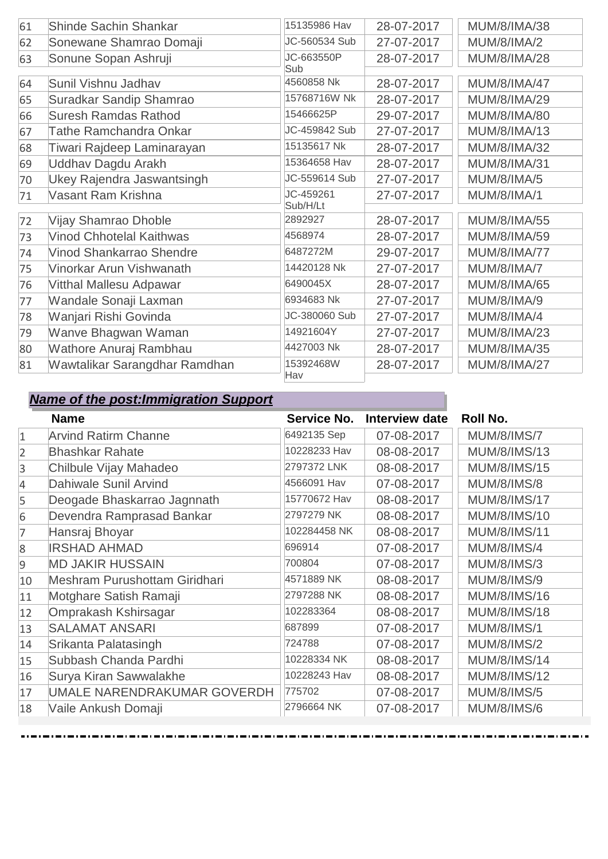| 61 | <b>Shinde Sachin Shankar</b>    | 15135986 Hav  | 28-07-2017 | <b>MUM/8/IMA/38</b> |
|----|---------------------------------|---------------|------------|---------------------|
| 62 | Sonewane Shamrao Domaji         | JC-560534 Sub | 27-07-2017 | <b>MUM/8/IMA/2</b>  |
| 63 | Sonune Sopan Ashruji            | JC-663550P    | 28-07-2017 | <b>MUM/8/IMA/28</b> |
|    |                                 | Sub           |            |                     |
| 64 | Sunil Vishnu Jadhav             | 4560858 Nk    | 28-07-2017 | <b>MUM/8/IMA/47</b> |
| 65 | Suradkar Sandip Shamrao         | 15768716W Nk  | 28-07-2017 | <b>MUM/8/IMA/29</b> |
| 66 | <b>Suresh Ramdas Rathod</b>     | 15466625P     | 29-07-2017 | <b>MUM/8/IMA/80</b> |
| 67 | <b>Tathe Ramchandra Onkar</b>   | JC-459842 Sub | 27-07-2017 | <b>MUM/8/IMA/13</b> |
| 68 | Tiwari Rajdeep Laminarayan      | 15135617 Nk   | 28-07-2017 | <b>MUM/8/IMA/32</b> |
| 69 | Uddhav Dagdu Arakh              | 15364658 Hav  | 28-07-2017 | <b>MUM/8/IMA/31</b> |
| 70 | Ukey Rajendra Jaswantsingh      | JC-559614 Sub | 27-07-2017 | <b>MUM/8/IMA/5</b>  |
| 71 | Vasant Ram Krishna              | JC-459261     | 27-07-2017 | <b>MUM/8/IMA/1</b>  |
|    |                                 | Sub/H/Lt      |            |                     |
| 72 | Vijay Shamrao Dhoble            | 2892927       | 28-07-2017 | <b>MUM/8/IMA/55</b> |
| 73 | <b>Vinod Chhotelal Kaithwas</b> | 4568974       | 28-07-2017 | <b>MUM/8/IMA/59</b> |
| 74 | Vinod Shankarrao Shendre        | 6487272M      | 29-07-2017 | <b>MUM/8/IMA/77</b> |
| 75 | Vinorkar Arun Vishwanath        | 14420128 Nk   | 27-07-2017 | MUM/8/IMA/7         |
| 76 | Vitthal Mallesu Adpawar         | 6490045X      | 28-07-2017 | <b>MUM/8/IMA/65</b> |
| 77 | Wandale Sonaji Laxman           | 6934683 Nk    | 27-07-2017 | <b>MUM/8/IMA/9</b>  |
| 78 | Wanjari Rishi Govinda           | JC-380060 Sub | 27-07-2017 | MUM/8/IMA/4         |
| 79 | Wanve Bhagwan Waman             | 14921604Y     | 27-07-2017 | <b>MUM/8/IMA/23</b> |
| 80 | Wathore Anuraj Rambhau          | 4427003 Nk    | 28-07-2017 | <b>MUM/8/IMA/35</b> |
| 81 | Wawtalikar Sarangdhar Ramdhan   | 15392468W     | 28-07-2017 | <b>MUM/8/IMA/27</b> |
|    |                                 | Hav           |            |                     |

|                | <b>Name</b>                   | Service No.  | Interview date | Roll No.            |
|----------------|-------------------------------|--------------|----------------|---------------------|
| $\mathbf{1}$   | <b>Arvind Ratirm Channe</b>   | 6492135 Sep  | 07-08-2017     | <b>MUM/8/IMS/7</b>  |
| $\overline{2}$ | <b>Bhashkar Rahate</b>        | 10228233 Hav | 08-08-2017     | <b>MUM/8/IMS/13</b> |
| 3              | Chilbule Vijay Mahadeo        | 2797372 LNK  | 08-08-2017     | <b>MUM/8/IMS/15</b> |
| $\overline{4}$ | Dahiwale Sunil Arvind         | 4566091 Hav  | 07-08-2017     | <b>MUM/8/IMS/8</b>  |
| 5              | Deogade Bhaskarrao Jagnnath   | 15770672 Hav | 08-08-2017     | <b>MUM/8/IMS/17</b> |
| 6              | Devendra Ramprasad Bankar     | 2797279 NK   | 08-08-2017     | <b>MUM/8/IMS/10</b> |
| 7              | Hansraj Bhoyar                | 102284458 NK | 08-08-2017     | <b>MUM/8/IMS/11</b> |
| 8              | <b>IRSHAD AHMAD</b>           | 696914       | 07-08-2017     | <b>MUM/8/IMS/4</b>  |
| $\overline{9}$ | <b>MD JAKIR HUSSAIN</b>       | 700804       | 07-08-2017     | <b>MUM/8/IMS/3</b>  |
| 10             | Meshram Purushottam Giridhari | 4571889 NK   | 08-08-2017     | <b>MUM/8/IMS/9</b>  |
| 11             | Motghare Satish Ramaji        | 2797288 NK   | 08-08-2017     | <b>MUM/8/IMS/16</b> |
| 12             | Omprakash Kshirsagar          | 102283364    | 08-08-2017     | <b>MUM/8/IMS/18</b> |
| 13             | <b>SALAMAT ANSARI</b>         | 687899       | 07-08-2017     | <b>MUM/8/IMS/1</b>  |
| 14             | Srikanta Palatasingh          | 724788       | 07-08-2017     | <b>MUM/8/IMS/2</b>  |
| 15             | Subbash Chanda Pardhi         | 10228334 NK  | 08-08-2017     | <b>MUM/8/IMS/14</b> |
| 16             | Surya Kiran Sawwalakhe        | 10228243 Hav | 08-08-2017     | <b>MUM/8/IMS/12</b> |
| 17             | UMALE NARENDRAKUMAR GOVERDH   | 775702       | 07-08-2017     | <b>MUM/8/IMS/5</b>  |
| 18             | Vaile Ankush Domaji           | 2796664 NK   | 07-08-2017     | <b>MUM/8/IMS/6</b>  |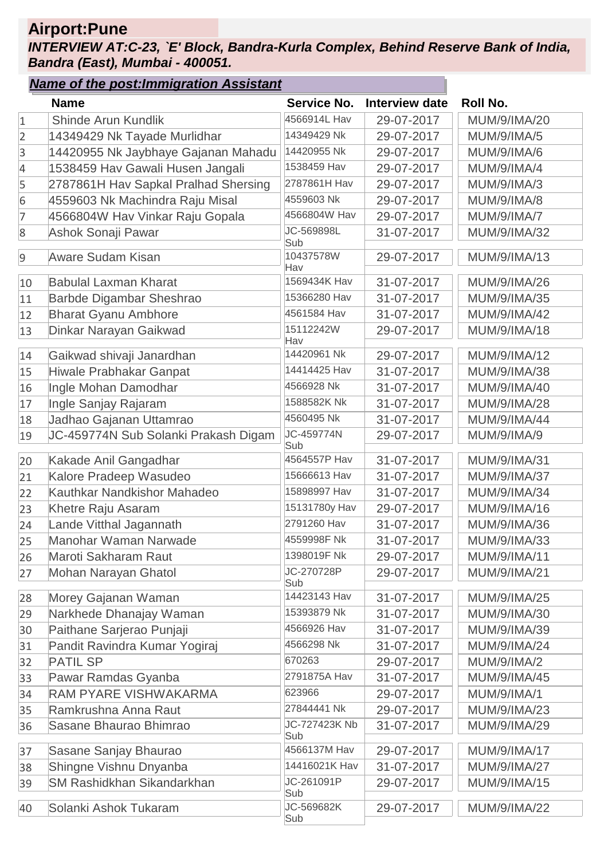# **Airport:Pune**

#### *INTERVIEW AT:C-23, `E' Block, Bandra-Kurla Complex, Behind Reserve Bank of India, Bandra (East), Mumbai - 400051.*

|                  | <b>Name of the post: Immigration Assistant</b> |                      |                       |                     |
|------------------|------------------------------------------------|----------------------|-----------------------|---------------------|
|                  | <b>Name</b>                                    | Service No.          | <b>Interview date</b> | <b>Roll No.</b>     |
| $1\,$            | Shinde Arun Kundlik                            | 4566914L Hav         | 29-07-2017            | MUM/9/IMA/20        |
| $\overline{2}$   | 14349429 Nk Tayade Murlidhar                   | 14349429 Nk          | 29-07-2017            | <b>MUM/9/IMA/5</b>  |
| $\overline{3}$   | 14420955 Nk Jaybhaye Gajanan Mahadu            | 14420955 Nk          | 29-07-2017            | <b>MUM/9/IMA/6</b>  |
| $\overline{4}$   | 1538459 Hav Gawali Husen Jangali               | 1538459 Hav          | 29-07-2017            | <b>MUM/9/IMA/4</b>  |
| 5                | 2787861H Hav Sapkal Pralhad Shersing           | 2787861H Hav         | 29-07-2017            | MUM/9/IMA/3         |
| $\overline{6}$   | 4559603 Nk Machindra Raju Misal                | 4559603 Nk           | 29-07-2017            | <b>MUM/9/IMA/8</b>  |
| 7                | 4566804W Hav Vinkar Raju Gopala                | 4566804W Hav         | 29-07-2017            | <b>MUM/9/IMA/7</b>  |
| $\boldsymbol{8}$ | Ashok Sonaji Pawar                             | JC-569898L<br>Sub    | 31-07-2017            | <b>MUM/9/IMA/32</b> |
| $\overline{9}$   | <b>Aware Sudam Kisan</b>                       | 10437578W<br>Hav     | 29-07-2017            | MUM/9/IMA/13        |
| 10               | <b>Babulal Laxman Kharat</b>                   | 1569434K Hav         | 31-07-2017            | MUM/9/IMA/26        |
| 11               | Barbde Digambar Sheshrao                       | 15366280 Hav         | 31-07-2017            | MUM/9/IMA/35        |
| 12               | <b>Bharat Gyanu Ambhore</b>                    | 4561584 Hav          | 31-07-2017            | <b>MUM/9/IMA/42</b> |
| 13               | Dinkar Narayan Gaikwad                         | 15112242W<br>Hav     | 29-07-2017            | <b>MUM/9/IMA/18</b> |
| 14               | Gaikwad shivaji Janardhan                      | 14420961 Nk          | 29-07-2017            | <b>MUM/9/IMA/12</b> |
| 15               | Hiwale Prabhakar Ganpat                        | 14414425 Hav         | 31-07-2017            | MUM/9/IMA/38        |
| 16               | Ingle Mohan Damodhar                           | 4566928 Nk           | 31-07-2017            | MUM/9/IMA/40        |
| 17               | Ingle Sanjay Rajaram                           | 1588582K Nk          | 31-07-2017            | <b>MUM/9/IMA/28</b> |
| 18               | Jadhao Gajanan Uttamrao                        | 4560495 Nk           | 31-07-2017            | <b>MUM/9/IMA/44</b> |
| 19               | JC-459774N Sub Solanki Prakash Digam           | JC-459774N<br>Sub    | 29-07-2017            | <b>MUM/9/IMA/9</b>  |
| 20               | Kakade Anil Gangadhar                          | 4564557P Hav         | 31-07-2017            | <b>MUM/9/IMA/31</b> |
| 21               | Kalore Pradeep Wasudeo                         | 15666613 Hav         | 31-07-2017            | <b>MUM/9/IMA/37</b> |
| 22               | Kauthkar Nandkishor Mahadeo                    | 15898997 Hav         | 31-07-2017            | <b>MUM/9/IMA/34</b> |
| 23               | Khetre Raju Asaram                             | 15131780y Hav        | 29-07-2017            | MUM/9/IMA/16        |
| 24               | Lande Vitthal Jagannath                        | 2791260 Hav          | 31-07-2017            | MUM/9/IMA/36        |
| 25               | Manohar Waman Narwade                          | 4559998F Nk          | 31-07-2017            | MUM/9/IMA/33        |
| 26               | Maroti Sakharam Raut                           | 1398019F Nk          | 29-07-2017            | <b>MUM/9/IMA/11</b> |
| 27               | Mohan Narayan Ghatol                           | JC-270728P<br>Sub    | 29-07-2017            | <b>MUM/9/IMA/21</b> |
| 28               | Morey Gajanan Waman                            | 14423143 Hav         | 31-07-2017            | <b>MUM/9/IMA/25</b> |
| 29               | Narkhede Dhanajay Waman                        | 15393879 Nk          | 31-07-2017            | MUM/9/IMA/30        |
| 30               | Paithane Sarjerao Punjaji                      | 4566926 Hav          | 31-07-2017            | MUM/9/IMA/39        |
| 31               | Pandit Ravindra Kumar Yogiraj                  | 4566298 Nk           | 31-07-2017            | <b>MUM/9/IMA/24</b> |
| 32               | <b>PATIL SP</b>                                | 670263               | 29-07-2017            | <b>MUM/9/IMA/2</b>  |
| 33               | Pawar Ramdas Gyanba                            | 2791875A Hav         | 31-07-2017            | MUM/9/IMA/45        |
| 34               | RAM PYARE VISHWAKARMA                          | 623966               | 29-07-2017            | <b>MUM/9/IMA/1</b>  |
| 35               | Ramkrushna Anna Raut                           | 27844441 Nk          | 29-07-2017            | <b>MUM/9/IMA/23</b> |
| 36               | Sasane Bhaurao Bhimrao                         | JC-727423K Nb<br>Sub | 31-07-2017            | <b>MUM/9/IMA/29</b> |
| 37               | Sasane Sanjay Bhaurao                          | 4566137M Hav         | 29-07-2017            | <b>MUM/9/IMA/17</b> |
| 38               | Shingne Vishnu Dnyanba                         | 14416021K Hav        | 31-07-2017            | <b>MUM/9/IMA/27</b> |
| 39               | <b>SM Rashidkhan Sikandarkhan</b>              | JC-261091P           | 29-07-2017            | MUM/9/IMA/15        |
|                  |                                                | Sub                  |                       |                     |
| 40               | Solanki Ashok Tukaram                          | JC-569682K<br>Sub    | 29-07-2017            | <b>MUM/9/IMA/22</b> |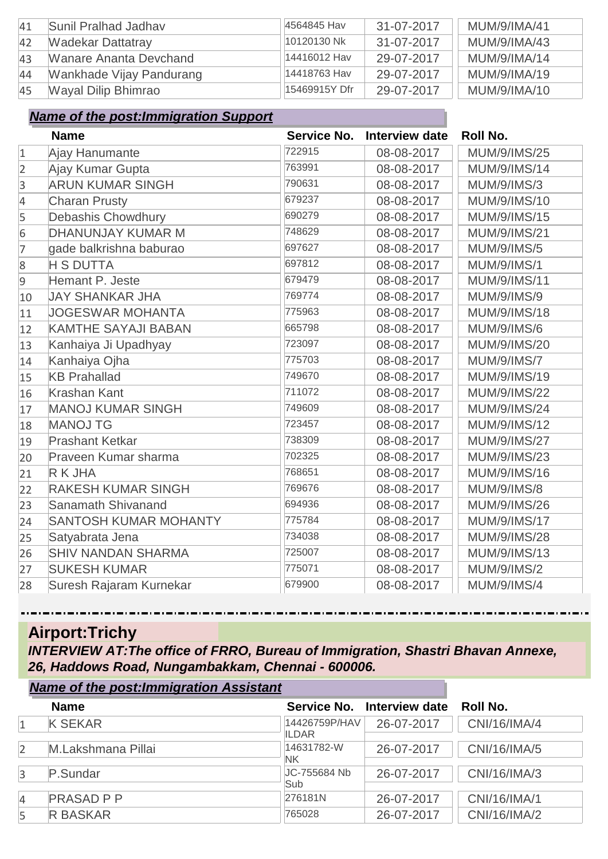| 41 | Sunil Pralhad Jadhay     | 4564845 Hav   | 31-07-2017 | MUM/9/IMA/41 |
|----|--------------------------|---------------|------------|--------------|
| 42 | <b>Wadekar Dattatray</b> | 10120130 Nk   | 31-07-2017 | MUM/9/IMA/43 |
| 43 | Wanare Ananta Devchand   | 14416012 Hav  | 29-07-2017 | MUM/9/IMA/14 |
| 44 | Wankhade Vijay Pandurang | 14418763 Hav  | 29-07-2017 | MUM/9/IMA/19 |
| 45 | Wayal Dilip Bhimrao      | 15469915Y Dfr | 29-07-2017 | MUM/9/IMA/10 |

|                | <b>Name</b>                  | <b>Service No.</b> | <b>Interview date</b> | <b>Roll No.</b>     |
|----------------|------------------------------|--------------------|-----------------------|---------------------|
| $\mathbf{1}$   | Ajay Hanumante               | 722915             | 08-08-2017            | <b>MUM/9/IMS/25</b> |
| $\overline{2}$ | Ajay Kumar Gupta             | 763991             | 08-08-2017            | <b>MUM/9/IMS/14</b> |
| 3              | <b>ARUN KUMAR SINGH</b>      | 790631             | 08-08-2017            | <b>MUM/9/IMS/3</b>  |
| $\overline{4}$ | <b>Charan Prusty</b>         | 679237             | 08-08-2017            | <b>MUM/9/IMS/10</b> |
| 5              | Debashis Chowdhury           | 690279             | 08-08-2017            | <b>MUM/9/IMS/15</b> |
| 6              | <b>DHANUNJAY KUMAR M</b>     | 748629             | 08-08-2017            | <b>MUM/9/IMS/21</b> |
| 7              | gade balkrishna baburao      | 697627             | 08-08-2017            | <b>MUM/9/IMS/5</b>  |
| $8\phantom{.}$ | <b>H S DUTTA</b>             | 697812             | 08-08-2017            | <b>MUM/9/IMS/1</b>  |
| 9              | Hemant P. Jeste              | 679479             | 08-08-2017            | <b>MUM/9/IMS/11</b> |
| 10             | <b>JAY SHANKAR JHA</b>       | 769774             | 08-08-2017            | <b>MUM/9/IMS/9</b>  |
| 11             | <b>JOGESWAR MOHANTA</b>      | 775963             | 08-08-2017            | <b>MUM/9/IMS/18</b> |
| 12             | <b>KAMTHE SAYAJI BABAN</b>   | 665798             | 08-08-2017            | <b>MUM/9/IMS/6</b>  |
| 13             | Kanhaiya Ji Upadhyay         | 723097             | 08-08-2017            | <b>MUM/9/IMS/20</b> |
| 14             | Kanhaiya Ojha                | 775703             | 08-08-2017            | <b>MUM/9/IMS/7</b>  |
| 15             | <b>KB Prahallad</b>          | 749670             | 08-08-2017            | <b>MUM/9/IMS/19</b> |
| 16             | <b>Krashan Kant</b>          | 711072             | 08-08-2017            | <b>MUM/9/IMS/22</b> |
| 17             | <b>MANOJ KUMAR SINGH</b>     | 749609             | 08-08-2017            | <b>MUM/9/IMS/24</b> |
| 18             | <b>MANOJ TG</b>              | 723457             | 08-08-2017            | <b>MUM/9/IMS/12</b> |
| 19             | <b>Prashant Ketkar</b>       | 738309             | 08-08-2017            | <b>MUM/9/IMS/27</b> |
| 20             | Praveen Kumar sharma         | 702325             | 08-08-2017            | <b>MUM/9/IMS/23</b> |
| 21             | R K JHA                      | 768651             | 08-08-2017            | <b>MUM/9/IMS/16</b> |
| 22             | <b>RAKESH KUMAR SINGH</b>    | 769676             | 08-08-2017            | <b>MUM/9/IMS/8</b>  |
| 23             | Sanamath Shivanand           | 694936             | 08-08-2017            | <b>MUM/9/IMS/26</b> |
| 24             | <b>SANTOSH KUMAR MOHANTY</b> | 775784             | 08-08-2017            | <b>MUM/9/IMS/17</b> |
| 25             | Satyabrata Jena              | 734038             | 08-08-2017            | <b>MUM/9/IMS/28</b> |
| 26             | <b>SHIV NANDAN SHARMA</b>    | 725007             | 08-08-2017            | <b>MUM/9/IMS/13</b> |
| 27             | <b>SUKESH KUMAR</b>          | 775071             | 08-08-2017            | <b>MUM/9/IMS/2</b>  |
| 28             | Suresh Rajaram Kurnekar      | 679900             | 08-08-2017            | <b>MUM/9/IMS/4</b>  |

# **Airport:Trichy**

*INTERVIEW AT:The office of FRRO, Bureau of Immigration, Shastri Bhavan Annexe, 26, Haddows Road, Nungambakkam, Chennai - 600006.*

|                | <b>Name of the post: Immigration Assistant</b> |                        |                            |              |
|----------------|------------------------------------------------|------------------------|----------------------------|--------------|
|                | <b>Name</b>                                    |                        | Service No. Interview date | Roll No.     |
| $\mathbf{1}$   | <b>K SEKAR</b>                                 | 14426759P/HAV<br>ILDAR | 26-07-2017                 | CNI/16/IMA/4 |
| $\overline{2}$ | M.Lakshmana Pillai                             | 14631782-W<br>NΚ       | 26-07-2017                 | CNI/16/IMA/5 |
| $\overline{3}$ | P.Sundar                                       | JC-755684 Nb<br>Sub    | 26-07-2017                 | CNI/16/IMA/3 |
| $\overline{4}$ | <b>PRASAD P P</b>                              | 276181N                | 26-07-2017                 | CNI/16/IMA/1 |
| 5              | <b>R BASKAR</b>                                | 765028                 | 26-07-2017                 | CNI/16/IMA/2 |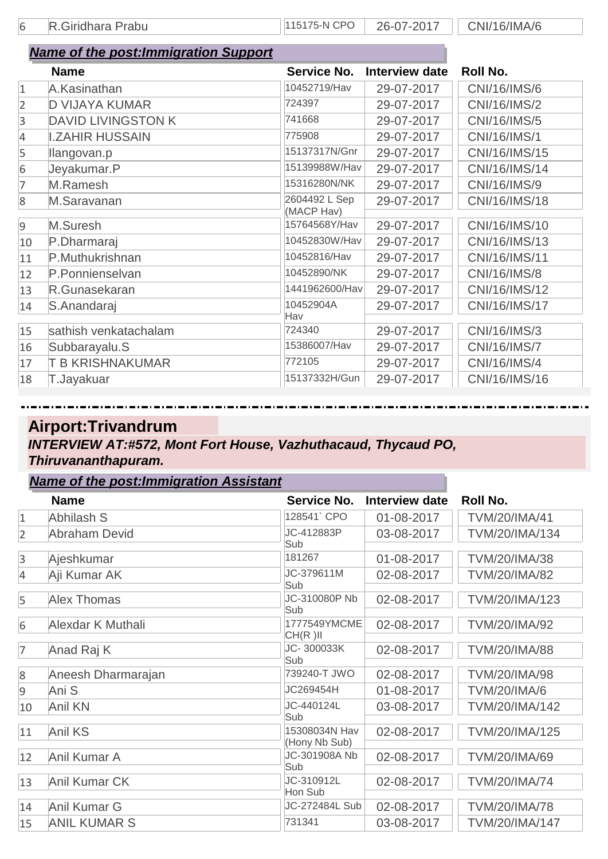6 R.Giridhara Prabu 115175-N CPO 26-07-2017 CNI/16/IMA/6

|                  | <b>Name of the post: Immigration Support</b> |                    |                       |                     |
|------------------|----------------------------------------------|--------------------|-----------------------|---------------------|
|                  | <b>Name</b>                                  | <b>Service No.</b> | <b>Interview date</b> | <b>Roll No.</b>     |
| $\mathbf{1}$     | A.Kasinathan                                 | 10452719/Hav       | 29-07-2017            | <b>CNI/16/IMS/6</b> |
| $\overline{2}$   | <b>D VIJAYA KUMAR</b>                        | 724397             | 29-07-2017            | CNI/16/IMS/2        |
| 3                | <b>DAVID LIVINGSTON K</b>                    | 741668             | 29-07-2017            | <b>CNI/16/IMS/5</b> |
| 4                | <b>I.ZAHIR HUSSAIN</b>                       | 775908             | 29-07-2017            | <b>CNI/16/IMS/1</b> |
| 5                | llangovan.p                                  | 15137317N/Gnr      | 29-07-2017            | CNI/16/IMS/15       |
| $6\phantom{.}6$  | Jeyakumar.P                                  | 15139988W/Hav      | 29-07-2017            | CNI/16/IMS/14       |
| 7                | M.Ramesh                                     | 15316280N/NK       | 29-07-2017            | CNI/16/IMS/9        |
| $\boldsymbol{8}$ | M.Saravanan                                  | 2604492 L Sep      | 29-07-2017            | CNI/16/IMS/18       |
|                  |                                              | (MACP Hav)         |                       |                     |
| 9                | M.Suresh                                     | 15764568Y/Hav      | 29-07-2017            | CNI/16/IMS/10       |
| 10               | P.Dharmaraj                                  | 10452830W/Hav      | 29-07-2017            | CNI/16/IMS/13       |
| 11               | P.Muthukrishnan                              | 10452816/Hav       | 29-07-2017            | CNI/16/IMS/11       |
| 12               | P.Ponnienselvan                              | 10452890/NK        | 29-07-2017            | <b>CNI/16/IMS/8</b> |
| 13               | R.Gunasekaran                                | 1441962600/Hav     | 29-07-2017            | CNI/16/IMS/12       |
| 14               | S.Anandaraj                                  | 10452904A          | 29-07-2017            | CNI/16/IMS/17       |
|                  |                                              | Hav                |                       |                     |
| 15               | sathish venkatachalam                        | 724340             | 29-07-2017            | CNI/16/IMS/3        |
| 16               | Subbarayalu.S                                | 15386007/Hav       | 29-07-2017            | <b>CNI/16/IMS/7</b> |
| 17               | <b>T B KRISHNAKUMAR</b>                      | 772105             | 29-07-2017            | <b>CNI/16/IMS/4</b> |
| 18               | T.Jayakuar                                   | 15137332H/Gun      | 29-07-2017            | CNI/16/IMS/16       |

#### **Airport:Trivandrum** *INTERVIEW AT:#572, Mont Fort House, Vazhuthacaud, Thycaud PO, Thiruvananthapuram. Name of the post:Immigration Assistant*

|                | <u>Name of the post.miningration Assistant</u> |                                |                       |                       |
|----------------|------------------------------------------------|--------------------------------|-----------------------|-----------------------|
|                | <b>Name</b>                                    | Service No.                    | <b>Interview date</b> | <b>Roll No.</b>       |
| $\mathbf{1}$   | Abhilash S                                     | 128541`CPO                     | 01-08-2017            | <b>TVM/20/IMA/41</b>  |
| 2              | <b>Abraham Devid</b>                           | JC-412883P<br>Sub              | 03-08-2017            | TVM/20/IMA/134        |
| 3              | Ajeshkumar                                     | 181267                         | 01-08-2017            | <b>TVM/20/IMA/38</b>  |
| 4              | Aji Kumar AK                                   | JC-379611M<br>Sub              | 02-08-2017            | <b>TVM/20/IMA/82</b>  |
| 5              | <b>Alex Thomas</b>                             | JC-310080P Nb<br>Sub           | 02-08-2017            | TVM/20/IMA/123        |
| 6              | Alexdar K Muthali                              | 1777549YMCME<br>CH(R)II        | 02-08-2017            | TVM/20/IMA/92         |
| $\overline{7}$ | Anad Raj K                                     | JC-300033K<br>Sub              | 02-08-2017            | <b>TVM/20/IMA/88</b>  |
| 8              | Aneesh Dharmarajan                             | 739240-T JWO                   | 02-08-2017            | <b>TVM/20/IMA/98</b>  |
| 9              | Ani S                                          | JC269454H                      | 01-08-2017            | <b>TVM/20/IMA/6</b>   |
| 10             | <b>Anil KN</b>                                 | JC-440124L<br>Sub              | 03-08-2017            | TVM/20/IMA/142        |
| 11             | <b>Anil KS</b>                                 | 15308034N Hav<br>(Hony Nb Sub) | 02-08-2017            | TVM/20/IMA/125        |
| 12             | Anil Kumar A                                   | JC-301908A Nb<br>Sub           | 02-08-2017            | TVM/20/IMA/69         |
| 13             | <b>Anil Kumar CK</b>                           | JC-310912L<br>Hon Sub          | 02-08-2017            | <b>TVM/20/IMA/74</b>  |
| 14             | Anil Kumar G                                   | JC-272484L Sub                 | 02-08-2017            | <b>TVM/20/IMA/78</b>  |
| 15             | <b>ANIL KUMAR S</b>                            | 731341                         | 03-08-2017            | <b>TVM/20/IMA/147</b> |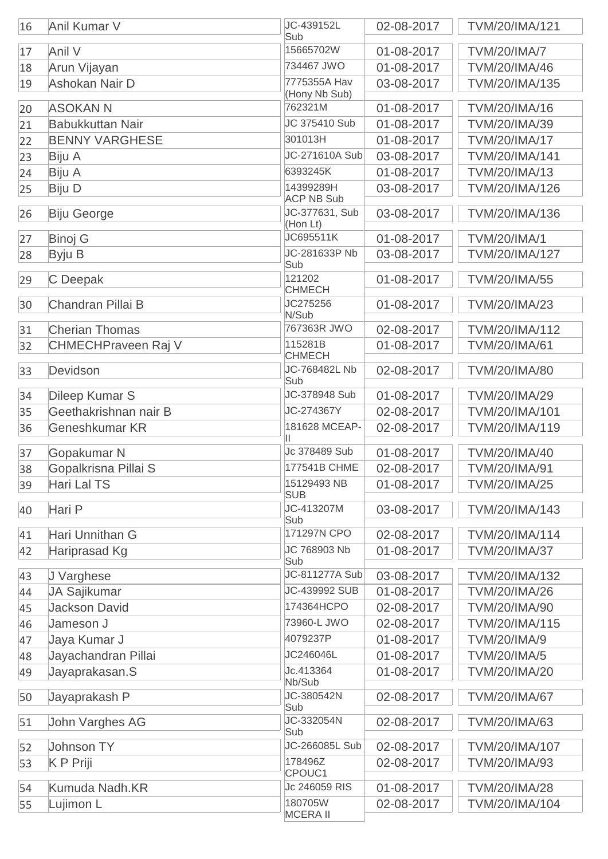| 16 | Anil Kumar V               | JC-439152L<br>Sub             | 02-08-2017 | TVM/20/IMA/121        |
|----|----------------------------|-------------------------------|------------|-----------------------|
| 17 | Anil V                     | 15665702W                     | 01-08-2017 | <b>TVM/20/IMA/7</b>   |
| 18 | Arun Vijayan               | 734467 JWO                    | 01-08-2017 | <b>TVM/20/IMA/46</b>  |
| 19 | Ashokan Nair D             | 7775355A Hav<br>(Hony Nb Sub) | 03-08-2017 | TVM/20/IMA/135        |
| 20 | <b>ASOKAN N</b>            | 762321M                       | 01-08-2017 | TVM/20/IMA/16         |
| 21 | <b>Babukkuttan Nair</b>    | JC 375410 Sub                 | 01-08-2017 | TVM/20/IMA/39         |
| 22 | <b>BENNY VARGHESE</b>      | 301013H                       | 01-08-2017 | <b>TVM/20/IMA/17</b>  |
| 23 | Biju A                     | JC-271610A Sub                | 03-08-2017 | TVM/20/IMA/141        |
| 24 | Biju A                     | 6393245K                      | 01-08-2017 | TVM/20/IMA/13         |
| 25 | <b>Biju D</b>              | 14399289H                     | 03-08-2017 | TVM/20/IMA/126        |
|    |                            | <b>ACP NB Sub</b>             |            |                       |
| 26 | <b>Biju George</b>         | JC-377631, Sub<br>(Hon Lt)    | 03-08-2017 | TVM/20/IMA/136        |
| 27 | <b>Binoj G</b>             | JC695511K                     | 01-08-2017 | <b>TVM/20/IMA/1</b>   |
| 28 | Byju B                     | JC-281633P Nb                 | 03-08-2017 | <b>TVM/20/IMA/127</b> |
|    |                            | Sub                           |            |                       |
| 29 | C Deepak                   | 121202<br><b>CHMECH</b>       | 01-08-2017 | <b>TVM/20/IMA/55</b>  |
| 30 | Chandran Pillai B          | JC275256                      | 01-08-2017 | <b>TVM/20/IMA/23</b>  |
|    |                            | N/Sub                         |            |                       |
| 31 | <b>Cherian Thomas</b>      | 767363R JWO                   | 02-08-2017 | TVM/20/IMA/112        |
| 32 | <b>CHMECHPraveen Raj V</b> | 115281B<br><b>CHMECH</b>      | 01-08-2017 | <b>TVM/20/IMA/61</b>  |
| 33 | Devidson                   | JC-768482L Nb<br>Sub          | 02-08-2017 | <b>TVM/20/IMA/80</b>  |
| 34 | Dileep Kumar S             | JC-378948 Sub                 | 01-08-2017 | TVM/20/IMA/29         |
| 35 | Geethakrishnan nair B      | JC-274367Y                    | 02-08-2017 | TVM/20/IMA/101        |
| 36 | Geneshkumar KR             | 181628 MCEAP-                 | 02-08-2017 | TVM/20/IMA/119        |
|    |                            | Ш                             |            |                       |
| 37 | Gopakumar N                | Jc 378489 Sub                 | 01-08-2017 | <b>TVM/20/IMA/40</b>  |
| 38 | Gopalkrisna Pillai S       | 177541B CHME                  | 02-08-2017 | <b>TVM/20/IMA/91</b>  |
| 39 | Hari Lal TS                | 15129493 NB<br><b>SUB</b>     | 01-08-2017 | <b>TVM/20/IMA/25</b>  |
| 40 | Hari P                     | JC-413207M<br>Sub             | 03-08-2017 | TVM/20/IMA/143        |
| 41 | Hari Unnithan G            | 171297N CPO                   | 02-08-2017 | TVM/20/IMA/114        |
| 42 | Hariprasad Kg              | JC 768903 Nb                  | 01-08-2017 | <b>TVM/20/IMA/37</b>  |
|    |                            | Sub                           |            |                       |
| 43 | J Varghese                 | JC-811277A Sub                | 03-08-2017 | <b>TVM/20/IMA/132</b> |
| 44 | JA Sajikumar               | JC-439992 SUB                 | 01-08-2017 | <b>TVM/20/IMA/26</b>  |
| 45 | <b>Jackson David</b>       | 174364HCPO                    | 02-08-2017 | <b>TVM/20/IMA/90</b>  |
| 46 | Jameson J                  | 73960-L JWO                   | 02-08-2017 | TVM/20/IMA/115        |
| 47 | Jaya Kumar J               | 4079237P                      | 01-08-2017 | <b>TVM/20/IMA/9</b>   |
| 48 | Jayachandran Pillai        | JC246046L                     | 01-08-2017 | <b>TVM/20/IMA/5</b>   |
| 49 | Jayaprakasan.S             | Jc.413364                     | 01-08-2017 | <b>TVM/20/IMA/20</b>  |
|    |                            | Nb/Sub<br>JC-380542N          | 02-08-2017 | <b>TVM/20/IMA/67</b>  |
| 50 | Jayaprakash P              | Sub                           |            |                       |
| 51 | John Varghes AG            | JC-332054N<br>Sub             | 02-08-2017 | TVM/20/IMA/63         |
| 52 | Johnson TY                 | JC-266085L Sub                | 02-08-2017 | <b>TVM/20/IMA/107</b> |
| 53 | <b>KP</b> Priji            | 178496Z                       | 02-08-2017 | TVM/20/IMA/93         |
| 54 | <b>Kumuda Nadh.KR</b>      | CPOUC1<br>Jc 246059 RIS       | 01-08-2017 | <b>TVM/20/IMA/28</b>  |
| 55 | Lujimon L                  | 180705W                       | 02-08-2017 | TVM/20/IMA/104        |
|    |                            | <b>MCERA II</b>               |            |                       |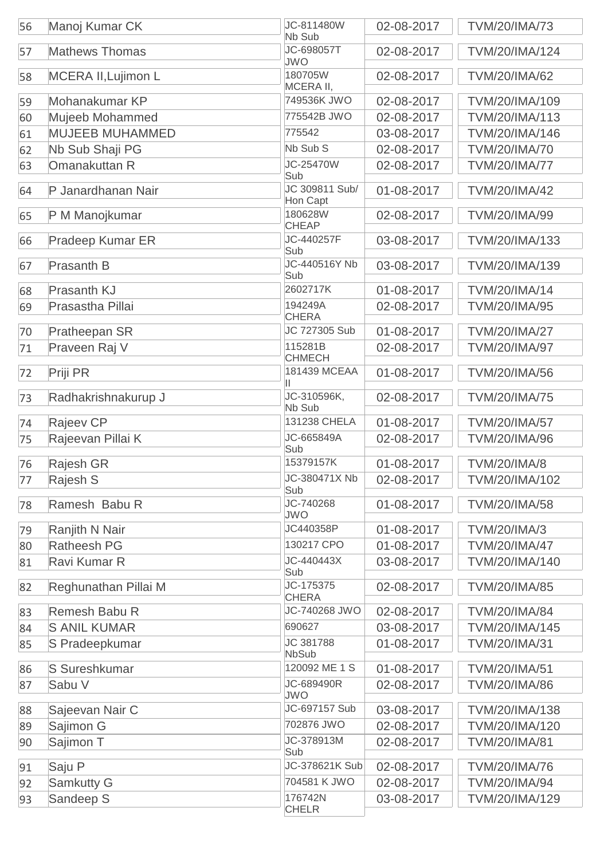| 56 | Manoj Kumar CK          | JC-811480W<br>Nb Sub       | 02-08-2017 | <b>TVM/20/IMA/73</b> |
|----|-------------------------|----------------------------|------------|----------------------|
| 57 | <b>Mathews Thomas</b>   | JC-698057T<br><b>JWO</b>   | 02-08-2017 | TVM/20/IMA/124       |
| 58 | MCERA II, Lujimon L     | 180705W<br>MCERA II,       | 02-08-2017 | <b>TVM/20/IMA/62</b> |
| 59 | Mohanakumar KP          | 749536K JWO                | 02-08-2017 | TVM/20/IMA/109       |
| 60 | Mujeeb Mohammed         | 775542B JWO                | 02-08-2017 | TVM/20/IMA/113       |
| 61 | <b>MUJEEB MUHAMMED</b>  | 775542                     | 03-08-2017 | TVM/20/IMA/146       |
| 62 | Nb Sub Shaji PG         | Nb Sub S                   | 02-08-2017 | <b>TVM/20/IMA/70</b> |
| 63 | Omanakuttan R           | JC-25470W<br>Sub           | 02-08-2017 | <b>TVM/20/IMA/77</b> |
| 64 | P Janardhanan Nair      | JC 309811 Sub/<br>Hon Capt | 01-08-2017 | <b>TVM/20/IMA/42</b> |
| 65 | P M Manojkumar          | 180628W<br><b>CHEAP</b>    | 02-08-2017 | TVM/20/IMA/99        |
| 66 | <b>Pradeep Kumar ER</b> | JC-440257F<br>Sub          | 03-08-2017 | TVM/20/IMA/133       |
| 67 | Prasanth B              | JC-440516Y Nb<br>Sub       | 03-08-2017 | TVM/20/IMA/139       |
| 68 | Prasanth KJ             | 2602717K                   | 01-08-2017 | <b>TVM/20/IMA/14</b> |
| 69 | Prasastha Pillai        | 194249A<br><b>CHERA</b>    | 02-08-2017 | <b>TVM/20/IMA/95</b> |
| 70 | Pratheepan SR           | JC 727305 Sub              | 01-08-2017 | <b>TVM/20/IMA/27</b> |
| 71 | Praveen Raj V           | 115281B<br><b>CHMECH</b>   | 02-08-2017 | <b>TVM/20/IMA/97</b> |
| 72 | Priji PR                | 181439 MCEAA<br>Ш          | 01-08-2017 | <b>TVM/20/IMA/56</b> |
| 73 | Radhakrishnakurup J     | JC-310596K,<br>Nb Sub      | 02-08-2017 | <b>TVM/20/IMA/75</b> |
| 74 | Rajeev CP               | 131238 CHELA               | 01-08-2017 | <b>TVM/20/IMA/57</b> |
| 75 | Rajeevan Pillai K       | JC-665849A<br>Sub          | 02-08-2017 | <b>TVM/20/IMA/96</b> |
| 76 | Rajesh GR               | 15379157K                  | 01-08-2017 | <b>TVM/20/IMA/8</b>  |
| 77 | Rajesh S                | JC-380471X Nb<br>Sub       | 02-08-2017 | TVM/20/IMA/102       |
| 78 | Ramesh Babu R           | JC-740268<br><b>JWO</b>    | 01-08-2017 | <b>TVM/20/IMA/58</b> |
| 79 | Ranjith N Nair          | JC440358P                  | 01-08-2017 | <b>TVM/20/IMA/3</b>  |
| 80 | <b>Ratheesh PG</b>      | 130217 CPO                 | 01-08-2017 | <b>TVM/20/IMA/47</b> |
| 81 | Ravi Kumar R            | JC-440443X<br>Sub          | 03-08-2017 | TVM/20/IMA/140       |
| 82 | Reghunathan Pillai M    | JC-175375<br><b>CHERA</b>  | 02-08-2017 | <b>TVM/20/IMA/85</b> |
| 83 | Remesh Babu R           | JC-740268 JWO              | 02-08-2017 | <b>TVM/20/IMA/84</b> |
| 84 | <b>S ANIL KUMAR</b>     | 690627                     | 03-08-2017 | TVM/20/IMA/145       |
| 85 | S Pradeepkumar          | JC 381788<br><b>NbSub</b>  | 01-08-2017 | <b>TVM/20/IMA/31</b> |
| 86 | S Sureshkumar           | 120092 ME 1 S              | 01-08-2017 | <b>TVM/20/IMA/51</b> |
| 87 | Sabu V                  | JC-689490R<br><b>JWO</b>   | 02-08-2017 | <b>TVM/20/IMA/86</b> |
| 88 | Sajeevan Nair C         | JC-697157 Sub              | 03-08-2017 | TVM/20/IMA/138       |
| 89 | Sajimon G               | 702876 JWO                 | 02-08-2017 | TVM/20/IMA/120       |
| 90 | Sajimon T               | JC-378913M<br>Sub          | 02-08-2017 | <b>TVM/20/IMA/81</b> |
| 91 | Saju P                  | JC-378621K Sub             | 02-08-2017 | <b>TVM/20/IMA/76</b> |
| 92 | <b>Samkutty G</b>       | 704581 K JWO               | 02-08-2017 | <b>TVM/20/IMA/94</b> |
| 93 | Sandeep S               | 176742N<br><b>CHELR</b>    | 03-08-2017 | TVM/20/IMA/129       |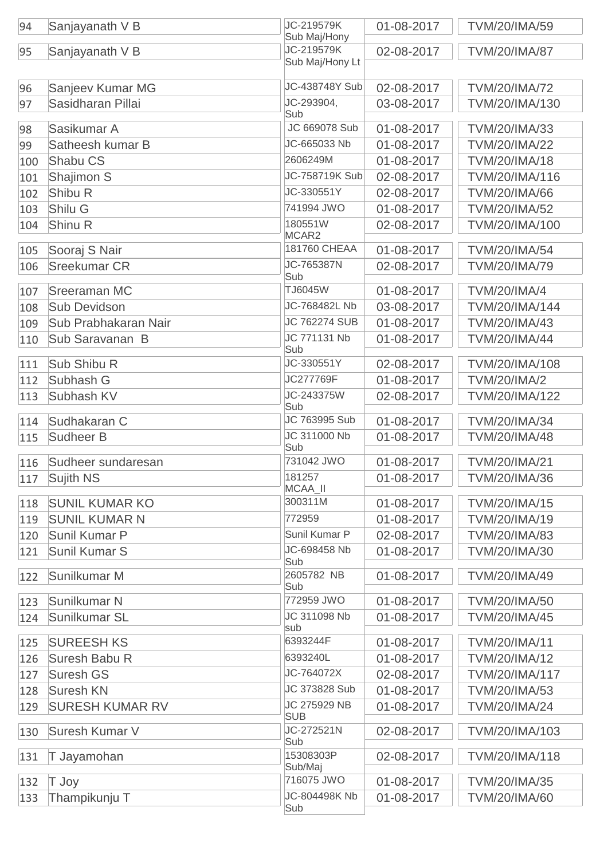| 94  | Sanjayanath V B        | JC-219579K<br>Sub Maj/Hony | 01-08-2017 | <b>TVM/20/IMA/59</b>  |
|-----|------------------------|----------------------------|------------|-----------------------|
| 95  | Sanjayanath V B        | JC-219579K                 | 02-08-2017 | <b>TVM/20/IMA/87</b>  |
|     |                        | Sub Maj/Hony Lt            |            |                       |
| 96  | Sanjeev Kumar MG       | JC-438748Y Sub             | 02-08-2017 | <b>TVM/20/IMA/72</b>  |
| 97  | Sasidharan Pillai      | JC-293904,                 | 03-08-2017 | TVM/20/IMA/130        |
|     |                        | Sub                        |            |                       |
| 98  | Sasikumar A            | JC 669078 Sub              | 01-08-2017 | TVM/20/IMA/33         |
| 99  | Satheesh kumar B       | JC-665033 Nb               | 01-08-2017 | <b>TVM/20/IMA/22</b>  |
| 100 | Shabu CS               | 2606249M                   | 01-08-2017 | <b>TVM/20/IMA/18</b>  |
| 101 | Shajimon S             | JC-758719K Sub             | 02-08-2017 | TVM/20/IMA/116        |
| 102 | Shibu R                | JC-330551Y                 | 02-08-2017 | <b>TVM/20/IMA/66</b>  |
| 103 | Shilu G                | 741994 JWO                 | 01-08-2017 | <b>TVM/20/IMA/52</b>  |
| 104 | Shinu R                | 180551W<br>MCAR2           | 02-08-2017 | TVM/20/IMA/100        |
| 105 | Sooraj S Nair          | 181760 CHEAA               | 01-08-2017 | <b>TVM/20/IMA/54</b>  |
| 106 | <b>Sreekumar CR</b>    | JC-765387N                 | 02-08-2017 | <b>TVM/20/IMA/79</b>  |
|     | <b>Sreeraman MC</b>    | Sub<br><b>TJ6045W</b>      | 01-08-2017 | <b>TVM/20/IMA/4</b>   |
| 107 | <b>Sub Devidson</b>    | JC-768482L Nb              | 03-08-2017 | TVM/20/IMA/144        |
| 108 | Sub Prabhakaran Nair   | <b>JC 762274 SUB</b>       | 01-08-2017 | <b>TVM/20/IMA/43</b>  |
| 109 |                        | JC 771131 Nb               |            |                       |
| 110 | Sub Saravanan B        | Sub                        | 01-08-2017 | <b>TVM/20/IMA/44</b>  |
| 111 | Sub Shibu R            | JC-330551Y                 | 02-08-2017 | TVM/20/IMA/108        |
| 112 | Subhash G              | JC277769F                  | 01-08-2017 | <b>TVM/20/IMA/2</b>   |
| 113 | Subhash KV             | JC-243375W<br>Sub          | 02-08-2017 | TVM/20/IMA/122        |
| 114 | Sudhakaran C           | JC 763995 Sub              | 01-08-2017 | <b>TVM/20/IMA/34</b>  |
| 115 | Sudheer B              | JC 311000 Nb               | 01-08-2017 | <b>TVM/20/IMA/48</b>  |
|     |                        | Sub<br>731042 JWO          |            |                       |
| 116 | Sudheer sundaresan     | 181257                     | 01-08-2017 | <b>TVM/20/IMA/21</b>  |
| 117 | Sujith NS              | MCAA_II                    | 01-08-2017 | TVM/20/IMA/36         |
| 118 | <b>SUNIL KUMAR KO</b>  | 300311M                    | 01-08-2017 | <b>TVM/20/IMA/15</b>  |
| 119 | <b>SUNIL KUMAR N</b>   | 772959                     | 01-08-2017 | TVM/20/IMA/19         |
| 120 | Sunil Kumar P          | Sunil Kumar P              | 02-08-2017 | <b>TVM/20/IMA/83</b>  |
| 121 | Sunil Kumar S          | JC-698458 Nb               | 01-08-2017 | TVM/20/IMA/30         |
| 122 | Sunilkumar M           | Sub<br>2605782 NB<br>Sub   | 01-08-2017 | <b>TVM/20/IMA/49</b>  |
| 123 | Sunilkumar N           | 772959 JWO                 | 01-08-2017 | <b>TVM/20/IMA/50</b>  |
| 124 | Sunilkumar SL          | JC 311098 Nb<br>sub        | 01-08-2017 | <b>TVM/20/IMA/45</b>  |
| 125 | <b>SUREESH KS</b>      | 6393244F                   | 01-08-2017 | <b>TVM/20/IMA/11</b>  |
| 126 | Suresh Babu R          | 6393240L                   | 01-08-2017 | <b>TVM/20/IMA/12</b>  |
| 127 | <b>Suresh GS</b>       | JC-764072X                 | 02-08-2017 | <b>TVM/20/IMA/117</b> |
| 128 | <b>Suresh KN</b>       | JC 373828 Sub              | 01-08-2017 | <b>TVM/20/IMA/53</b>  |
| 129 | <b>SURESH KUMAR RV</b> | JC 275929 NB               | 01-08-2017 | <b>TVM/20/IMA/24</b>  |
|     |                        | <b>SUB</b>                 |            |                       |
| 130 | Suresh Kumar V         | JC-272521N<br>Sub          | 02-08-2017 | TVM/20/IMA/103        |
| 131 | T Jayamohan            | 15308303P<br>Sub/Maj       | 02-08-2017 | TVM/20/IMA/118        |
| 132 | T Joy                  | 716075 JWO                 | 01-08-2017 | TVM/20/IMA/35         |
| 133 | Thampikunju T          | JC-804498K Nb              | 01-08-2017 | <b>TVM/20/IMA/60</b>  |
|     |                        | Sub                        |            |                       |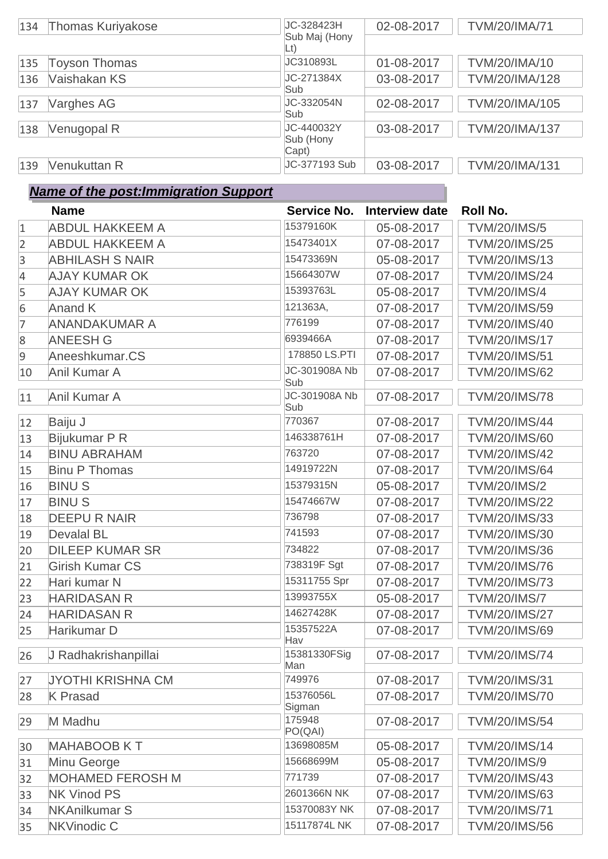| 134 | <b>Thomas Kuriyakose</b> | JC-328423H<br>Sub Maj (Hony | 02-08-2017 | <b>TVM/20/IMA/71</b> |
|-----|--------------------------|-----------------------------|------------|----------------------|
|     |                          | Lt)                         |            |                      |
| 135 | <b>Toyson Thomas</b>     | JC310893L                   | 01-08-2017 | TVM/20/IMA/10        |
| 136 | Vaishakan KS             | JC-271384X                  | 03-08-2017 | TVM/20/IMA/128       |
|     |                          | Sub                         |            |                      |
| 137 | <b>Varghes AG</b>        | JC-332054N                  | 02-08-2017 | TVM/20/IMA/105       |
|     |                          | Sub                         |            |                      |
| 138 | Venugopal R              | JC-440032Y                  | 03-08-2017 | TVM/20/IMA/137       |
|     |                          | Sub (Hony<br>Capt)          |            |                      |
| 139 | Venukuttan R             | JC-377193 Sub               | 03-08-2017 | TVM/20/IMA/131       |

## *Name of the post:Immigration Support*

|                  | <b>Name</b>              | Service No.          | Interview date | Roll No.             |
|------------------|--------------------------|----------------------|----------------|----------------------|
| $\mathbf{1}$     | <b>ABDUL HAKKEEM A</b>   | 15379160K            | 05-08-2017     | <b>TVM/20/IMS/5</b>  |
| $\overline{2}$   | <b>ABDUL HAKKEEM A</b>   | 15473401X            | 07-08-2017     | <b>TVM/20/IMS/25</b> |
| 3                | <b>ABHILASH S NAIR</b>   | 15473369N            | 05-08-2017     | <b>TVM/20/IMS/13</b> |
| $\overline{4}$   | <b>AJAY KUMAR OK</b>     | 15664307W            | 07-08-2017     | <b>TVM/20/IMS/24</b> |
| 5                | <b>AJAY KUMAR OK</b>     | 15393763L            | 05-08-2017     | <b>TVM/20/IMS/4</b>  |
| $6\phantom{1}6$  | <b>Anand K</b>           | 121363A,             | 07-08-2017     | <b>TVM/20/IMS/59</b> |
| 7                | <b>ANANDAKUMAR A</b>     | 776199               | 07-08-2017     | <b>TVM/20/IMS/40</b> |
| $\boldsymbol{8}$ | <b>ANEESH G</b>          | 6939466A             | 07-08-2017     | <b>TVM/20/IMS/17</b> |
| $\overline{9}$   | Aneeshkumar.CS           | 178850 LS.PTI        | 07-08-2017     | <b>TVM/20/IMS/51</b> |
| 10               | Anil Kumar A             | JC-301908A Nb<br>Sub | 07-08-2017     | <b>TVM/20/IMS/62</b> |
| 11               | Anil Kumar A             | JC-301908A Nb<br>Sub | 07-08-2017     | <b>TVM/20/IMS/78</b> |
| 12               | Baiju J                  | 770367               | 07-08-2017     | <b>TVM/20/IMS/44</b> |
| 13               | Bijukumar P R            | 146338761H           | 07-08-2017     | <b>TVM/20/IMS/60</b> |
| 14               | <b>BINU ABRAHAM</b>      | 763720               | 07-08-2017     | <b>TVM/20/IMS/42</b> |
| 15               | <b>Binu P Thomas</b>     | 14919722N            | 07-08-2017     | <b>TVM/20/IMS/64</b> |
| 16               | <b>BINUS</b>             | 15379315N            | 05-08-2017     | <b>TVM/20/IMS/2</b>  |
| 17               | <b>BINUS</b>             | 15474667W            | 07-08-2017     | <b>TVM/20/IMS/22</b> |
| 18               | <b>DEEPURNAIR</b>        | 736798               | 07-08-2017     | <b>TVM/20/IMS/33</b> |
| 19               | <b>Devalal BL</b>        | 741593               | 07-08-2017     | <b>TVM/20/IMS/30</b> |
| 20               | <b>DILEEP KUMAR SR</b>   | 734822               | 07-08-2017     | <b>TVM/20/IMS/36</b> |
| 21               | <b>Girish Kumar CS</b>   | 738319F Sgt          | 07-08-2017     | <b>TVM/20/IMS/76</b> |
| 22               | Hari kumar N             | 15311755 Spr         | 07-08-2017     | <b>TVM/20/IMS/73</b> |
| 23               | <b>HARIDASAN R</b>       | 13993755X            | 05-08-2017     | <b>TVM/20/IMS/7</b>  |
| 24               | <b>HARIDASAN R</b>       | 14627428K            | 07-08-2017     | <b>TVM/20/IMS/27</b> |
| 25               | Harikumar D              | 15357522A<br>Hav     | 07-08-2017     | <b>TVM/20/IMS/69</b> |
| 26               | J Radhakrishanpillai     | 15381330FSig<br>Man  | 07-08-2017     | <b>TVM/20/IMS/74</b> |
| 27               | <b>JYOTHI KRISHNA CM</b> | 749976               | 07-08-2017     | <b>TVM/20/IMS/31</b> |
| 28               | <b>K</b> Prasad          | 15376056L<br>Sigman  | 07-08-2017     | <b>TVM/20/IMS/70</b> |
| 29               | M Madhu                  | 175948<br>PO(QAI)    | 07-08-2017     | <b>TVM/20/IMS/54</b> |
| 30               | <b>MAHABOOB KT</b>       | 13698085M            | 05-08-2017     | <b>TVM/20/IMS/14</b> |
| 31               | Minu George              | 15668699M            | 05-08-2017     | <b>TVM/20/IMS/9</b>  |
| 32               | <b>MOHAMED FEROSH M</b>  | 771739               | 07-08-2017     | <b>TVM/20/IMS/43</b> |
| 33               | <b>NK Vinod PS</b>       | 2601366N NK          | 07-08-2017     | <b>TVM/20/IMS/63</b> |
| 34               | <b>NKAnilkumar S</b>     | 15370083Y NK         | 07-08-2017     | <b>TVM/20/IMS/71</b> |
| 35               | NKVinodic C              | 15117874L NK         | 07-08-2017     | <b>TVM/20/IMS/56</b> |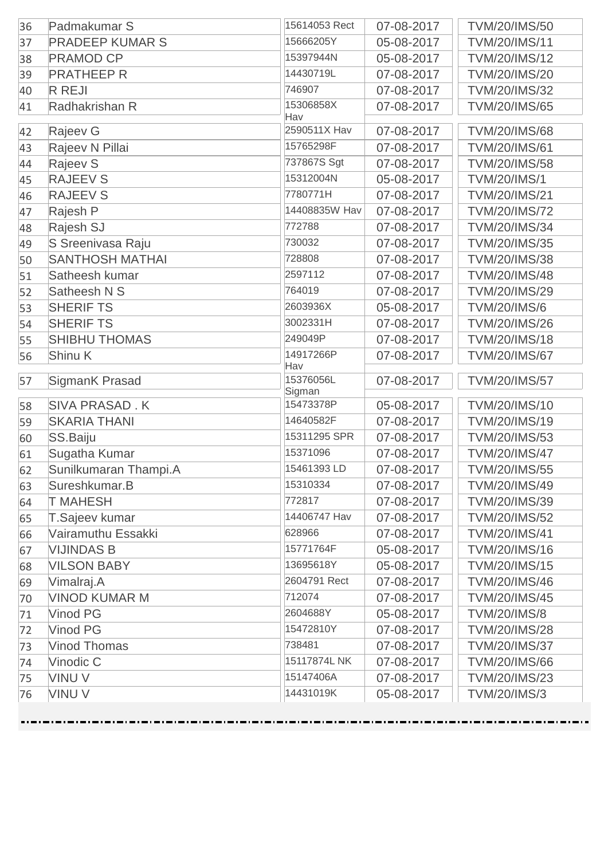| 15666205Y<br><b>PRADEEP KUMAR S</b><br>05-08-2017<br><b>TVM/20/IMS/11</b><br>37<br>15397944N<br><b>PRAMOD CP</b><br>05-08-2017<br><b>TVM/20/IMS/12</b><br>38<br>14430719L<br><b>PRATHEEP R</b><br>07-08-2017<br><b>TVM/20/IMS/20</b><br>39<br>746907<br><b>R REJI</b><br>07-08-2017<br><b>TVM/20/IMS/32</b><br>40<br>15306858X<br>Radhakrishan R<br><b>TVM/20/IMS/65</b><br>07-08-2017<br>Hav<br>2590511X Hav<br>Rajeev G<br>07-08-2017<br><b>TVM/20/IMS/68</b><br>42<br>15765298F<br>Rajeev N Pillai<br>07-08-2017<br><b>TVM/20/IMS/61</b><br>43<br>737867S Sgt<br><b>Rajeev S</b><br>07-08-2017<br><b>TVM/20/IMS/58</b><br>44<br><b>RAJEEV S</b><br>15312004N<br><b>TVM/20/IMS/1</b><br>05-08-2017<br>45<br>7780771H<br><b>RAJEEV S</b><br>07-08-2017<br><b>TVM/20/IMS/21</b><br>46<br>14408835W Hav<br>Rajesh P<br>07-08-2017<br><b>TVM/20/IMS/72</b><br>47<br>772788<br>Rajesh SJ<br>07-08-2017<br><b>TVM/20/IMS/34</b><br>48<br>730032<br>S Sreenivasa Raju<br>07-08-2017<br><b>TVM/20/IMS/35</b><br>49<br><b>SANTHOSH MATHAI</b><br>728808<br>07-08-2017<br><b>TVM/20/IMS/38</b><br>50<br>2597112<br>Satheesh kumar<br>07-08-2017<br><b>TVM/20/IMS/48</b><br>764019<br><b>TVM/20/IMS/29</b><br>Satheesh N S<br>07-08-2017<br>52<br>2603936X<br><b>SHERIF TS</b><br>05-08-2017<br><b>TVM/20/IMS/6</b><br>3002331H<br><b>SHERIF TS</b><br><b>TVM/20/IMS/26</b><br>54<br>07-08-2017<br><b>SHIBHU THOMAS</b><br>249049P<br><b>TVM/20/IMS/18</b><br>07-08-2017<br>14917266P<br>Shinu K<br>07-08-2017<br><b>TVM/20/IMS/67</b><br>56<br>Hav<br>15376056L<br>07-08-2017<br><b>TVM/20/IMS/57</b><br>SigmanK Prasad<br>Sigman<br><b>SIVA PRASAD.K</b><br>15473378P<br>05-08-2017<br><b>TVM/20/IMS/10</b><br>58<br>14640582F<br><b>SKARIA THANI</b><br>TVM/20/IMS/19<br>07-08-2017<br>59<br>15311295 SPR<br>SS.Baiju<br>07-08-2017<br><b>TVM/20/IMS/53</b><br>15371096<br>Sugatha Kumar<br>07-08-2017<br><b>TVM/20/IMS/47</b><br>Sunilkumaran Thampi.A<br>15461393 LD<br>07-08-2017<br><b>TVM/20/IMS/55</b><br>15310334<br>Sureshkumar.B<br>07-08-2017<br><b>TVM/20/IMS/49</b><br>772817<br><b>T MAHESH</b><br>07-08-2017<br><b>TVM/20/IMS/39</b><br>14406747 Hav<br><b>TVM/20/IMS/52</b><br>T.Sajeev kumar<br>07-08-2017<br>628966<br>Vairamuthu Essakki<br><b>TVM/20/IMS/41</b><br>07-08-2017<br>15771764F<br><b>VIJINDAS B</b><br>05-08-2017<br><b>TVM/20/IMS/16</b><br>13695618Y<br><b>VILSON BABY</b><br><b>TVM/20/IMS/15</b><br>05-08-2017<br>2604791 Rect<br>Vimalraj.A<br>07-08-2017<br><b>TVM/20/IMS/46</b><br>69<br>712074<br><b>VINOD KUMAR M</b><br>07-08-2017<br><b>TVM/20/IMS/45</b><br>70<br>Vinod PG<br>2604688Y<br>05-08-2017<br><b>TVM/20/IMS/8</b><br>71<br>15472810Y<br>Vinod PG<br>07-08-2017<br><b>TVM/20/IMS/28</b><br>72<br>738481<br><b>Vinod Thomas</b><br>07-08-2017<br><b>TVM/20/IMS/37</b><br>73<br>15117874L NK<br>Vinodic C<br>07-08-2017<br><b>TVM/20/IMS/66</b><br>74<br>15147406A<br><b>VINUV</b><br><b>TVM/20/IMS/23</b><br>07-08-2017<br>75<br>14431019K<br><b>VINUV</b><br>05-08-2017<br><b>TVM/20/IMS/3</b> | 36 | Padmakumar S | 15614053 Rect | 07-08-2017 | <b>TVM/20/IMS/50</b> |
|----------------------------------------------------------------------------------------------------------------------------------------------------------------------------------------------------------------------------------------------------------------------------------------------------------------------------------------------------------------------------------------------------------------------------------------------------------------------------------------------------------------------------------------------------------------------------------------------------------------------------------------------------------------------------------------------------------------------------------------------------------------------------------------------------------------------------------------------------------------------------------------------------------------------------------------------------------------------------------------------------------------------------------------------------------------------------------------------------------------------------------------------------------------------------------------------------------------------------------------------------------------------------------------------------------------------------------------------------------------------------------------------------------------------------------------------------------------------------------------------------------------------------------------------------------------------------------------------------------------------------------------------------------------------------------------------------------------------------------------------------------------------------------------------------------------------------------------------------------------------------------------------------------------------------------------------------------------------------------------------------------------------------------------------------------------------------------------------------------------------------------------------------------------------------------------------------------------------------------------------------------------------------------------------------------------------------------------------------------------------------------------------------------------------------------------------------------------------------------------------------------------------------------------------------------------------------------------------------------------------------------------------------------------------------------------------------------------------------------------------------------------------------------------------------------------------------------------------------------------------------------------------------------------------------------------------------------------------------------------------------------------------------------------------|----|--------------|---------------|------------|----------------------|
|                                                                                                                                                                                                                                                                                                                                                                                                                                                                                                                                                                                                                                                                                                                                                                                                                                                                                                                                                                                                                                                                                                                                                                                                                                                                                                                                                                                                                                                                                                                                                                                                                                                                                                                                                                                                                                                                                                                                                                                                                                                                                                                                                                                                                                                                                                                                                                                                                                                                                                                                                                                                                                                                                                                                                                                                                                                                                                                                                                                                                                              |    |              |               |            |                      |
|                                                                                                                                                                                                                                                                                                                                                                                                                                                                                                                                                                                                                                                                                                                                                                                                                                                                                                                                                                                                                                                                                                                                                                                                                                                                                                                                                                                                                                                                                                                                                                                                                                                                                                                                                                                                                                                                                                                                                                                                                                                                                                                                                                                                                                                                                                                                                                                                                                                                                                                                                                                                                                                                                                                                                                                                                                                                                                                                                                                                                                              |    |              |               |            |                      |
|                                                                                                                                                                                                                                                                                                                                                                                                                                                                                                                                                                                                                                                                                                                                                                                                                                                                                                                                                                                                                                                                                                                                                                                                                                                                                                                                                                                                                                                                                                                                                                                                                                                                                                                                                                                                                                                                                                                                                                                                                                                                                                                                                                                                                                                                                                                                                                                                                                                                                                                                                                                                                                                                                                                                                                                                                                                                                                                                                                                                                                              |    |              |               |            |                      |
|                                                                                                                                                                                                                                                                                                                                                                                                                                                                                                                                                                                                                                                                                                                                                                                                                                                                                                                                                                                                                                                                                                                                                                                                                                                                                                                                                                                                                                                                                                                                                                                                                                                                                                                                                                                                                                                                                                                                                                                                                                                                                                                                                                                                                                                                                                                                                                                                                                                                                                                                                                                                                                                                                                                                                                                                                                                                                                                                                                                                                                              |    |              |               |            |                      |
|                                                                                                                                                                                                                                                                                                                                                                                                                                                                                                                                                                                                                                                                                                                                                                                                                                                                                                                                                                                                                                                                                                                                                                                                                                                                                                                                                                                                                                                                                                                                                                                                                                                                                                                                                                                                                                                                                                                                                                                                                                                                                                                                                                                                                                                                                                                                                                                                                                                                                                                                                                                                                                                                                                                                                                                                                                                                                                                                                                                                                                              | 41 |              |               |            |                      |
|                                                                                                                                                                                                                                                                                                                                                                                                                                                                                                                                                                                                                                                                                                                                                                                                                                                                                                                                                                                                                                                                                                                                                                                                                                                                                                                                                                                                                                                                                                                                                                                                                                                                                                                                                                                                                                                                                                                                                                                                                                                                                                                                                                                                                                                                                                                                                                                                                                                                                                                                                                                                                                                                                                                                                                                                                                                                                                                                                                                                                                              |    |              |               |            |                      |
|                                                                                                                                                                                                                                                                                                                                                                                                                                                                                                                                                                                                                                                                                                                                                                                                                                                                                                                                                                                                                                                                                                                                                                                                                                                                                                                                                                                                                                                                                                                                                                                                                                                                                                                                                                                                                                                                                                                                                                                                                                                                                                                                                                                                                                                                                                                                                                                                                                                                                                                                                                                                                                                                                                                                                                                                                                                                                                                                                                                                                                              |    |              |               |            |                      |
|                                                                                                                                                                                                                                                                                                                                                                                                                                                                                                                                                                                                                                                                                                                                                                                                                                                                                                                                                                                                                                                                                                                                                                                                                                                                                                                                                                                                                                                                                                                                                                                                                                                                                                                                                                                                                                                                                                                                                                                                                                                                                                                                                                                                                                                                                                                                                                                                                                                                                                                                                                                                                                                                                                                                                                                                                                                                                                                                                                                                                                              |    |              |               |            |                      |
|                                                                                                                                                                                                                                                                                                                                                                                                                                                                                                                                                                                                                                                                                                                                                                                                                                                                                                                                                                                                                                                                                                                                                                                                                                                                                                                                                                                                                                                                                                                                                                                                                                                                                                                                                                                                                                                                                                                                                                                                                                                                                                                                                                                                                                                                                                                                                                                                                                                                                                                                                                                                                                                                                                                                                                                                                                                                                                                                                                                                                                              |    |              |               |            |                      |
|                                                                                                                                                                                                                                                                                                                                                                                                                                                                                                                                                                                                                                                                                                                                                                                                                                                                                                                                                                                                                                                                                                                                                                                                                                                                                                                                                                                                                                                                                                                                                                                                                                                                                                                                                                                                                                                                                                                                                                                                                                                                                                                                                                                                                                                                                                                                                                                                                                                                                                                                                                                                                                                                                                                                                                                                                                                                                                                                                                                                                                              |    |              |               |            |                      |
|                                                                                                                                                                                                                                                                                                                                                                                                                                                                                                                                                                                                                                                                                                                                                                                                                                                                                                                                                                                                                                                                                                                                                                                                                                                                                                                                                                                                                                                                                                                                                                                                                                                                                                                                                                                                                                                                                                                                                                                                                                                                                                                                                                                                                                                                                                                                                                                                                                                                                                                                                                                                                                                                                                                                                                                                                                                                                                                                                                                                                                              |    |              |               |            |                      |
|                                                                                                                                                                                                                                                                                                                                                                                                                                                                                                                                                                                                                                                                                                                                                                                                                                                                                                                                                                                                                                                                                                                                                                                                                                                                                                                                                                                                                                                                                                                                                                                                                                                                                                                                                                                                                                                                                                                                                                                                                                                                                                                                                                                                                                                                                                                                                                                                                                                                                                                                                                                                                                                                                                                                                                                                                                                                                                                                                                                                                                              |    |              |               |            |                      |
|                                                                                                                                                                                                                                                                                                                                                                                                                                                                                                                                                                                                                                                                                                                                                                                                                                                                                                                                                                                                                                                                                                                                                                                                                                                                                                                                                                                                                                                                                                                                                                                                                                                                                                                                                                                                                                                                                                                                                                                                                                                                                                                                                                                                                                                                                                                                                                                                                                                                                                                                                                                                                                                                                                                                                                                                                                                                                                                                                                                                                                              |    |              |               |            |                      |
|                                                                                                                                                                                                                                                                                                                                                                                                                                                                                                                                                                                                                                                                                                                                                                                                                                                                                                                                                                                                                                                                                                                                                                                                                                                                                                                                                                                                                                                                                                                                                                                                                                                                                                                                                                                                                                                                                                                                                                                                                                                                                                                                                                                                                                                                                                                                                                                                                                                                                                                                                                                                                                                                                                                                                                                                                                                                                                                                                                                                                                              |    |              |               |            |                      |
|                                                                                                                                                                                                                                                                                                                                                                                                                                                                                                                                                                                                                                                                                                                                                                                                                                                                                                                                                                                                                                                                                                                                                                                                                                                                                                                                                                                                                                                                                                                                                                                                                                                                                                                                                                                                                                                                                                                                                                                                                                                                                                                                                                                                                                                                                                                                                                                                                                                                                                                                                                                                                                                                                                                                                                                                                                                                                                                                                                                                                                              |    |              |               |            |                      |
|                                                                                                                                                                                                                                                                                                                                                                                                                                                                                                                                                                                                                                                                                                                                                                                                                                                                                                                                                                                                                                                                                                                                                                                                                                                                                                                                                                                                                                                                                                                                                                                                                                                                                                                                                                                                                                                                                                                                                                                                                                                                                                                                                                                                                                                                                                                                                                                                                                                                                                                                                                                                                                                                                                                                                                                                                                                                                                                                                                                                                                              | 51 |              |               |            |                      |
|                                                                                                                                                                                                                                                                                                                                                                                                                                                                                                                                                                                                                                                                                                                                                                                                                                                                                                                                                                                                                                                                                                                                                                                                                                                                                                                                                                                                                                                                                                                                                                                                                                                                                                                                                                                                                                                                                                                                                                                                                                                                                                                                                                                                                                                                                                                                                                                                                                                                                                                                                                                                                                                                                                                                                                                                                                                                                                                                                                                                                                              |    |              |               |            |                      |
|                                                                                                                                                                                                                                                                                                                                                                                                                                                                                                                                                                                                                                                                                                                                                                                                                                                                                                                                                                                                                                                                                                                                                                                                                                                                                                                                                                                                                                                                                                                                                                                                                                                                                                                                                                                                                                                                                                                                                                                                                                                                                                                                                                                                                                                                                                                                                                                                                                                                                                                                                                                                                                                                                                                                                                                                                                                                                                                                                                                                                                              | 53 |              |               |            |                      |
|                                                                                                                                                                                                                                                                                                                                                                                                                                                                                                                                                                                                                                                                                                                                                                                                                                                                                                                                                                                                                                                                                                                                                                                                                                                                                                                                                                                                                                                                                                                                                                                                                                                                                                                                                                                                                                                                                                                                                                                                                                                                                                                                                                                                                                                                                                                                                                                                                                                                                                                                                                                                                                                                                                                                                                                                                                                                                                                                                                                                                                              |    |              |               |            |                      |
|                                                                                                                                                                                                                                                                                                                                                                                                                                                                                                                                                                                                                                                                                                                                                                                                                                                                                                                                                                                                                                                                                                                                                                                                                                                                                                                                                                                                                                                                                                                                                                                                                                                                                                                                                                                                                                                                                                                                                                                                                                                                                                                                                                                                                                                                                                                                                                                                                                                                                                                                                                                                                                                                                                                                                                                                                                                                                                                                                                                                                                              | 55 |              |               |            |                      |
|                                                                                                                                                                                                                                                                                                                                                                                                                                                                                                                                                                                                                                                                                                                                                                                                                                                                                                                                                                                                                                                                                                                                                                                                                                                                                                                                                                                                                                                                                                                                                                                                                                                                                                                                                                                                                                                                                                                                                                                                                                                                                                                                                                                                                                                                                                                                                                                                                                                                                                                                                                                                                                                                                                                                                                                                                                                                                                                                                                                                                                              |    |              |               |            |                      |
|                                                                                                                                                                                                                                                                                                                                                                                                                                                                                                                                                                                                                                                                                                                                                                                                                                                                                                                                                                                                                                                                                                                                                                                                                                                                                                                                                                                                                                                                                                                                                                                                                                                                                                                                                                                                                                                                                                                                                                                                                                                                                                                                                                                                                                                                                                                                                                                                                                                                                                                                                                                                                                                                                                                                                                                                                                                                                                                                                                                                                                              | 57 |              |               |            |                      |
|                                                                                                                                                                                                                                                                                                                                                                                                                                                                                                                                                                                                                                                                                                                                                                                                                                                                                                                                                                                                                                                                                                                                                                                                                                                                                                                                                                                                                                                                                                                                                                                                                                                                                                                                                                                                                                                                                                                                                                                                                                                                                                                                                                                                                                                                                                                                                                                                                                                                                                                                                                                                                                                                                                                                                                                                                                                                                                                                                                                                                                              |    |              |               |            |                      |
|                                                                                                                                                                                                                                                                                                                                                                                                                                                                                                                                                                                                                                                                                                                                                                                                                                                                                                                                                                                                                                                                                                                                                                                                                                                                                                                                                                                                                                                                                                                                                                                                                                                                                                                                                                                                                                                                                                                                                                                                                                                                                                                                                                                                                                                                                                                                                                                                                                                                                                                                                                                                                                                                                                                                                                                                                                                                                                                                                                                                                                              |    |              |               |            |                      |
|                                                                                                                                                                                                                                                                                                                                                                                                                                                                                                                                                                                                                                                                                                                                                                                                                                                                                                                                                                                                                                                                                                                                                                                                                                                                                                                                                                                                                                                                                                                                                                                                                                                                                                                                                                                                                                                                                                                                                                                                                                                                                                                                                                                                                                                                                                                                                                                                                                                                                                                                                                                                                                                                                                                                                                                                                                                                                                                                                                                                                                              | 60 |              |               |            |                      |
|                                                                                                                                                                                                                                                                                                                                                                                                                                                                                                                                                                                                                                                                                                                                                                                                                                                                                                                                                                                                                                                                                                                                                                                                                                                                                                                                                                                                                                                                                                                                                                                                                                                                                                                                                                                                                                                                                                                                                                                                                                                                                                                                                                                                                                                                                                                                                                                                                                                                                                                                                                                                                                                                                                                                                                                                                                                                                                                                                                                                                                              | 61 |              |               |            |                      |
|                                                                                                                                                                                                                                                                                                                                                                                                                                                                                                                                                                                                                                                                                                                                                                                                                                                                                                                                                                                                                                                                                                                                                                                                                                                                                                                                                                                                                                                                                                                                                                                                                                                                                                                                                                                                                                                                                                                                                                                                                                                                                                                                                                                                                                                                                                                                                                                                                                                                                                                                                                                                                                                                                                                                                                                                                                                                                                                                                                                                                                              | 62 |              |               |            |                      |
|                                                                                                                                                                                                                                                                                                                                                                                                                                                                                                                                                                                                                                                                                                                                                                                                                                                                                                                                                                                                                                                                                                                                                                                                                                                                                                                                                                                                                                                                                                                                                                                                                                                                                                                                                                                                                                                                                                                                                                                                                                                                                                                                                                                                                                                                                                                                                                                                                                                                                                                                                                                                                                                                                                                                                                                                                                                                                                                                                                                                                                              | 63 |              |               |            |                      |
|                                                                                                                                                                                                                                                                                                                                                                                                                                                                                                                                                                                                                                                                                                                                                                                                                                                                                                                                                                                                                                                                                                                                                                                                                                                                                                                                                                                                                                                                                                                                                                                                                                                                                                                                                                                                                                                                                                                                                                                                                                                                                                                                                                                                                                                                                                                                                                                                                                                                                                                                                                                                                                                                                                                                                                                                                                                                                                                                                                                                                                              | 64 |              |               |            |                      |
|                                                                                                                                                                                                                                                                                                                                                                                                                                                                                                                                                                                                                                                                                                                                                                                                                                                                                                                                                                                                                                                                                                                                                                                                                                                                                                                                                                                                                                                                                                                                                                                                                                                                                                                                                                                                                                                                                                                                                                                                                                                                                                                                                                                                                                                                                                                                                                                                                                                                                                                                                                                                                                                                                                                                                                                                                                                                                                                                                                                                                                              | 65 |              |               |            |                      |
|                                                                                                                                                                                                                                                                                                                                                                                                                                                                                                                                                                                                                                                                                                                                                                                                                                                                                                                                                                                                                                                                                                                                                                                                                                                                                                                                                                                                                                                                                                                                                                                                                                                                                                                                                                                                                                                                                                                                                                                                                                                                                                                                                                                                                                                                                                                                                                                                                                                                                                                                                                                                                                                                                                                                                                                                                                                                                                                                                                                                                                              | 66 |              |               |            |                      |
|                                                                                                                                                                                                                                                                                                                                                                                                                                                                                                                                                                                                                                                                                                                                                                                                                                                                                                                                                                                                                                                                                                                                                                                                                                                                                                                                                                                                                                                                                                                                                                                                                                                                                                                                                                                                                                                                                                                                                                                                                                                                                                                                                                                                                                                                                                                                                                                                                                                                                                                                                                                                                                                                                                                                                                                                                                                                                                                                                                                                                                              | 67 |              |               |            |                      |
|                                                                                                                                                                                                                                                                                                                                                                                                                                                                                                                                                                                                                                                                                                                                                                                                                                                                                                                                                                                                                                                                                                                                                                                                                                                                                                                                                                                                                                                                                                                                                                                                                                                                                                                                                                                                                                                                                                                                                                                                                                                                                                                                                                                                                                                                                                                                                                                                                                                                                                                                                                                                                                                                                                                                                                                                                                                                                                                                                                                                                                              | 68 |              |               |            |                      |
|                                                                                                                                                                                                                                                                                                                                                                                                                                                                                                                                                                                                                                                                                                                                                                                                                                                                                                                                                                                                                                                                                                                                                                                                                                                                                                                                                                                                                                                                                                                                                                                                                                                                                                                                                                                                                                                                                                                                                                                                                                                                                                                                                                                                                                                                                                                                                                                                                                                                                                                                                                                                                                                                                                                                                                                                                                                                                                                                                                                                                                              |    |              |               |            |                      |
|                                                                                                                                                                                                                                                                                                                                                                                                                                                                                                                                                                                                                                                                                                                                                                                                                                                                                                                                                                                                                                                                                                                                                                                                                                                                                                                                                                                                                                                                                                                                                                                                                                                                                                                                                                                                                                                                                                                                                                                                                                                                                                                                                                                                                                                                                                                                                                                                                                                                                                                                                                                                                                                                                                                                                                                                                                                                                                                                                                                                                                              |    |              |               |            |                      |
|                                                                                                                                                                                                                                                                                                                                                                                                                                                                                                                                                                                                                                                                                                                                                                                                                                                                                                                                                                                                                                                                                                                                                                                                                                                                                                                                                                                                                                                                                                                                                                                                                                                                                                                                                                                                                                                                                                                                                                                                                                                                                                                                                                                                                                                                                                                                                                                                                                                                                                                                                                                                                                                                                                                                                                                                                                                                                                                                                                                                                                              |    |              |               |            |                      |
|                                                                                                                                                                                                                                                                                                                                                                                                                                                                                                                                                                                                                                                                                                                                                                                                                                                                                                                                                                                                                                                                                                                                                                                                                                                                                                                                                                                                                                                                                                                                                                                                                                                                                                                                                                                                                                                                                                                                                                                                                                                                                                                                                                                                                                                                                                                                                                                                                                                                                                                                                                                                                                                                                                                                                                                                                                                                                                                                                                                                                                              |    |              |               |            |                      |
|                                                                                                                                                                                                                                                                                                                                                                                                                                                                                                                                                                                                                                                                                                                                                                                                                                                                                                                                                                                                                                                                                                                                                                                                                                                                                                                                                                                                                                                                                                                                                                                                                                                                                                                                                                                                                                                                                                                                                                                                                                                                                                                                                                                                                                                                                                                                                                                                                                                                                                                                                                                                                                                                                                                                                                                                                                                                                                                                                                                                                                              |    |              |               |            |                      |
|                                                                                                                                                                                                                                                                                                                                                                                                                                                                                                                                                                                                                                                                                                                                                                                                                                                                                                                                                                                                                                                                                                                                                                                                                                                                                                                                                                                                                                                                                                                                                                                                                                                                                                                                                                                                                                                                                                                                                                                                                                                                                                                                                                                                                                                                                                                                                                                                                                                                                                                                                                                                                                                                                                                                                                                                                                                                                                                                                                                                                                              |    |              |               |            |                      |
|                                                                                                                                                                                                                                                                                                                                                                                                                                                                                                                                                                                                                                                                                                                                                                                                                                                                                                                                                                                                                                                                                                                                                                                                                                                                                                                                                                                                                                                                                                                                                                                                                                                                                                                                                                                                                                                                                                                                                                                                                                                                                                                                                                                                                                                                                                                                                                                                                                                                                                                                                                                                                                                                                                                                                                                                                                                                                                                                                                                                                                              |    |              |               |            |                      |
|                                                                                                                                                                                                                                                                                                                                                                                                                                                                                                                                                                                                                                                                                                                                                                                                                                                                                                                                                                                                                                                                                                                                                                                                                                                                                                                                                                                                                                                                                                                                                                                                                                                                                                                                                                                                                                                                                                                                                                                                                                                                                                                                                                                                                                                                                                                                                                                                                                                                                                                                                                                                                                                                                                                                                                                                                                                                                                                                                                                                                                              | 76 |              |               |            |                      |